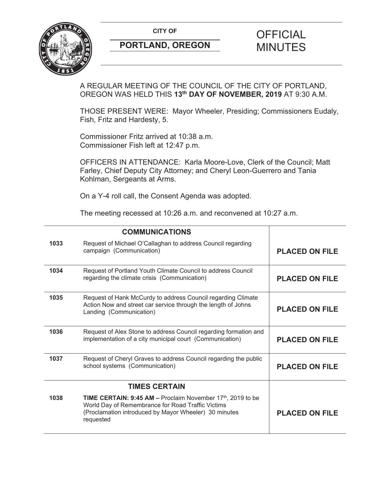**CITY OF CITY OF PICIAL** 



# **PORTLAND, OREGON MINUTES**

# A REGULAR MEETING OF THE COUNCIL OF THE CITY OF PORTLAND, OREGON WAS HELD THIS **13th DAY OF NOVEMBER, 2019** AT 9:30 A.M.

THOSE PRESENT WERE: Mayor Wheeler, Presiding; Commissioners Eudaly, Fish, Fritz and Hardesty, 5.

Commissioner Fritz arrived at 10:38 a.m. Commissioner Fish left at 12:47 p.m.

OFFICERS IN ATTENDANCE: Karla Moore-Love, Clerk of the Council; Matt Farley, Chief Deputy City Attorney; and Cheryl Leon-Guerrero and Tania Kohlman, Sergeants at Arms.

On a Y-4 roll call, the Consent Agenda was adopted.

The meeting recessed at 10:26 a.m. and reconvened at 10:27 a.m.

|      | <b>COMMUNICATIONS</b>                                                                                                                                                                        |                       |
|------|----------------------------------------------------------------------------------------------------------------------------------------------------------------------------------------------|-----------------------|
| 1033 | Request of Michael O'Callaghan to address Council regarding<br>campaign (Communication)                                                                                                      | <b>PLACED ON FILE</b> |
| 1034 | Request of Portland Youth Climate Council to address Council<br>regarding the climate crisis (Communication)                                                                                 | <b>PLACED ON FILE</b> |
| 1035 | Request of Hank McCurdy to address Council regarding Climate<br>Action Now and street car service through the length of Johns<br>Landing (Communication)                                     | <b>PLACED ON FILE</b> |
| 1036 | Request of Alex Stone to address Council regarding formation and<br>implementation of a city municipal court (Communication)                                                                 | <b>PLACED ON FILE</b> |
| 1037 | Request of Cheryl Graves to address Council regarding the public<br>school systems (Communication)                                                                                           | <b>PLACED ON FILE</b> |
|      | <b>TIMES CERTAIN</b>                                                                                                                                                                         |                       |
| 1038 | <b>TIME CERTAIN: 9:45 AM – Proclaim November 17th, 2019 to be</b><br>World Day of Remembrance for Road Traffic Victims<br>(Proclamation introduced by Mayor Wheeler) 30 minutes<br>requested | <b>PLACED ON FILE</b> |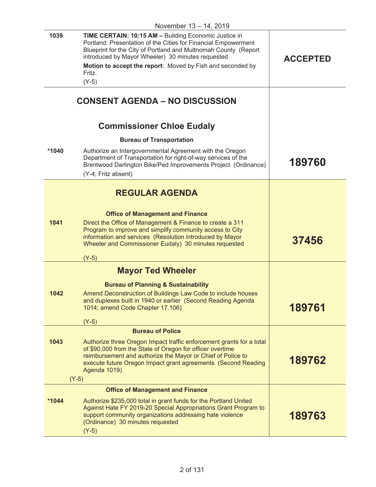|         | טו וטעוווטעטו<br>$1 - 1$ , $2 - 1$                                                                                                                                                                                                                                                                                                 |                 |
|---------|------------------------------------------------------------------------------------------------------------------------------------------------------------------------------------------------------------------------------------------------------------------------------------------------------------------------------------|-----------------|
| 1039    | TIME CERTAIN: 10:15 AM - Building Economic Justice in<br>Portland: Presentation of the Cities for Financial Empowerment<br>Blueprint for the City of Portland and Multnomah County (Report<br>introduced by Mayor Wheeler) 30 minutes requested<br>Motion to accept the report: Moved by Fish and seconded by<br>Fritz.<br>$(Y-5)$ | <b>ACCEPTED</b> |
|         | <b>CONSENT AGENDA - NO DISCUSSION</b>                                                                                                                                                                                                                                                                                              |                 |
|         | <b>Commissioner Chloe Eudaly</b>                                                                                                                                                                                                                                                                                                   |                 |
|         | <b>Bureau of Transportation</b>                                                                                                                                                                                                                                                                                                    |                 |
| $*1040$ | Authorize an Intergovernmental Agreement with the Oregon<br>Department of Transportation for right-of-way services of the<br>Brentwood Darlington Bike/Ped Improvements Project (Ordinance)<br>(Y-4; Fritz absent)                                                                                                                 | 189760          |
|         |                                                                                                                                                                                                                                                                                                                                    |                 |
| 1041    | <b>REGULAR AGENDA</b><br><b>Office of Management and Finance</b><br>Direct the Office of Management & Finance to create a 311<br>Program to improve and simplify community access to City<br>information and services (Resolution introduced by Mayor<br>Wheeler and Commissioner Eudaly) 30 minutes requested<br>$(Y-5)$          | 37456           |
|         | <b>Mayor Ted Wheeler</b>                                                                                                                                                                                                                                                                                                           |                 |
| 1042    | <b>Bureau of Planning &amp; Sustainability</b><br>Amend Deconstruction of Buildings Law Code to include houses<br>and duplexes built in 1940 or earlier (Second Reading Agenda<br>1014; amend Code Chapter 17.106)<br>$(Y-5)$                                                                                                      | 189761          |
|         | <b>Bureau of Police</b>                                                                                                                                                                                                                                                                                                            |                 |
| 1043    | Authorize three Oregon Impact traffic enforcement grants for a total<br>of \$90,000 from the State of Oregon for officer overtime<br>reimbursement and authorize the Mayor or Chief of Police to<br>execute future Oregon Impact grant agreements (Second Reading<br>Agenda 1019)<br>$(Y-5)$                                       | 189762          |
|         | <b>Office of Management and Finance</b>                                                                                                                                                                                                                                                                                            |                 |
| *1044   | Authorize \$235,000 total in grant funds for the Portland United<br>Against Hate FY 2019-20 Special Appropriations Grant Program to<br>support community organizations addressing hate violence<br>(Ordinance) 30 minutes requested<br>$(Y-5)$                                                                                     | 189763          |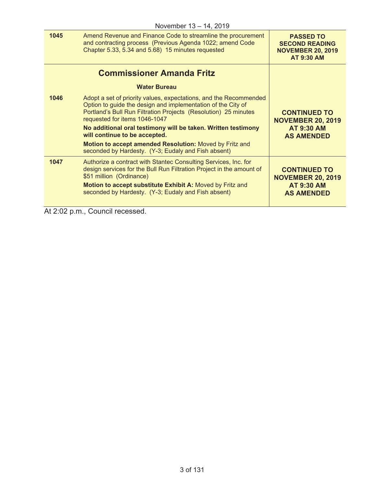|      | .                                                                                                                                                                                                                                                                                                                                                                                                                                                         |                                                                                            |
|------|-----------------------------------------------------------------------------------------------------------------------------------------------------------------------------------------------------------------------------------------------------------------------------------------------------------------------------------------------------------------------------------------------------------------------------------------------------------|--------------------------------------------------------------------------------------------|
| 1045 | Amend Revenue and Finance Code to streamline the procurement<br>and contracting process (Previous Agenda 1022; amend Code<br>Chapter 5.33, 5.34 and 5.68) 15 minutes requested                                                                                                                                                                                                                                                                            | <b>PASSED TO</b><br><b>SECOND READING</b><br><b>NOVEMBER 20, 2019</b><br><b>AT 9:30 AM</b> |
|      | <b>Commissioner Amanda Fritz</b>                                                                                                                                                                                                                                                                                                                                                                                                                          |                                                                                            |
|      | <b>Water Bureau</b>                                                                                                                                                                                                                                                                                                                                                                                                                                       |                                                                                            |
| 1046 | Adopt a set of priority values, expectations, and the Recommended<br>Option to guide the design and implementation of the City of<br>Portland's Bull Run Filtration Projects (Resolution) 25 minutes<br>requested for items 1046-1047<br>No additional oral testimony will be taken. Written testimony<br>will continue to be accepted.<br>Motion to accept amended Resolution: Moved by Fritz and<br>seconded by Hardesty. (Y-3; Eudaly and Fish absent) | <b>CONTINUED TO</b><br><b>NOVEMBER 20, 2019</b><br><b>AT 9:30 AM</b><br><b>AS AMENDED</b>  |
| 1047 | Authorize a contract with Stantec Consulting Services, Inc. for<br>design services for the Bull Run Filtration Project in the amount of<br>\$51 million (Ordinance)<br>Motion to accept substitute Exhibit A: Moved by Fritz and<br>seconded by Hardesty. (Y-3; Eudaly and Fish absent)                                                                                                                                                                   | <b>CONTINUED TO</b><br><b>NOVEMBER 20, 2019</b><br><b>AT 9:30 AM</b><br><b>AS AMENDED</b>  |
|      |                                                                                                                                                                                                                                                                                                                                                                                                                                                           |                                                                                            |

At 2:02 p.m., Council recessed.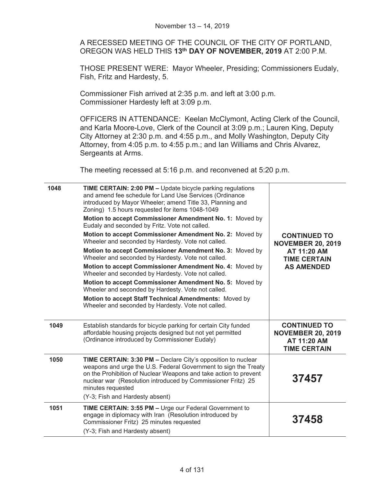|      | A RECESSED MEETING OF THE COUNCIL OF THE CITY OF PORTLAND,<br>OREGON WAS HELD THIS 13 <sup>th</sup> DAY OF NOVEMBER, 2019 AT 2:00 P.M.                                                                                                                                                                                                    |                                                                                       |
|------|-------------------------------------------------------------------------------------------------------------------------------------------------------------------------------------------------------------------------------------------------------------------------------------------------------------------------------------------|---------------------------------------------------------------------------------------|
|      | THOSE PRESENT WERE: Mayor Wheeler, Presiding; Commissioners Eudaly,<br>Fish, Fritz and Hardesty, 5.                                                                                                                                                                                                                                       |                                                                                       |
|      | Commissioner Fish arrived at 2:35 p.m. and left at 3:00 p.m.<br>Commissioner Hardesty left at 3:09 p.m.                                                                                                                                                                                                                                   |                                                                                       |
|      | OFFICERS IN ATTENDANCE: Keelan McClymont, Acting Clerk of the Council,<br>and Karla Moore-Love, Clerk of the Council at 3:09 p.m.; Lauren King, Deputy<br>City Attorney at 2:30 p.m. and 4:55 p.m., and Molly Washington, Deputy City<br>Attorney, from 4:05 p.m. to 4:55 p.m.; and Ian Williams and Chris Alvarez,<br>Sergeants at Arms. |                                                                                       |
|      | The meeting recessed at 5:16 p.m. and reconvened at 5:20 p.m.                                                                                                                                                                                                                                                                             |                                                                                       |
| 1048 | TIME CERTAIN: 2:00 PM - Update bicycle parking regulations<br>and amend fee schedule for Land Use Services (Ordinance<br>introduced by Mayor Wheeler; amend Title 33, Planning and<br>Zoning) 1.5 hours requested for items 1048-1049                                                                                                     |                                                                                       |
|      | Motion to accept Commissioner Amendment No. 1: Moved by<br>Eudaly and seconded by Fritz. Vote not called.                                                                                                                                                                                                                                 |                                                                                       |
|      | Motion to accept Commissioner Amendment No. 2: Moved by<br>Wheeler and seconded by Hardesty. Vote not called.                                                                                                                                                                                                                             | <b>CONTINUED TO</b><br><b>NOVEMBER 20, 2019</b>                                       |
|      | Motion to accept Commissioner Amendment No. 3: Moved by<br>Wheeler and seconded by Hardesty. Vote not called.                                                                                                                                                                                                                             | AT 11:20 AM<br><b>TIME CERTAIN</b>                                                    |
|      | Motion to accept Commissioner Amendment No. 4: Moved by<br>Wheeler and seconded by Hardesty. Vote not called.                                                                                                                                                                                                                             | <b>AS AMENDED</b>                                                                     |
|      | Motion to accept Commissioner Amendment No. 5: Moved by<br>Wheeler and seconded by Hardesty. Vote not called.                                                                                                                                                                                                                             |                                                                                       |
|      | Motion to accept Staff Technical Amendments: Moved by<br>Wheeler and seconded by Hardesty. Vote not called.                                                                                                                                                                                                                               |                                                                                       |
| 1049 | Establish standards for bicycle parking for certain City funded<br>affordable housing projects designed but not yet permitted<br>(Ordinance introduced by Commissioner Eudaly)                                                                                                                                                            | <b>CONTINUED TO</b><br><b>NOVEMBER 20, 2019</b><br>AT 11:20 AM<br><b>TIME CERTAIN</b> |
| 1050 | TIME CERTAIN: 3:30 PM - Declare City's opposition to nuclear<br>weapons and urge the U.S. Federal Government to sign the Treaty<br>on the Prohibition of Nuclear Weapons and take action to prevent<br>nuclear war (Resolution introduced by Commissioner Fritz) 25<br>minutes requested<br>(Y-3; Fish and Hardesty absent)               | 37457                                                                                 |
| 1051 | <b>TIME CERTAIN: 3:55 PM - Urge our Federal Government to</b><br>engage in diplomacy with Iran (Resolution introduced by<br>Commissioner Fritz) 25 minutes requested<br>(Y-3; Fish and Hardesty absent)                                                                                                                                   | 37458                                                                                 |

November 13 – 14, 2019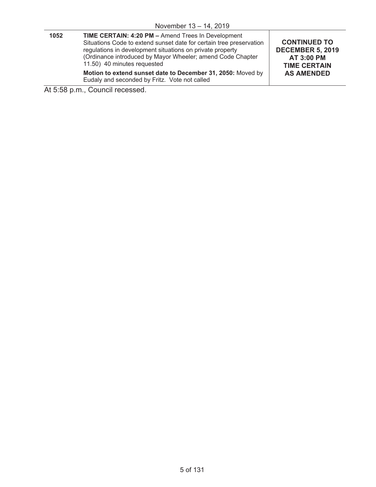| $11000$ CIIIDCI $10 - 14$ , $2019$ |                                                                                                                                                                                                                                                                                            |                                                                                                                 |
|------------------------------------|--------------------------------------------------------------------------------------------------------------------------------------------------------------------------------------------------------------------------------------------------------------------------------------------|-----------------------------------------------------------------------------------------------------------------|
| 1052                               | <b>TIME CERTAIN: 4:20 PM - Amend Trees In Development</b><br>Situations Code to extend sunset date for certain tree preservation<br>regulations in development situations on private property<br>(Ordinance introduced by Mayor Wheeler; amend Code Chapter<br>11.50) 40 minutes requested | <b>CONTINUED TO</b><br><b>DECEMBER 5, 2019</b><br><b>AT 3:00 PM</b><br><b>TIME CERTAIN</b><br><b>AS AMENDED</b> |
|                                    | Motion to extend sunset date to December 31, 2050: Moved by<br>Eudaly and seconded by Fritz. Vote not called                                                                                                                                                                               |                                                                                                                 |

At 5:58 p.m., Council recessed.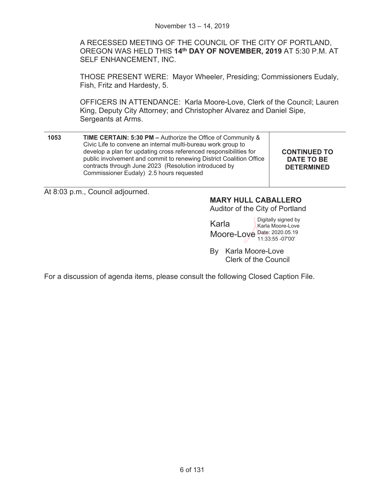A RECESSED MEETING OF THE COUNCIL OF THE CITY OF PORTLAND, OREGON WAS HELD THIS **14th DAY OF NOVEMBER, 2019** AT 5:30 P.M. AT SELF ENHANCEMENT, INC.

THOSE PRESENT WERE: Mayor Wheeler, Presiding; Commissioners Eudaly, Fish, Fritz and Hardesty, 5.

OFFICERS IN ATTENDANCE: Karla Moore-Love, Clerk of the Council; Lauren King, Deputy City Attorney; and Christopher Alvarez and Daniel Sipe, Sergeants at Arms.

| 1053 | TIME CERTAIN: 5:30 PM - Authorize the Office of Community &<br>Civic Life to convene an internal multi-bureau work group to<br>develop a plan for updating cross referenced responsibilities for<br>public involvement and commit to renewing District Coalition Office<br>contracts through June 2023 (Resolution introduced by<br>Commissioner Eudaly) 2.5 hours requested | <b>CONTINUED TO</b><br><b>DATE TO BE</b><br><b>DETERMINED</b> |
|------|------------------------------------------------------------------------------------------------------------------------------------------------------------------------------------------------------------------------------------------------------------------------------------------------------------------------------------------------------------------------------|---------------------------------------------------------------|
|------|------------------------------------------------------------------------------------------------------------------------------------------------------------------------------------------------------------------------------------------------------------------------------------------------------------------------------------------------------------------------------|---------------------------------------------------------------|

At 8:03 p.m., Council adjourned.

# **MARY HULL CABALLERO**

Auditor of the City of Portland

Karla Moore-Love Date: 2020.05.19 Digitally signed by Karla Moore-Love 11:33:55 -07'00'

By Karla Moore-Love Clerk of the Council

For a discussion of agenda items, please consult the following Closed Caption File.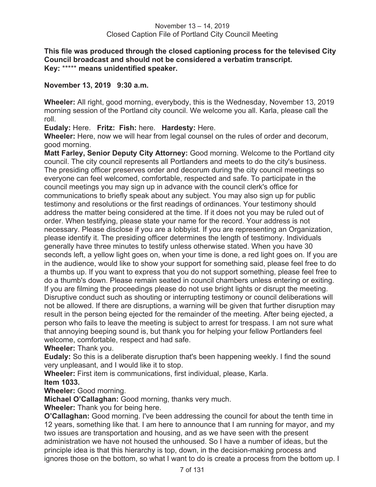#### **This file was produced through the closed captioning process for the televised City Council broadcast and should not be considered a verbatim transcript. Key:** \*\*\*\*\* **means unidentified speaker.**

#### **November 13, 2019 9:30 a.m.**

**Wheeler:** All right, good morning, everybody, this is the Wednesday, November 13, 2019 morning session of the Portland city council. We welcome you all. Karla, please call the roll.

**Eudaly:** Here. **Fritz: Fish:** here. **Hardesty:** Here.

**Wheeler:** Here, now we will hear from legal counsel on the rules of order and decorum, good morning.

**Matt Farley, Senior Deputy City Attorney:** Good morning. Welcome to the Portland city council. The city council represents all Portlanders and meets to do the city's business. The presiding officer preserves order and decorum during the city council meetings so everyone can feel welcomed, comfortable, respected and safe. To participate in the council meetings you may sign up in advance with the council clerk's office for communications to briefly speak about any subject. You may also sign up for public testimony and resolutions or the first readings of ordinances. Your testimony should address the matter being considered at the time. If it does not you may be ruled out of order. When testifying, please state your name for the record. Your address is not necessary. Please disclose if you are a lobbyist. If you are representing an Organization, please identify it. The presiding officer determines the length of testimony. Individuals generally have three minutes to testify unless otherwise stated. When you have 30 seconds left, a yellow light goes on, when your time is done, a red light goes on. If you are in the audience, would like to show your support for something said, please feel free to do a thumbs up. If you want to express that you do not support something, please feel free to do a thumb's down. Please remain seated in council chambers unless entering or exiting. If you are filming the proceedings please do not use bright lights or disrupt the meeting. Disruptive conduct such as shouting or interrupting testimony or council deliberations will not be allowed. If there are disruptions, a warning will be given that further disruption may result in the person being ejected for the remainder of the meeting. After being ejected, a person who fails to leave the meeting is subject to arrest for trespass. I am not sure what that annoying beeping sound is, but thank you for helping your fellow Portlanders feel welcome, comfortable, respect and had safe.

**Wheeler:** Thank you.

**Eudaly:** So this is a deliberate disruption that's been happening weekly. I find the sound very unpleasant, and I would like it to stop.

**Wheeler:** First item is communications, first individual, please, Karla. **Item 1033.** 

**Wheeler:** Good morning.

**Michael O'Callaghan:** Good morning, thanks very much.

**Wheeler:** Thank you for being here.

**O'Callaghan:** Good morning. I've been addressing the council for about the tenth time in 12 years, something like that. I am here to announce that I am running for mayor, and my two issues are transportation and housing, and as we have seen with the present administration we have not housed the unhoused. So I have a number of ideas, but the principle idea is that this hierarchy is top, down, in the decision-making process and ignores those on the bottom, so what I want to do is create a process from the bottom up. I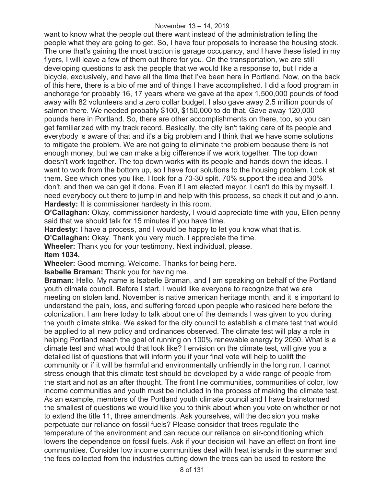want to know what the people out there want instead of the administration telling the people what they are going to get. So, I have four proposals to increase the housing stock. The one that's gaining the most traction is garage occupancy, and I have these listed in my flyers, I will leave a few of them out there for you. On the transportation, we are still developing questions to ask the people that we would like a response to, but I ride a bicycle, exclusively, and have all the time that I've been here in Portland. Now, on the back of this here, there is a bio of me and of things I have accomplished. I did a food program in anchorage for probably 16, 17 years where we gave at the apex 1,500,000 pounds of food away with 82 volunteers and a zero dollar budget. I also gave away 2.5 million pounds of salmon there. We needed probably \$100, \$150,000 to do that. Gave away 120,000 pounds here in Portland. So, there are other accomplishments on there, too, so you can get familiarized with my track record. Basically, the city isn't taking care of its people and everybody is aware of that and it's a big problem and I think that we have some solutions to mitigate the problem. We are not going to eliminate the problem because there is not enough money, but we can make a big difference if we work together. The top down doesn't work together. The top down works with its people and hands down the ideas. I want to work from the bottom up, so I have four solutions to the housing problem. Look at them. See which ones you like. I look for a 70-30 split. 70% support the idea and 30% don't, and then we can get it done. Even if I am elected mayor, I can't do this by myself. I need everybody out there to jump in and help with this process, so check it out and jo ann. **Hardesty:** It is commissioner hardesty in this room.

**O'Callaghan:** Okay, commissioner hardesty, I would appreciate time with you, Ellen penny said that we should talk for 15 minutes if you have time.

**Hardesty:** I have a process, and I would be happy to let you know what that is.

**O'Callaghan:** Okay. Thank you very much. I appreciate the time.

**Wheeler:** Thank you for your testimony. Next individual, please. **Item 1034.** 

**Wheeler:** Good morning. Welcome. Thanks for being here.

**Isabelle Braman:** Thank you for having me.

**Braman:** Hello. My name is Isabelle Braman, and I am speaking on behalf of the Portland youth climate council. Before I start, I would like everyone to recognize that we are meeting on stolen land. November is native american heritage month, and it is important to understand the pain, loss, and suffering forced upon people who resided here before the colonization. I am here today to talk about one of the demands I was given to you during the youth climate strike. We asked for the city council to establish a climate test that would be applied to all new policy and ordinances observed. The climate test will play a role in helping Portland reach the goal of running on 100% renewable energy by 2050. What is a climate test and what would that look like? I envision on the climate test, will give you a detailed list of questions that will inform you if your final vote will help to uplift the community or if it will be harmful and environmentally unfriendly in the long run. I cannot stress enough that this climate test should be developed by a wide range of people from the start and not as an after thought. The front line communities, communities of color, low income communities and youth must be included in the process of making the climate test. As an example, members of the Portland youth climate council and I have brainstormed the smallest of questions we would like you to think about when you vote on whether or not to extend the title 11, three amendments. Ask yourselves, will the decision you make perpetuate our reliance on fossil fuels? Please consider that trees regulate the temperature of the environment and can reduce our reliance on air-conditioning which lowers the dependence on fossil fuels. Ask if your decision will have an effect on front line communities. Consider low income communities deal with heat islands in the summer and the fees collected from the industries cutting down the trees can be used to restore the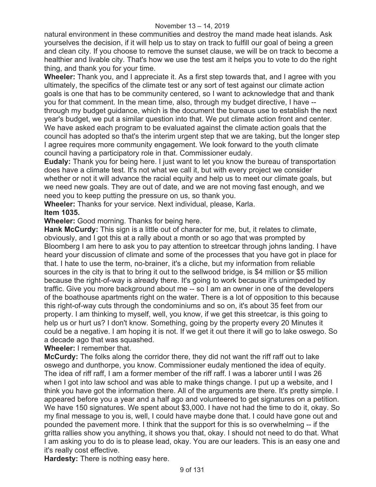natural environment in these communities and destroy the mand made heat islands. Ask yourselves the decision, if it will help us to stay on track to fulfill our goal of being a green and clean city. If you choose to remove the sunset clause, we will be on track to become a healthier and livable city. That's how we use the test am it helps you to vote to do the right thing, and thank you for your time.

**Wheeler:** Thank you, and I appreciate it. As a first step towards that, and I agree with you ultimately, the specifics of the climate test or any sort of test against our climate action goals is one that has to be community centered, so I want to acknowledge that and thank you for that comment. In the mean time, also, through my budget directive, I have - through my budget guidance, which is the document the bureaus use to establish the next year's budget, we put a similar question into that. We put climate action front and center. We have asked each program to be evaluated against the climate action goals that the council has adopted so that's the interim urgent step that we are taking, but the longer step I agree requires more community engagement. We look forward to the youth climate council having a participatory role in that. Commissioner eudaly.

**Eudaly:** Thank you for being here. I just want to let you know the bureau of transportation does have a climate test. It's not what we call it, but with every project we consider whether or not it will advance the racial equity and help us to meet our climate goals, but we need new goals. They are out of date, and we are not moving fast enough, and we need you to keep putting the pressure on us, so thank you.

**Wheeler:** Thanks for your service. Next individual, please, Karla. **Item 1035.** 

**Wheeler:** Good morning. Thanks for being here.

**Hank McCurdy:** This sign is a little out of character for me, but, it relates to climate, obviously, and I got this at a rally about a month or so ago that was prompted by Bloomberg I am here to ask you to pay attention to streetcar through johns landing. I have heard your discussion of climate and some of the processes that you have got in place for that. I hate to use the term, no-brainer, it's a cliche, but my information from reliable sources in the city is that to bring it out to the sellwood bridge, is \$4 million or \$5 million because the right-of-way is already there. It's going to work because it's unimpeded by traffic. Give you more background about me -- so I am an owner in one of the developers of the boathouse apartments right on the water. There is a lot of opposition to this because this right-of-way cuts through the condominiums and so on, it's about 35 feet from our property. I am thinking to myself, well, you know, if we get this streetcar, is this going to help us or hurt us? I don't know. Something, going by the property every 20 Minutes it could be a negative. I am hoping it is not. If we get it out there it will go to lake oswego. So a decade ago that was squashed.

**Wheeler:** I remember that.

**McCurdy:** The folks along the corridor there, they did not want the riff raff out to lake oswego and dunthorpe, you know. Commissioner eudaly mentioned the idea of equity. The idea of riff raff, I am a former member of the riff raff. I was a laborer until I was 26 when I got into law school and was able to make things change. I put up a website, and I think you have got the information there. All of the arguments are there. It's pretty simple. I appeared before you a year and a half ago and volunteered to get signatures on a petition. We have 150 signatures. We spent about \$3,000. I have not had the time to do it, okay. So my final message to you is, well, I could have maybe done that. I could have gone out and pounded the pavement more. I think that the support for this is so overwhelming -- if the gritta rallies show you anything, it shows you that, okay. I should not need to do that. What I am asking you to do is to please lead, okay. You are our leaders. This is an easy one and it's really cost effective.

**Hardesty:** There is nothing easy here.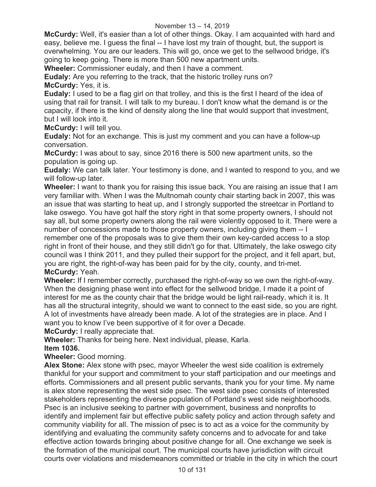**McCurdy:** Well, it's easier than a lot of other things. Okay. I am acquainted with hard and easy, believe me. I guess the final -- I have lost my train of thought, but, the support is overwhelming. You are our leaders. This will go, once we get to the sellwood bridge, it's going to keep going. There is more than 500 new apartment units.

**Wheeler:** Commissioner eudaly, and then I have a comment.

**Eudaly:** Are you referring to the track, that the historic trolley runs on? **McCurdy:** Yes, it is.

**Eudaly:** I used to be a flag girl on that trolley, and this is the first I heard of the idea of using that rail for transit. I will talk to my bureau. I don't know what the demand is or the capacity, if there is the kind of density along the line that would support that investment, but I will look into it.

**McCurdy:** I will tell you.

**Eudaly:** Not for an exchange. This is just my comment and you can have a follow-up conversation.

**McCurdy:** I was about to say, since 2016 there is 500 new apartment units, so the population is going up.

**Eudaly:** We can talk later. Your testimony is done, and I wanted to respond to you, and we will follow-up later.

**Wheeler:** I want to thank you for raising this issue back. You are raising an issue that I am very familiar with. When I was the Multnomah county chair starting back in 2007, this was an issue that was starting to heat up, and I strongly supported the streetcar in Portland to lake oswego. You have got half the story right in that some property owners, I should not say all, but some property owners along the rail were violently opposed to it. There were a number of concessions made to those property owners, including giving them -- I remember one of the proposals was to give them their own key-carded access to a stop right in front of their house, and they still didn't go for that. Ultimately, the lake oswego city council was I think 2011, and they pulled their support for the project, and it fell apart, but, you are right, the right-of-way has been paid for by the city, county, and tri-met. **McCurdy:** Yeah.

### **Wheeler:** If I remember correctly, purchased the right-of-way so we own the right-of-way. When the designing phase went into effect for the sellwood bridge, I made it a point of interest for me as the county chair that the bridge would be light rail-ready, which it is. It has all the structural integrity, should we want to connect to the east side, so you are right. A lot of investments have already been made. A lot of the strategies are in place. And I want you to know I've been supportive of it for over a Decade.

**McCurdy:** I really appreciate that.

**Wheeler:** Thanks for being here. Next individual, please, Karla. **Item 1036.** 

**Wheeler:** Good morning.

**Alex Stone:** Alex stone with psec, mayor Wheeler the west side coalition is extremely thankful for your support and commitment to your staff participation and our meetings and efforts. Commissioners and all present public servants, thank you for your time. My name is alex stone representing the west side psec. The west side psec consists of interested stakeholders representing the diverse population of Portland's west side neighborhoods. Psec is an inclusive seeking to partner with government, business and nonprofits to identify and implement fair but effective public safety policy and action through safety and community viability for all. The mission of psec is to act as a voice for the community by identifying and evaluating the community safety concerns and to advocate for and take effective action towards bringing about positive change for all. One exchange we seek is the formation of the municipal court. The municipal courts have jurisdiction with circuit courts over violations and misdemeanors committed or triable in the city in which the court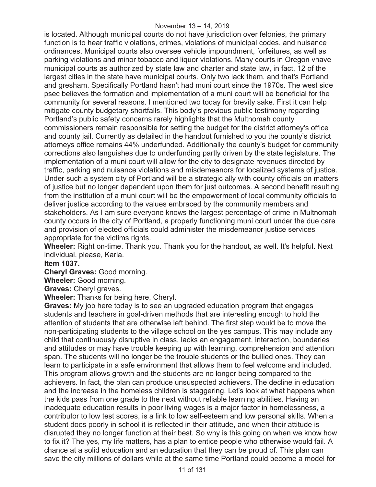#### November 13 – 14, 2019

is located. Although municipal courts do not have jurisdiction over felonies, the primary function is to hear traffic violations, crimes, violations of municipal codes, and nuisance ordinances. Municipal courts also oversee vehicle impoundment, forfeitures, as well as parking violations and minor tobacco and liquor violations. Many courts in Oregon vhave municipal courts as authorized by state law and charter and state law, in fact, 12 of the largest cities in the state have municipal courts. Only two lack them, and that's Portland and gresham. Specifically Portland hasn't had muni court since the 1970s. The west side psec believes the formation and implementation of a muni court will be beneficial for the community for several reasons. I mentioned two today for brevity sake. First it can help mitigate county budgetary shortfalls. This body's previous public testimony regarding Portland's public safety concerns rarely highlights that the Multnomah county commissioners remain responsible for setting the budget for the district attorney's office and county jail. Currently as detailed in the handout furnished to you the county's district attorneys office remains 44% underfunded. Additionally the county's budget for community corrections also languishes due to underfunding partly driven by the state legislature. The implementation of a muni court will allow for the city to designate revenues directed by traffic, parking and nuisance violations and misdemeanors for localized systems of justice. Under such a system city of Portland will be a strategic ally with county officials on matters of justice but no longer dependent upon them for just outcomes. A second benefit resulting from the institution of a muni court will be the empowerment of local community officials to deliver justice according to the values embraced by the community members and stakeholders. As I am sure everyone knows the largest percentage of crime in Multnomah county occurs in the city of Portland, a properly functioning muni court under the due care and provision of elected officials could administer the misdemeanor justice services appropriate for the victims rights.

**Wheeler:** Right on-time. Thank you. Thank you for the handout, as well. It's helpful. Next individual, please, Karla.

**Item 1037.** 

**Cheryl Graves:** Good morning.

**Wheeler:** Good morning.

**Graves:** Cheryl graves.

**Wheeler:** Thanks for being here, Cheryl.

**Graves:** My job here today is to see an upgraded education program that engages students and teachers in goal-driven methods that are interesting enough to hold the attention of students that are otherwise left behind. The first step would be to move the non-participating students to the village school on the yes campus. This may include any child that continuously disruptive in class, lacks an engagement, interaction, boundaries and attitudes or may have trouble keeping up with learning, comprehension and attention span. The students will no longer be the trouble students or the bullied ones. They can learn to participate in a safe environment that allows them to feel welcome and included. This program allows growth and the students are no longer being compared to the achievers. In fact, the plan can produce unsuspected achievers. The decline in education and the increase in the homeless children is staggering. Let's look at what happens when the kids pass from one grade to the next without reliable learning abilities. Having an inadequate education results in poor living wages is a major factor in homelessness, a contributor to low test scores, is a link to low self-esteem and low personal skills. When a student does poorly in school it is reflected in their attitude, and when their attitude is disrupted they no longer function at their best. So why is this going on when we know how to fix it? The yes, my life matters, has a plan to entice people who otherwise would fail. A chance at a solid education and an education that they can be proud of. This plan can save the city millions of dollars while at the same time Portland could become a model for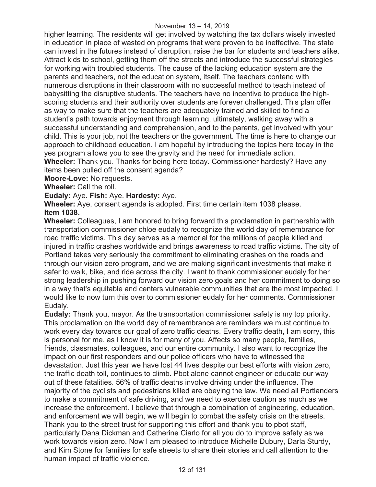higher learning. The residents will get involved by watching the tax dollars wisely invested in education in place of wasted on programs that were proven to be ineffective. The state can invest in the futures instead of disruption, raise the bar for students and teachers alike. Attract kids to school, getting them off the streets and introduce the successful strategies for working with troubled students. The cause of the lacking education system are the parents and teachers, not the education system, itself. The teachers contend with numerous disruptions in their classroom with no successful method to teach instead of babysitting the disruptive students. The teachers have no incentive to produce the highscoring students and their authority over students are forever challenged. This plan offer as way to make sure that the teachers are adequately trained and skilled to find a student's path towards enjoyment through learning, ultimately, walking away with a successful understanding and comprehension, and to the parents, get involved with your child. This is your job, not the teachers or the government. The time is here to change our approach to childhood education. I am hopeful by introducing the topics here today in the yes program allows you to see the gravity and the need for immediate action.

**Wheeler:** Thank you. Thanks for being here today. Commissioner hardesty? Have any items been pulled off the consent agenda?

**Moore-Love:** No requests.

**Wheeler:** Call the roll.

**Eudaly:** Aye. **Fish:** Aye. **Hardesty:** Aye.

**Wheeler:** Aye, consent agenda is adopted. First time certain item 1038 please. **Item 1038.**

**Wheeler:** Colleagues, I am honored to bring forward this proclamation in partnership with transportation commissioner chloe eudaly to recognize the world day of remembrance for road traffic victims. This day serves as a memorial for the millions of people killed and injured in traffic crashes worldwide and brings awareness to road traffic victims. The city of Portland takes very seriously the commitment to eliminating crashes on the roads and through our vision zero program, and we are making significant investments that make it safer to walk, bike, and ride across the city. I want to thank commissioner eudaly for her strong leadership in pushing forward our vision zero goals and her commitment to doing so in a way that's equitable and centers vulnerable communities that are the most impacted. I would like to now turn this over to commissioner eudaly for her comments. Commissioner Eudaly.

**Eudaly:** Thank you, mayor. As the transportation commissioner safety is my top priority. This proclamation on the world day of remembrance are reminders we must continue to work every day towards our goal of zero traffic deaths. Every traffic death, I am sorry, this is personal for me, as I know it is for many of you. Affects so many people, families, friends, classmates, colleagues, and our entire community. I also want to recognize the impact on our first responders and our police officers who have to witnessed the devastation. Just this year we have lost 44 lives despite our best efforts with vision zero, the traffic death toll, continues to climb. Pbot alone cannot engineer or educate our way out of these fatalities. 56% of traffic deaths involve driving under the influence. The majority of the cyclists and pedestrians killed are obeying the law. We need all Portlanders to make a commitment of safe driving, and we need to exercise caution as much as we increase the enforcement. I believe that through a combination of engineering, education, and enforcement we will begin, we will begin to combat the safety crisis on the streets. Thank you to the street trust for supporting this effort and thank you to pbot staff, particularly Dana Dickman and Catherine Ciarlo for all you do to improve safety as we work towards vision zero. Now I am pleased to introduce Michelle Dubury, Darla Sturdy, and Kim Stone for families for safe streets to share their stories and call attention to the human impact of traffic violence.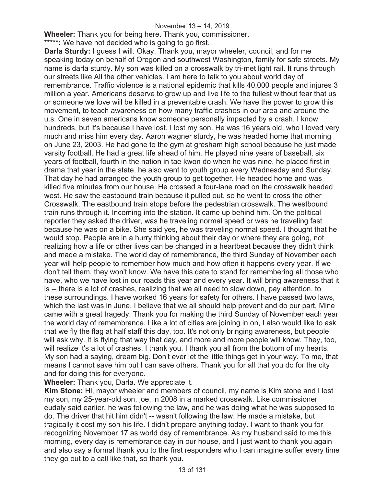#### November 13 – 14, 2019

**Wheeler:** Thank you for being here. Thank you, commissioner.

**\*\*\*\*\*:** We have not decided who is going to go first.

**Darla Sturdy:** I guess I will. Okay. Thank you, mayor wheeler, council, and for me speaking today on behalf of Oregon and southwest Washington, family for safe streets. My name is darla sturdy. My son was killed on a crosswalk by tri-met light rail. It runs through our streets like All the other vehicles. I am here to talk to you about world day of remembrance. Traffic violence is a national epidemic that kills 40,000 people and injures 3 million a year. Americans deserve to grow up and live life to the fullest without fear that us or someone we love will be killed in a preventable crash. We have the power to grow this movement, to teach awareness on how many traffic crashes in our area and around the u.s. One in seven americans know someone personally impacted by a crash. I know hundreds, but it's because I have lost. I lost my son. He was 16 years old, who I loved very much and miss him every day. Aaron wagner sturdy, he was headed home that morning on June 23, 2003. He had gone to the gym at gresham high school because he just made varsity football. He had a great life ahead of him. He played nine years of baseball, six years of football, fourth in the nation in tae kwon do when he was nine, he placed first in drama that year in the state, he also went to youth group every Wednesday and Sunday. That day he had arranged the youth group to get together. He headed home and was killed five minutes from our house. He crossed a four-lane road on the crosswalk headed west. He saw the eastbound train because it pulled out, so he went to cross the other Crosswalk. The eastbound train stops before the pedestrian crosswalk. The westbound train runs through it. Incoming into the station. It came up behind him. On the political reporter they asked the driver, was he traveling normal speed or was he traveling fast because he was on a bike. She said yes, he was traveling normal speed. I thought that he would stop. People are in a hurry thinking about their day or where they are going, not realizing how a life or other lives can be changed in a heartbeat because they didn't think and made a mistake. The world day of remembrance, the third Sunday of November each year will help people to remember how much and how often it happens every year. If we don't tell them, they won't know. We have this date to stand for remembering all those who have, who we have lost in our roads this year and every year. It will bring awareness that it is -- there is a lot of crashes, realizing that we all need to slow down, pay attention, to these surroundings. I have worked 16 years for safety for others. I have passed two laws, which the last was in June. I believe that we all should help prevent and do our part. Mine came with a great tragedy. Thank you for making the third Sunday of November each year the world day of remembrance. Like a lot of cities are joining in on, I also would like to ask that we fly the flag at half staff this day, too. It's not only bringing awareness, but people will ask why. It is flying that way that day, and more and more people will know. They, too, will realize it's a lot of crashes. I thank you. I thank you all from the bottom of my hearts. My son had a saying, dream big. Don't ever let the little things get in your way. To me, that means I cannot save him but I can save others. Thank you for all that you do for the city and for doing this for everyone.

**Wheeler:** Thank you, Darla. We appreciate it.

**Kim Stone:** Hi, mayor wheeler and members of council, my name is Kim stone and I lost my son, my 25-year-old son, joe, in 2008 in a marked crosswalk. Like commissioner eudaly said earlier, he was following the law, and he was doing what he was supposed to do. The driver that hit him didn't -- wasn't following the law. He made a mistake, but tragically it cost my son his life. I didn't prepare anything today. I want to thank you for recognizing November 17 as world day of remembrance. As my husband said to me this morning, every day is remembrance day in our house, and I just want to thank you again and also say a formal thank you to the first responders who I can imagine suffer every time they go out to a call like that, so thank you.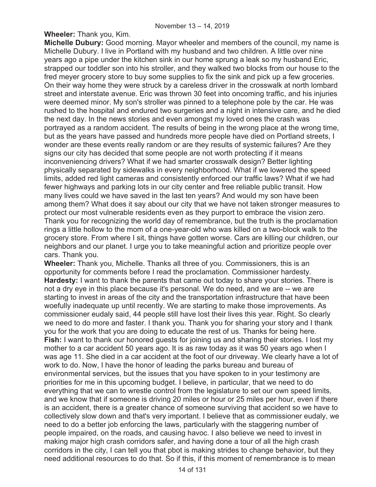**Wheeler:** Thank you, Kim.

**Michelle Dubury:** Good morning. Mayor wheeler and members of the council, my name is Michelle Dubury. I live in Portland with my husband and two children. A little over nine years ago a pipe under the kitchen sink in our home sprung a leak so my husband Eric, strapped our toddler son into his stroller, and they walked two blocks from our house to the fred meyer grocery store to buy some supplies to fix the sink and pick up a few groceries. On their way home they were struck by a careless driver in the crosswalk at north lombard street and interstate avenue. Eric was thrown 30 feet into oncoming traffic, and his injuries were deemed minor. My son's stroller was pinned to a telephone pole by the car. He was rushed to the hospital and endured two surgeries and a night in intensive care, and he died the next day. In the news stories and even amongst my loved ones the crash was portrayed as a random accident. The results of being in the wrong place at the wrong time, but as the years have passed and hundreds more people have died on Portland streets, I wonder are these events really random or are they results of systemic failures? Are they signs our city has decided that some people are not worth protecting if it means inconveniencing drivers? What if we had smarter crosswalk design? Better lighting physically separated by sidewalks in every neighborhood. What if we lowered the speed limits, added red light cameras and consistently enforced our traffic laws? What if we had fewer highways and parking lots in our city center and free reliable public transit. How many lives could we have saved in the last ten years? And would my son have been among them? What does it say about our city that we have not taken stronger measures to protect our most vulnerable residents even as they purport to embrace the vision zero. Thank you for recognizing the world day of remembrance, but the truth is the proclamation rings a little hollow to the mom of a one-year-old who was killed on a two-block walk to the grocery store. From where I sit, things have gotten worse. Cars are killing our children, our neighbors and our planet. I urge you to take meaningful action and prioritize people over cars. Thank you.

**Wheeler:** Thank you, Michelle. Thanks all three of you. Commissioners, this is an opportunity for comments before I read the proclamation. Commissioner hardesty. **Hardesty:** I want to thank the parents that came out today to share your stories. There is not a dry eye in this place because it's personal. We do need, and we are -- we are starting to invest in areas of the city and the transportation infrastructure that have been woefully inadequate up until recently. We are starting to make those improvements. As commissioner eudaly said, 44 people still have lost their lives this year. Right. So clearly we need to do more and faster. I thank you. Thank you for sharing your story and I thank you for the work that you are doing to educate the rest of us. Thanks for being here. **Fish:** I want to thank our honored guests for joining us and sharing their stories. I lost my mother to a car accident 50 years ago. It is as raw today as it was 50 years ago when I was age 11. She died in a car accident at the foot of our driveway. We clearly have a lot of work to do. Now, I have the honor of leading the parks bureau and bureau of environmental services, but the issues that you have spoken to in your testimony are priorities for me in this upcoming budget. I believe, in particular, that we need to do everything that we can to wrestle control from the legislature to set our own speed limits, and we know that if someone is driving 20 miles or hour or 25 miles per hour, even if there is an accident, there is a greater chance of someone surviving that accident so we have to collectively slow down and that's very important. I believe that as commissioner eudaly, we need to do a better job enforcing the laws, particularly with the staggering number of people impaired, on the roads, and causing havoc. I also believe we need to invest in making major high crash corridors safer, and having done a tour of all the high crash corridors in the city, I can tell you that pbot is making strides to change behavior, but they need additional resources to do that. So if this, if this moment of remembrance is to mean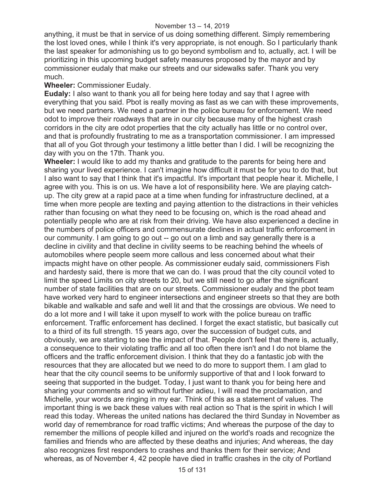anything, it must be that in service of us doing something different. Simply remembering the lost loved ones, while I think it's very appropriate, is not enough. So I particularly thank the last speaker for admonishing us to go beyond symbolism and to, actually, act. I will be prioritizing in this upcoming budget safety measures proposed by the mayor and by commissioner eudaly that make our streets and our sidewalks safer. Thank you very much.

### **Wheeler:** Commissioner Eudaly.

**Eudaly:** I also want to thank you all for being here today and say that I agree with everything that you said. Pbot is really moving as fast as we can with these improvements, but we need partners. We need a partner in the police bureau for enforcement. We need odot to improve their roadways that are in our city because many of the highest crash corridors in the city are odot properties that the city actually has little or no control over, and that is profoundly frustrating to me as a transportation commissioner. I am impressed that all of you Got through your testimony a little better than I did. I will be recognizing the day with you on the 17th. Thank you.

**Wheeler:** I would like to add my thanks and gratitude to the parents for being here and sharing your lived experience. I can't imagine how difficult it must be for you to do that, but I also want to say that I think that it's impactful. It's important that people hear it. Michelle, I agree with you. This is on us. We have a lot of responsibility here. We are playing catchup. The city grew at a rapid pace at a time when funding for infrastructure declined, at a time when more people are texting and paying attention to the distractions in their vehicles rather than focusing on what they need to be focusing on, which is the road ahead and potentially people who are at risk from their driving. We have also experienced a decline in the numbers of police officers and commensurate declines in actual traffic enforcement in our community. I am going to go out -- go out on a limb and say generally there is a decline in civility and that decline in civility seems to be reaching behind the wheels of automobiles where people seem more callous and less concerned about what their impacts might have on other people. As commissioner eudaly said, commissioners Fish and hardesty said, there is more that we can do. I was proud that the city council voted to limit the speed Limits on city streets to 20, but we still need to go after the significant number of state facilities that are on our streets. Commissioner eudaly and the pbot team have worked very hard to engineer intersections and engineer streets so that they are both bikable and walkable and safe and well lit and that the crossings are obvious. We need to do a lot more and I will take it upon myself to work with the police bureau on traffic enforcement. Traffic enforcement has declined. I forget the exact statistic, but basically cut to a third of its full strength. 15 years ago, over the succession of budget cuts, and obviously, we are starting to see the impact of that. People don't feel that there is, actually, a consequence to their violating traffic and all too often there isn't and I do not blame the officers and the traffic enforcement division. I think that they do a fantastic job with the resources that they are allocated but we need to do more to support them. I am glad to hear that the city council seems to be uniformly supportive of that and I look forward to seeing that supported in the budget. Today, I just want to thank you for being here and sharing your comments and so without further adieu, I will read the proclamation, and Michelle, your words are ringing in my ear. Think of this as a statement of values. The important thing is we back these values with real action so That is the spirit in which I will read this today. Whereas the united nations has declared the third Sunday in November as world day of remembrance for road traffic victims; And whereas the purpose of the day to remember the millions of people killed and injured on the world's roads and recognize the families and friends who are affected by these deaths and injuries; And whereas, the day also recognizes first responders to crashes and thanks them for their service; And whereas, as of November 4, 42 people have died in traffic crashes in the city of Portland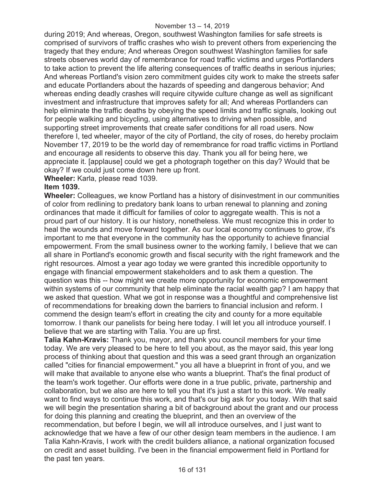during 2019; And whereas, Oregon, southwest Washington families for safe streets is comprised of survivors of traffic crashes who wish to prevent others from experiencing the tragedy that they endure; And whereas Oregon southwest Washington families for safe streets observes world day of remembrance for road traffic victims and urges Portlanders to take action to prevent the life altering consequences of traffic deaths in serious injuries; And whereas Portland's vision zero commitment guides city work to make the streets safer and educate Portlanders about the hazards of speeding and dangerous behavior; And whereas ending deadly crashes will require citywide culture change as well as significant investment and infrastructure that improves safety for all; And whereas Portlanders can help eliminate the traffic deaths by obeying the speed limits and traffic signals, looking out for people walking and bicycling, using alternatives to driving when possible, and supporting street improvements that create safer conditions for all road users. Now therefore I, ted wheeler, mayor of the city of Portland, the city of roses, do hereby proclaim November 17, 2019 to be the world day of remembrance for road traffic victims in Portland and encourage all residents to observe this day. Thank you all for being here, we appreciate it. [applause] could we get a photograph together on this day? Would that be okay? If we could just come down here up front.

**Wheeler:** Karla, please read 1039.

#### **Item 1039.**

**Wheeler:** Colleagues, we know Portland has a history of disinvestment in our communities of color from redlining to predatory bank loans to urban renewal to planning and zoning ordinances that made it difficult for families of color to aggregate wealth. This is not a proud part of our history. It is our history, nonetheless. We must recognize this in order to heal the wounds and move forward together. As our local economy continues to grow, it's important to me that everyone in the community has the opportunity to achieve financial empowerment. From the small business owner to the working family, I believe that we can all share in Portland's economic growth and fiscal security with the right framework and the right resources. Almost a year ago today we were granted this incredible opportunity to engage with financial empowerment stakeholders and to ask them a question. The question was this -- how might we create more opportunity for economic empowerment within systems of our community that help eliminate the racial wealth gap? I am happy that we asked that question. What we got in response was a thoughtful and comprehensive list of recommendations for breaking down the barriers to financial inclusion and reform. I commend the design team's effort in creating the city and county for a more equitable tomorrow. I thank our panelists for being here today. I will let you all introduce yourself. I believe that we are starting with Talia. You are up first.

**Talia Kahn-Kravis:** Thank you, mayor, and thank you council members for your time today. We are very pleased to be here to tell you about, as the mayor said, this year long process of thinking about that question and this was a seed grant through an organization called "cities for financial empowerment." you all have a blueprint in front of you, and we will make that available to anyone else who wants a blueprint. That's the final product of the team's work together. Our efforts were done in a true public, private, partnership and collaboration, but we also are here to tell you that it's just a start to this work. We really want to find ways to continue this work, and that's our big ask for you today. With that said we will begin the presentation sharing a bit of background about the grant and our process for doing this planning and creating the blueprint, and then an overview of the recommendation, but before I begin, we will all introduce ourselves, and I just want to acknowledge that we have a few of our other design team members in the audience. I am Talia Kahn-Kravis, I work with the credit builders alliance, a national organization focused on credit and asset building. I've been in the financial empowerment field in Portland for the past ten years.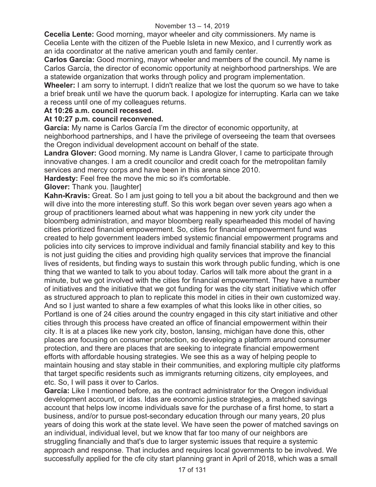**Cecelia Lente:** Good morning, mayor wheeler and city commissioners. My name is Cecelia Lente with the citizen of the Pueble Isleta in new Mexico, and I currently work as an ida coordinator at the native american youth and family center.

**Carlos García:** Good morning, mayor wheeler and members of the council. My name is Carlos García, the director of economic opportunity at neighborhood partnerships. We are a statewide organization that works through policy and program implementation.

**Wheeler:** I am sorry to interrupt. I didn't realize that we lost the quorum so we have to take a brief break until we have the quorum back. I apologize for interrupting. Karla can we take a recess until one of my colleagues returns.

### **At 10:26 a.m. council recessed.**

# **At 10:27 p.m. council reconvened.**

**García:** My name is Carlos García I'm the director of economic opportunity, at neighborhood partnerships, and I have the privilege of overseeing the team that oversees the Oregon individual development account on behalf of the state.

**Landra Glover:** Good morning. My name is Landra Glover, I came to participate through innovative changes. I am a credit councilor and credit coach for the metropolitan family services and mercy corps and have been in this arena since 2010.

**Hardesty:** Feel free the move the mic so it's comfortable.

**Glover:** Thank you. [laughter]

**Kahn-Kravis:** Great. So I am just going to tell you a bit about the background and then we will dive into the more interesting stuff. So this work began over seven years ago when a group of practitioners learned about what was happening in new york city under the bloomberg administration, and mayor bloomberg really spearheaded this model of having cities prioritized financial empowerment. So, cities for financial empowerment fund was created to help government leaders imbed systemic financial empowerment programs and policies into city services to improve individual and family financial stability and key to this is not just guiding the cities and providing high quality services that improve the financial lives of residents, but finding ways to sustain this work through public funding, which is one thing that we wanted to talk to you about today. Carlos will talk more about the grant in a minute, but we got involved with the cities for financial empowerment. They have a number of initiatives and the initiative that we got funding for was the city start initiative which offer as structured approach to plan to replicate this model in cities in their own customized way. And so I just wanted to share a few examples of what this looks like in other cities, so Portland is one of 24 cities around the country engaged in this city start initiative and other cities through this process have created an office of financial empowerment within their city. It is at a places like new york city, boston, lansing, michigan have done this, other places are focusing on consumer protection, so developing a platform around consumer protection, and there are places that are seeking to integrate financial empowerment efforts with affordable housing strategies. We see this as a way of helping people to maintain housing and stay stable in their communities, and exploring multiple city platforms that target specific residents such as immigrants returning citizens, city employees, and etc. So, I will pass it over to Carlos.

**García:** Like I mentioned before, as the contract administrator for the Oregon individual development account, or idas. Idas are economic justice strategies, a matched savings account that helps low income individuals save for the purchase of a first home, to start a business, and/or to pursue post-secondary education through our many years, 20 plus years of doing this work at the state level. We have seen the power of matched savings on an individual, individual level, but we know that far too many of our neighbors are struggling financially and that's due to larger systemic issues that require a systemic approach and response. That includes and requires local governments to be involved. We successfully applied for the cfe city start planning grant in April of 2018, which was a small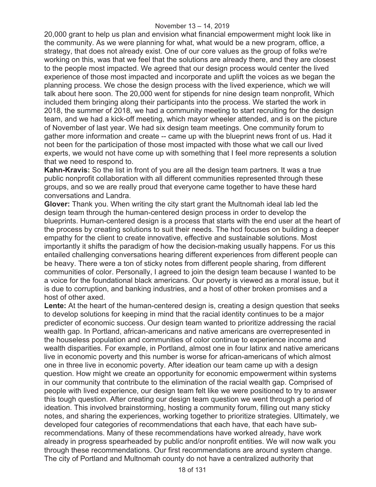20,000 grant to help us plan and envision what financial empowerment might look like in the community. As we were planning for what, what would be a new program, office, a strategy, that does not already exist. One of our core values as the group of folks we're working on this, was that we feel that the solutions are already there, and they are closest to the people most impacted. We agreed that our design process would center the lived experience of those most impacted and incorporate and uplift the voices as we began the planning process. We chose the design process with the lived experience, which we will talk about here soon. The 20,000 went for stipends for nine design team nonprofit, Which included them bringing along their participants into the process. We started the work in 2018, the summer of 2018, we had a community meeting to start recruiting for the design team, and we had a kick-off meeting, which mayor wheeler attended, and is on the picture of November of last year. We had six design team meetings. One community forum to gather more information and create -- came up with the blueprint news front of us. Had it not been for the participation of those most impacted with those what we call our lived experts, we would not have come up with something that I feel more represents a solution that we need to respond to.

**Kahn-Kravis:** So the list in front of you are all the design team partners. It was a true public nonprofit collaboration with all different communities represented through these groups, and so we are really proud that everyone came together to have these hard conversations and Landra.

**Glover:** Thank you. When writing the city start grant the Multnomah ideal lab led the design team through the human-centered design process in order to develop the blueprints. Human-centered design is a process that starts with the end user at the heart of the process by creating solutions to suit their needs. The hcd focuses on building a deeper empathy for the client to create innovative, effective and sustainable solutions. Most importantly it shifts the paradigm of how the decision-making usually happens. For us this entailed challenging conversations hearing different experiences from different people can be heavy. There were a ton of sticky notes from different people sharing, from different communities of color. Personally, I agreed to join the design team because I wanted to be a voice for the foundational black americans. Our poverty is viewed as a moral issue, but it is due to corruption, and banking industries, and a host of other broken promises and a host of other axed.

Lente: At the heart of the human-centered design is, creating a design question that seeks to develop solutions for keeping in mind that the racial identity continues to be a major predicter of economic success. Our design team wanted to prioritize addressing the racial wealth gap. In Portland, african-americans and native americans are overrepresented in the houseless population and communities of color continue to experience income and wealth disparities. For example, in Portland, almost one in four latinx and native americans live in economic poverty and this number is worse for african-americans of which almost one in three live in economic poverty. After ideation our team came up with a design question. How might we create an opportunity for economic empowerment within systems in our community that contribute to the elimination of the racial wealth gap. Comprised of people with lived experience, our design team felt like we were positioned to try to answer this tough question. After creating our design team question we went through a period of ideation. This involved brainstorming, hosting a community forum, filling out many sticky notes, and sharing the experiences, working together to prioritize strategies. Ultimately, we developed four categories of recommendations that each have, that each have subrecommendations. Many of these recommendations have worked already, have work already in progress spearheaded by public and/or nonprofit entities. We will now walk you through these recommendations. Our first recommendations are around system change. The city of Portland and Multnomah county do not have a centralized authority that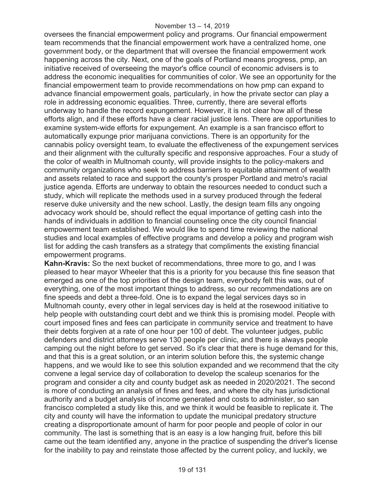oversees the financial empowerment policy and programs. Our financial empowerment team recommends that the financial empowerment work have a centralized home, one government body, or the department that will oversee the financial empowerment work happening across the city. Next, one of the goals of Portland means progress, pmp, an initiative received of overseeing the mayor's office council of economic advisers is to address the economic inequalities for communities of color. We see an opportunity for the financial empowerment team to provide recommendations on how pmp can expand to advance financial empowerment goals, particularly, in how the private sector can play a role in addressing economic equalities. Three, currently, there are several efforts underway to handle the record expungement. However, it is not clear how all of these efforts align, and if these efforts have a clear racial justice lens. There are opportunities to examine system-wide efforts for expungement. An example is a san francisco effort to automatically expunge prior marijuana convictions. There is an opportunity for the cannabis policy oversight team, to evaluate the effectiveness of the expungement services and their alignment with the culturally specific and responsive approaches. Four a study of the color of wealth in Multnomah county, will provide insights to the policy-makers and community organizations who seek to address barriers to equitable attainment of wealth and assets related to race and support the county's prosper Portland and metro's racial justice agenda. Efforts are underway to obtain the resources needed to conduct such a study, which will replicate the methods used in a survey produced through the federal reserve duke university and the new school. Lastly, the design team fills any ongoing advocacy work should be, should reflect the equal importance of getting cash into the hands of individuals in addition to financial counseling once the city council financial empowerment team established. We would like to spend time reviewing the national studies and local examples of effective programs and develop a policy and program wish list for adding the cash transfers as a strategy that compliments the existing financial empowerment programs.

**Kahn-Kravis:** So the next bucket of recommendations, three more to go, and I was pleased to hear mayor Wheeler that this is a priority for you because this fine season that emerged as one of the top priorities of the design team, everybody felt this was, out of everything, one of the most important things to address, so our recommendations are on fine speeds and debt a three-fold. One is to expand the legal services days so in Multnomah county, every other in legal services day is held at the rosewood initiative to help people with outstanding court debt and we think this is promising model. People with court imposed fines and fees can participate in community service and treatment to have their debts forgiven at a rate of one hour per 100 of debt. The volunteer judges, public defenders and district attorneys serve 130 people per clinic, and there is always people camping out the night before to get served. So it's clear that there is huge demand for this, and that this is a great solution, or an interim solution before this, the systemic change happens, and we would like to see this solution expanded and we recommend that the city convene a legal service day of collaboration to develop the scaleup scenarios for the program and consider a city and county budget ask as needed in 2020/2021. The second is more of conducting an analysis of fines and fees, and where the city has jurisdictional authority and a budget analysis of income generated and costs to administer, so san francisco completed a study like this, and we think it would be feasible to replicate it. The city and county will have the information to update the municipal predatory structure creating a disproportionate amount of harm for poor people and people of color in our community. The last is something that is an easy is a low hanging fruit, before this bill came out the team identified any, anyone in the practice of suspending the driver's license for the inability to pay and reinstate those affected by the current policy, and luckily, we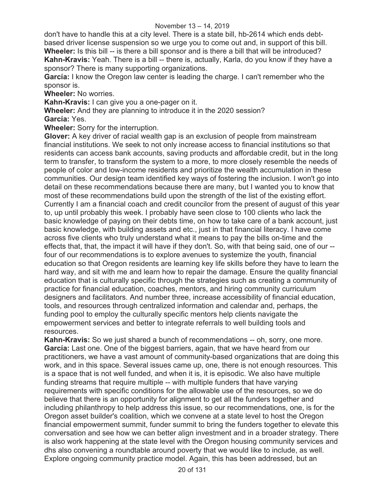don't have to handle this at a city level. There is a state bill, hb-2614 which ends debtbased driver license suspension so we urge you to come out and, in support of this bill. **Wheeler:** Is this bill -- is there a bill sponsor and is there a bill that will be introduced? **Kahn-Kravis:** Yeah. There is a bill -- there is, actually, Karla, do you know if they have a sponsor? There is many supporting organizations.

**García:** I know the Oregon law center is leading the charge. I can't remember who the sponsor is.

**Wheeler:** No worries.

**Kahn-Kravis:** I can give you a one-pager on it.

**Wheeler:** And they are planning to introduce it in the 2020 session?

**García:** Yes.

**Wheeler:** Sorry for the interruption.

**Glover:** A key driver of racial wealth gap is an exclusion of people from mainstream financial institutions. We seek to not only increase access to financial institutions so that residents can access bank accounts, saving products and affordable credit, but in the long term to transfer, to transform the system to a more, to more closely resemble the needs of people of color and low-income residents and prioritize the wealth accumulation in these communities. Our design team identified key ways of fostering the inclusion. I won't go into detail on these recommendations because there are many, but I wanted you to know that most of these recommendations build upon the strength of the list of the existing effort. Currently I am a financial coach and credit councilor from the present of august of this year to, up until probably this week. I probably have seen close to 100 clients who lack the basic knowledge of paying on their debts time, on how to take care of a bank account, just basic knowledge, with building assets and etc., just in that financial literacy. I have come across five clients who truly understand what it means to pay the bills on-time and the effects that, that, the impact it will have if they don't. So, with that being said, one of our - four of our recommendations is to explore avenues to systemize the youth, financial education so that Oregon residents are learning key life skills before they have to learn the hard way, and sit with me and learn how to repair the damage. Ensure the quality financial education that is culturally specific through the strategies such as creating a community of practice for financial education, coaches, mentors, and hiring community curriculum designers and facilitators. And number three, increase accessibility of financial education, tools, and resources through centralized information and calendar and, perhaps, the funding pool to employ the culturally specific mentors help clients navigate the empowerment services and better to integrate referrals to well building tools and resources.

**Kahn-Kravis:** So we just shared a bunch of recommendations -- oh, sorry, one more. **García:** Last one. One of the biggest barriers, again, that we have heard from our practitioners, we have a vast amount of community-based organizations that are doing this work, and in this space. Several issues came up, one, there is not enough resources. This is a space that is not well funded, and when it is, it is episodic. We also have multiple funding streams that require multiple -- with multiple funders that have varying requirements with specific conditions for the allowable use of the resources, so we do believe that there is an opportunity for alignment to get all the funders together and including philanthropy to help address this issue, so our recommendations, one, is for the Oregon asset builder's coalition, which we convene at a state level to host the Oregon financial empowerment summit, funder summit to bring the funders together to elevate this conversation and see how we can better align investment and in a broader strategy. There is also work happening at the state level with the Oregon housing community services and dhs also convening a roundtable around poverty that we would like to include, as well. Explore ongoing community practice model. Again, this has been addressed, but an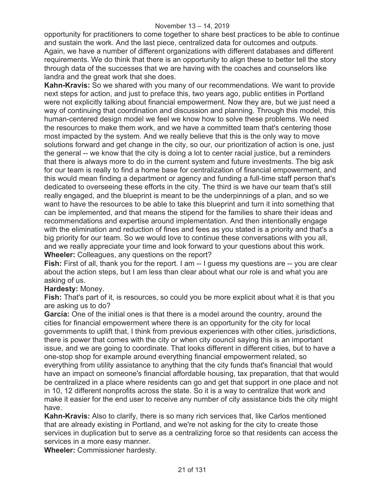#### November 13 – 14, 2019

opportunity for practitioners to come together to share best practices to be able to continue and sustain the work. And the last piece, centralized data for outcomes and outputs. Again, we have a number of different organizations with different databases and different requirements. We do think that there is an opportunity to align these to better tell the story through data of the successes that we are having with the coaches and counselors like landra and the great work that she does.

**Kahn-Kravis:** So we shared with you many of our recommendations. We want to provide next steps for action, and just to preface this, two years ago, public entities in Portland were not explicitly talking about financial empowerment. Now they are, but we just need a way of continuing that coordination and discussion and planning. Through this model, this human-centered design model we feel we know how to solve these problems. We need the resources to make them work, and we have a committed team that's centering those most impacted by the system. And we really believe that this is the only way to move solutions forward and get change in the city, so our, our prioritization of action is one, just the general -- we know that the city is doing a lot to center racial justice, but a reminders that there is always more to do in the current system and future investments. The big ask for our team is really to find a home base for centralization of financial empowerment, and this would mean finding a department or agency and funding a full-time staff person that's dedicated to overseeing these efforts in the city. The third is we have our team that's still really engaged, and the blueprint is meant to be the underpinnings of a plan, and so we want to have the resources to be able to take this blueprint and turn it into something that can be implemented, and that means the stipend for the families to share their ideas and recommendations and expertise around implementation. And then intentionally engage with the elimination and reduction of fines and fees as you stated is a priority and that's a big priority for our team. So we would love to continue these conversations with you all, and we really appreciate your time and look forward to your questions about this work. **Wheeler:** Colleagues, any questions on the report?

**Fish:** First of all, thank you for the report. I am -- I guess my questions are -- you are clear about the action steps, but I am less than clear about what our role is and what you are asking of us.

**Hardesty:** Money.

**Fish:** That's part of it, is resources, so could you be more explicit about what it is that you are asking us to do?

**García:** One of the initial ones is that there is a model around the country, around the cities for financial empowerment where there is an opportunity for the city for local governments to uplift that, I think from previous experiences with other cities, jurisdictions, there is power that comes with the city or when city council saying this is an important issue, and we are going to coordinate. That looks different in different cities, but to have a one-stop shop for example around everything financial empowerment related, so everything from utility assistance to anything that the city funds that's financial that would have an impact on someone's financial affordable housing, tax preparation, that that would be centralized in a place where residents can go and get that support in one place and not in 10, 12 different nonprofits across the state. So it is a way to centralize that work and make it easier for the end user to receive any number of city assistance bids the city might have.

**Kahn-Kravis:** Also to clarify, there is so many rich services that, like Carlos mentioned that are already existing in Portland, and we're not asking for the city to create those services in duplication but to serve as a centralizing force so that residents can access the services in a more easy manner.

**Wheeler:** Commissioner hardesty.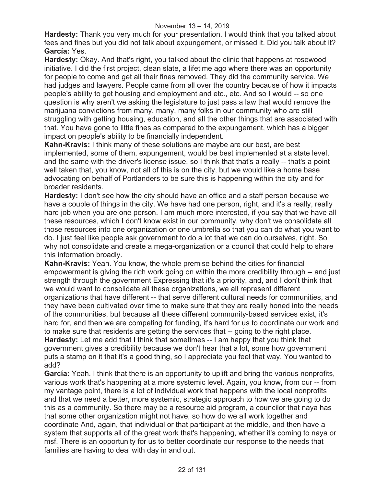**Hardesty:** Thank you very much for your presentation. I would think that you talked about fees and fines but you did not talk about expungement, or missed it. Did you talk about it? **García:** Yes.

**Hardesty:** Okay. And that's right, you talked about the clinic that happens at rosewood initiative. I did the first project, clean slate, a lifetime ago where there was an opportunity for people to come and get all their fines removed. They did the community service. We had judges and lawyers. People came from all over the country because of how it impacts people's ability to get housing and employment and etc., etc. And so I would -- so one question is why aren't we asking the legislature to just pass a law that would remove the marijuana convictions from many, many, many folks in our community who are still struggling with getting housing, education, and all the other things that are associated with that. You have gone to little fines as compared to the expungement, which has a bigger impact on people's ability to be financially independent.

**Kahn-Kravis:** I think many of these solutions are maybe are our best, are best implemented, some of them, expungement, would be best implemented at a state level, and the same with the driver's license issue, so I think that that's a really -- that's a point well taken that, you know, not all of this is on the city, but we would like a home base advocating on behalf of Portlanders to be sure this is happening within the city and for broader residents.

**Hardesty:** I don't see how the city should have an office and a staff person because we have a couple of things in the city. We have had one person, right, and it's a really, really hard job when you are one person. I am much more interested, if you say that we have all these resources, which I don't know exist in our community, why don't we consolidate all those resources into one organization or one umbrella so that you can do what you want to do. I just feel like people ask government to do a lot that we can do ourselves, right. So why not consolidate and create a mega-organization or a council that could help to share this information broadly.

**Kahn-Kravis:** Yeah. You know, the whole premise behind the cities for financial empowerment is giving the rich work going on within the more credibility through -- and just strength through the government Expressing that it's a priority, and, and I don't think that we would want to consolidate all these organizations, we all represent different organizations that have different -- that serve different cultural needs for communities, and they have been cultivated over time to make sure that they are really honed into the needs of the communities, but because all these different community-based services exist, it's hard for, and then we are competing for funding, it's hard for us to coordinate our work and to make sure that residents are getting the services that -- going to the right place. **Hardesty:** Let me add that I think that sometimes -- I am happy that you think that government gives a credibility because we don't hear that a lot, some how government puts a stamp on it that it's a good thing, so I appreciate you feel that way. You wanted to add?

**García:** Yeah. I think that there is an opportunity to uplift and bring the various nonprofits, various work that's happening at a more systemic level. Again, you know, from our -- from my vantage point, there is a lot of individual work that happens with the local nonprofits and that we need a better, more systemic, strategic approach to how we are going to do this as a community. So there may be a resource aid program, a councilor that naya has that some other organization might not have, so how do we all work together and coordinate And, again, that individual or that participant at the middle, and then have a system that supports all of the great work that's happening, whether it's coming to naya or msf. There is an opportunity for us to better coordinate our response to the needs that families are having to deal with day in and out.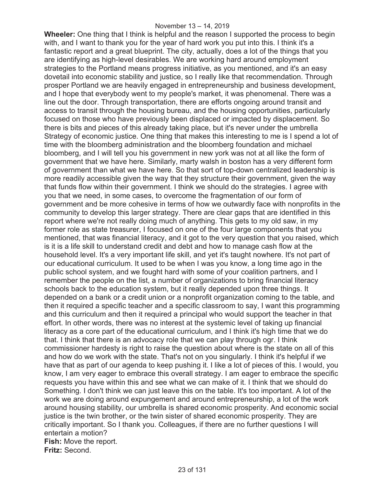#### November 13 – 14, 2019

**Wheeler:** One thing that I think is helpful and the reason I supported the process to begin with, and I want to thank you for the year of hard work you put into this. I think it's a fantastic report and a great blueprint. The city, actually, does a lot of the things that you are identifying as high-level desirables. We are working hard around employment strategies to the Portland means progress initiative, as you mentioned, and it's an easy dovetail into economic stability and justice, so I really like that recommendation. Through prosper Portland we are heavily engaged in entrepreneurship and business development, and I hope that everybody went to my people's market, it was phenomenal. There was a line out the door. Through transportation, there are efforts ongoing around transit and access to transit through the housing bureau, and the housing opportunities, particularly focused on those who have previously been displaced or impacted by displacement. So there is bits and pieces of this already taking place, but it's never under the umbrella Strategy of economic justice. One thing that makes this interesting to me is I spend a lot of time with the bloomberg administration and the bloomberg foundation and michael bloomberg, and I will tell you his government in new york was not at all like the form of government that we have here. Similarly, marty walsh in boston has a very different form of government than what we have here. So that sort of top-down centralized leadership is more readily accessible given the way that they structure their government, given the way that funds flow within their government. I think we should do the strategies. I agree with you that we need, in some cases, to overcome the fragmentation of our form of government and be more cohesive in terms of how we outwardly face with nonprofits in the community to develop this larger strategy. There are clear gaps that are identified in this report where we're not really doing much of anything. This gets to my old saw, in my former role as state treasurer, I focused on one of the four large components that you mentioned, that was financial literacy, and it got to the very question that you raised, which is it is a life skill to understand credit and debt and how to manage cash flow at the household level. It's a very important life skill, and yet it's taught nowhere. It's not part of our educational curriculum. It used to be when I was you know, a long time ago in the public school system, and we fought hard with some of your coalition partners, and I remember the people on the list, a number of organizations to bring financial literacy schools back to the education system, but it really depended upon three things. It depended on a bank or a credit union or a nonprofit organization coming to the table, and then it required a specific teacher and a specific classroom to say, I want this programming and this curriculum and then it required a principal who would support the teacher in that effort. In other words, there was no interest at the systemic level of taking up financial literacy as a core part of the educational curriculum, and I think it's high time that we do that. I think that there is an advocacy role that we can play through ogr. I think commissioner hardesty is right to raise the question about where is the state on all of this and how do we work with the state. That's not on you singularly. I think it's helpful if we have that as part of our agenda to keep pushing it. I like a lot of pieces of this. I would, you know, I am very eager to embrace this overall strategy. I am eager to embrace the specific requests you have within this and see what we can make of it. I think that we should do Something. I don't think we can just leave this on the table. It's too important. A lot of the work we are doing around expungement and around entrepreneurship, a lot of the work around housing stability, our umbrella is shared economic prosperity. And economic social justice is the twin brother, or the twin sister of shared economic prosperity. They are critically important. So I thank you. Colleagues, if there are no further questions I will entertain a motion? **Fish:** Move the report. **Fritz:** Second.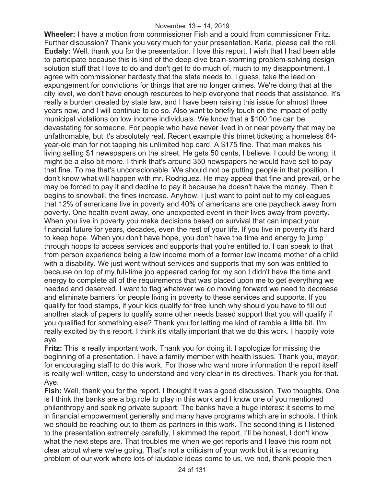**Wheeler:** I have a motion from commissioner Fish and a could from commissioner Fritz. Further discussion? Thank you very much for your presentation. Karla, please call the roll. **Eudaly:** Well, thank you for the presentation. I love this report. I wish that I had been able to participate because this is kind of the deep-dive brain-storming problem-solving design solution stuff that I love to do and don't get to do much of, much to my disappointment. I agree with commissioner hardesty that the state needs to, I guess, take the lead on expungement for convictions for things that are no longer crimes. We're doing that at the city level, we don't have enough resources to help everyone that needs that assistance. It's really a burden created by state law, and I have been raising this issue for almost three years now, and I will continue to do so. Also want to briefly touch on the impact of petty municipal violations on low income individuals. We know that a \$100 fine can be devastating for someone. For people who have never lived in or near poverty that may be unfathomable, but it's absolutely real. Recent example this trimet ticketing a homeless 64 year-old man for not tapping his unlimited hop card. A \$175 fine. That man makes his living selling \$1 newspapers on the street. He gets 50 cents, I believe. I could be wrong, it might be a also bit more. I think that's around 350 newspapers he would have sell to pay that fine. To me that's unconscionable. We should not be putting people in that position. I don't know what will happen with mr. Rodriguez. He may appeal that fine and prevail, or he may be forced to pay it and decline to pay it because he doesn't have the money. Then it begins to snowball, the fines increase. Anyhow, I just want to point out to my colleagues that 12% of americans live in poverty and 40% of americans are one paycheck away from poverty. One health event away, one unexpected event in their lives away from poverty. When you live in poverty you make decisions based on survival that can impact your financial future for years, decades, even the rest of your life. If you live in poverty it's hard to keep hope. When you don't have hope, you don't have the time and energy to jump through hoops to access services and supports that you're entitled to. I can speak to that from person experience being a low income mom of a former low income mother of a child with a disability. We just went without services and supports that my son was entitled to because on top of my full-time job appeared caring for my son I didn't have the time and energy to complete all of the requirements that was placed upon me to get everything we needed and deserved. I want to flag whatever we do moving forward we need to decrease and eliminate barriers for people living in poverty to these services and supports. If you qualify for food stamps, if your kids qualify for free lunch why should you have to fill out another stack of papers to qualify some other needs based support that you will qualify if you qualified for something else? Thank you for letting me kind of ramble a little bit. I'm really excited by this report. I think it's vitally important that we do this work. I happily vote aye.

**Fritz:** This is really important work. Thank you for doing it. I apologize for missing the beginning of a presentation. I have a family member with health issues. Thank you, mayor, for encouraging staff to do this work. For those who want more information the report itself is really well written, easy to understand and very clear in its directives. Thank you for that. Aye.

**Fish:** Well, thank you for the report. I thought it was a good discussion. Two thoughts. One is I think the banks are a big role to play in this work and I know one of you mentioned philanthropy and seeking private support. The banks have a huge interest it seems to me in financial empowerment generally and many have programs which are in schools. I think we should be reaching out to them as partners in this work. The second thing is I listened to the presentation extremely carefully, I skimmed the report, I'll be honest, I don't know what the next steps are. That troubles me when we get reports and I leave this room not clear about where we're going. That's not a criticism of your work but it is a recurring problem of our work where lots of laudable ideas come to us, we nod, thank people then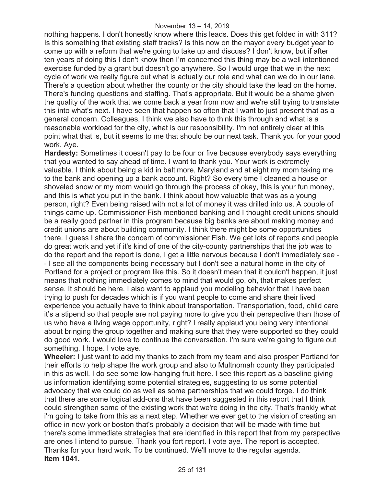nothing happens. I don't honestly know where this leads. Does this get folded in with 311? Is this something that existing staff tracks? Is this now on the mayor every budget year to come up with a reform that we're going to take up and discuss? I don't know, but if after ten years of doing this I don't know then I'm concerned this thing may be a well intentioned exercise funded by a grant but doesn't go anywhere. So I would urge that we in the next cycle of work we really figure out what is actually our role and what can we do in our lane. There's a question about whether the county or the city should take the lead on the home. There's funding questions and staffing. That's appropriate. But it would be a shame given the quality of the work that we come back a year from now and we're still trying to translate this into what's next. I have seen that happen so often that I want to just present that as a general concern. Colleagues, I think we also have to think this through and what is a reasonable workload for the city, what is our responsibility. I'm not entirely clear at this point what that is, but it seems to me that should be our next task. Thank you for your good work. Aye.

**Hardesty:** Sometimes it doesn't pay to be four or five because everybody says everything that you wanted to say ahead of time. I want to thank you. Your work is extremely valuable. I think about being a kid in baltimore, Maryland and at eight my mom taking me to the bank and opening up a bank account. Right? So every time I cleaned a house or shoveled snow or my mom would go through the process of okay, this is your fun money, and this is what you put in the bank. I think about how valuable that was as a young person, right? Even being raised with not a lot of money it was drilled into us. A couple of things came up. Commissioner Fish mentioned banking and I thought credit unions should be a really good partner in this program because big banks are about making money and credit unions are about building community. I think there might be some opportunities there. I guess I share the concern of commissioner Fish. We get lots of reports and people do great work and yet if it's kind of one of the city-county partnerships that the job was to do the report and the report is done, I get a little nervous because I don't immediately see - - I see all the components being necessary but I don't see a natural home in the city of Portland for a project or program like this. So it doesn't mean that it couldn't happen, it just means that nothing immediately comes to mind that would go, oh, that makes perfect sense. It should be here. I also want to applaud you modeling behavior that I have been trying to push for decades which is if you want people to come and share their lived experience you actually have to think about transportation. Transportation, food, child care it's a stipend so that people are not paying more to give you their perspective than those of us who have a living wage opportunity, right? I really applaud you being very intentional about bringing the group together and making sure that they were supported so they could do good work. I would love to continue the conversation. I'm sure we're going to figure out something. I hope. I vote aye.

**Wheeler:** I just want to add my thanks to zach from my team and also prosper Portland for their efforts to help shape the work group and also to Multnomah county they participated in this as well. I do see some low-hanging fruit here. I see this report as a baseline giving us information identifying some potential strategies, suggesting to us some potential advocacy that we could do as well as some partnerships that we could forge. I do think that there are some logical add-ons that have been suggested in this report that I think could strengthen some of the existing work that we're doing in the city. That's frankly what i'm going to take from this as a next step. Whether we ever get to the vision of creating an office in new york or boston that's probably a decision that will be made with time but there's some immediate strategies that are identified in this report that from my perspective are ones I intend to pursue. Thank you fort report. I vote aye. The report is accepted. Thanks for your hard work. To be continued. We'll move to the regular agenda. **Item 1041.**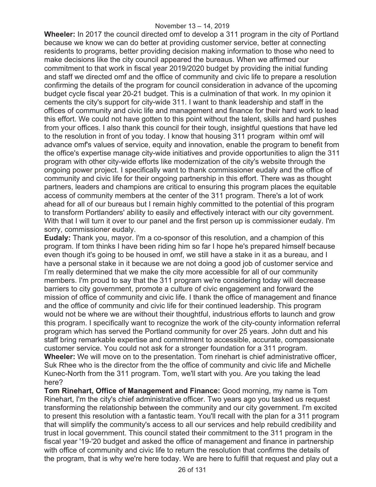**Wheeler:** In 2017 the council directed omf to develop a 311 program in the city of Portland because we know we can do better at providing customer service, better at connecting residents to programs, better providing decision making information to those who need to make decisions like the city council appeared the bureaus. When we affirmed our commitment to that work in fiscal year 2019/2020 budget by providing the initial funding and staff we directed omf and the office of community and civic life to prepare a resolution confirming the details of the program for council consideration in advance of the upcoming budget cycle fiscal year 20-21 budget. This is a culmination of that work. In my opinion it cements the city's support for city-wide 311. I want to thank leadership and staff in the offices of community and civic life and management and finance for their hard work to lead this effort. We could not have gotten to this point without the talent, skills and hard pushes from your offices. I also thank this council for their tough, insightful questions that have led to the resolution in front of you today. I know that housing 311 program within omf will advance omf's values of service, equity and innovation, enable the program to benefit from the office's expertise manage city-wide initiatives and provide opportunities to align the 311 program with other city-wide efforts like modernization of the city's website through the ongoing power project. I specifically want to thank commissioner eudaly and the office of community and civic life for their ongoing partnership in this effort. There was as thought partners, leaders and champions are critical to ensuring this program places the equitable access of community members at the center of the 311 program. There's a lot of work ahead for all of our bureaus but I remain highly committed to the potential of this program to transform Portlanders' ability to easily and effectively interact with our city government. With that I will turn it over to our panel and the first person up is commissioner eudaly. I'm sorry, commissioner eudaly.

**Eudaly:** Thank you, mayor. I'm a co-sponsor of this resolution, and a champion of this program. If tom thinks I have been riding him so far I hope he's prepared himself because even though it's going to be housed in omf, we still have a stake in it as a bureau, and I have a personal stake in it because we are not doing a good job of customer service and I'm really determined that we make the city more accessible for all of our community members. I'm proud to say that the 311 program we're considering today will decrease barriers to city government, promote a culture of civic engagement and forward the mission of office of community and civic life. I thank the office of management and finance and the office of community and civic life for their continued leadership. This program would not be where we are without their thoughtful, industrious efforts to launch and grow this program. I specifically want to recognize the work of the city-county information referral program which has served the Portland community for over 25 years. John dutt and his staff bring remarkable expertise and commitment to accessible, accurate, compassionate customer service. You could not ask for a stronger foundation for a 311 program. **Wheeler:** We will move on to the presentation. Tom rinehart is chief administrative officer, Suk Rhee who is the director from the the office of community and civic life and Michelle Kunec-North from the 311 program. Tom, we'll start with you. Are you taking the lead here?

**Tom Rinehart, Office of Management and Finance:** Good morning, my name is Tom Rinehart, I'm the city's chief administrative officer. Two years ago you tasked us request transforming the relationship between the community and our city government. I'm excited to present this resolution with a fantastic team. You'll recall with the plan for a 311 program that will simplify the community's access to all our services and help rebuild credibility and trust in local government. This council stated their commitment to the 311 program in the fiscal year '19-'20 budget and asked the office of management and finance in partnership with office of community and civic life to return the resolution that confirms the details of the program, that is why we're here today. We are here to fulfill that request and play out a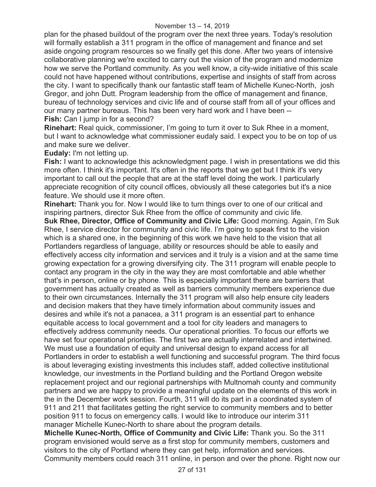plan for the phased buildout of the program over the next three years. Today's resolution will formally establish a 311 program in the office of management and finance and set aside ongoing program resources so we finally get this done. After two years of intensive collaborative planning we're excited to carry out the vision of the program and modernize how we serve the Portland community. As you well know, a city-wide initiative of this scale could not have happened without contributions, expertise and insights of staff from across the city. I want to specifically thank our fantastic staff team of Michelle Kunec-North, josh Gregor, and john Dutt. Program leadership from the office of management and finance, bureau of technology services and civic life and of course staff from all of your offices and our many partner bureaus. This has been very hard work and I have been -- **Fish:** Can I jump in for a second?

**Rinehart:** Real quick, commissioner, I'm going to turn it over to Suk Rhee in a moment, but I want to acknowledge what commissioner eudaly said. I expect you to be on top of us and make sure we deliver.

**Eudaly:** I'm not letting up.

**Fish:** I want to acknowledge this acknowledgment page. I wish in presentations we did this more often. I think it's important. It's often in the reports that we get but I think it's very important to call out the people that are at the staff level doing the work. I particularly appreciate recognition of city council offices, obviously all these categories but it's a nice feature. We should use it more often.

**Rinehart:** Thank you for. Now I would like to turn things over to one of our critical and inspiring partners, director Suk Rhee from the office of community and civic life.

**Suk Rhee, Director, Office of Community and Civic Life:** Good morning. Again, I'm Suk Rhee, I service director for community and civic life. I'm going to speak first to the vision which is a shared one, in the beginning of this work we have held to the vision that all Portlanders regardless of language, ability or resources should be able to easily and effectively access city information and services and it truly is a vision and at the same time growing expectation for a growing diversifying city. The 311 program will enable people to contact any program in the city in the way they are most comfortable and able whether that's in person, online or by phone. This is especially important there are barriers that government has actually created as well as barriers community members experience due to their own circumstances. Internally the 311 program will also help ensure city leaders and decision makers that they have timely information about community issues and desires and while it's not a panacea, a 311 program is an essential part to enhance equitable access to local government and a tool for city leaders and managers to effectively address community needs. Our operational priorities. To focus our efforts we have set four operational priorities. The first two are actually interrelated and intertwined. We must use a foundation of equity and universal design to expand access for all Portlanders in order to establish a well functioning and successful program. The third focus is about leveraging existing investments this includes staff, added collective institutional knowledge, our investments in the Portland building and the Portland Oregon website replacement project and our regional partnerships with Multnomah county and community partners and we are happy to provide a meaningful update on the elements of this work in the in the December work session. Fourth, 311 will do its part in a coordinated system of 911 and 211 that facilitates getting the right service to community members and to better position 911 to focus on emergency calls. I would like to introduce our interim 311 manager Michelle Kunec-North to share about the program details.

**Michelle Kunec-North, Office of Community and Civic Life:** Thank you. So the 311 program envisioned would serve as a first stop for community members, customers and visitors to the city of Portland where they can get help, information and services. Community members could reach 311 online, in person and over the phone. Right now our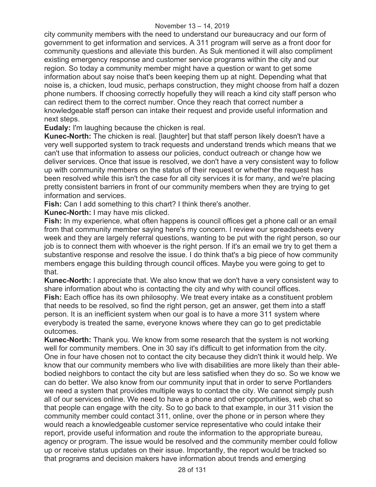city community members with the need to understand our bureaucracy and our form of government to get information and services. A 311 program will serve as a front door for community questions and alleviate this burden. As Suk mentioned it will also compliment existing emergency response and customer service programs within the city and our region. So today a community member might have a question or want to get some information about say noise that's been keeping them up at night. Depending what that noise is, a chicken, loud music, perhaps construction, they might choose from half a dozen phone numbers. If choosing correctly hopefully they will reach a kind city staff person who can redirect them to the correct number. Once they reach that correct number a knowledgeable staff person can intake their request and provide useful information and next steps.

**Eudaly:** I'm laughing because the chicken is real.

**Kunec-North:** The chicken is real. [laughter] but that staff person likely doesn't have a very well supported system to track requests and understand trends which means that we can't use that information to assess our policies, conduct outreach or change how we deliver services. Once that issue is resolved, we don't have a very consistent way to follow up with community members on the status of their request or whether the request has been resolved while this isn't the case for all city services it is for many, and we're placing pretty consistent barriers in front of our community members when they are trying to get information and services.

**Fish:** Can I add something to this chart? I think there's another.

**Kunec-North:** I may have mis clicked.

**Fish:** In my experience, what often happens is council offices get a phone call or an email from that community member saying here's my concern. I review our spreadsheets every week and they are largely referral questions, wanting to be put with the right person, so our job is to connect them with whoever is the right person. If it's an email we try to get them a substantive response and resolve the issue. I do think that's a big piece of how community members engage this building through council offices. Maybe you were going to get to that.

**Kunec-North:** I appreciate that. We also know that we don't have a very consistent way to share information about who is contacting the city and why with council offices.

**Fish:** Each office has its own philosophy. We treat every intake as a constituent problem that needs to be resolved, so find the right person, get an answer, get them into a staff person. It is an inefficient system when our goal is to have a more 311 system where everybody is treated the same, everyone knows where they can go to get predictable outcomes.

**Kunec-North:** Thank you. We know from some research that the system is not working well for community members. One in 30 say it's difficult to get information from the city. One in four have chosen not to contact the city because they didn't think it would help. We know that our community members who live with disabilities are more likely than their ablebodied neighbors to contact the city but are less satisfied when they do so. So we know we can do better. We also know from our community input that in order to serve Portlanders we need a system that provides multiple ways to contact the city. We cannot simply push all of our services online. We need to have a phone and other opportunities, web chat so that people can engage with the city. So to go back to that example, in our 311 vision the community member could contact 311, online, over the phone or in person where they would reach a knowledgeable customer service representative who could intake their report, provide useful information and route the information to the appropriate bureau, agency or program. The issue would be resolved and the community member could follow up or receive status updates on their issue. Importantly, the report would be tracked so that programs and decision makers have information about trends and emerging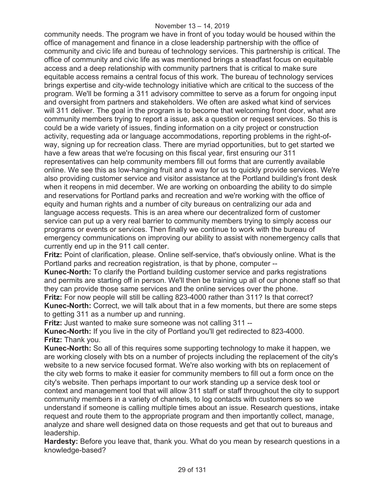community needs. The program we have in front of you today would be housed within the office of management and finance in a close leadership partnership with the office of community and civic life and bureau of technology services. This partnership is critical. The office of community and civic life as was mentioned brings a steadfast focus on equitable access and a deep relationship with community partners that is critical to make sure equitable access remains a central focus of this work. The bureau of technology services brings expertise and city-wide technology initiative which are critical to the success of the program. We'll be forming a 311 advisory committee to serve as a forum for ongoing input and oversight from partners and stakeholders. We often are asked what kind of services will 311 deliver. The goal in the program is to become that welcoming front door, what are community members trying to report a issue, ask a question or request services. So this is could be a wide variety of issues, finding information on a city project or construction activity, requesting ada or language accommodations, reporting problems in the right-ofway, signing up for recreation class. There are myriad opportunities, but to get started we have a few areas that we're focusing on this fiscal year, first ensuring our 311 representatives can help community members fill out forms that are currently available online. We see this as low-hanging fruit and a way for us to quickly provide services. We're also providing customer service and visitor assistance at the Portland building's front desk when it reopens in mid december. We are working on onboarding the ability to do simple and reservations for Portland parks and recreation and we're working with the office of equity and human rights and a number of city bureaus on centralizing our ada and language access requests. This is an area where our decentralized form of customer service can put up a very real barrier to community members trying to simply access our programs or events or services. Then finally we continue to work with the bureau of emergency communications on improving our ability to assist with nonemergency calls that currently end up in the 911 call center.

**Fritz:** Point of clarification, please. Online self-service, that's obviously online. What is the Portland parks and recreation registration, is that by phone, computer --

**Kunec-North:** To clarify the Portland building customer service and parks registrations and permits are starting off in person. We'll then be training up all of our phone staff so that they can provide those same services and the online services over the phone.

**Fritz:** For now people will still be calling 823-4000 rather than 311? Is that correct? **Kunec-North:** Correct, we will talk about that in a few moments, but there are some steps to getting 311 as a number up and running.

**Fritz:** Just wanted to make sure someone was not calling 311 --

**Kunec-North:** If you live in the city of Portland you'll get redirected to 823-4000. **Fritz:** Thank you.

**Kunec-North:** So all of this requires some supporting technology to make it happen, we are working closely with bts on a number of projects including the replacement of the city's website to a new service focused format. We're also working with bts on replacement of the city web forms to make it easier for community members to fill out a form once on the city's website. Then perhaps important to our work standing up a service desk tool or context and management tool that will allow 311 staff or staff throughout the city to support community members in a variety of channels, to log contacts with customers so we understand if someone is calling multiple times about an issue. Research questions, intake request and route them to the appropriate program and then importantly collect, manage, analyze and share well designed data on those requests and get that out to bureaus and leadership.

**Hardesty:** Before you leave that, thank you. What do you mean by research questions in a knowledge-based?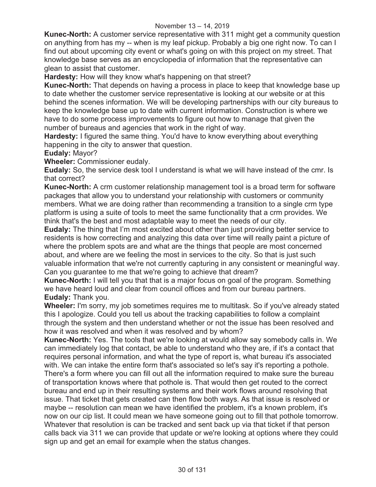**Kunec-North:** A customer service representative with 311 might get a community question on anything from has my -- when is my leaf pickup. Probably a big one right now. To can I find out about upcoming city event or what's going on with this project on my street. That knowledge base serves as an encyclopedia of information that the representative can glean to assist that customer.

**Hardesty:** How will they know what's happening on that street?

**Kunec-North:** That depends on having a process in place to keep that knowledge base up to date whether the customer service representative is looking at our website or at this behind the scenes information. We will be developing partnerships with our city bureaus to keep the knowledge base up to date with current information. Construction is where we have to do some process improvements to figure out how to manage that given the number of bureaus and agencies that work in the right of way.

**Hardesty:** I figured the same thing. You'd have to know everything about everything happening in the city to answer that question.

**Eudaly:** Mayor?

**Wheeler:** Commissioner eudaly.

**Eudaly:** So, the service desk tool I understand is what we will have instead of the cmr. Is that correct?

**Kunec-North:** A crm customer relationship management tool is a broad term for software packages that allow you to understand your relationship with customers or community members. What we are doing rather than recommending a transition to a single crm type platform is using a suite of tools to meet the same functionality that a crm provides. We think that's the best and most adaptable way to meet the needs of our city.

**Eudaly:** The thing that I'm most excited about other than just providing better service to residents is how correcting and analyzing this data over time will really paint a picture of where the problem spots are and what are the things that people are most concerned about, and where are we feeling the most in services to the city. So that is just such valuable information that we're not currently capturing in any consistent or meaningful way. Can you guarantee to me that we're going to achieve that dream?

**Kunec-North:** I will tell you that that is a major focus on goal of the program. Something we have heard loud and clear from council offices and from our bureau partners. **Eudaly:** Thank you.

**Wheeler:** I'm sorry, my job sometimes requires me to multitask. So if you've already stated this I apologize. Could you tell us about the tracking capabilities to follow a complaint through the system and then understand whether or not the issue has been resolved and how it was resolved and when it was resolved and by whom?

**Kunec-North:** Yes. The tools that we're looking at would allow say somebody calls in. We can immediately log that contact, be able to understand who they are, if it's a contact that requires personal information, and what the type of report is, what bureau it's associated with. We can intake the entire form that's associated so let's say it's reporting a pothole. There's a form where you can fill out all the information required to make sure the bureau of transportation knows where that pothole is. That would then get routed to the correct bureau and end up in their resulting systems and their work flows around resolving that issue. That ticket that gets created can then flow both ways. As that issue is resolved or maybe -- resolution can mean we have identified the problem, it's a known problem, it's now on our cip list. It could mean we have someone going out to fill that pothole tomorrow. Whatever that resolution is can be tracked and sent back up via that ticket if that person calls back via 311 we can provide that update or we're looking at options where they could sign up and get an email for example when the status changes.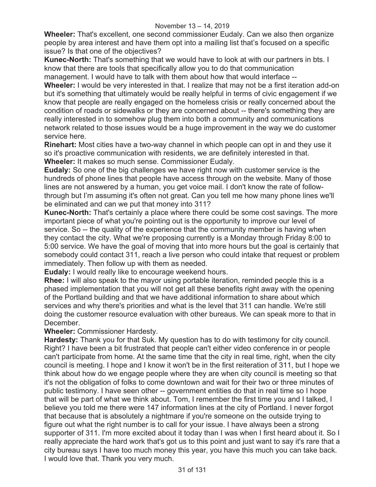**Wheeler:** That's excellent, one second commissioner Eudaly. Can we also then organize people by area interest and have them opt into a mailing list that's focused on a specific issue? Is that one of the objectives?

**Kunec-North:** That's something that we would have to look at with our partners in bts. I know that there are tools that specifically allow you to do that communication

management. I would have to talk with them about how that would interface --

**Wheeler:** I would be very interested in that. I realize that may not be a first iteration add-on but it's something that ultimately would be really helpful in terms of civic engagement if we know that people are really engaged on the homeless crisis or really concerned about the condition of roads or sidewalks or they are concerned about -- there's something they are really interested in to somehow plug them into both a community and communications network related to those issues would be a huge improvement in the way we do customer service here.

**Rinehart:** Most cities have a two-way channel in which people can opt in and they use it so it's proactive communication with residents, we are definitely interested in that. **Wheeler:** It makes so much sense. Commissioner Eudaly.

**Eudaly:** So one of the big challenges we have right now with customer service is the hundreds of phone lines that people have access through on the website. Many of those lines are not answered by a human, you get voice mail. I don't know the rate of followthrough but I'm assuming it's often not great. Can you tell me how many phone lines we'll be eliminated and can we put that money into 311?

**Kunec-North:** That's certainly a place where there could be some cost savings. The more important piece of what you're pointing out is the opportunity to improve our level of service. So -- the quality of the experience that the community member is having when they contact the city. What we're proposing currently is a Monday through Friday 8:00 to 5:00 service. We have the goal of moving that into more hours but the goal is certainly that somebody could contact 311, reach a live person who could intake that request or problem immediately. Then follow up with them as needed.

**Eudaly:** I would really like to encourage weekend hours.

**Rhee:** I will also speak to the mayor using portable iteration, reminded people this is a phased implementation that you will not get all these benefits right away with the opening of the Portland building and that we have additional information to share about which services and why there's priorities and what is the level that 311 can handle. We're still doing the customer resource evaluation with other bureaus. We can speak more to that in **December** 

**Wheeler:** Commissioner Hardesty.

**Hardesty:** Thank you for that Suk. My question has to do with testimony for city council. Right? I have been a bit frustrated that people can't either video conference in or people can't participate from home. At the same time that the city in real time, right, when the city council is meeting. I hope and I know it won't be in the first reiteration of 311, but I hope we think about how do we engage people where they are when city council is meeting so that it's not the obligation of folks to come downtown and wait for their two or three minutes of public testimony. I have seen other -- government entities do that in real time so I hope that will be part of what we think about. Tom, I remember the first time you and I talked, I believe you told me there were 147 information lines at the city of Portland. I never forgot that because that is absolutely a nightmare if you're someone on the outside trying to figure out what the right number is to call for your issue. I have always been a strong supporter of 311. I'm more excited about it today than I was when I first heard about it. So I really appreciate the hard work that's got us to this point and just want to say it's rare that a city bureau says I have too much money this year, you have this much you can take back. I would love that. Thank you very much.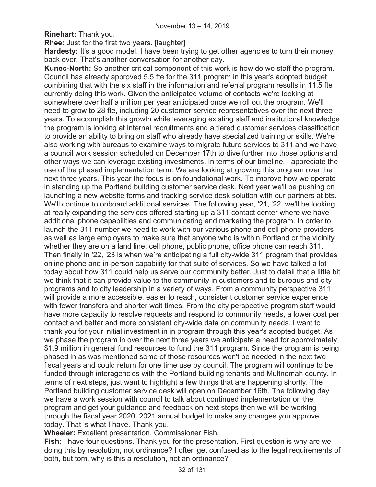**Rinehart:** Thank you.

**Rhee:** Just for the first two years. [laughter]

**Hardesty:** It's a good model. I have been trying to get other agencies to turn their money back over. That's another conversation for another day.

**Kunec-North:** So another critical component of this work is how do we staff the program. Council has already approved 5.5 fte for the 311 program in this year's adopted budget combining that with the six staff in the information and referral program results in 11.5 fte currently doing this work. Given the anticipated volume of contacts we're looking at somewhere over half a million per year anticipated once we roll out the program. We'll need to grow to 28 fte, including 20 customer service representatives over the next three years. To accomplish this growth while leveraging existing staff and institutional knowledge the program is looking at internal recruitments and a tiered customer services classification to provide an ability to bring on staff who already have specialized training or skills. We're also working with bureaus to examine ways to migrate future services to 311 and we have a council work session scheduled on December 17th to dive further into those options and other ways we can leverage existing investments. In terms of our timeline, I appreciate the use of the phased implementation term. We are looking at growing this program over the next three years. This year the focus is on foundational work. To improve how we operate in standing up the Portland building customer service desk. Next year we'll be pushing on launching a new website forms and tracking service desk solution with our partners at bts. We'll continue to onboard additional services. The following year, '21, '22, we'll be looking at really expanding the services offered starting up a 311 contact center where we have additional phone capabilities and communicating and marketing the program. In order to launch the 311 number we need to work with our various phone and cell phone providers as well as large employers to make sure that anyone who is within Portland or the vicinity whether they are on a land line, cell phone, public phone, office phone can reach 311. Then finally in '22, '23 is when we're anticipating a full city-wide 311 program that provides online phone and in-person capability for that suite of services. So we have talked a lot today about how 311 could help us serve our community better. Just to detail that a little bit we think that it can provide value to the community in customers and to bureaus and city programs and to city leadership in a variety of ways. From a community perspective 311 will provide a more accessible, easier to reach, consistent customer service experience with fewer transfers and shorter wait times. From the city perspective program staff would have more capacity to resolve requests and respond to community needs, a lower cost per contact and better and more consistent city-wide data on community needs. I want to thank you for your initial investment in in program through this year's adopted budget. As we phase the program in over the next three years we anticipate a need for approximately \$1.9 million in general fund resources to fund the 311 program. Since the program is being phased in as was mentioned some of those resources won't be needed in the next two fiscal years and could return for one time use by council. The program will continue to be funded through interagencies with the Portland building tenants and Multnomah county. In terms of next steps, just want to highlight a few things that are happening shortly. The Portland building customer service desk will open on December 16th. The following day we have a work session with council to talk about continued implementation on the program and get your guidance and feedback on next steps then we will be working through the fiscal year 2020, 2021 annual budget to make any changes you approve today. That is what I have. Thank you.

**Wheeler:** Excellent presentation. Commissioner Fish.

**Fish:** I have four questions. Thank you for the presentation. First question is why are we doing this by resolution, not ordinance? I often get confused as to the legal requirements of both, but tom, why is this a resolution, not an ordinance?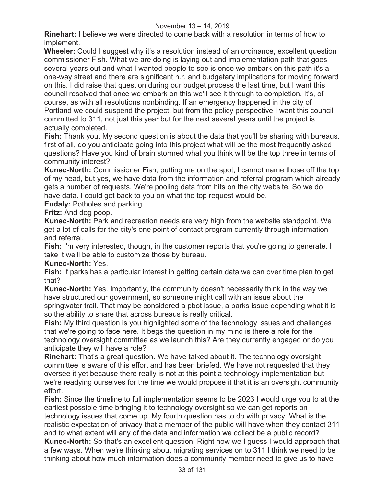**Rinehart:** I believe we were directed to come back with a resolution in terms of how to implement.

**Wheeler:** Could I suggest why it's a resolution instead of an ordinance, excellent question commissioner Fish. What we are doing is laying out and implementation path that goes several years out and what I wanted people to see is once we embark on this path it's a one-way street and there are significant h.r. and budgetary implications for moving forward on this. I did raise that question during our budget process the last time, but I want this council resolved that once we embark on this we'll see it through to completion. It's, of course, as with all resolutions nonbinding. If an emergency happened in the city of Portland we could suspend the project, but from the policy perspective I want this council committed to 311, not just this year but for the next several years until the project is actually completed.

**Fish:** Thank you. My second question is about the data that you'll be sharing with bureaus. first of all, do you anticipate going into this project what will be the most frequently asked questions? Have you kind of brain stormed what you think will be the top three in terms of community interest?

**Kunec-North:** Commissioner Fish, putting me on the spot, I cannot name those off the top of my head, but yes, we have data from the information and referral program which already gets a number of requests. We're pooling data from hits on the city website. So we do have data. I could get back to you on what the top request would be.

**Eudaly:** Potholes and parking.

**Fritz:** And dog poop.

**Kunec-North:** Park and recreation needs are very high from the website standpoint. We get a lot of calls for the city's one point of contact program currently through information and referral.

**Fish:** I'm very interested, though, in the customer reports that you're going to generate. I take it we'll be able to customize those by bureau.

# **Kunec-North:** Yes.

**Fish:** If parks has a particular interest in getting certain data we can over time plan to get that?

**Kunec-North:** Yes. Importantly, the community doesn't necessarily think in the way we have structured our government, so someone might call with an issue about the springwater trail. That may be considered a pbot issue, a parks issue depending what it is so the ability to share that across bureaus is really critical.

**Fish:** My third question is you highlighted some of the technology issues and challenges that we're going to face here. It begs the question in my mind is there a role for the technology oversight committee as we launch this? Are they currently engaged or do you anticipate they will have a role?

**Rinehart:** That's a great question. We have talked about it. The technology oversight committee is aware of this effort and has been briefed. We have not requested that they oversee it yet because there really is not at this point a technology implementation but we're readying ourselves for the time we would propose it that it is an oversight community effort.

**Fish:** Since the timeline to full implementation seems to be 2023 I would urge you to at the earliest possible time bringing it to technology oversight so we can get reports on technology issues that come up. My fourth question has to do with privacy. What is the realistic expectation of privacy that a member of the public will have when they contact 311 and to what extent will any of the data and information we collect be a public record? **Kunec-North:** So that's an excellent question. Right now we I guess I would approach that a few ways. When we're thinking about migrating services on to 311 I think we need to be thinking about how much information does a community member need to give us to have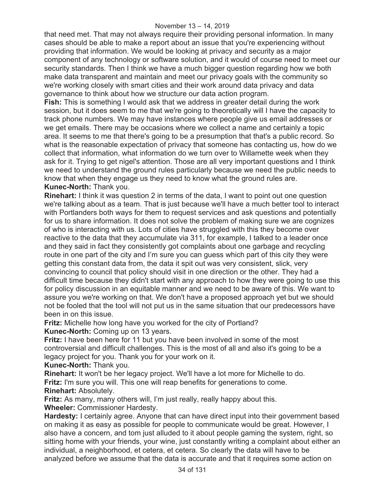that need met. That may not always require their providing personal information. In many cases should be able to make a report about an issue that you're experiencing without providing that information. We would be looking at privacy and security as a major component of any technology or software solution, and it would of course need to meet our security standards. Then I think we have a much bigger question regarding how we both make data transparent and maintain and meet our privacy goals with the community so we're working closely with smart cities and their work around data privacy and data governance to think about how we structure our data action program.

**Fish:** This is something I would ask that we address in greater detail during the work session, but it does seem to me that we're going to theoretically will I have the capacity to track phone numbers. We may have instances where people give us email addresses or we get emails. There may be occasions where we collect a name and certainly a topic area. It seems to me that there's going to be a presumption that that's a public record. So what is the reasonable expectation of privacy that someone has contacting us, how do we collect that information, what information do we turn over to Willamette week when they ask for it. Trying to get nigel's attention. Those are all very important questions and I think we need to understand the ground rules particularly because we need the public needs to know that when they engage us they need to know what the ground rules are. **Kunec-North:** Thank you.

**Rinehart:** I think it was question 2 in terms of the data, I want to point out one question we're talking about as a team. That is just because we'll have a much better tool to interact with Portlanders both ways for them to request services and ask questions and potentially for us to share information. It does not solve the problem of making sure we are cognizes of who is interacting with us. Lots of cities have struggled with this they become over reactive to the data that they accumulate via 311, for example, I talked to a leader once and they said in fact they consistently got complaints about one garbage and recycling route in one part of the city and I'm sure you can guess which part of this city they were getting this constant data from, the data it spit out was very consistent, slick, very convincing to council that policy should visit in one direction or the other. They had a difficult time because they didn't start with any approach to how they were going to use this for policy discussion in an equitable manner and we need to be aware of this. We want to assure you we're working on that. We don't have a proposed approach yet but we should not be fooled that the tool will not put us in the same situation that our predecessors have been in on this issue.

**Fritz:** Michelle how long have you worked for the city of Portland?

**Kunec-North:** Coming up on 13 years.

**Fritz:** I have been here for 11 but you have been involved in some of the most controversial and difficult challenges. This is the most of all and also it's going to be a legacy project for you. Thank you for your work on it.

**Kunec-North:** Thank you.

**Rinehart:** It won't be her legacy project. We'll have a lot more for Michelle to do. **Fritz:** I'm sure you will. This one will reap benefits for generations to come. **Rinehart:** Absolutely.

**Fritz:** As many, many others will, I'm just really, really happy about this. **Wheeler:** Commissioner Hardesty.

**Hardesty:** I certainly agree. Anyone that can have direct input into their government based on making it as easy as possible for people to communicate would be great. However, I also have a concern, and tom just alluded to it about people gaming the system, right, so sitting home with your friends, your wine, just constantly writing a complaint about either an individual, a neighborhood, et cetera, et cetera. So clearly the data will have to be analyzed before we assume that the data is accurate and that it requires some action on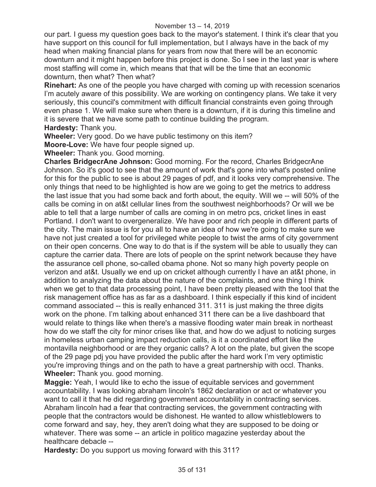our part. I guess my question goes back to the mayor's statement. I think it's clear that you have support on this council for full implementation, but I always have in the back of my head when making financial plans for years from now that there will be an economic downturn and it might happen before this project is done. So I see in the last year is where most staffing will come in, which means that that will be the time that an economic downturn, then what? Then what?

**Rinehart:** As one of the people you have charged with coming up with recession scenarios I'm acutely aware of this possibility. We are working on contingency plans. We take it very seriously, this council's commitment with difficult financial constraints even going through even phase 1. We will make sure when there is a downturn, if it is during this timeline and it is severe that we have some path to continue building the program. **Hardesty:** Thank you.

**Wheeler:** Very good. Do we have public testimony on this item?

**Moore-Love:** We have four people signed up.

**Wheeler:** Thank you. Good morning.

**Charles BridgecrAne Johnson:** Good morning. For the record, Charles BridgecrAne Johnson. So it's good to see that the amount of work that's gone into what's posted online for this for the public to see is about 29 pages of pdf, and it looks very comprehensive. The only things that need to be highlighted is how are we going to get the metrics to address the last issue that you had some back and forth about, the equity. Will we -- will 50% of the calls be coming in on at&t cellular lines from the southwest neighborhoods? Or will we be able to tell that a large number of calls are coming in on metro pcs, cricket lines in east Portland. I don't want to overgeneralize. We have poor and rich people in different parts of the city. The main issue is for you all to have an idea of how we're going to make sure we have not just created a tool for privileged white people to twist the arms of city government on their open concerns. One way to do that is if the system will be able to usually they can capture the carrier data. There are lots of people on the sprint network because they have the assurance cell phone, so-called obama phone. Not so many high poverty people on verizon and at&t. Usually we end up on cricket although currently I have an at&t phone, in addition to analyzing the data about the nature of the complaints, and one thing I think when we get to that data processing point, I have been pretty pleased with the tool that the risk management office has as far as a dashboard. I think especially if this kind of incident command associated -- this is really enhanced 311. 311 is just making the three digits work on the phone. I'm talking about enhanced 311 there can be a live dashboard that would relate to things like when there's a massive flooding water main break in northeast how do we staff the city for minor crises like that, and how do we adjust to noticing surges in homeless urban camping impact reduction calls, is it a coordinated effort like the montavilla neighborhood or are they organic calls? A lot on the plate, but given the scope of the 29 page pdj you have provided the public after the hard work I'm very optimistic you're improving things and on the path to have a great partnership with occl. Thanks. **Wheeler:** Thank you. good morning.

**Maggie:** Yeah, I would like to echo the issue of equitable services and government accountability. I was looking abraham lincoln's 1862 declaration or act or whatever you want to call it that he did regarding government accountability in contracting services. Abraham lincoln had a fear that contracting services, the government contracting with people that the contractors would be dishonest. He wanted to allow whistleblowers to come forward and say, hey, they aren't doing what they are supposed to be doing or whatever. There was some -- an article in politico magazine yesterday about the healthcare debacle --

**Hardesty:** Do you support us moving forward with this 311?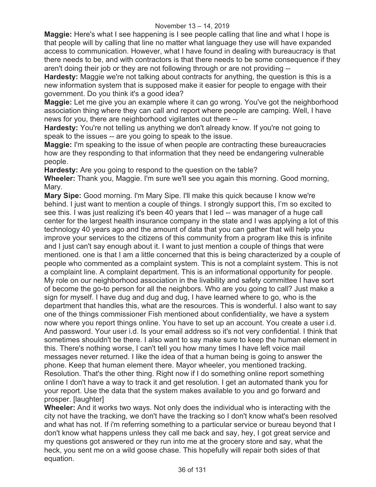**Maggie:** Here's what I see happening is I see people calling that line and what I hope is that people will by calling that line no matter what language they use will have expanded access to communication. However, what I have found in dealing with bureaucracy is that there needs to be, and with contractors is that there needs to be some consequence if they aren't doing their job or they are not following through or are not providing --

**Hardesty:** Maggie we're not talking about contracts for anything, the question is this is a new information system that is supposed make it easier for people to engage with their government. Do you think it's a good idea?

**Maggie:** Let me give you an example where it can go wrong. You've got the neighborhood association thing where they can call and report where people are camping. Well, I have news for you, there are neighborhood vigilantes out there --

**Hardesty:** You're not telling us anything we don't already know. If you're not going to speak to the issues -- are you going to speak to the issue.

**Maggie:** I'm speaking to the issue of when people are contracting these bureaucracies how are they responding to that information that they need be endangering vulnerable people.

**Hardesty:** Are you going to respond to the question on the table?

**Wheeler:** Thank you, Maggie. I'm sure we'll see you again this morning. Good morning, Mary.

**Mary Sipe:** Good morning. I'm Mary Sipe. I'll make this quick because I know we're behind. I just want to mention a couple of things. I strongly support this, I'm so excited to see this. I was just realizing it's been 40 years that I led -- was manager of a huge call center for the largest health insurance company in the state and I was applying a lot of this technology 40 years ago and the amount of data that you can gather that will help you improve your services to the citizens of this community from a program like this is infinite and I just can't say enough about it. I want to just mention a couple of things that were mentioned. one is that I am a little concerned that this is being characterized by a couple of people who commented as a complaint system. This is not a complaint system. This is not a complaint line. A complaint department. This is an informational opportunity for people. My role on our neighborhood association in the livability and safety committee I have sort of become the go-to person for all the neighbors. Who are you going to call? Just make a sign for myself. I have dug and dug and dug, I have learned where to go, who is the department that handles this, what are the resources. This is wonderful. I also want to say one of the things commissioner Fish mentioned about confidentiality, we have a system now where you report things online. You have to set up an account. You create a user i.d. And password. Your user i.d. Is your email address so it's not very confidential. I think that sometimes shouldn't be there. I also want to say make sure to keep the human element in this. There's nothing worse, I can't tell you how many times I have left voice mail messages never returned. I like the idea of that a human being is going to answer the phone. Keep that human element there. Mayor wheeler, you mentioned tracking. Resolution. That's the other thing. Right now if I do something online report something online I don't have a way to track it and get resolution. I get an automated thank you for your report. Use the data that the system makes available to you and go forward and prosper. [laughter]

**Wheeler:** And it works two ways. Not only does the individual who is interacting with the city not have the tracking, we don't have the tracking so I don't know what's been resolved and what has not. If i'm referring something to a particular service or bureau beyond that I don't know what happens unless they call me back and say, hey, I got great service and my questions got answered or they run into me at the grocery store and say, what the heck, you sent me on a wild goose chase. This hopefully will repair both sides of that equation.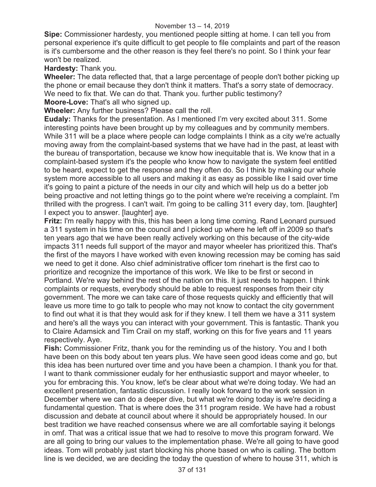**Sipe:** Commissioner hardesty, you mentioned people sitting at home. I can tell you from personal experience it's quite difficult to get people to file complaints and part of the reason is it's cumbersome and the other reason is they feel there's no point. So I think your fear won't be realized.

**Hardesty:** Thank you.

**Wheeler:** The data reflected that, that a large percentage of people don't bother picking up the phone or email because they don't think it matters. That's a sorry state of democracy. We need to fix that. We can do that. Thank you. further public testimony?

**Moore-Love:** That's all who signed up.

**Wheeler:** Any further business? Please call the roll.

**Eudaly:** Thanks for the presentation. As I mentioned I'm very excited about 311. Some interesting points have been brought up by my colleagues and by community members. While 311 will be a place where people can lodge complaints I think as a city we're actually moving away from the complaint-based systems that we have had in the past, at least with the bureau of transportation, because we know how inequitable that is. We know that in a complaint-based system it's the people who know how to navigate the system feel entitled to be heard, expect to get the response and they often do. So I think by making our whole system more accessible to all users and making it as easy as possible like I said over time it's going to paint a picture of the needs in our city and which will help us do a better job being proactive and not letting things go to the point where we're receiving a complaint. I'm thrilled with the progress. I can't wait. I'm going to be calling 311 every day, tom. [laughter] I expect you to answer. [laughter] aye.

**Fritz:** I'm really happy with this, this has been a long time coming. Rand Leonard pursued a 311 system in his time on the council and I picked up where he left off in 2009 so that's ten years ago that we have been really actively working on this because of the city-wide impacts 311 needs full support of the mayor and mayor wheeler has prioritized this. That's the first of the mayors I have worked with even knowing recession may be coming has said we need to get it done. Also chief administrative officer tom rinehart is the first cao to prioritize and recognize the importance of this work. We like to be first or second in Portland. We're way behind the rest of the nation on this. It just needs to happen. I think complaints or requests, everybody should be able to request responses from their city government. The more we can take care of those requests quickly and efficiently that will leave us more time to go talk to people who may not know to contact the city government to find out what it is that they would ask for if they knew. I tell them we have a 311 system and here's all the ways you can interact with your government. This is fantastic. Thank you to Claire Adamsick and Tim Crail on my staff, working on this for five years and 11 years respectively. Aye.

**Fish:** Commissioner Fritz, thank you for the reminding us of the history. You and I both have been on this body about ten years plus. We have seen good ideas come and go, but this idea has been nurtured over time and you have been a champion. I thank you for that. I want to thank commissioner eudaly for her enthusiastic support and mayor wheeler, to you for embracing this. You know, let's be clear about what we're doing today. We had an excellent presentation, fantastic discussion. I really look forward to the work session in December where we can do a deeper dive, but what we're doing today is we're deciding a fundamental question. That is where does the 311 program reside. We have had a robust discussion and debate at council about where it should be appropriately housed. In our best tradition we have reached consensus where we are all comfortable saying it belongs in omf. That was a critical issue that we had to resolve to move this program forward. We are all going to bring our values to the implementation phase. We're all going to have good ideas. Tom will probably just start blocking his phone based on who is calling. The bottom line is we decided, we are deciding the today the question of where to house 311, which is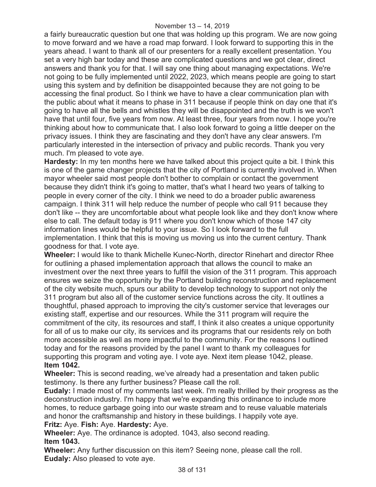a fairly bureaucratic question but one that was holding up this program. We are now going to move forward and we have a road map forward. I look forward to supporting this in the years ahead. I want to thank all of our presenters for a really excellent presentation. You set a very high bar today and these are complicated questions and we got clear, direct answers and thank you for that. I will say one thing about managing expectations. We're not going to be fully implemented until 2022, 2023, which means people are going to start using this system and by definition be disappointed because they are not going to be accessing the final product. So I think we have to have a clear communication plan with the public about what it means to phase in 311 because if people think on day one that it's going to have all the bells and whistles they will be disappointed and the truth is we won't have that until four, five years from now. At least three, four years from now. I hope you're thinking about how to communicate that. I also look forward to going a little deeper on the privacy issues. I think they are fascinating and they don't have any clear answers. I'm particularly interested in the intersection of privacy and public records. Thank you very much. I'm pleased to vote aye.

**Hardesty:** In my ten months here we have talked about this project quite a bit. I think this is one of the game changer projects that the city of Portland is currently involved in. When mayor wheeler said most people don't bother to complain or contact the government because they didn't think it's going to matter, that's what I heard two years of talking to people in every corner of the city. I think we need to do a broader public awareness campaign. I think 311 will help reduce the number of people who call 911 because they don't like -- they are uncomfortable about what people look like and they don't know where else to call. The default today is 911 where you don't know which of those 147 city information lines would be helpful to your issue. So I look forward to the full implementation. I think that this is moving us moving us into the current century. Thank goodness for that. I vote aye.

**Wheeler:** I would like to thank Michelle Kunec-North, director Rinehart and director Rhee for outlining a phased implementation approach that allows the council to make an investment over the next three years to fulfill the vision of the 311 program. This approach ensures we seize the opportunity by the Portland building reconstruction and replacement of the city website much, spurs our ability to develop technology to support not only the 311 program but also all of the customer service functions across the city. It outlines a thoughtful, phased approach to improving the city's customer service that leverages our existing staff, expertise and our resources. While the 311 program will require the commitment of the city, its resources and staff, I think it also creates a unique opportunity for all of us to make our city, its services and its programs that our residents rely on both more accessible as well as more impactful to the community. For the reasons I outlined today and for the reasons provided by the panel I want to thank my colleagues for supporting this program and voting aye. I vote aye. Next item please 1042, please. **Item 1042.**

**Wheeler:** This is second reading, we've already had a presentation and taken public testimony. Is there any further business? Please call the roll.

**Eudaly:** I made most of my comments last week. I'm really thrilled by their progress as the deconstruction industry. I'm happy that we're expanding this ordinance to include more homes, to reduce garbage going into our waste stream and to reuse valuable materials and honor the craftsmanship and history in these buildings. I happily vote aye.

**Fritz:** Aye. **Fish:** Aye. **Hardesty:** Aye.

**Wheeler:** Aye. The ordinance is adopted. 1043, also second reading. **Item 1043.** 

**Wheeler:** Any further discussion on this item? Seeing none, please call the roll. **Eudaly:** Also pleased to vote aye.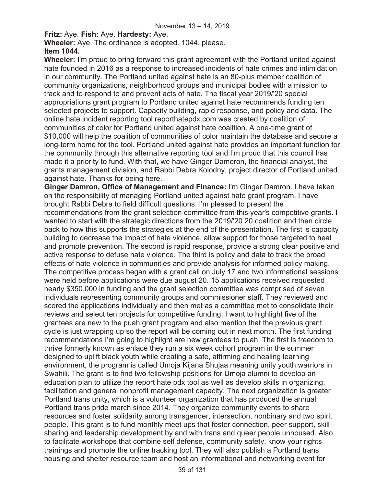## **Fritz:** Aye. **Fish:** Aye. **Hardesty:** Aye.

**Wheeler:** Aye. The ordinance is adopted. 1044, please. **Item 1044.** 

**Wheeler:** I'm proud to bring forward this grant agreement with the Portland united against hate founded in 2016 as a response to increased incidents of hate crimes and intimidation in our community. The Portland united against hate is an 80-plus member coalition of community organizations, neighborhood groups and municipal bodies with a mission to track and to respond to and prevent acts of hate. The fiscal year 2019/'20 special appropriations grant program to Portland united against hate recommends funding ten selected projects to support. Capacity building, rapid response, and policy and data. The online hate incident reporting tool reporthatepdx.com was created by coalition of communities of color for Portland united against hate coalition. A one-time grant of \$10,000 will help the coalition of communities of color maintain the database and secure a long-term home for the tool. Portland united against hate provides an important function for the community through this alternative reporting tool and I'm proud that this council has made it a priority to fund. With that, we have Ginger Dameron, the financial analyst, the grants management division, and Rabbi Debra Kolodny, project director of Portland united against hate. Thanks for being here.

**Ginger Damron, Office of Management and Finance:** I'm Ginger Damron. I have taken on the responsibility of managing Portland united against hate grant program. I have brought Rabbi Debra to field difficult questions. I'm pleased to present the recommendations from the grant selection committee from this year's competitive grants. I wanted to start with the strategic directions from the 2019/'20 20 coalition and then circle back to how this supports the strategies at the end of the presentation. The first is capacity building to decrease the impact of hate violence, allow support for those targeted to heal and promote prevention. The second is rapid response, provide a strong clear positive and active response to defuse hate violence. The third is policy and data to track the broad effects of hate violence in communities and provide analysis for informed policy making. The competitive process began with a grant call on July 17 and two informational sessions were held before applications were due august 20. 15 applications received requested nearly \$350,000 in funding and the grant selection committee was comprised of seven individuals representing community groups and commissioner staff. They reviewed and scored the applications individually and then met as a committee met to consolidate their reviews and select ten projects for competitive funding. I want to highlight five of the grantees are new to the puah grant program and also mention that the previous grant cycle is just wrapping up so the report will be coming out in next month. The first funding recommendations I'm going to highlight are new grantees to puah. The first is freedom to thrive formerly known as enlace they run a six week cohort program in the summer designed to uplift black youth while creating a safe, affirming and healing learning environment, the program is called Umoja Kijana Shujaa meaning unity youth warriors in Swahili. The grant is to find two fellowship positions for Umoja alumni to develop an education plan to utilize the report hate pdx tool as well as develop skills in organizing, facilitation and general nonprofit management capacity. The next organization is greater Portland trans unity, which is a volunteer organization that has produced the annual Portland trans pride march since 2014. They organize community events to share resources and foster solidarity among transgender, intersection, nonbinary and two spirit people. This grant is to fund monthly meet ups that foster connection, peer support, skill sharing and leadership development by and with trans and queer people unhoused. Also to facilitate workshops that combine self defense, community safety, know your rights trainings and promote the online tracking tool. They will also publish a Portland trans housing and shelter resource team and host an informational and networking event for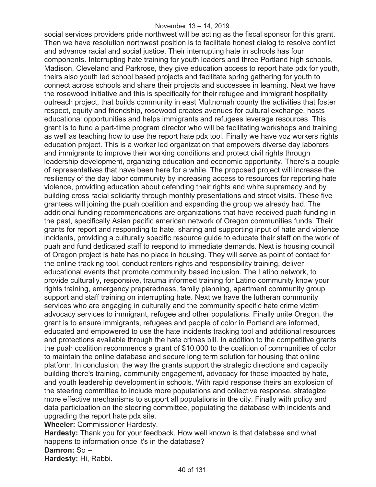#### November 13 – 14, 2019

social services providers pride northwest will be acting as the fiscal sponsor for this grant. Then we have resolution northwest position is to facilitate honest dialog to resolve conflict and advance racial and social justice. Their interrupting hate in schools has four components. Interrupting hate training for youth leaders and three Portland high schools, Madison, Cleveland and Parkrose, they give education access to report hate pdx for youth, theirs also youth led school based projects and facilitate spring gathering for youth to connect across schools and share their projects and successes in learning. Next we have the rosewood initiative and this is specifically for their refugee and immigrant hospitality outreach project, that builds community in east Multnomah county the activities that foster respect, equity and friendship, rosewood creates avenues for cultural exchange, hosts educational opportunities and helps immigrants and refugees leverage resources. This grant is to fund a part-time program director who will be facilitating workshops and training as well as teaching how to use the report hate pdx tool. Finally we have voz workers rights education project. This is a worker led organization that empowers diverse day laborers and immigrants to improve their working conditions and protect civil rights through leadership development, organizing education and economic opportunity. There's a couple of representatives that have been here for a while. The proposed project will increase the resiliency of the day labor community by increasing access to resources for reporting hate violence, providing education about defending their rights and white supremacy and by building cross racial solidarity through monthly presentations and street visits. These five grantees will joining the puah coalition and expanding the group we already had. The additional funding recommendations are organizations that have received puah funding in the past, specifically Asian pacific american network of Oregon communities funds. Their grants for report and responding to hate, sharing and supporting input of hate and violence incidents, providing a culturally specific resource guide to educate their staff on the work of puah and fund dedicated staff to respond to immediate demands. Next is housing council of Oregon project is hate has no place in housing. They will serve as point of contact for the online tracking tool, conduct renters rights and responsibility training, deliver educational events that promote community based inclusion. The Latino network, to provide culturally, responsive, trauma informed training for Latino community know your rights training, emergency preparedness, family planning, apartment community group support and staff training on interrupting hate. Next we have the lutheran community services who are engaging in culturally and the community specific hate crime victim advocacy services to immigrant, refugee and other populations. Finally unite Oregon, the grant is to ensure immigrants, refugees and people of color in Portland are informed, educated and empowered to use the hate incidents tracking tool and additional resources and protections available through the hate crimes bill. In addition to the competitive grants the puah coalition recommends a grant of \$10,000 to the coalition of communities of color to maintain the online database and secure long term solution for housing that online platform. In conclusion, the way the grants support the strategic directions and capacity building there's training, community engagement, advocacy for those impacted by hate, and youth leadership development in schools. With rapid response theirs an explosion of the steering committee to include more populations and collective response, strategize more effective mechanisms to support all populations in the city. Finally with policy and data participation on the steering committee, populating the database with incidents and upgrading the report hate pdx site.

**Wheeler:** Commissioner Hardesty.

**Hardesty:** Thank you for your feedback. How well known is that database and what happens to information once it's in the database? **Damron:** So --

**Hardesty:** Hi, Rabbi.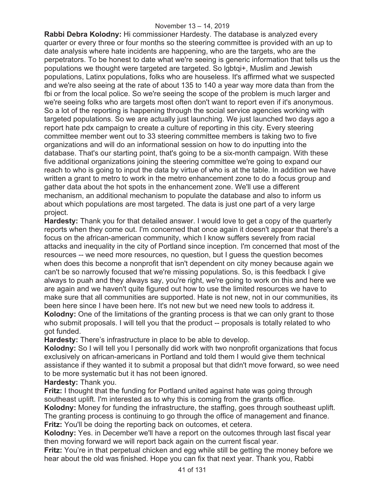**Rabbi Debra Kolodny:** Hi commissioner Hardesty. The database is analyzed every quarter or every three or four months so the steering committee is provided with an up to date analysis where hate incidents are happening, who are the targets, who are the perpetrators. To be honest to date what we're seeing is generic information that tells us the populations we thought were targeted are targeted. So lgbtqi+, Muslim and Jewish populations, Latinx populations, folks who are houseless. It's affirmed what we suspected and we're also seeing at the rate of about 135 to 140 a year way more data than from the fbi or from the local police. So we're seeing the scope of the problem is much larger and we're seeing folks who are targets most often don't want to report even if it's anonymous. So a lot of the reporting is happening through the social service agencies working with targeted populations. So we are actually just launching. We just launched two days ago a report hate pdx campaign to create a culture of reporting in this city. Every steering committee member went out to 33 steering committee members is taking two to five organizations and will do an informational session on how to do inputting into the database. That's our starting point, that's going to be a six-month campaign. With these five additional organizations joining the steering committee we're going to expand our reach to who is going to input the data by virtue of who is at the table. In addition we have written a grant to metro to work in the metro enhancement zone to do a focus group and gather data about the hot spots in the enhancement zone. We'll use a different mechanism, an additional mechanism to populate the database and also to inform us about which populations are most targeted. The data is just one part of a very large project.

**Hardesty:** Thank you for that detailed answer. I would love to get a copy of the quarterly reports when they come out. I'm concerned that once again it doesn't appear that there's a focus on the african-american community, which I know suffers severely from racial attacks and inequality in the city of Portland since inception. I'm concerned that most of the resources -- we need more resources, no question, but I guess the question becomes when does this become a nonprofit that isn't dependent on city money because again we can't be so narrowly focused that we're missing populations. So, is this feedback I give always to puah and they always say, you're right, we're going to work on this and here we are again and we haven't quite figured out how to use the limited resources we have to make sure that all communities are supported. Hate is not new, not in our communities, its been here since I have been here. It's not new but we need new tools to address it. **Kolodny:** One of the limitations of the granting process is that we can only grant to those who submit proposals. I will tell you that the product -- proposals is totally related to who got funded.

**Hardesty:** There's infrastructure in place to be able to develop.

**Kolodny:** So I will tell you I personally did work with two nonprofit organizations that focus exclusively on african-americans in Portland and told them I would give them technical assistance if they wanted it to submit a proposal but that didn't move forward, so wee need to be more systematic but it has not been ignored.

**Hardesty:** Thank you.

**Fritz:** I thought that the funding for Portland united against hate was going through southeast uplift. I'm interested as to why this is coming from the grants office.

**Kolodny:** Money for funding the infrastructure, the staffing, goes through southeast uplift. The granting process is continuing to go through the office of management and finance. **Fritz:** You'll be doing the reporting back on outcomes, et cetera.

**Kolodny:** Yes. in December we'll have a report on the outcomes through last fiscal year then moving forward we will report back again on the current fiscal year.

**Fritz:** You're in that perpetual chicken and egg while still be getting the money before we hear about the old was finished. Hope you can fix that next year. Thank you, Rabbi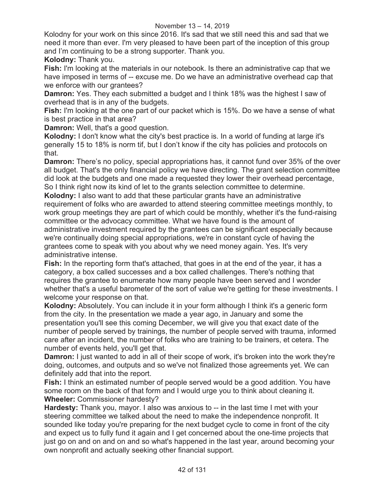Kolodny for your work on this since 2016. It's sad that we still need this and sad that we need it more than ever. I'm very pleased to have been part of the inception of this group and I'm continuing to be a strong supporter. Thank you.

**Kolodny:** Thank you.

**Fish:** I'm looking at the materials in our notebook. Is there an administrative cap that we have imposed in terms of -- excuse me. Do we have an administrative overhead cap that we enforce with our grantees?

**Damron:** Yes. They each submitted a budget and I think 18% was the highest I saw of overhead that is in any of the budgets.

**Fish:** I'm looking at the one part of our packet which is 15%. Do we have a sense of what is best practice in that area?

**Damron:** Well, that's a good question.

**Kolodny:** I don't know what the city's best practice is. In a world of funding at large it's generally 15 to 18% is norm tif, but I don't know if the city has policies and protocols on that.

**Damron:** There's no policy, special appropriations has, it cannot fund over 35% of the over all budget. That's the only financial policy we have directing. The grant selection committee did look at the budgets and one made a requested they lower their overhead percentage, So I think right now its kind of let to the grants selection committee to determine.

**Kolodny:** I also want to add that these particular grants have an administrative requirement of folks who are awarded to attend steering committee meetings monthly, to work group meetings they are part of which could be monthly, whether it's the fund-raising committee or the advocacy committee. What we have found is the amount of administrative investment required by the grantees can be significant especially because we're continually doing special appropriations, we're in constant cycle of having the grantees come to speak with you about why we need money again. Yes. It's very administrative intense.

**Fish:** In the reporting form that's attached, that goes in at the end of the year, it has a category, a box called successes and a box called challenges. There's nothing that requires the grantee to enumerate how many people have been served and I wonder whether that's a useful barometer of the sort of value we're getting for these investments. I welcome your response on that.

**Kolodny:** Absolutely. You can include it in your form although I think it's a generic form from the city. In the presentation we made a year ago, in January and some the presentation you'll see this coming December, we will give you that exact date of the number of people served by trainings, the number of people served with trauma, informed care after an incident, the number of folks who are training to be trainers, et cetera. The number of events held, you'll get that.

**Damron:** I just wanted to add in all of their scope of work, it's broken into the work they're doing, outcomes, and outputs and so we've not finalized those agreements yet. We can definitely add that into the report.

**Fish:** I think an estimated number of people served would be a good addition. You have some room on the back of that form and I would urge you to think about cleaning it. **Wheeler:** Commissioner hardesty?

**Hardesty:** Thank you, mayor. I also was anxious to -- in the last time I met with your steering committee we talked about the need to make the independence nonprofit. It sounded like today you're preparing for the next budget cycle to come in front of the city and expect us to fully fund it again and I get concerned about the one-time projects that just go on and on and on and so what's happened in the last year, around becoming your own nonprofit and actually seeking other financial support.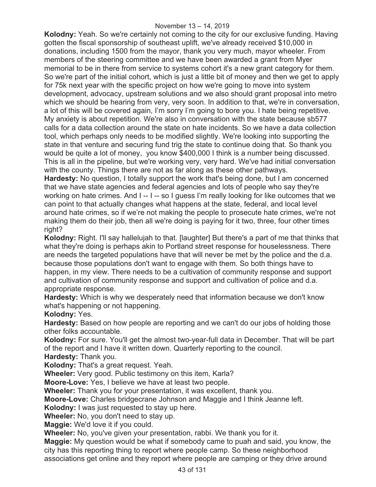**Kolodny:** Yeah. So we're certainly not coming to the city for our exclusive funding. Having gotten the fiscal sponsorship of southeast uplift, we've already received \$10,000 in donations, including 1500 from the mayor, thank you very much, mayor wheeler. From members of the steering committee and we have been awarded a grant from Myer memorial to be in there from service to systems cohort it's a new grant category for them. So we're part of the initial cohort, which is just a little bit of money and then we get to apply for 75k next year with the specific project on how we're going to move into system development, advocacy, upstream solutions and we also should grant proposal into metro which we should be hearing from very, very soon. In addition to that, we're in conversation, a lot of this will be covered again, I'm sorry I'm going to bore you. I hate being repetitive. My anxiety is about repetition. We're also in conversation with the state because sb577 calls for a data collection around the state on hate incidents. So we have a data collection tool, which perhaps only needs to be modified slightly. We're looking into supporting the state in that venture and securing fund trig the state to continue doing that. So thank you would be quite a lot of money, you know \$400,000 I think is a number being discussed. This is all in the pipeline, but we're working very, very hard. We've had initial conversation with the county. Things there are not as far along as these other pathways.

**Hardesty:** No question, I totally support the work that's being done, but I am concerned that we have state agencies and federal agencies and lots of people who say they're working on hate crimes. And I -- I -- so I guess I'm really looking for like outcomes that we can point to that actually changes what happens at the state, federal, and local level around hate crimes, so if we're not making the people to prosecute hate crimes, we're not making them do their job, then all we're doing is paying for it two, three, four other times right?

**Kolodny:** Right. I'll say hallelujah to that. [laughter] But there's a part of me that thinks that what they're doing is perhaps akin to Portland street response for houselessness. There are needs the targeted populations have that will never be met by the police and the d.a. because those populations don't want to engage with them. So both things have to happen, in my view. There needs to be a cultivation of community response and support and cultivation of community response and support and cultivation of police and d.a. appropriate response.

**Hardesty:** Which is why we desperately need that information because we don't know what's happening or not happening.

**Kolodny:** Yes.

**Hardesty:** Based on how people are reporting and we can't do our jobs of holding those other folks accountable.

**Kolodny:** For sure. You'll get the almost two-year-full data in December. That will be part of the report and I have it written down. Quarterly reporting to the council.

**Hardesty:** Thank you.

**Kolodny:** That's a great request. Yeah.

**Wheeler:** Very good. Public testimony on this item, Karla?

**Moore-Love:** Yes, I believe we have at least two people.

**Wheeler:** Thank you for your presentation, it was excellent, thank you.

**Moore-Love:** Charles bridgecrane Johnson and Maggie and I think Jeanne left.

**Kolodny:** I was just requested to stay up here.

**Wheeler:** No, you don't need to stay up.

**Maggie:** We'd love it if you could.

**Wheeler:** No, you've given your presentation, rabbi. We thank you for it.

**Maggie:** My question would be what if somebody came to puah and said, you know, the city has this reporting thing to report where people camp. So these neighborhood associations get online and they report where people are camping or they drive around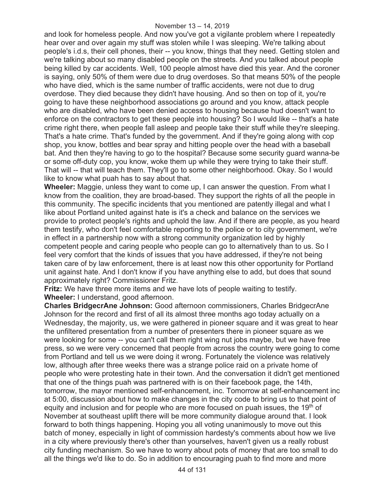and look for homeless people. And now you've got a vigilante problem where I repeatedly hear over and over again my stuff was stolen while I was sleeping. We're talking about people's i.d.s, their cell phones, their -- you know, things that they need. Getting stolen and we're talking about so many disabled people on the streets. And you talked about people being killed by car accidents. Well, 100 people almost have died this year. And the coroner is saying, only 50% of them were due to drug overdoses. So that means 50% of the people who have died, which is the same number of traffic accidents, were not due to drug overdose. They died because they didn't have housing. And so then on top of it, you're going to have these neighborhood associations go around and you know, attack people who are disabled, who have been denied access to housing because hud doesn't want to enforce on the contractors to get these people into housing? So I would like -- that's a hate crime right there, when people fall asleep and people take their stuff while they're sleeping. That's a hate crime. That's funded by the government. And if they're going along with cop shop, you know, bottles and bear spray and hitting people over the head with a baseball bat. And then they're having to go to the hospital? Because some security guard wanna-be or some off-duty cop, you know, woke them up while they were trying to take their stuff. That will -- that will teach them. They'll go to some other neighborhood. Okay. So I would like to know what puah has to say about that.

**Wheeler:** Maggie, unless they want to come up, I can answer the question. From what I know from the coalition, they are broad-based. They support the rights of all the people in this community. The specific incidents that you mentioned are patently illegal and what I like about Portland united against hate is it's a check and balance on the services we provide to protect people's rights and uphold the law. And if there are people, as you heard them testify, who don't feel comfortable reporting to the police or to city government, we're in effect in a partnership now with a strong community organization led by highly competent people and caring people who people can go to alternatively than to us. So I feel very comfort that the kinds of issues that you have addressed, if they're not being taken care of by law enforcement, there is at least now this other opportunity for Portland unit against hate. And I don't know if you have anything else to add, but does that sound approximately right? Commissioner Fritz.

**Fritz:** We have three more items and we have lots of people waiting to testify. **Wheeler:** I understand, good afternoon.

**Charles BridgecrAne Johnson:** Good afternoon commissioners, Charles BridgecrAne Johnson for the record and first of all its almost three months ago today actually on a Wednesday, the majority, us, we were gathered in pioneer square and it was great to hear the unfiltered presentation from a number of presenters there in pioneer square as we were looking for some -- you can't call them right wing nut jobs maybe, but we have free press, so we were very concerned that people from across the country were going to come from Portland and tell us we were doing it wrong. Fortunately the violence was relatively low, although after three weeks there was a strange police raid on a private home of people who were protesting hate in their town. And the conversation it didn't get mentioned that one of the things puah was partnered with is on their facebook page, the 14th, tomorrow, the mayor mentioned self-enhancement, inc. Tomorrow at self-enhancement inc at 5:00, discussion about how to make changes in the city code to bring us to that point of equity and inclusion and for people who are more focused on puah issues, the 19<sup>th</sup> of November at southeast uplift there will be more community dialogue around that. I look forward to both things happening. Hoping you all voting unanimously to move out this batch of money, especially in light of commission hardesty's comments about how we live in a city where previously there's other than yourselves, haven't given us a really robust city funding mechanism. So we have to worry about pots of money that are too small to do all the things we'd like to do. So in addition to encouraging puah to find more and more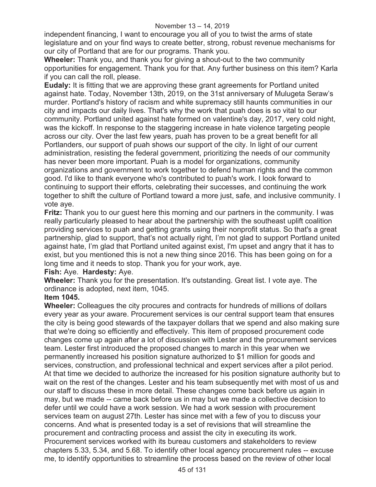independent financing, I want to encourage you all of you to twist the arms of state legislature and on your find ways to create better, strong, robust revenue mechanisms for our city of Portland that are for our programs. Thank you.

**Wheeler:** Thank you, and thank you for giving a shout-out to the two community opportunities for engagement. Thank you for that. Any further business on this item? Karla if you can call the roll, please.

**Eudaly:** It is fitting that we are approving these grant agreements for Portland united against hate. Today, November 13th, 2019, on the 31st anniversary of Mulugeta Seraw's murder. Portland's history of racism and white supremacy still haunts communities in our city and impacts our daily lives. That's why the work that puah does is so vital to our community. Portland united against hate formed on valentine's day, 2017, very cold night, was the kickoff. In response to the staggering increase in hate violence targeting people across our city. Over the last few years, puah has proven to be a great benefit for all Portlanders, our support of puah shows our support of the city. In light of our current administration, resisting the federal government, prioritizing the needs of our community has never been more important. Puah is a model for organizations, community organizations and government to work together to defend human rights and the common good. I'd like to thank everyone who's contributed to puah's work. I look forward to continuing to support their efforts, celebrating their successes, and continuing the work together to shift the culture of Portland toward a more just, safe, and inclusive community. I vote aye.

**Fritz:** Thank you to our guest here this morning and our partners in the community. I was really particularly pleased to hear about the partnership with the southeast uplift coalition providing services to puah and getting grants using their nonprofit status. So that's a great partnership, glad to support, that's not actually right, I'm not glad to support Portland united against hate, I'm glad that Portland united against exist, I'm upset and angry that it has to exist, but you mentioned this is not a new thing since 2016. This has been going on for a long time and it needs to stop. Thank you for your work, aye.

## **Fish:** Aye. **Hardesty:** Aye.

**Wheeler:** Thank you for the presentation. It's outstanding. Great list. I vote aye. The ordinance is adopted, next item, 1045.

## **Item 1045.**

**Wheeler:** Colleagues the city procures and contracts for hundreds of millions of dollars every year as your aware. Procurement services is our central support team that ensures the city is being good stewards of the taxpayer dollars that we spend and also making sure that we're doing so efficiently and effectively. This item of proposed procurement code changes come up again after a lot of discussion with Lester and the procurement services team. Lester first introduced the proposed changes to march in this year when we permanently increased his position signature authorized to \$1 million for goods and services, construction, and professional technical and expert services after a pilot period. At that time we decided to authorize the increased for his position signature authority but to wait on the rest of the changes. Lester and his team subsequently met with most of us and our staff to discuss these in more detail. These changes come back before us again in may, but we made -- came back before us in may but we made a collective decision to defer until we could have a work session. We had a work session with procurement services team on august 27th. Lester has since met with a few of you to discuss your concerns. And what is presented today is a set of revisions that will streamline the procurement and contracting process and assist the city in executing its work. Procurement services worked with its bureau customers and stakeholders to review chapters 5.33, 5.34, and 5.68. To identify other local agency procurement rules -- excuse me, to identify opportunities to streamline the process based on the review of other local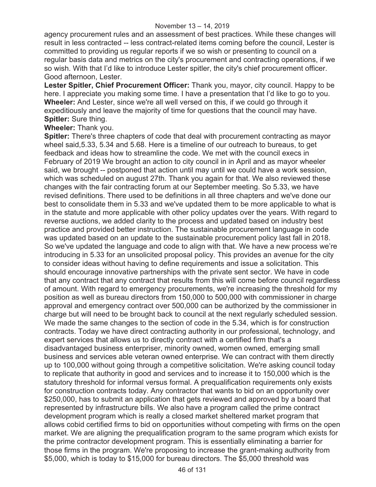agency procurement rules and an assessment of best practices. While these changes will result in less contracted -- less contract-related items coming before the council, Lester is committed to providing us regular reports if we so wish or presenting to council on a regular basis data and metrics on the city's procurement and contracting operations, if we so wish. With that I'd like to introduce Lester spitler, the city's chief procurement officer. Good afternoon, Lester.

**Lester Spitler, Chief Procurement Officer:** Thank you, mayor, city council. Happy to be here. I appreciate you making some time. I have a presentation that I'd like to go to you. **Wheeler:** And Lester, since we're all well versed on this, if we could go through it expeditiously and leave the majority of time for questions that the council may have. **Spitler:** Sure thing.

#### **Wheeler:** Thank you.

**Spitler:** There's three chapters of code that deal with procurement contracting as mayor wheel said,5.33, 5.34 and 5.68. Here is a timeline of our outreach to bureaus, to get feedback and ideas how to streamline the code. We met with the council execs in February of 2019 We brought an action to city council in in April and as mayor wheeler said, we brought -- postponed that action until may until we could have a work session, which was scheduled on august 27th. Thank you again for that. We also reviewed these changes with the fair contracting forum at our September meeting. So 5.33, we have revised definitions. There used to be definitions in all three chapters and we've done our best to consolidate them in 5.33 and we've updated them to be more applicable to what is in the statute and more applicable with other policy updates over the years. With regard to reverse auctions, we added clarity to the process and updated based on industry best practice and provided better instruction. The sustainable procurement language in code was updated based on an update to the sustainable procurement policy last fall in 2018. So we've updated the language and code to align with that. We have a new process we're introducing in 5.33 for an unsolicited proposal policy. This provides an avenue for the city to consider ideas without having to define requirements and issue a solicitation. This should encourage innovative partnerships with the private sent sector. We have in code that any contract that any contract that results from this will come before council regardless of amount. With regard to emergency procurements, we're increasing the threshold for my position as well as bureau directors from 150,000 to 500,000 with commissioner in charge approval and emergency contract over 500,000 can be authorized by the commissioner in charge but will need to be brought back to council at the next regularly scheduled session. We made the same changes to the section of code in the 5.34, which is for construction contracts. Today we have direct contracting authority in our professional, technology, and expert services that allows us to directly contract with a certified firm that's a disadvantaged business enterpriser, minority owned, women owned, emerging small business and services able veteran owned enterprise. We can contract with them directly up to 100,000 without going through a competitive solicitation. We're asking council today to replicate that authority in good and services and to increase it to 150,000 which is the statutory threshold for informal versus formal. A prequalification requirements only exists for construction contracts today. Any contractor that wants to bid on an opportunity over \$250,000, has to submit an application that gets reviewed and approved by a board that represented by infrastructure bills. We also have a program called the prime contract development program which is really a closed market sheltered market program that allows cobid certified firms to bid on opportunities without competing with firms on the open market. We are aligning the prequalification program to the same program which exists for the prime contractor development program. This is essentially eliminating a barrier for those firms in the program. We're proposing to increase the grant-making authority from \$5,000, which is today to \$15,000 for bureau directors. The \$5,000 threshold was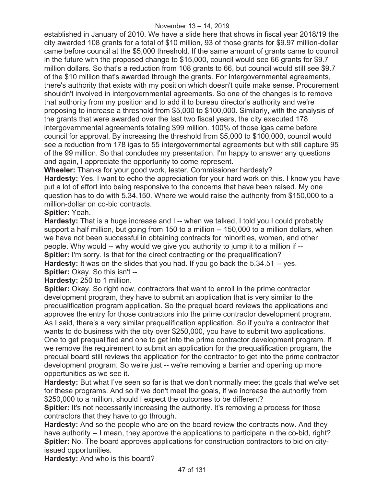established in January of 2010. We have a slide here that shows in fiscal year 2018/19 the city awarded 108 grants for a total of \$10 million, 93 of those grants for \$9.97 million-dollar came before council at the \$5,000 threshold. If the same amount of grants came to council in the future with the proposed change to \$15,000, council would see 66 grants for \$9.7 million dollars. So that's a reduction from 108 grants to 66, but council would still see \$9.7 of the \$10 million that's awarded through the grants. For intergovernmental agreements, there's authority that exists with my position which doesn't quite make sense. Procurement shouldn't involved in intergovernmental agreements. So one of the changes is to remove that authority from my position and to add it to bureau director's authority and we're proposing to increase a threshold from \$5,000 to \$100,000. Similarly, with the analysis of the grants that were awarded over the last two fiscal years, the city executed 178 intergovernmental agreements totaling \$99 million. 100% of those igas came before council for approval. By increasing the threshold from \$5,000 to \$100,000, council would see a reduction from 178 igas to 55 intergovernmental agreements but with still capture 95 of the 99 million. So that concludes my presentation. I'm happy to answer any questions and again, I appreciate the opportunity to come represent.

**Wheeler:** Thanks for your good work, lester. Commissioner hardesty?

**Hardesty:** Yes. I want to echo the appreciation for your hard work on this. I know you have put a lot of effort into being responsive to the concerns that have been raised. My one question has to do with 5.34.150. Where we would raise the authority from \$150,000 to a million-dollar on co-bid contracts.

## **Spitler:** Yeah.

**Hardesty:** That is a huge increase and I -- when we talked, I told you I could probably support a half million, but going from 150 to a million -- 150,000 to a million dollars, when we have not been successful in obtaining contracts for minorities, women, and other people. Why would -- why would we give you authority to jump it to a million if -- **Spitler:** I'm sorry. Is that for the direct contracting or the prequalification? **Hardesty:** It was on the slides that you had. If you go back the 5.34.51 -- yes.

**Spitler:** Okay. So this isn't --

**Hardesty:** 250 to 1 million.

**Spitler:** Okay. So right now, contractors that want to enroll in the prime contractor development program, they have to submit an application that is very similar to the prequalification program application. So the prequal board reviews the applications and approves the entry for those contractors into the prime contractor development program. As I said, there's a very similar prequalification application. So if you're a contractor that wants to do business with the city over \$250,000, you have to submit two applications. One to get prequalified and one to get into the prime contractor development program. If we remove the requirement to submit an application for the prequalification program, the prequal board still reviews the application for the contractor to get into the prime contractor development program. So we're just -- we're removing a barrier and opening up more opportunities as we see it.

**Hardesty:** But what I've seen so far is that we don't normally meet the goals that we've set for these programs. And so if we don't meet the goals, if we increase the authority from \$250,000 to a million, should I expect the outcomes to be different?

**Spitler:** It's not necessarily increasing the authority. It's removing a process for those contractors that they have to go through.

**Hardesty:** And so the people who are on the board review the contracts now. And they have authority -- I mean, they approve the applications to participate in the co-bid, right? **Spitler:** No. The board approves applications for construction contractors to bid on cityissued opportunities.

**Hardesty:** And who is this board?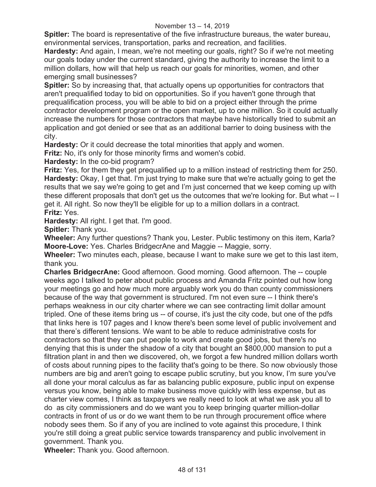#### November 13 – 14, 2019

**Spitler:** The board is representative of the five infrastructure bureaus, the water bureau, environmental services, transportation, parks and recreation, and facilities.

**Hardesty:** And again, I mean, we're not meeting our goals, right? So if we're not meeting our goals today under the current standard, giving the authority to increase the limit to a million dollars, how will that help us reach our goals for minorities, women, and other emerging small businesses?

**Spitler:** So by increasing that, that actually opens up opportunities for contractors that aren't prequalified today to bid on opportunities. So if you haven't gone through that prequalification process, you will be able to bid on a project either through the prime contractor development program or the open market, up to one million. So it could actually increase the numbers for those contractors that maybe have historically tried to submit an application and got denied or see that as an additional barrier to doing business with the city.

**Hardesty:** Or it could decrease the total minorities that apply and women.

**Fritz:** No, it's only for those minority firms and women's cobid.

**Hardesty:** In the co-bid program?

**Fritz:** Yes, for them they get prequalified up to a million instead of restricting them for 250. **Hardesty:** Okay, I get that. I'm just trying to make sure that we're actually going to get the results that we say we're going to get and I'm just concerned that we keep coming up with these different proposals that don't get us the outcomes that we're looking for. But what -- I get it. All right. So now they'll be eligible for up to a million dollars in a contract. **Fritz:** Yes.

**Hardesty:** All right. I get that. I'm good.

**Spitler:** Thank you.

**Wheeler:** Any further questions? Thank you, Lester. Public testimony on this item, Karla? **Moore-Love:** Yes. Charles BridgecrAne and Maggie -- Maggie, sorry.

**Wheeler:** Two minutes each, please, because I want to make sure we get to this last item, thank you.

**Charles BridgecrAne:** Good afternoon. Good morning. Good afternoon. The -- couple weeks ago I talked to peter about public process and Amanda Fritz pointed out how long your meetings go and how much more arguably work you do than county commissioners because of the way that government is structured. I'm not even sure -- I think there's perhaps weakness in our city charter where we can see contracting limit dollar amount tripled. One of these items bring us -- of course, it's just the city code, but one of the pdfs that links here is 107 pages and I know there's been some level of public involvement and that there's different tensions. We want to be able to reduce administrative costs for contractors so that they can put people to work and create good jobs, but there's no denying that this is under the shadow of a city that bought an \$800,000 mansion to put a filtration plant in and then we discovered, oh, we forgot a few hundred million dollars worth of costs about running pipes to the facility that's going to be there. So now obviously those numbers are big and aren't going to escape public scrutiny, but you know, I'm sure you've all done your moral calculus as far as balancing public exposure, public input on expense versus you know, being able to make business move quickly with less expense, but as charter view comes, I think as taxpayers we really need to look at what we ask you all to do as city commissioners and do we want you to keep bringing quarter million-dollar contracts in front of us or do we want them to be run through procurement office where nobody sees them. So if any of you are inclined to vote against this procedure, I think you're still doing a great public service towards transparency and public involvement in government. Thank you.

**Wheeler:** Thank you. Good afternoon.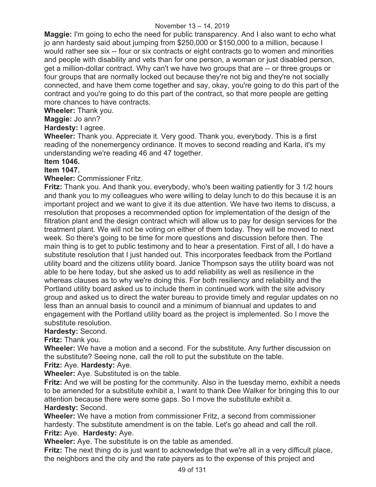**Maggie:** I'm going to echo the need for public transparency. And I also want to echo what jo ann hardesty said about jumping from \$250,000 or \$150,000 to a million, because I would rather see six -- four or six contracts or eight contracts go to women and minorities and people with disability and vets than for one person, a woman or just disabled person, get a million-dollar contract. Why can't we have two groups that are -- or three groups or four groups that are normally locked out because they're not big and they're not socially connected, and have them come together and say, okay, you're going to do this part of the contract and you're going to do this part of the contract, so that more people are getting more chances to have contracts.

**Wheeler:** Thank you.

**Maggie:** Jo ann?

**Hardesty:** I agree.

**Wheeler:** Thank you. Appreciate it. Very good. Thank you, everybody. This is a first reading of the nonemergency ordinance. It moves to second reading and Karla, it's my understanding we're reading 46 and 47 together.

## **Item 1046.**

## **Item 1047.**

**Wheeler:** Commissioner Fritz.

**Fritz:** Thank you. And thank you, everybody, who's been waiting patiently for 3 1/2 hours and thank you to my colleagues who were willing to delay lunch to do this because it is an important project and we want to give it its due attention. We have two items to discuss, a rresolution that proposes a recommended option for implementation of the design of the filtration plant and the design contract which will allow us to pay for design services for the treatment plant. We will not be voting on either of them today. They will be moved to next week. So there's going to be time for more questions and discussion before then. The main thing is to get to public testimony and to hear a presentation. First of all, I do have a substitute resolution that I just handed out. This incorporates feedback from the Portland utility board and the citizens utility board. Janice Thompson says the utility board was not able to be here today, but she asked us to add reliability as well as resilience in the whereas clauses as to why we're doing this. For both resiliency and reliability and the Portland utility board asked us to include them in continued work with the site advisory group and asked us to direct the water bureau to provide timely and regular updates on no less than an annual basis to council and a minimum of biannual and updates to and engagement with the Portland utility board as the project is implemented. So I move the substitute resolution.

#### **Hardesty:** Second.

**Fritz:** Thank you.

**Wheeler:** We have a motion and a second. For the substitute. Any further discussion on the substitute? Seeing none, call the roll to put the substitute on the table. **Fritz:** Aye. **Hardesty:** Aye.

**Wheeler:** Aye. Substituted is on the table.

**Fritz:** And we will be posting for the community. Also in the tuesday memo, exhibit a needs to be amended for a substitute exhibit a, I want to thank Dee Walker for bringing this to our attention because there were some gaps. So I move the substitute exhibit a. **Hardesty:** Second.

**Wheeler:** We have a motion from commissioner Fritz, a second from commissioner hardesty. The substitute amendment is on the table. Let's go ahead and call the roll. **Fritz:** Aye. **Hardesty:** Aye.

**Wheeler:** Aye. The substitute is on the table as amended.

**Fritz:** The next thing do is just want to acknowledge that we're all in a very difficult place, the neighbors and the city and the rate payers as to the expense of this project and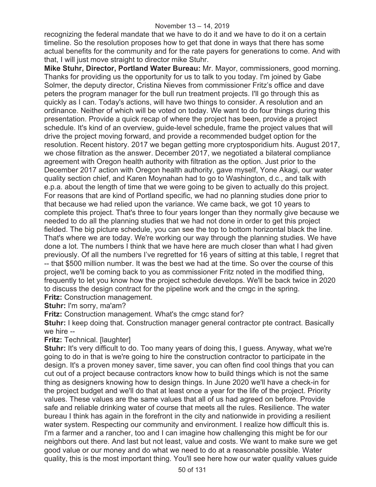#### November 13 – 14, 2019

recognizing the federal mandate that we have to do it and we have to do it on a certain timeline. So the resolution proposes how to get that done in ways that there has some actual benefits for the community and for the rate payers for generations to come. And with that, I will just move straight to director mike Stuhr.

**Mike Stuhr, Director, Portland Water Bureau:** Mr. Mayor, commissioners, good morning. Thanks for providing us the opportunity for us to talk to you today. I'm joined by Gabe Solmer, the deputy director, Cristina Nieves from commissioner Fritz's office and dave peters the program manager for the bull run treatment projects. I'll go through this as quickly as I can. Today's actions, will have two things to consider. A resolution and an ordinance. Neither of which will be voted on today. We want to do four things during this presentation. Provide a quick recap of where the project has been, provide a project schedule. It's kind of an overview, guide-level schedule, frame the project values that will drive the project moving forward, and provide a recommended budget option for the resolution. Recent history. 2017 we began getting more cryptosporidium hits. August 2017, we chose filtration as the answer. December 2017, we negotiated a bilateral compliance agreement with Oregon health authority with filtration as the option. Just prior to the December 2017 action with Oregon health authority, gave myself, Yone Akagi, our water quality section chief, and Karen Moynahan had to go to Washington, d.c., and talk with e.p.a. about the length of time that we were going to be given to actually do this project. For reasons that are kind of Portland specific, we had no planning studies done prior to that because we had relied upon the variance. We came back, we got 10 years to complete this project. That's three to four years longer than they normally give because we needed to do all the planning studies that we had not done in order to get this project fielded. The big picture schedule, you can see the top to bottom horizontal black the line. That's where we are today. We're working our way through the planning studies. We have done a lot. The numbers I think that we have here are much closer than what I had given previously. Of all the numbers I've regretted for 16 years of sitting at this table, I regret that -- that \$500 million number. It was the best we had at the time. So over the course of this project, we'll be coming back to you as commissioner Fritz noted in the modified thing, frequently to let you know how the project schedule develops. We'll be back twice in 2020 to discuss the design contract for the pipeline work and the cmgc in the spring. **Fritz: Construction management.** 

**Stuhr:** I'm sorry, ma'am?

**Fritz:** Construction management. What's the cmgc stand for?

**Stuhr:** I keep doing that. Construction manager general contractor pte contract. Basically we hire --

#### **Fritz:** Technical. [laughter]

**Stuhr:** It's very difficult to do. Too many years of doing this, I guess. Anyway, what we're going to do in that is we're going to hire the construction contractor to participate in the design. It's a proven money saver, time saver, you can often find cool things that you can cut out of a project because contractors know how to build things which is not the same thing as designers knowing how to design things. In June 2020 we'll have a check-in for the project budget and we'll do that at least once a year for the life of the project. Priority values. These values are the same values that all of us had agreed on before. Provide safe and reliable drinking water of course that meets all the rules. Resilience. The water bureau I think has again in the forefront in the city and nationwide in providing a resilient water system. Respecting our community and environment. I realize how difficult this is. I'm a farmer and a rancher, too and I can imagine how challenging this might be for our neighbors out there. And last but not least, value and costs. We want to make sure we get good value or our money and do what we need to do at a reasonable possible. Water quality, this is the most important thing. You'll see here how our water quality values guide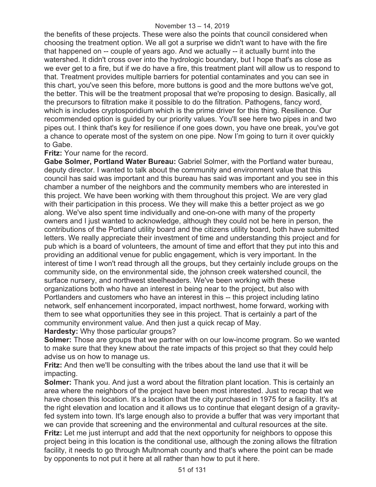the benefits of these projects. These were also the points that council considered when choosing the treatment option. We all got a surprise we didn't want to have with the fire that happened on -- couple of years ago. And we actually -- it actually burnt into the watershed. It didn't cross over into the hydrologic boundary, but I hope that's as close as we ever get to a fire, but if we do have a fire, this treatment plant will allow us to respond to that. Treatment provides multiple barriers for potential contaminates and you can see in this chart, you've seen this before, more buttons is good and the more buttons we've got, the better. This will be the treatment proposal that we're proposing to design. Basically, all the precursors to filtration make it possible to do the filtration. Pathogens, fancy word, which is includes cryptosporidium which is the prime driver for this thing. Resilience. Our recommended option is guided by our priority values. You'll see here two pipes in and two pipes out. I think that's key for resilience if one goes down, you have one break, you've got a chance to operate most of the system on one pipe. Now I'm going to turn it over quickly to Gabe.

### **Fritz:** Your name for the record.

**Gabe Solmer, Portland Water Bureau:** Gabriel Solmer, with the Portland water bureau, deputy director. I wanted to talk about the community and environment value that this council has said was important and this bureau has said was important and you see in this chamber a number of the neighbors and the community members who are interested in this project. We have been working with them throughout this project. We are very glad with their participation in this process. We they will make this a better project as we go along. We've also spent time individually and one-on-one with many of the property owners and I just wanted to acknowledge, although they could not be here in person, the contributions of the Portland utility board and the citizens utility board, both have submitted letters. We really appreciate their investment of time and understanding this project and for pub which is a board of volunteers, the amount of time and effort that they put into this and providing an additional venue for public engagement, which is very important. In the interest of time I won't read through all the groups, but they certainly include groups on the community side, on the environmental side, the johnson creek watershed council, the surface nursery, and northwest steelheaders. We've been working with these organizations both who have an interest in being near to the project, but also with Portlanders and customers who have an interest in this -- this project including latino network, self enhancement incorporated, impact northwest, home forward, working with them to see what opportunities they see in this project. That is certainly a part of the community environment value. And then just a quick recap of May.

**Hardesty:** Why those particular groups?

**Solmer:** Those are groups that we partner with on our low-income program. So we wanted to make sure that they knew about the rate impacts of this project so that they could help advise us on how to manage us.

**Fritz:** And then we'll be consulting with the tribes about the land use that it will be impacting.

**Solmer:** Thank you. And just a word about the filtration plant location. This is certainly an area where the neighbors of the project have been most interested. Just to recap that we have chosen this location. It's a location that the city purchased in 1975 for a facility. It's at the right elevation and location and it allows us to continue that elegant design of a gravityfed system into town. It's large enough also to provide a buffer that was very important that we can provide that screening and the environmental and cultural resources at the site. **Fritz:** Let me just interrupt and add that the next opportunity for neighbors to oppose this project being in this location is the conditional use, although the zoning allows the filtration facility, it needs to go through Multnomah county and that's where the point can be made by opponents to not put it here at all rather than how to put it here.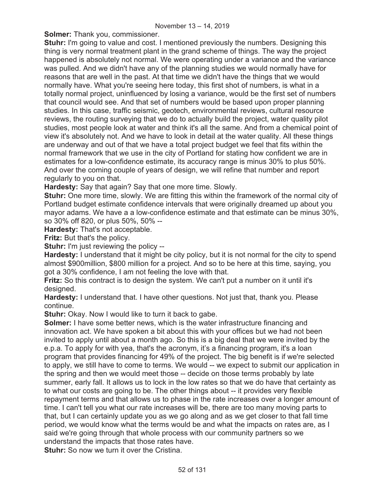**Solmer:** Thank you, commissioner.

**Stuhr:** I'm going to value and cost. I mentioned previously the numbers. Designing this thing is very normal treatment plant in the grand scheme of things. The way the project happened is absolutely not normal. We were operating under a variance and the variance was pulled. And we didn't have any of the planning studies we would normally have for reasons that are well in the past. At that time we didn't have the things that we would normally have. What you're seeing here today, this first shot of numbers, is what in a totally normal project, uninfluenced by losing a variance, would be the first set of numbers that council would see. And that set of numbers would be based upon proper planning studies. In this case, traffic seismic, geotech, environmental reviews, cultural resource reviews, the routing surveying that we do to actually build the project, water quality pilot studies, most people look at water and think it's all the same. And from a chemical point of view it's absolutely not. And we have to look in detail at the water quality. All these things are underway and out of that we have a total project budget we feel that fits within the normal framework that we use in the city of Portland for stating how confident we are in estimates for a low-confidence estimate, its accuracy range is minus 30% to plus 50%. And over the coming couple of years of design, we will refine that number and report regularly to you on that.

**Hardesty:** Say that again? Say that one more time. Slowly.

**Stuhr:** One more time, slowly. We are fitting this within the framework of the normal city of Portland budget estimate confidence intervals that were originally dreamed up about you mayor adams. We have a a low-confidence estimate and that estimate can be minus 30%, so 30% off 820, or plus 50%, 50% --

**Hardesty:** That's not acceptable.

**Fritz:** But that's the policy.

**Stuhr:** I'm just reviewing the policy --

**Hardesty:** I understand that it might be city policy, but it is not normal for the city to spend almost \$900million, \$800 million for a project. And so to be here at this time, saying, you got a 30% confidence, I am not feeling the love with that.

**Fritz:** So this contract is to design the system. We can't put a number on it until it's designed.

**Hardesty:** I understand that. I have other questions. Not just that, thank you. Please continue.

**Stuhr:** Okay. Now I would like to turn it back to gabe.

**Solmer:** I have some better news, which is the water infrastructure financing and innovation act. We have spoken a bit about this with your offices but we had not been invited to apply until about a month ago. So this is a big deal that we were invited by the e.p.a. To apply for with yea, that's the acronym, it's a financing program, it's a loan program that provides financing for 49% of the project. The big benefit is if we're selected to apply, we still have to come to terms. We would -- we expect to submit our application in the spring and then we would meet those -- decide on those terms probably by late summer, early fall. It allows us to lock in the low rates so that we do have that certainty as to what our costs are going to be. The other things about -- it provides very flexible repayment terms and that allows us to phase in the rate increases over a longer amount of time. I can't tell you what our rate increases will be, there are too many moving parts to that, but I can certainly update you as we go along and as we get closer to that fall time period, we would know what the terms would be and what the impacts on rates are, as I said we're going through that whole process with our community partners so we understand the impacts that those rates have.

**Stuhr:** So now we turn it over the Cristina.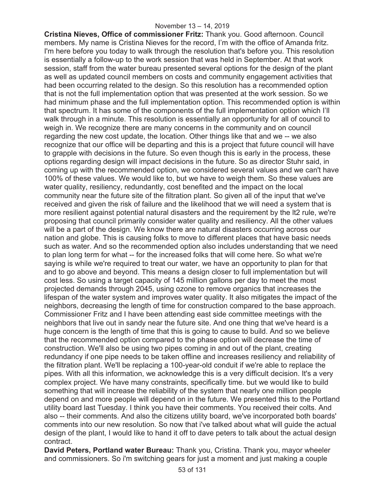**Cristina Nieves, Office of commissioner Fritz:** Thank you. Good afternoon. Council members. My name is Cristina Nieves for the record, I'm with the office of Amanda fritz. I'm here before you today to walk through the resolution that's before you. This resolution is essentially a follow-up to the work session that was held in September. At that work session, staff from the water bureau presented several options for the design of the plant as well as updated council members on costs and community engagement activities that had been occurring related to the design. So this resolution has a recommended option that is not the full implementation option that was presented at the work session. So we had minimum phase and the full implementation option. This recommended option is within that spectrum. It has some of the components of the full implementation option which I'll walk through in a minute. This resolution is essentially an opportunity for all of council to weigh in. We recognize there are many concerns in the community and on council regarding the new cost update, the location. Other things like that and we -- we also recognize that our office will be departing and this is a project that future council will have to grapple with decisions in the future. So even though this is early in the process, these options regarding design will impact decisions in the future. So as director Stuhr said, in coming up with the recommended option, we considered several values and we can't have 100% of these values. We would like to, but we have to weigh them. So these values are water quality, resiliency, redundantly, cost benefited and the impact on the local community near the future site of the filtration plant. So given all of the input that we've received and given the risk of failure and the likelihood that we will need a system that is more resilient against potential natural disasters and the requirement by the lt2 rule, we're proposing that council primarily consider water quality and resiliency. All the other values will be a part of the design. We know there are natural disasters occurring across our nation and globe. This is causing folks to move to different places that have basic needs such as water. And so the recommended option also includes understanding that we need to plan long term for what -- for the increased folks that will come here. So what we're saying is while we're required to treat our water, we have an opportunity to plan for that and to go above and beyond. This means a design closer to full implementation but will cost less. So using a target capacity of 145 million gallons per day to meet the most projected demands through 2045, using ozone to remove organics that increases the lifespan of the water system and improves water quality. It also mitigates the impact of the neighbors, decreasing the length of time for construction compared to the base approach. Commissioner Fritz and I have been attending east side committee meetings with the neighbors that live out in sandy near the future site. And one thing that we've heard is a huge concern is the length of time that this is going to cause to build. And so we believe that the recommended option compared to the phase option will decrease the time of construction. We'll also be using two pipes coming in and out of the plant, creating redundancy if one pipe needs to be taken offline and increases resiliency and reliability of the filtration plant. We'll be replacing a 100-year-old conduit if we're able to replace the pipes. With all this information, we acknowledge this is a very difficult decision. It's a very complex project. We have many constraints, specifically time. but we would like to build something that will increase the reliability of the system that nearly one million people depend on and more people will depend on in the future. We presented this to the Portland utility board last Tuesday. I think you have their comments. You received their colts. And also -- their comments. And also the citizens utility board, we've incorporated both boards' comments into our new resolution. So now that i've talked about what will guide the actual design of the plant, I would like to hand it off to dave peters to talk about the actual design contract.

**David Peters, Portland water Bureau:** Thank you, Cristina. Thank you, mayor wheeler and commissioners. So i'm switching gears for just a moment and just making a couple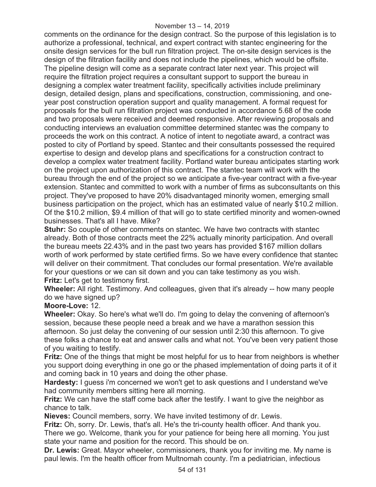#### November 13 – 14, 2019

comments on the ordinance for the design contract. So the purpose of this legislation is to authorize a professional, technical, and expert contract with stantec engineering for the onsite design services for the bull run filtration project. The on-site design services is the design of the filtration facility and does not include the pipelines, which would be offsite. The pipeline design will come as a separate contract later next year. This project will require the filtration project requires a consultant support to support the bureau in designing a complex water treatment facility, specifically activities include preliminary design, detailed design, plans and specifications, construction, commissioning, and oneyear post construction operation support and quality management. A formal request for proposals for the bull run filtration project was conducted in accordance 5.68 of the code and two proposals were received and deemed responsive. After reviewing proposals and conducting interviews an evaluation committee determined stantec was the company to proceeds the work on this contract. A notice of intent to negotiate award, a contract was posted to city of Portland by speed. Stantec and their consultants possessed the required expertise to design and develop plans and specifications for a construction contract to develop a complex water treatment facility. Portland water bureau anticipates starting work on the project upon authorization of this contract. The stantec team will work with the bureau through the end of the project so we anticipate a five-year contract with a five-year extension. Stantec and committed to work with a number of firms as subconsultants on this project. They've proposed to have 20% disadvantaged minority women, emerging small business participation on the project, which has an estimated value of nearly \$10.2 million. Of the \$10.2 million, \$9.4 million of that will go to state certified minority and women-owned businesses. That's all I have. Mike?

**Stuhr:** So couple of other comments on stantec. We have two contracts with stantec already. Both of those contracts meet the 22% actually minority participation. And overall the bureau meets 22.43% and in the past two years has provided \$167 million dollars worth of work performed by state certified firms. So we have every confidence that stantec will deliver on their commitment. That concludes our formal presentation. We're available for your questions or we can sit down and you can take testimony as you wish. **Fritz:** Let's get to testimony first.

**Wheeler:** All right. Testimony. And colleagues, given that it's already -- how many people do we have signed up?

## **Moore-Love:** 12.

**Wheeler:** Okay. So here's what we'll do. I'm going to delay the convening of afternoon's session, because these people need a break and we have a marathon session this afternoon. So just delay the convening of our session until 2:30 this afternoon. To give these folks a chance to eat and answer calls and what not. You've been very patient those of you waiting to testify.

**Fritz:** One of the things that might be most helpful for us to hear from neighbors is whether you support doing everything in one go or the phased implementation of doing parts it of it and coming back in 10 years and doing the other phase.

**Hardesty:** I guess i'm concerned we won't get to ask questions and I understand we've had community members sitting here all morning.

**Fritz:** We can have the staff come back after the testify. I want to give the neighbor as chance to talk.

**Nieves:** Council members, sorry. We have invited testimony of dr. Lewis.

**Fritz:** Oh, sorry. Dr. Lewis, that's all. He's the tri-county health officer. And thank you. There we go. Welcome, thank you for your patience for being here all morning. You just state your name and position for the record. This should be on.

**Dr. Lewis:** Great. Mayor wheeler, commissioners, thank you for inviting me. My name is paul lewis. I'm the health officer from Multnomah county. I'm a pediatrician, infectious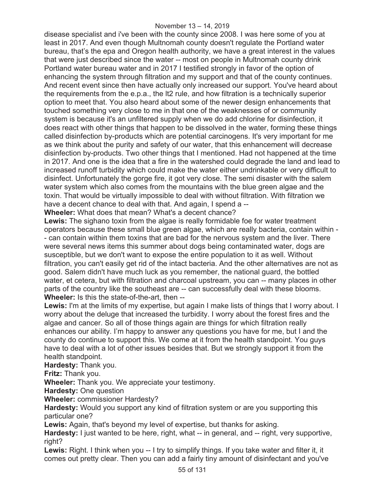disease specialist and i've been with the county since 2008. I was here some of you at least in 2017. And even though Multnomah county doesn't regulate the Portland water bureau, that's the epa and Oregon health authority, we have a great interest in the values that were just described since the water -- most on people in Multnomah county drink Portland water bureau water and in 2017 I testified strongly in favor of the option of enhancing the system through filtration and my support and that of the county continues. And recent event since then have actually only increased our support. You've heard about the requirements from the e.p.a., the lt2 rule, and how filtration is a technically superior option to meet that. You also heard about some of the newer design enhancements that touched something very close to me in that one of the weaknesses of or community system is because it's an unfiltered supply when we do add chlorine for disinfection, it does react with other things that happen to be dissolved in the water, forming these things called disinfection by-products which are potential carcinogens. It's very important for me as we think about the purity and safety of our water, that this enhancement will decrease disinfection by-products. Two other things that I mentioned. Had not happened at the time in 2017. And one is the idea that a fire in the watershed could degrade the land and lead to increased runoff turbidity which could make the water either undrinkable or very difficult to disinfect. Unfortunately the gorge fire, it got very close. The semi disaster with the salem water system which also comes from the mountains with the blue green algae and the toxin. That would be virtually impossible to deal with without filtration. With filtration we have a decent chance to deal with that. And again, I spend a --

**Wheeler:** What does that mean? What's a decent chance?

Lewis: The sighano toxin from the algae is really formidable foe for water treatment operators because these small blue green algae, which are really bacteria, contain within - - can contain within them toxins that are bad for the nervous system and the liver. There were several news items this summer about dogs being contaminated water, dogs are susceptible, but we don't want to expose the entire population to it as well. Without filtration, you can't easily get rid of the intact bacteria. And the other alternatives are not as good. Salem didn't have much luck as you remember, the national guard, the bottled water, et cetera, but with filtration and charcoal upstream, you can -- many places in other parts of the country like the southeast are -- can successfully deal with these blooms. **Wheeler:** Is this the state-of-the-art, then --

**Lewis:** I'm at the limits of my expertise, but again I make lists of things that I worry about. I worry about the deluge that increased the turbidity. I worry about the forest fires and the algae and cancer. So all of those things again are things for which filtration really enhances our ability. I'm happy to answer any questions you have for me, but I and the county do continue to support this. We come at it from the health standpoint. You guys have to deal with a lot of other issues besides that. But we strongly support it from the health standpoint.

**Hardesty:** Thank you.

**Fritz:** Thank you.

**Wheeler:** Thank you. We appreciate your testimony.

**Hardesty: One question** 

**Wheeler:** commissioner Hardesty?

**Hardesty:** Would you support any kind of filtration system or are you supporting this particular one?

**Lewis:** Again, that's beyond my level of expertise, but thanks for asking.

**Hardesty:** I just wanted to be here, right, what -- in general, and -- right, very supportive, right?

Lewis: Right. I think when you -- I try to simplify things. If you take water and filter it, it comes out pretty clear. Then you can add a fairly tiny amount of disinfectant and you've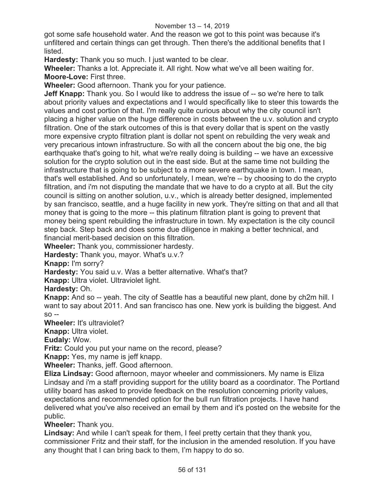got some safe household water. And the reason we got to this point was because it's unfiltered and certain things can get through. Then there's the additional benefits that I listed.

**Hardesty:** Thank you so much. I just wanted to be clear.

**Wheeler:** Thanks a lot. Appreciate it. All right. Now what we've all been waiting for. **Moore-Love:** First three.

**Wheeler:** Good afternoon. Thank you for your patience.

**Jeff Knapp:** Thank you. So I would like to address the issue of -- so we're here to talk about priority values and expectations and I would specifically like to steer this towards the values and cost portion of that. I'm really quite curious about why the city council isn't placing a higher value on the huge difference in costs between the u.v. solution and crypto filtration. One of the stark outcomes of this is that every dollar that is spent on the vastly more expensive crypto filtration plant is dollar not spent on rebuilding the very weak and very precarious intown infrastructure. So with all the concern about the big one, the big earthquake that's going to hit, what we're really doing is building -- we have an excessive solution for the crypto solution out in the east side. But at the same time not building the infrastructure that is going to be subject to a more severe earthquake in town. I mean, that's well established. And so unfortunately, I mean, we're -- by choosing to do the crypto filtration, and i'm not disputing the mandate that we have to do a crypto at all. But the city council is sitting on another solution, u.v., which is already better designed, implemented by san francisco, seattle, and a huge facility in new york. They're sitting on that and all that money that is going to the more -- this platinum filtration plant is going to prevent that money being spent rebuilding the infrastructure in town. My expectation is the city council step back. Step back and does some due diligence in making a better technical, and financial merit-based decision on this filtration.

**Wheeler:** Thank you, commissioner hardesty.

**Hardesty:** Thank you, mayor. What's u.v.?

**Knapp:** I'm sorry?

**Hardesty:** You said u.v. Was a better alternative. What's that?

**Knapp:** Ultra violet. Ultraviolet light.

**Hardesty:** Oh.

**Knapp:** And so -- yeah. The city of Seattle has a beautiful new plant, done by ch2m hill. I want to say about 2011. And san francisco has one. New york is building the biggest. And so --

**Wheeler:** It's ultraviolet?

**Knapp:** Ultra violet.

**Eudaly:** Wow.

**Fritz:** Could you put your name on the record, please?

**Knapp:** Yes, my name is jeff knapp.

**Wheeler:** Thanks, jeff. Good afternoon.

**Eliza Lindsay:** Good afternoon, mayor wheeler and commissioners. My name is Eliza Lindsay and i'm a staff providing support for the utility board as a coordinator. The Portland utility board has asked to provide feedback on the resolution concerning priority values, expectations and recommended option for the bull run filtration projects. I have hand delivered what you've also received an email by them and it's posted on the website for the public.

**Wheeler:** Thank you.

**Lindsay:** And while I can't speak for them, I feel pretty certain that they thank you, commissioner Fritz and their staff, for the inclusion in the amended resolution. If you have any thought that I can bring back to them, I'm happy to do so.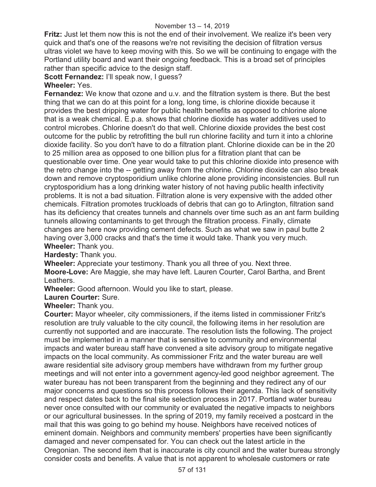**Fritz:** Just let them now this is not the end of their involvement. We realize it's been very quick and that's one of the reasons we're not revisiting the decision of filtration versus ultras violet we have to keep moving with this. So we will be continuing to engage with the Portland utility board and want their ongoing feedback. This is a broad set of principles rather than specific advice to the design staff.

**Scott Fernandez:** I'll speak now, I guess?

## **Wheeler:** Yes.

**Fernandez:** We know that ozone and u.v. and the filtration system is there. But the best thing that we can do at this point for a long, long time, is chlorine dioxide because it provides the best dripping water for public health benefits as opposed to chlorine alone that is a weak chemical. E.p.a. shows that chlorine dioxide has water additives used to control microbes. Chlorine doesn't do that well. Chlorine dioxide provides the best cost outcome for the public by retrofitting the bull run chlorine facility and turn it into a chlorine dioxide facility. So you don't have to do a filtration plant. Chlorine dioxide can be in the 20 to 25 million area as opposed to one billion plus for a filtration plant that can be questionable over time. One year would take to put this chlorine dioxide into presence with the retro change into the -- getting away from the chlorine. Chlorine dioxide can also break down and remove cryptosporidium unlike chlorine alone providing inconsistencies. Bull run cryptosporidium has a long drinking water history of not having public health infectivity problems. It is not a bad situation. Filtration alone is very expensive with the added other chemicals. Filtration promotes truckloads of debris that can go to Arlington, filtration sand has its deficiency that creates tunnels and channels over time such as an ant farm building tunnels allowing contaminants to get through the filtration process. Finally, climate changes are here now providing cement defects. Such as what we saw in paul butte 2 having over 3,000 cracks and that's the time it would take. Thank you very much. **Wheeler:** Thank you.

**Hardesty:** Thank you.

**Wheeler:** Appreciate your testimony. Thank you all three of you. Next three.

**Moore-Love:** Are Maggie, she may have left. Lauren Courter, Carol Bartha, and Brent Leathers.

**Wheeler:** Good afternoon. Would you like to start, please.

**Lauren Courter:** Sure.

**Wheeler:** Thank you.

**Courter:** Mayor wheeler, city commissioners, if the items listed in commissioner Fritz's resolution are truly valuable to the city council, the following items in her resolution are currently not supported and are inaccurate. The resolution lists the following. The project must be implemented in a manner that is sensitive to community and environmental impacts and water bureau staff have convened a site advisory group to mitigate negative impacts on the local community. As commissioner Fritz and the water bureau are well aware residential site advisory group members have withdrawn from my further group meetings and will not enter into a government agency-led good neighbor agreement. The water bureau has not been transparent from the beginning and they redirect any of our major concerns and questions so this process follows their agenda. This lack of sensitivity and respect dates back to the final site selection process in 2017. Portland water bureau never once consulted with our community or evaluated the negative impacts to neighbors or our agricultural businesses. In the spring of 2019, my family received a postcard in the mail that this was going to go behind my house. Neighbors have received notices of eminent domain. Neighbors and community members' properties have been significantly damaged and never compensated for. You can check out the latest article in the Oregonian. The second item that is inaccurate is city council and the water bureau strongly consider costs and benefits. A value that is not apparent to wholesale customers or rate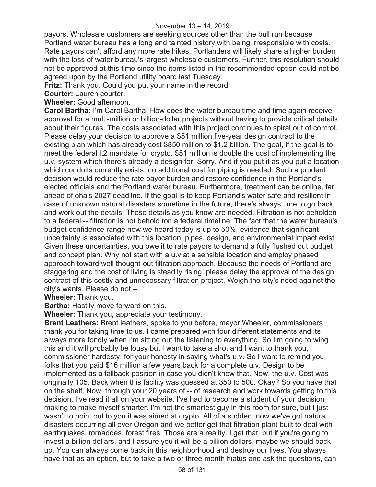payors. Wholesale customers are seeking sources other than the bull run because Portland water bureau has a long and tainted history with being irresponsible with costs. Rate payors can't afford any more rate hikes. Portlanders will likely share a higher burden with the loss of water bureau's largest wholesale customers. Further, this resolution should not be approved at this time since the items listed in the recommended option could not be agreed upon by the Portland utility board last Tuesday.

**Fritz:** Thank you. Could you put your name in the record.

**Courter:** Lauren courter.

**Wheeler:** Good afternoon.

**Carol Bartha:** I'm Carol Bartha. How does the water bureau time and time again receive approval for a multi-million or billion-dollar projects without having to provide critical details about their figures. The costs associated with this project continues to spiral out of control. Please delay your decision to approve a \$51 million five-year design contract to the existing plan which has already cost \$850 million to \$1.2 billion. The goal, if the goal is to meet the federal lt2 mandate for crypto, \$51 million is double the cost of implementing the u.v. system which there's already a design for. Sorry. And if you put it as you put a location which conduits currently exists, no additional cost for piping is needed. Such a prudent decision would reduce the rate payor burden and restore confidence in the Portland's elected officials and the Portland water bureau. Furthermore, treatment can be online, far ahead of oha's 2027 deadline. If the goal is to keep Portland's water safe and resilient in case of unknown natural disasters sometime in the future, there's always time to go back and work out the details. These details as you know are needed. Filtration is not beholden to a federal -- filtration is not behold ton a federal timeline. The fact that the water bureau's budget confidence range now we heard today is up to 50%, evidence that significant uncertainty is associated with this location, pipes, design, and environmental impact exist. Given these uncertainties, you owe it to rate payors to demand a fully flushed out budget and concept plan. Why not start with a u.v at a sensible location and employ phased approach toward well thought-out filtration approach. Because the needs of Portland are staggering and the cost of living is steadily rising, please delay the approval of the design contract of this costly and unnecessary filtration project. Weigh the city's need against the city's wants. Please do not --

**Wheeler:** Thank you.

**Bartha:** Hastily move forward on this.

**Wheeler:** Thank you, appreciate your testimony.

**Brent Leathers:** Brent leathers, spoke to you before, mayor Wheeler, commissioners thank you for taking time to us. I came prepared with four different statements and its always more fondly when I'm sitting out the listening to everything. So I'm going to wing this and it will probably be lousy but I want to take a shot and I want to thank you, commissioner hardesty, for your honesty in saying what's u.v. So I want to remind you folks that you paid \$16 million a few years back for a complete u.v. Design to be implemented as a fallback position in case you didn't know that. Now, the u.v. Cost was originally 105. Back when this facility was guessed at 350 to 500. Okay? So you have that on the shelf. Now, through your 20 years of -- of research and work towards getting to this decision, I've read it all on your website. I've had to become a student of your decision making to make myself smarter. I'm not the smartest guy in this room for sure, but I just wasn't to point out to you it was aimed at crypto. All of a sudden, now we've got natural disasters occurring all over Oregon and we better get that filtration plant built to deal with earthquakes, tornadoes, forest fires. Those are a reality. I get that, but if you're going to invest a billion dollars, and I assure you it will be a billion dollars, maybe we should back up. You can always come back in this neighborhood and destroy our lives. You always have that as an option, but to take a two or three month hiatus and ask the questions, can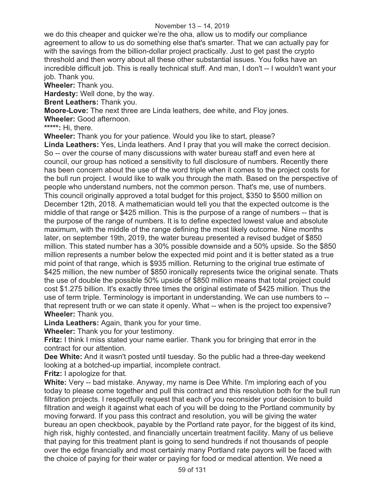#### November 13 – 14, 2019

we do this cheaper and quicker we're the oha, allow us to modify our compliance agreement to allow to us do something else that's smarter. That we can actually pay for with the savings from the billion-dollar project practically. Just to get past the crypto threshold and then worry about all these other substantial issues. You folks have an incredible difficult job. This is really technical stuff. And man, I don't -- I wouldn't want your job. Thank you.

**Wheeler:** Thank you.

**Hardesty:** Well done, by the way.

**Brent Leathers:** Thank you.

**Moore-Love:** The next three are Linda leathers, dee white, and Floy jones.

**Wheeler:** Good afternoon.

**\*\*\*\*\*:** Hi, there.

**Wheeler:** Thank you for your patience. Would you like to start, please?

**Linda Leathers:** Yes, Linda leathers. And I pray that you will make the correct decision. So -- over the course of many discussions with water bureau staff and even here at council, our group has noticed a sensitivity to full disclosure of numbers. Recently there has been concern about the use of the word triple when it comes to the project costs for the bull run project. I would like to walk you through the math. Based on the perspective of people who understand numbers, not the common person. That's me, use of numbers. This council originally approved a total budget for this project, \$350 to \$500 million on December 12th, 2018. A mathematician would tell you that the expected outcome is the middle of that range or \$425 million. This is the purpose of a range of numbers -- that is the purpose of the range of numbers. It is to define expected lowest value and absolute maximum, with the middle of the range defining the most likely outcome. Nine months later, on september 19th, 2019, the water bureau presented a revised budget of \$850 million. This stated number has a 30% possible downside and a 50% upside. So the \$850 million represents a number below the expected mid point and it is better stated as a true mid point of that range, which is \$935 million. Returning to the original true estimate of \$425 million, the new number of \$850 ironically represents twice the original senate. Thats the use of double the possible 50% upside of \$850 million means that total project could cost \$1.275 billion. It's exactly three times the original estimate of \$425 million. Thus the use of term triple. Terminology is important in understanding. We can use numbers to - that represent truth or we can state it openly. What -- when is the project too expensive? **Wheeler:** Thank you.

**Linda Leathers:** Again, thank you for your time.

**Wheeler:** Thank you for your testimony.

**Fritz:** I think I miss stated your name earlier. Thank you for bringing that error in the contract for our attention.

**Dee White:** And it wasn't posted until tuesday. So the public had a three-day weekend looking at a botched-up impartial, incomplete contract.

**Fritz:** I apologize for that.

**White:** Very -- bad mistake. Anyway, my name is Dee White. I'm imploring each of you today to please come together and pull this contract and this resolution both for the bull run filtration projects. I respectfully request that each of you reconsider your decision to build filtration and weigh it against what each of you will be doing to the Portland community by moving forward. If you pass this contract and resolution, you will be giving the water bureau an open checkbook, payable by the Portland rate payor, for the biggest of its kind, high risk, highly contested, and financially uncertain treatment facility. Many of us believe that paying for this treatment plant is going to send hundreds if not thousands of people over the edge financially and most certainly many Portland rate payors will be faced with the choice of paying for their water or paying for food or medical attention. We need a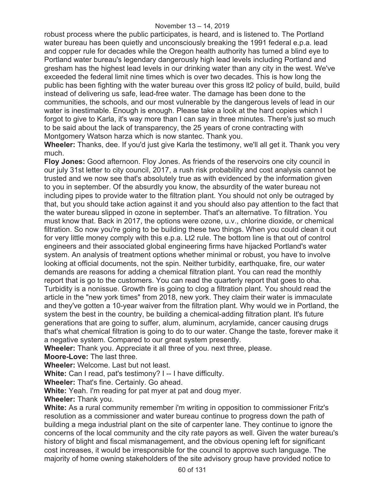robust process where the public participates, is heard, and is listened to. The Portland water bureau has been quietly and unconsciously breaking the 1991 federal e.p.a. lead and copper rule for decades while the Oregon health authority has turned a blind eye to Portland water bureau's legendary dangerously high lead levels including Portland and gresham has the highest lead levels in our drinking water than any city in the west. We've exceeded the federal limit nine times which is over two decades. This is how long the public has been fighting with the water bureau over this gross lt2 policy of build, build, build instead of delivering us safe, lead-free water. The damage has been done to the communities, the schools, and our most vulnerable by the dangerous levels of lead in our water is inestimable. Enough is enough. Please take a look at the hard copies which I forgot to give to Karla, it's way more than I can say in three minutes. There's just so much to be said about the lack of transparency, the 25 years of crone contracting with Montgomery Watson harza which is now stantec. Thank you.

**Wheeler:** Thanks, dee. If you'd just give Karla the testimony, we'll all get it. Thank you very much.

**Floy Jones:** Good afternoon. Floy Jones. As friends of the reservoirs one city council in our july 31st letter to city council, 2017, a rush risk probability and cost analysis cannot be trusted and we now see that's absolutely true as with evidenced by the information given to you in september. Of the absurdly you know, the absurdity of the water bureau not including pipes to provide water to the filtration plant. You should not only be outraged by that, but you should take action against it and you should also pay attention to the fact that the water bureau slipped in ozone in september. That's an alternative. To filtration. You must know that. Back in 2017, the options were ozone, u.v., chlorine dioxide, or chemical filtration. So now you're going to be building these two things. When you could clean it out for very little money comply with this e.p.a. Lt2 rule. The bottom line is that out of control engineers and their associated global engineering firms have hijacked Portland's water system. An analysis of treatment options whether minimal or robust, you have to involve looking at official documents, not the spin. Neither turbidity, earthquake, fire, our water demands are reasons for adding a chemical filtration plant. You can read the monthly report that is go to the customers. You can read the quarterly report that goes to oha. Turbidity is a nonissue. Growth fire is going to clog a filtration plant. You should read the article in the "new york times" from 2018, new york. They claim their water is immaculate and they've gotten a 10-year waiver from the filtration plant. Why would we in Portland, the system the best in the country, be building a chemical-adding filtration plant. It's future generations that are going to suffer, alum, aluminum, acrylamide, cancer causing drugs that's what chemical filtration is going to do to our water. Change the taste, forever make it a negative system. Compared to our great system presently.

**Wheeler:** Thank you. Appreciate it all three of you. next three, please.

**Moore-Love:** The last three.

**Wheeler:** Welcome. Last but not least.

**White:** Can I read, pat's testimony? I -- I have difficulty.

**Wheeler:** That's fine. Certainly. Go ahead.

**White:** Yeah. I'm reading for pat myer at pat and doug myer.

**Wheeler:** Thank you.

**White:** As a rural community remember i'm writing in opposition to commissioner Fritz's resolution as a commissioner and water bureau continue to progress down the path of building a mega industrial plant on the site of carpenter lane. They continue to ignore the concerns of the local community and the city rate payors as well. Given the water bureau's history of blight and fiscal mismanagement, and the obvious opening left for significant cost increases, it would be irresponsible for the council to approve such language. The majority of home owning stakeholders of the site advisory group have provided notice to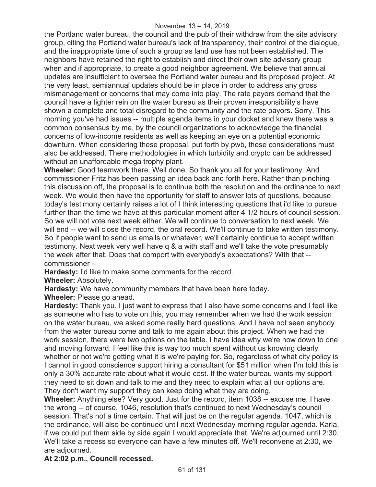the Portland water bureau, the council and the pub of their withdraw from the site advisory group, citing the Portland water bureau's lack of transparency, their control of the dialogue, and the inappropriate time of such a group as land use has not been established. The neighbors have retained the right to establish and direct their own site advisory group when and if appropriate, to create a good neighbor agreement. We believe that annual updates are insufficient to oversee the Portland water bureau and its proposed project. At the very least, semiannual updates should be in place in order to address any gross mismanagement or concerns that may come into play. The rate payors demand that the council have a tighter rein on the water bureau as their proven irresponsibility's have shown a complete and total disregard to the community and the rate payors. Sorry. This morning you've had issues -- multiple agenda items in your docket and knew there was a common consensus by me, by the council organizations to acknowledge the financial concerns of low-income residents as well as keeping an eye on a potential economic downturn. When considering these proposal, put forth by pwb, these considerations must also be addressed. There methodologies in which turbidity and crypto can be addressed without an unaffordable mega trophy plant.

**Wheeler:** Good teamwork there. Well done. So thank you all for your testimony. And commissioner Fritz has been passing an idea back and forth here. Rather than pinching this discussion off, the proposal is to continue both the resolution and the ordinance to next week. We would then have the opportunity for staff to answer lots of questions, because today's testimony certainly raises a lot of I think interesting questions that i'd like to pursue further than the time we have at this particular moment after 4 1/2 hours of council session. So we will not vote next week either. We will continue to conversation to next week. We will end -- we will close the record, the oral record. We'll continue to take written testimony. So if people want to send us emails or whatever, we'll certainly continue to accept written testimony. Next week very well have q & a with staff and we'll take the vote presumably the week after that. Does that comport with everybody's expectations? With that - commissioner --

**Hardesty:** I'd like to make some comments for the record.

**Wheeler:** Absolutely.

**Hardesty:** We have community members that have been here today.

**Wheeler:** Please go ahead.

**Hardesty:** Thank you. I just want to express that I also have some concerns and I feel like as someone who has to vote on this, you may remember when we had the work session on the water bureau, we asked some really hard questions. And I have not seen anybody from the water bureau come and talk to me again about this project. When we had the work session, there were two options on the table. I have idea why we're now down to one and moving forward. I feel like this is way too much spent without us knowing clearly whether or not we're getting what it is we're paying for. So, regardless of what city policy is I cannot in good conscience support hiring a consultant for \$51 million when I'm told this is only a 30% accurate rate about what it would cost. If the water bureau wants my support they need to sit down and talk to me and they need to explain what all our options are. They don't want my support they can keep doing what they are doing.

**Wheeler:** Anything else? Very good. Just for the record, item 1038 -- excuse me. I have the wrong -- of course. 1046, resolution that's continued to next Wednesday's council session. That's not a time certain. That will just be on the regular agenda. 1047, which is the ordinance, will also be continued until next Wednesday morning regular agenda. Karla, if we could put them side by side again I would appreciate that. We're adjourned until 2:30. We'll take a recess so everyone can have a few minutes off. We'll reconvene at 2:30, we are adjourned.

## **At 2:02 p.m., Council recessed.**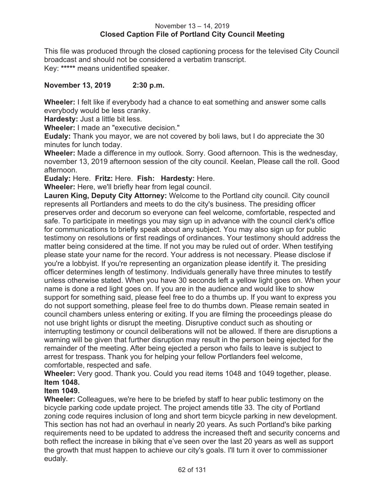### November 13 – 14, 2019 **Closed Caption File of Portland City Council Meeting**

This file was produced through the closed captioning process for the televised City Council broadcast and should not be considered a verbatim transcript. Key: **\*\*\*\*\*** means unidentified speaker.

## **November 13, 2019 2:30 p.m.**

**Wheeler:** I felt like if everybody had a chance to eat something and answer some calls everybody would be less cranky.

**Hardesty:** Just a little bit less.

**Wheeler:** I made an "executive decision."

**Eudaly:** Thank you mayor, we are not covered by boli laws, but I do appreciate the 30 minutes for lunch today.

**Wheeler:** Made a difference in my outlook. Sorry. Good afternoon. This is the wednesday, november 13, 2019 afternoon session of the city council. Keelan, Please call the roll. Good afternoon.

**Eudaly:** Here. **Fritz:** Here. **Fish: Hardesty:** Here.

**Wheeler:** Here, we'll briefly hear from legal council.

**Lauren King, Deputy City Attorney:** Welcome to the Portland city council. City council represents all Portlanders and meets to do the city's business. The presiding officer preserves order and decorum so everyone can feel welcome, comfortable, respected and safe. To participate in meetings you may sign up in advance with the council clerk's office for communications to briefly speak about any subject. You may also sign up for public testimony on resolutions or first readings of ordinances. Your testimony should address the matter being considered at the time. If not you may be ruled out of order. When testifying please state your name for the record. Your address is not necessary. Please disclose if you're a lobbyist. If you're representing an organization please identify it. The presiding officer determines length of testimony. Individuals generally have three minutes to testify unless otherwise stated. When you have 30 seconds left a yellow light goes on. When your name is done a red light goes on. If you are in the audience and would like to show support for something said, please feel free to do a thumbs up. If you want to express you do not support something, please feel free to do thumbs down. Please remain seated in council chambers unless entering or exiting. If you are filming the proceedings please do not use bright lights or disrupt the meeting. Disruptive conduct such as shouting or interrupting testimony or council deliberations will not be allowed. If there are disruptions a warning will be given that further disruption may result in the person being ejected for the remainder of the meeting. After being ejected a person who fails to leave is subject to arrest for trespass. Thank you for helping your fellow Portlanders feel welcome, comfortable, respected and safe.

**Wheeler:** Very good. Thank you. Could you read items 1048 and 1049 together, please. **Item 1048.** 

#### **Item 1049.**

**Wheeler:** Colleagues, we're here to be briefed by staff to hear public testimony on the bicycle parking code update project. The project amends title 33. The city of Portland zoning code requires inclusion of long and short term bicycle parking in new development. This section has not had an overhaul in nearly 20 years. As such Portland's bike parking requirements need to be updated to address the increased theft and security concerns and both reflect the increase in biking that e've seen over the last 20 years as well as support the growth that must happen to achieve our city's goals. I'll turn it over to commissioner eudaly.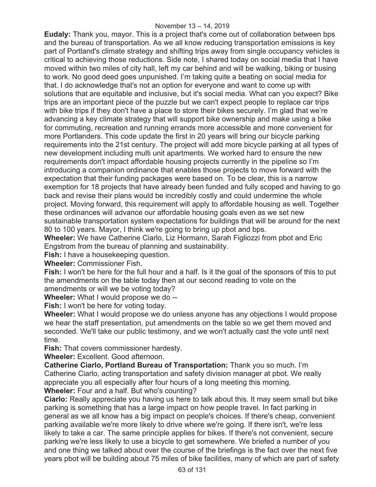**Eudaly:** Thank you, mayor. This is a project that's come out of collaboration between bps and the bureau of transportation. As we all know reducing transportation emissions is key part of Portland's climate strategy and shifting trips away from single occupancy vehicles is critical to achieving those reductions. Side note, I shared today on social media that I have moved within two miles of city hall, left my car behind and will be walking, biking or busing to work. No good deed goes unpunished. I'm taking quite a beating on social media for that. I do acknowledge that's not an option for everyone and want to come up with solutions that are equitable and inclusive, but it's social media. What can you expect? Bike trips are an important piece of the puzzle but we can't expect people to replace car trips with bike trips if they don't have a place to store their bikes securely. I'm glad that we're advancing a key climate strategy that will support bike ownership and make using a bike for commuting, recreation and running errands more accessible and more convenient for more Portlanders. This code update the first in 20 years will bring our bicycle parking requirements into the 21st century. The project will add more bicycle parking at all types of new development including multi unit apartments. We worked hard to ensure the new requirements don't impact affordable housing projects currently in the pipeline so I'm introducing a companion ordinance that enables those projects to move forward with the expectation that their funding packages were based on. To be clear, this is a narrow exemption for 18 projects that have already been funded and fully scoped and having to go back and revise their plans would be incredibly costly and could undermine the whole project. Moving forward, this requirement will apply to affordable housing as well. Together these ordinances will advance our affordable housing goals even as we set new sustainable transportation system expectations for buildings that will be around for the next 80 to 100 years. Mayor, I think we're going to bring up pbot and bps.

**Wheeler:** We have Catherine Ciarlo, Liz Hormann, Sarah Figliozzi from pbot and Eric Engstrom from the bureau of planning and sustainability.

**Fish:** I have a housekeeping question.

**Wheeler:** Commissioner Fish.

**Fish:** I won't be here for the full hour and a half. Is it the goal of the sponsors of this to put the amendments on the table today then at our second reading to vote on the amendments or will we be voting today?

**Wheeler:** What I would propose we do --

**Fish:** I won't be here for voting today.

**Wheeler:** What I would propose we do unless anyone has any objections I would propose we hear the staff presentation, put amendments on the table so we get them moved and seconded. We'll take our public testimony, and we won't actually cast the vote until next time.

**Fish:** That covers commissioner hardesty.

**Wheeler:** Excellent. Good afternoon.

**Catherine Ciarlo, Portland Bureau of Transportation:** Thank you so much. I'm Catherine Ciarlo, acting transportation and safety division manager at pbot. We really appreciate you all especially after four hours of a long meeting this morning. **Wheeler:** Four and a half. But who's counting?

**Ciarlo:** Really appreciate you having us here to talk about this. It may seem small but bike parking is something that has a large impact on how people travel. In fact parking in general as we all know has a big impact on people's choices. If there's cheap, convenient parking available we're more likely to drive where we're going. If there isn't, we're less likely to take a car. The same principle applies for bikes. If there's not convenient, secure parking we're less likely to use a bicycle to get somewhere. We briefed a number of you and one thing we talked about over the course of the briefings is the fact over the next five years pbot will be building about 75 miles of bike facilities, many of which are part of safety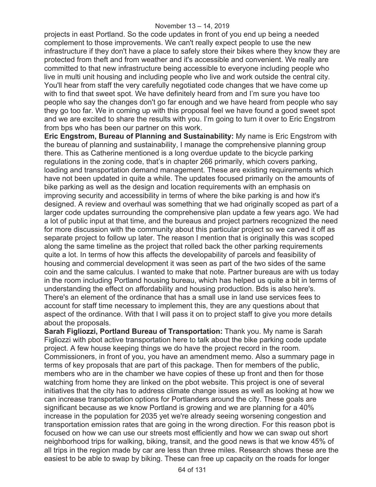projects in east Portland. So the code updates in front of you end up being a needed complement to those improvements. We can't really expect people to use the new infrastructure if they don't have a place to safely store their bikes where they know they are protected from theft and from weather and it's accessible and convenient. We really are committed to that new infrastructure being accessible to everyone including people who live in multi unit housing and including people who live and work outside the central city. You'll hear from staff the very carefully negotiated code changes that we have come up with to find that sweet spot. We have definitely heard from and I'm sure you have too people who say the changes don't go far enough and we have heard from people who say they go too far. We in coming up with this proposal feel we have found a good sweet spot and we are excited to share the results with you. I'm going to turn it over to Eric Engstrom from bps who has been our partner on this work.

**Eric Engstrom, Bureau of Planning and Sustainability:** My name is Eric Engstrom with the bureau of planning and sustainability, I manage the comprehensive planning group there. This as Catherine mentioned is a long overdue update to the bicycle parking regulations in the zoning code, that's in chapter 266 primarily, which covers parking, loading and transportation demand management. These are existing requirements which have not been updated in quite a while. The updates focused primarily on the amounts of bike parking as well as the design and location requirements with an emphasis on improving security and accessibility in terms of where the bike parking is and how it's designed. A review and overhaul was something that we had originally scoped as part of a larger code updates surrounding the comprehensive plan update a few years ago. We had a lot of public input at that time, and the bureaus and project partners recognized the need for more discussion with the community about this particular project so we carved it off as separate project to follow up later. The reason I mention that is originally this was scoped along the same timeline as the project that rolled back the other parking requirements quite a lot. In terms of how this affects the developability of parcels and feasibility of housing and commercial development it was seen as part of the two sides of the same coin and the same calculus. I wanted to make that note. Partner bureaus are with us today in the room including Portland housing bureau, which has helped us quite a bit in terms of understanding the effect on affordability and housing production. Bds is also here's. There's an element of the ordinance that has a small use in land use services fees to account for staff time necessary to implement this, they are any questions about that aspect of the ordinance. With that I will pass it on to project staff to give you more details about the proposals.

**Sarah Figliozzi, Portland Bureau of Transportation:** Thank you. My name is Sarah Figliozzi with pbot active transportation here to talk about the bike parking code update project. A few house keeping things we do have the project record in the room. Commissioners, in front of you, you have an amendment memo. Also a summary page in terms of key proposals that are part of this package. Then for members of the public, members who are in the chamber we have copies of these up front and then for those watching from home they are linked on the pbot website. This project is one of several initiatives that the city has to address climate change issues as well as looking at how we can increase transportation options for Portlanders around the city. These goals are significant because as we know Portland is growing and we are planning for a 40% increase in the population for 2035 yet we're already seeing worsening congestion and transportation emission rates that are going in the wrong direction. For this reason pbot is focused on how we can use our streets most efficiently and how we can swap out short neighborhood trips for walking, biking, transit, and the good news is that we know 45% of all trips in the region made by car are less than three miles. Research shows these are the easiest to be able to swap by biking. These can free up capacity on the roads for longer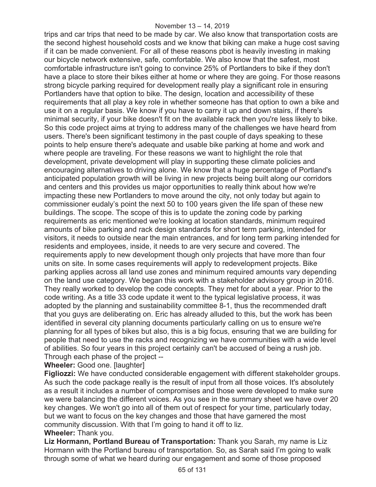#### November 13 – 14, 2019

trips and car trips that need to be made by car. We also know that transportation costs are the second highest household costs and we know that biking can make a huge cost saving if it can be made convenient. For all of these reasons pbot is heavily investing in making our bicycle network extensive, safe, comfortable. We also know that the safest, most comfortable infrastructure isn't going to convince 25% of Portlanders to bike if they don't have a place to store their bikes either at home or where they are going. For those reasons strong bicycle parking required for development really play a significant role in ensuring Portlanders have that option to bike. The design, location and accessibility of these requirements that all play a key role in whether someone has that option to own a bike and use it on a regular basis. We know if you have to carry it up and down stairs, if there's minimal security, if your bike doesn't fit on the available rack then you're less likely to bike. So this code project aims at trying to address many of the challenges we have heard from users. There's been significant testimony in the past couple of days speaking to these points to help ensure there's adequate and usable bike parking at home and work and where people are traveling. For these reasons we want to highlight the role that development, private development will play in supporting these climate policies and encouraging alternatives to driving alone. We know that a huge percentage of Portland's anticipated population growth will be living in new projects being built along our corridors and centers and this provides us major opportunities to really think about how we're impacting these new Portlanders to move around the city, not only today but again to commissioner eudaly's point the next 50 to 100 years given the life span of these new buildings. The scope. The scope of this is to update the zoning code by parking requirements as eric mentioned we're looking at location standards, minimum required amounts of bike parking and rack design standards for short term parking, intended for visitors, it needs to outside near the main entrances, and for long term parking intended for residents and employees, inside, it needs to are very secure and covered. The requirements apply to new development though only projects that have more than four units on site. In some cases requirements will apply to redevelopment projects. Bike parking applies across all land use zones and minimum required amounts vary depending on the land use category. We began this work with a stakeholder advisory group in 2016. They really worked to develop the code concepts. They met for about a year. Prior to the code writing. As a title 33 code update it went to the typical legislative process, it was adopted by the planning and sustainability committee 8-1, thus the recommended draft that you guys are deliberating on. Eric has already alluded to this, but the work has been identified in several city planning documents particularly calling on us to ensure we're planning for all types of bikes but also, this is a big focus, ensuring that we are building for people that need to use the racks and recognizing we have communities with a wide level of abilities. So four years in this project certainly can't be accused of being a rush job. Through each phase of the project --

**Wheeler:** Good one. [laughter]

**Figliozzi:** We have conducted considerable engagement with different stakeholder groups. As such the code package really is the result of input from all those voices. It's absolutely as a result it includes a number of compromises and those were developed to make sure we were balancing the different voices. As you see in the summary sheet we have over 20 key changes. We won't go into all of them out of respect for your time, particularly today, but we want to focus on the key changes and those that have garnered the most community discussion. With that I'm going to hand it off to liz. **Wheeler:** Thank you.

**Liz Hormann, Portland Bureau of Transportation:** Thank you Sarah, my name is Liz Hormann with the Portland bureau of transportation. So, as Sarah said I'm going to walk through some of what we heard during our engagement and some of those proposed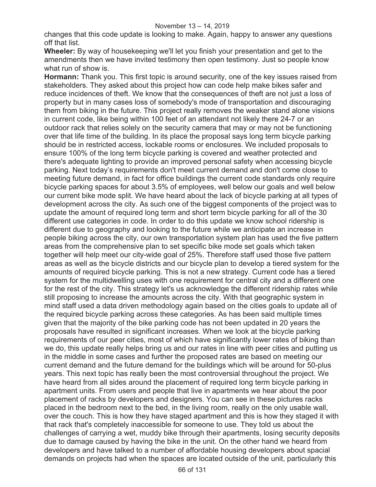changes that this code update is looking to make. Again, happy to answer any questions off that list.

**Wheeler:** By way of housekeeping we'll let you finish your presentation and get to the amendments then we have invited testimony then open testimony. Just so people know what run of show is.

**Hormann:** Thank you. This first topic is around security, one of the key issues raised from stakeholders. They asked about this project how can code help make bikes safer and reduce incidences of theft. We know that the consequences of theft are not just a loss of property but in many cases loss of somebody's mode of transportation and discouraging them from biking in the future. This project really removes the weaker stand alone visions in current code, like being within 100 feet of an attendant not likely there 24-7 or an outdoor rack that relies solely on the security camera that may or may not be functioning over that life time of the building. In its place the proposal says long term bicycle parking should be in restricted access, lockable rooms or enclosures. We included proposals to ensure 100% of the long term bicycle parking is covered and weather protected and there's adequate lighting to provide an improved personal safety when accessing bicycle parking. Next today's requirements don't meet current demand and don't come close to meeting future demand, in fact for office buildings the current code standards only require bicycle parking spaces for about 3.5% of employees, well below our goals and well below our current bike mode split. We have heard about the lack of bicycle parking at all types of development across the city. As such one of the biggest components of the project was to update the amount of required long term and short term bicycle parking for all of the 30 different use categories in code. In order to do this update we know school ridership is different due to geography and looking to the future while we anticipate an increase in people biking across the city, our own transportation system plan has used the five pattern areas from the comprehensive plan to set specific bike mode set goals which taken together will help meet our city-wide goal of 25%. Therefore staff used those five pattern areas as well as the bicycle districts and our bicycle plan to develop a tiered system for the amounts of required bicycle parking. This is not a new strategy. Current code has a tiered system for the multidwelling uses with one requirement for central city and a different one for the rest of the city. This strategy let's us acknowledge the different ridership rates while still proposing to increase the amounts across the city. With that geographic system in mind staff used a data driven methodology again based on the cities goals to update all of the required bicycle parking across these categories. As has been said multiple times given that the majority of the bike parking code has not been updated in 20 years the proposals have resulted in significant increases. When we look at the bicycle parking requirements of our peer cities, most of which have significantly lower rates of biking than we do, this update really helps bring us and our rates in line with peer cities and putting us in the middle in some cases and further the proposed rates are based on meeting our current demand and the future demand for the buildings which will be around for 50-plus years. This next topic has really been the most controversial throughout the project. We have heard from all sides around the placement of required long term bicycle parking in apartment units. From users and people that live in apartments we hear about the poor placement of racks by developers and designers. You can see in these pictures racks placed in the bedroom next to the bed, in the living room, really on the only usable wall, over the couch. This is how they have staged apartment and this is how they staged it with that rack that's completely inaccessible for someone to use. They told us about the challenges of carrying a wet, muddy bike through their apartments, losing security deposits due to damage caused by having the bike in the unit. On the other hand we heard from developers and have talked to a number of affordable housing developers about spacial demands on projects had when the spaces are located outside of the unit, particularly this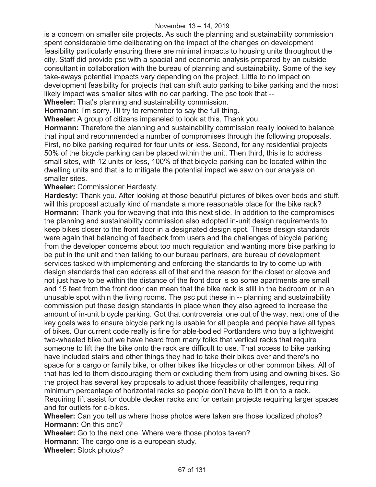is a concern on smaller site projects. As such the planning and sustainability commission spent considerable time deliberating on the impact of the changes on development feasibility particularly ensuring there are minimal impacts to housing units throughout the city. Staff did provide psc with a spacial and economic analysis prepared by an outside consultant in collaboration with the bureau of planning and sustainability. Some of the key take-aways potential impacts vary depending on the project. Little to no impact on development feasibility for projects that can shift auto parking to bike parking and the most likely impact was smaller sites with no car parking. The psc took that --

**Wheeler:** That's planning and sustainability commission.

**Hormann:** I'm sorry. I'll try to remember to say the full thing.

**Wheeler:** A group of citizens impaneled to look at this. Thank you.

**Hormann:** Therefore the planning and sustainability commission really looked to balance that input and recommended a number of compromises through the following proposals. First, no bike parking required for four units or less. Second, for any residential projects 50% of the bicycle parking can be placed within the unit. Then third, this is to address small sites, with 12 units or less, 100% of that bicycle parking can be located within the dwelling units and that is to mitigate the potential impact we saw on our analysis on smaller sites.

**Wheeler:** Commissioner Hardesty.

**Hardesty:** Thank you. After looking at those beautiful pictures of bikes over beds and stuff, will this proposal actually kind of mandate a more reasonable place for the bike rack? **Hormann:** Thank you for weaving that into this next slide. In addition to the compromises the planning and sustainability commission also adopted in-unit design requirements to keep bikes closer to the front door in a designated design spot. These design standards were again that balancing of feedback from users and the challenges of bicycle parking from the developer concerns about too much regulation and wanting more bike parking to be put in the unit and then talking to our bureau partners, are bureau of development services tasked with implementing and enforcing the standards to try to come up with design standards that can address all of that and the reason for the closet or alcove and not just have to be within the distance of the front door is so some apartments are small and 15 feet from the front door can mean that the bike rack is still in the bedroom or in an unusable spot within the living rooms. The psc put these in -- planning and sustainability commission put these design standards in place when they also agreed to increase the amount of in-unit bicycle parking. Got that controversial one out of the way, next one of the key goals was to ensure bicycle parking is usable for all people and people have all types of bikes. Our current code really is fine for able-bodied Portlanders who buy a lightweight two-wheeled bike but we have heard from many folks that vertical racks that require someone to lift the the bike onto the rack are difficult to use. That access to bike parking have included stairs and other things they had to take their bikes over and there's no space for a cargo or family bike, or other bikes like tricycles or other common bikes. All of that has led to them discouraging them or excluding them from using and owning bikes. So the project has several key proposals to adjust those feasibility challenges, requiring minimum percentage of horizontal racks so people don't have to lift it on to a rack. Requiring lift assist for double decker racks and for certain projects requiring larger spaces and for outlets for e-bikes.

**Wheeler:** Can you tell us where those photos were taken are those localized photos? **Hormann:** On this one?

**Wheeler:** Go to the next one. Where were those photos taken? **Hormann:** The cargo one is a european study. **Wheeler:** Stock photos?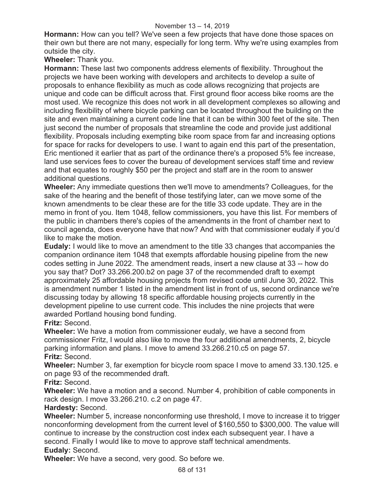### November 13 – 14, 2019

**Hormann:** How can you tell? We've seen a few projects that have done those spaces on their own but there are not many, especially for long term. Why we're using examples from outside the city.

**Wheeler:** Thank you.

**Hormann:** These last two components address elements of flexibility. Throughout the projects we have been working with developers and architects to develop a suite of proposals to enhance flexibility as much as code allows recognizing that projects are unique and code can be difficult across that. First ground floor access bike rooms are the most used. We recognize this does not work in all development complexes so allowing and including flexibility of where bicycle parking can be located throughout the building on the site and even maintaining a current code line that it can be within 300 feet of the site. Then just second the number of proposals that streamline the code and provide just additional flexibility. Proposals including exempting bike room space from far and increasing options for space for racks for developers to use. I want to again end this part of the presentation, Eric mentioned it earlier that as part of the ordinance there's a proposed 5% fee increase, land use services fees to cover the bureau of development services staff time and review and that equates to roughly \$50 per the project and staff are in the room to answer additional questions.

**Wheeler:** Any immediate questions then we'll move to amendments? Colleagues, for the sake of the hearing and the benefit of those testifying later, can we move some of the known amendments to be clear these are for the title 33 code update. They are in the memo in front of you. Item 1048, fellow commissioners, you have this list. For members of the public in chambers there's copies of the amendments in the front of chamber next to council agenda, does everyone have that now? And with that commissioner eudaly if you'd like to make the motion.

**Eudaly:** I would like to move an amendment to the title 33 changes that accompanies the companion ordinance item 1048 that exempts affordable housing pipeline from the new codes setting in June 2022. The amendment reads, insert a new clause at 33 -- how do you say that? Dot? 33.266.200.b2 on page 37 of the recommended draft to exempt approximately 25 affordable housing projects from revised code until June 30, 2022. This is amendment number 1 listed in the amendment list in front of us, second ordinance we're discussing today by allowing 18 specific affordable housing projects currently in the development pipeline to use current code. This includes the nine projects that were awarded Portland housing bond funding.

**Fritz:** Second.

**Wheeler:** We have a motion from commissioner eudaly, we have a second from commissioner Fritz, I would also like to move the four additional amendments, 2, bicycle parking information and plans. I move to amend 33.266.210.c5 on page 57. **Fritz:** Second.

**Wheeler:** Number 3, far exemption for bicycle room space I move to amend 33.130.125. e on page 93 of the recommended draft.

**Fritz:** Second.

**Wheeler:** We have a motion and a second. Number 4, prohibition of cable components in rack design. I move 33.266.210. c.2 on page 47.

**Hardesty:** Second.

**Wheeler:** Number 5, increase nonconforming use threshold, I move to increase it to trigger nonconforming development from the current level of \$160,550 to \$300,000. The value will continue to increase by the construction cost index each subsequent year. I have a second. Finally I would like to move to approve staff technical amendments. **Eudaly:** Second.

**Wheeler:** We have a second, very good. So before we.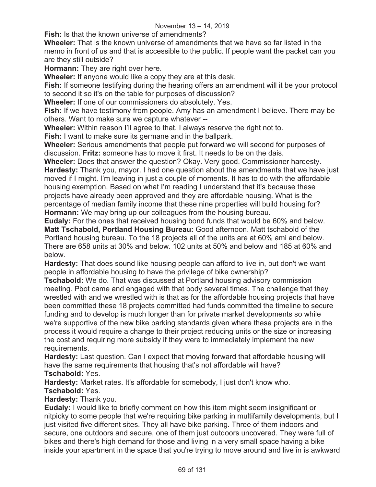**Fish:** Is that the known universe of amendments?

**Wheeler:** That is the known universe of amendments that we have so far listed in the memo in front of us and that is accessible to the public. If people want the packet can you are they still outside?

**Hormann:** They are right over here.

**Wheeler:** If anyone would like a copy they are at this desk.

**Fish:** If someone testifying during the hearing offers an amendment will it be your protocol to second it so it's on the table for purposes of discussion?

**Wheeler:** If one of our commissioners do absolutely. Yes.

**Fish:** If we have testimony from people. Amy has an amendment I believe. There may be others. Want to make sure we capture whatever --

**Wheeler:** Within reason I'll agree to that. I always reserve the right not to.

**Fish:** I want to make sure its germane and in the ballpark.

**Wheeler:** Serious amendments that people put forward we will second for purposes of discussion. **Fritz:** someone has to move it first. It needs to be on the dais.

**Wheeler:** Does that answer the question? Okay. Very good. Commissioner hardesty. **Hardesty:** Thank you, mayor. I had one question about the amendments that we have just moved if I might. I'm leaving in just a couple of moments. It has to do with the affordable housing exemption. Based on what I'm reading I understand that it's because these projects have already been approved and they are affordable housing. What is the percentage of median family income that these nine properties will build housing for? **Hormann:** We may bring up our colleagues from the housing bureau.

**Eudaly:** For the ones that received housing bond funds that would be 60% and below. **Matt Tschabold, Portland Housing Bureau:** Good afternoon. Matt tschabold of the Portland housing bureau. To the 18 projects all of the units are at 60% ami and below. There are 658 units at 30% and below. 102 units at 50% and below and 185 at 60% and below.

**Hardesty:** That does sound like housing people can afford to live in, but don't we want people in affordable housing to have the privilege of bike ownership?

**Tschabold:** We do. That was discussed at Portland housing advisory commission meeting. Pbot came and engaged with that body several times. The challenge that they wrestled with and we wrestled with is that as for the affordable housing projects that have been committed these 18 projects committed had funds committed the timeline to secure funding and to develop is much longer than for private market developments so while we're supportive of the new bike parking standards given where these projects are in the process it would require a change to their project reducing units or the size or increasing the cost and requiring more subsidy if they were to immediately implement the new requirements.

**Hardesty:** Last question. Can I expect that moving forward that affordable housing will have the same requirements that housing that's not affordable will have?

**Tschabold:** Yes.

**Hardesty:** Market rates. It's affordable for somebody, I just don't know who. **Tschabold:** Yes.

**Hardesty:** Thank you.

**Eudaly:** I would like to briefly comment on how this item might seem insignificant or nitpicky to some people that we're requiring bike parking in multifamily developments, but I just visited five different sites. They all have bike parking. Three of them indoors and secure, one outdoors and secure, one of them just outdoors uncovered. They were full of bikes and there's high demand for those and living in a very small space having a bike inside your apartment in the space that you're trying to move around and live in is awkward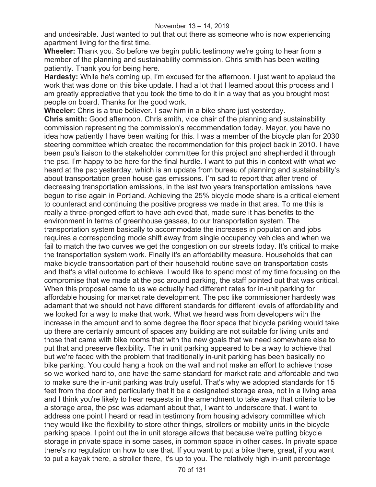and undesirable. Just wanted to put that out there as someone who is now experiencing apartment living for the first time.

**Wheeler:** Thank you. So before we begin public testimony we're going to hear from a member of the planning and sustainability commission. Chris smith has been waiting patiently. Thank you for being here.

**Hardesty:** While he's coming up, I'm excused for the afternoon. I just want to applaud the work that was done on this bike update. I had a lot that I learned about this process and I am greatly appreciative that you took the time to do it in a way that as you brought most people on board. Thanks for the good work.

**Wheeler:** Chris is a true believer. I saw him in a bike share just yesterday. **Chris smith:** Good afternoon. Chris smith, vice chair of the planning and sustainability commission representing the commission's recommendation today. Mayor, you have no idea how patiently I have been waiting for this. I was a member of the bicycle plan for 2030 steering committee which created the recommendation for this project back in 2010. I have been psu's liaison to the stakeholder committee for this project and shepherded it through the psc. I'm happy to be here for the final hurdle. I want to put this in context with what we heard at the psc yesterday, which is an update from bureau of planning and sustainability's about transportation green house gas emissions. I'm sad to report that after trend of decreasing transportation emissions, in the last two years transportation emissions have begun to rise again in Portland. Achieving the 25% bicycle mode share is a critical element to counteract and continuing the positive progress we made in that area. To me this is really a three-pronged effort to have achieved that, made sure it has benefits to the environment in terms of greenhouse gasses, to our transportation system. The transportation system basically to accommodate the increases in population and jobs requires a corresponding mode shift away from single occupancy vehicles and when we fail to match the two curves we get the congestion on our streets today. It's critical to make the transportation system work. Finally it's an affordability measure. Households that can make bicycle transportation part of their household routine save on transportation costs and that's a vital outcome to achieve. I would like to spend most of my time focusing on the compromise that we made at the psc around parking, the staff pointed out that was critical. When this proposal came to us we actually had different rates for in-unit parking for affordable housing for market rate development. The psc like commissioner hardesty was adamant that we should not have different standards for different levels of affordability and we looked for a way to make that work. What we heard was from developers with the increase in the amount and to some degree the floor space that bicycle parking would take up there are certainly amount of spaces any building are not suitable for living units and those that came with bike rooms that with the new goals that we need somewhere else to put that and preserve flexibility. The in unit parking appeared to be a way to achieve that but we're faced with the problem that traditionally in-unit parking has been basically no bike parking. You could hang a hook on the wall and not make an effort to achieve those so we worked hard to, one have the same standard for market rate and affordable and two to make sure the in-unit parking was truly useful. That's why we adopted standards for 15 feet from the door and particularly that it be a designated storage area, not in a living area and I think you're likely to hear requests in the amendment to take away that criteria to be a storage area, the psc was adamant about that, I want to underscore that. I want to address one point I heard or read in testimony from housing advisory committee which they would like the flexibility to store other things, strollers or mobility units in the bicycle parking space. I point out the in unit storage allows that because we're putting bicycle storage in private space in some cases, in common space in other cases. In private space there's no regulation on how to use that. If you want to put a bike there, great, if you want to put a kayak there, a stroller there, it's up to you. The relatively high in-unit percentage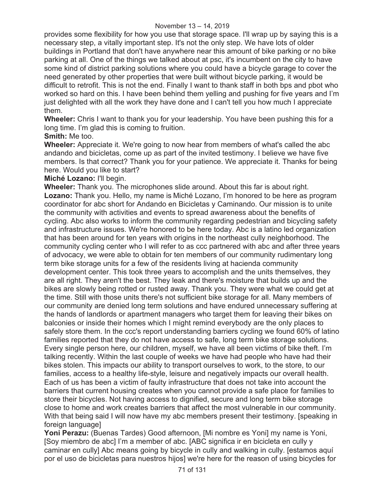provides some flexibility for how you use that storage space. I'll wrap up by saying this is a necessary step, a vitally important step. It's not the only step. We have lots of older buildings in Portland that don't have anywhere near this amount of bike parking or no bike parking at all. One of the things we talked about at psc, it's incumbent on the city to have some kind of district parking solutions where you could have a bicycle garage to cover the need generated by other properties that were built without bicycle parking, it would be difficult to retrofit. This is not the end. Finally I want to thank staff in both bps and pbot who worked so hard on this. I have been behind them yelling and pushing for five years and I'm just delighted with all the work they have done and I can't tell you how much I appreciate them.

**Wheeler:** Chris I want to thank you for your leadership. You have been pushing this for a long time. I'm glad this is coming to fruition.

## **Smith:** Me too.

**Wheeler:** Appreciate it. We're going to now hear from members of what's called the abc andando and bicicletas, come up as part of the invited testimony. I believe we have five members. Is that correct? Thank you for your patience. We appreciate it. Thanks for being here. Would you like to start?

# **Miché Lozano:** I'll begin.

**Wheeler:** Thank you. The microphones slide around. About this far is about right. **Lozano:** Thank you. Hello, my name is Miché Lozano, I'm honored to be here as program coordinator for abc short for Andando en Bicicletas y Caminando. Our mission is to unite the community with activities and events to spread awareness about the benefits of cycling. Abc also works to inform the community regarding pedestrian and bicycling safety and infrastructure issues. We're honored to be here today. Abc is a latino led organization that has been around for ten years with origins in the northeast cully neighborhood. The community cycling center who I will refer to as ccc partnered with abc and after three years of advocacy, we were able to obtain for ten members of our community rudimentary long term bike storage units for a few of the residents living at hacienda community development center. This took three years to accomplish and the units themselves, they are all right. They aren't the best. They leak and there's moisture that builds up and the bikes are slowly being rotted or rusted away. Thank you. They were what we could get at the time. Still with those units there's not sufficient bike storage for all. Many members of our community are denied long term solutions and have endured unnecessary suffering at the hands of landlords or apartment managers who target them for leaving their bikes on balconies or inside their homes which I might remind everybody are the only places to safely store them. In the ccc's report understanding barriers cycling we found 60% of latino families reported that they do not have access to safe, long term bike storage solutions. Every single person here, our children, myself, we have all been victims of bike theft. I'm talking recently. Within the last couple of weeks we have had people who have had their bikes stolen. This impacts our ability to transport ourselves to work, to the store, to our families, access to a healthy life-style, leisure and negatively impacts our overall health. Each of us has been a victim of faulty infrastructure that does not take into account the barriers that current housing creates when you cannot provide a safe place for families to store their bicycles. Not having access to dignified, secure and long term bike storage close to home and work creates barriers that affect the most vulnerable in our community. With that being said I will now have my abc members present their testimony. [speaking in foreign language]

**Yoni Perazu:** (Buenas Tardes) Good afternoon, [Mi nombre es Yoni] my name is Yoni, [Soy miembro de abc] I'm a member of abc. [ABC significa ir en bicicleta en cully y caminar en cully] Abc means going by bicycle in cully and walking in cully. [estamos aquí por el uso de bicicletas para nuestros hijos] we're here for the reason of using bicycles for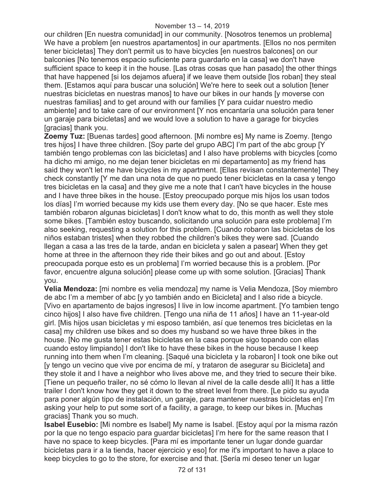our children [En nuestra comunidad] in our community. [Nosotros tenemos un problema] We have a problem [en nuestros apartamentos] in our apartments. [Ellos no nos permiten tener bicicletas] They don't permit us to have bicycles [en nuestros balcones] on our balconies [No tenemos espacio suficiente para guardarlo en la casa] we don't have sufficient space to keep it in the house. [Las otras cosas que han pasado] the other things that have happened [si los dejamos afuera] if we leave them outside [los roban] they steal them. [Estamos aquí para buscar una solución] We're here to seek out a solution [tener nuestras bicicletas en nuestras manos] to have our bikes in our hands [y moverse con nuestras familias] and to get around with our families [Y para cuidar nuestro medio ambiente] and to take care of our environment [Y nos encantaría una solución para tener un garaje para bicicletas] and we would love a solution to have a garage for bicycles [gracias] thank you.

**Zoemy Tuz:** [Buenas tardes] good afternoon. [Mi nombre es] My name is Zoemy. [tengo tres hijos] I have three children. [Soy parte del grupo ABC] I'm part of the abc group [Y también tengo problemas con las bicicletas] and I also have problems with bicycles [como ha dicho mi amigo, no me dejan tener bicicletas en mi departamento] as my friend has said they won't let me have bicycles in my apartment. [Ellas revisan constantemente] They check constantly [Y me dan una nota de que no puedo tener bicicletas en la casa y tengo tres bicicletas en la casa] and they give me a note that I can't have bicycles in the house and I have three bikes in the house. [Estoy preocupado porque mis hijos los usan todos los días] I'm worried because my kids use them every day. [No se que hacer. Este mes también robaron algunas bicicletas] I don't know what to do, this month as well they stole some bikes. [También estoy buscando, solicitando una solución para este problema] I'm also seeking, requesting a solution for this problem. [Cuando robaron las bicicletas de los niños estaban tristes] when they robbed the children's bikes they were sad. [Cuando llegan a casa a las tres de la tarde, andan en bicicleta y salen a pasear] When they get home at three in the afternoon they ride their bikes and go out and about. [Estoy preocupada porque esto es un problema] I'm worried because this is a problem. [Por favor, encuentre alguna solución] please come up with some solution. [Gracias] Thank you.

**Velia Mendoza:** [mi nombre es velia mendoza] my name is Velia Mendoza, [Soy miembro de abc I'm a member of abc [y yo también ando en Bicicleta] and I also ride a bicycle. [Vivo en apartamento de bajos ingresos] I live in low income apartment. [Yo tambien tengo cinco hijos] I also have five children. [Tengo una niña de 11 años] I have an 11-year-old girl. [Mis hijos usan bicicletas y mi esposo también, así que tenemos tres bicicletas en la casa] my children use bikes and so does my husband so we have three bikes in the house. [No me gusta tener estas bicicletas en la casa porque sigo topando con ellas cuando estoy limpiando] I don't like to have these bikes in the house because I keep running into them when I'm cleaning. [Saqué una bicicleta y la robaron] I took one bike out [y tengo un vecino que vive por encima de mí, y trataron de asegurar su Bicicleta] and they stole it and I have a neighbor who lives above me, and they tried to secure their bike. [Tiene un pequeño trailer, no sé cómo lo llevan al nivel de la calle desde allí] It has a little trailer I don't know how they get it down to the street level from there. [Le pido su ayuda para poner algún tipo de instalación, un garaje, para mantener nuestras bicicletas en] I'm asking your help to put some sort of a facility, a garage, to keep our bikes in. [Muchas gracias] Thank you so much.

**Isabel Eusebio:** [Mi nombre es Isabel] My name is Isabel. [Estoy aquí por la misma razón por la que no tengo espacio para guardar bicicletas] I'm here for the same reason that I have no space to keep bicycles. [Para mí es importante tener un lugar donde guardar bicicletas para ir a la tienda, hacer ejercicio y eso] for me it's important to have a place to keep bicycles to go to the store, for exercise and that. [Sería mi deseo tener un lugar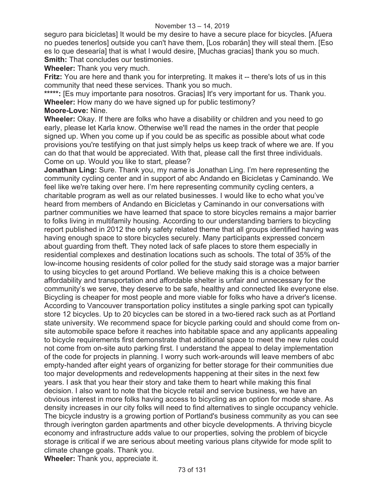seguro para bicicletas] It would be my desire to have a secure place for bicycles. [Afuera no puedes tenerlos] outside you can't have them, [Los robarán] they will steal them. [Eso es lo que desearía] that is what I would desire, [Muchas gracias] thank you so much. **Smith:** That concludes our testimonies.

**Wheeler:** Thank you very much.

**Fritz:** You are here and thank you for interpreting. It makes it -- there's lots of us in this community that need these services. Thank you so much.

\*\*\*\*\*: [Es muy importante para nosotros. Gracias] It's very important for us. Thank you. **Wheeler:** How many do we have signed up for public testimony?

#### **Moore-Love:** Nine.

**Wheeler:** Okay. If there are folks who have a disability or children and you need to go early, please let Karla know. Otherwise we'll read the names in the order that people signed up. When you come up if you could be as specific as possible about what code provisions you're testifying on that just simply helps us keep track of where we are. If you can do that that would be appreciated. With that, please call the first three individuals. Come on up. Would you like to start, please?

**Jonathan Ling:** Sure. Thank you, my name is Jonathan Ling. I'm here representing the community cycling center and in support of abc Andando en Bicicletas y Caminando. We feel like we're taking over here. I'm here representing community cycling centers, a charitable program as well as our related businesses. I would like to echo what you've heard from members of Andando en Bicicletas y Caminando in our conversations with partner communities we have learned that space to store bicycles remains a major barrier to folks living in multifamily housing. According to our understanding barriers to bicycling report published in 2012 the only safety related theme that all groups identified having was having enough space to store bicycles securely. Many participants expressed concern about guarding from theft. They noted lack of safe places to store them especially in residential complexes and destination locations such as schools. The total of 35% of the low-income housing residents of color polled for the study said storage was a major barrier to using bicycles to get around Portland. We believe making this is a choice between affordability and transportation and affordable shelter is unfair and unnecessary for the community's we serve, they deserve to be safe, healthy and connected like everyone else. Bicycling is cheaper for most people and more viable for folks who have a driver's license. According to Vancouver transportation policy institutes a single parking spot can typically store 12 bicycles. Up to 20 bicycles can be stored in a two-tiered rack such as at Portland state university. We recommend space for bicycle parking could and should come from onsite automobile space before it reaches into habitable space and any applicants appealing to bicycle requirements first demonstrate that additional space to meet the new rules could not come from on-site auto parking first. I understand the appeal to delay implementation of the code for projects in planning. I worry such work-arounds will leave members of abc empty-handed after eight years of organizing for better storage for their communities due too major developments and redevelopments happening at their sites in the next few years. I ask that you hear their story and take them to heart while making this final decision. I also want to note that the bicycle retail and service business, we have an obvious interest in more folks having access to bicycling as an option for mode share. As density increases in our city folks will need to find alternatives to single occupancy vehicle. The bicycle industry is a growing portion of Portland's business community as you can see through iverington garden apartments and other bicycle developments. A thriving bicycle economy and infrastructure adds value to our properties, solving the problem of bicycle storage is critical if we are serious about meeting various plans citywide for mode split to climate change goals. Thank you. **Wheeler:** Thank you, appreciate it.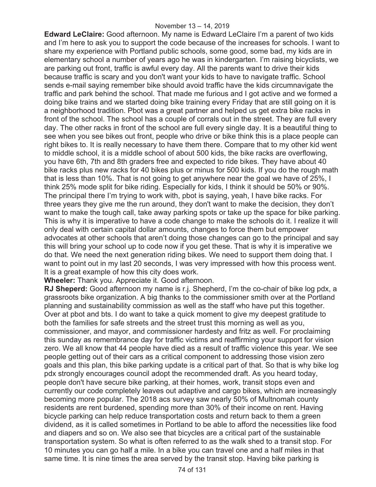**Edward LeClaire:** Good afternoon. My name is Edward LeClaire I'm a parent of two kids and I'm here to ask you to support the code because of the increases for schools. I want to share my experience with Portland public schools, some good, some bad, my kids are in elementary school a number of years ago he was in kindergarten. I'm raising bicyclists, we are parking out front, traffic is awful every day. All the parents want to drive their kids because traffic is scary and you don't want your kids to have to navigate traffic. School sends e-mail saying remember bike should avoid traffic have the kids circumnavigate the traffic and park behind the school. That made me furious and I got active and we formed a doing bike trains and we started doing bike training every Friday that are still going on it is a neighborhood tradition. Pbot was a great partner and helped us get extra bike racks in front of the school. The school has a couple of corrals out in the street. They are full every day. The other racks in front of the school are full every single day. It is a beautiful thing to see when you see bikes out front, people who drive or bike think this is a place people can right bikes to. It is really necessary to have them there. Compare that to my other kid went to middle school, it is a middle school of about 500 kids, the bike racks are overflowing, you have 6th, 7th and 8th graders free and expected to ride bikes. They have about 40 bike racks plus new racks for 40 bikes plus or minus for 500 kids. If you do the rough math that is less than 10%. That is not going to get anywhere near the goal we have of 25%, I think 25% mode split for bike riding. Especially for kids, I think it should be 50% or 90%. The principal there I'm trying to work with, pbot is saying, yeah, I have bike racks. For three years they give me the run around, they don't want to make the decision, they don't want to make the tough call, take away parking spots or take up the space for bike parking. This is why it is imperative to have a code change to make the schools do it. I realize it will only deal with certain capital dollar amounts, changes to force them but empower advocates at other schools that aren't doing those changes can go to the principal and say this will bring your school up to code now if you get these. That is why it is imperative we do that. We need the next generation riding bikes. We need to support them doing that. I want to point out in my last 20 seconds, I was very impressed with how this process went. It is a great example of how this city does work.

**Wheeler:** Thank you. Appreciate it. Good afternoon.

**RJ Sheperd:** Good afternoon my name is r.j. Shepherd, I'm the co-chair of bike log pdx, a grassroots bike organization. A big thanks to the commissioner smith over at the Portland planning and sustainability commission as well as the staff who have put this together. Over at pbot and bts. I do want to take a quick moment to give my deepest gratitude to both the families for safe streets and the street trust this morning as well as you, commissioner, and mayor, and commissioner hardesty and fritz as well. For proclaiming this sunday as remembrance day for traffic victims and reaffirming your support for vision zero. We all know that 44 people have died as a result of traffic violence this year. We see people getting out of their cars as a critical component to addressing those vision zero goals and this plan, this bike parking update is a critical part of that. So that is why bike log pdx strongly encourages council adopt the recommended draft. As you heard today, people don't have secure bike parking, at their homes, work, transit stops even and currently our code completely leaves out adaptive and cargo bikes, which are increasingly becoming more popular. The 2018 acs survey saw nearly 50% of Multnomah county residents are rent burdened, spending more than 30% of their income on rent. Having bicycle parking can help reduce transportation costs and return back to them a green dividend, as it is called sometimes in Portland to be able to afford the necessities like food and diapers and so on. We also see that bicycles are a critical part of the sustainable transportation system. So what is often referred to as the walk shed to a transit stop. For 10 minutes you can go half a mile. In a bike you can travel one and a half miles in that same time. It is nine times the area served by the transit stop. Having bike parking is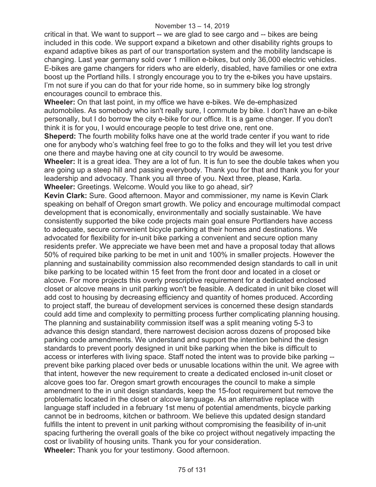critical in that. We want to support -- we are glad to see cargo and -- bikes are being included in this code. We support expand a biketown and other disability rights groups to expand adaptive bikes as part of our transportation system and the mobility landscape is changing. Last year germany sold over 1 million e-bikes, but only 36,000 electric vehicles. E-bikes are game changers for riders who are elderly, disabled, have families or one extra boost up the Portland hills. I strongly encourage you to try the e-bikes you have upstairs. I'm not sure if you can do that for your ride home, so in summery bike log strongly encourages council to embrace this.

**Wheeler:** On that last point, in my office we have e-bikes. We de-emphasized automobiles. As somebody who isn't really sure, I commute by bike. I don't have an e-bike personally, but I do borrow the city e-bike for our office. It is a game changer. If you don't think it is for you, I would encourage people to test drive one, rent one.

**Sheperd:** The fourth mobility folks have one at the world trade center if you want to ride one for anybody who's watching feel free to go to the folks and they will let you test drive one there and maybe having one at city council to try would be awesome.

**Wheeler:** It is a great idea. They are a lot of fun. It is fun to see the double takes when you are going up a steep hill and passing everybody. Thank you for that and thank you for your leadership and advocacy. Thank you all three of you. Next three, please, Karla. **Wheeler:** Greetings. Welcome. Would you like to go ahead, sir?

**Kevin Clark:** Sure. Good afternoon. Mayor and commissioner, my name is Kevin Clark speaking on behalf of Oregon smart growth. We policy and encourage multimodal compact development that is economically, environmentally and socially sustainable. We have consistently supported the bike code projects main goal ensure Portlanders have access to adequate, secure convenient bicycle parking at their homes and destinations. We advocated for flexibility for in-unit bike parking a convenient and secure option many residents prefer. We appreciate we have been met and have a proposal today that allows 50% of required bike parking to be met in unit and 100% in smaller projects. However the planning and sustainability commission also recommended design standards to call in unit bike parking to be located within 15 feet from the front door and located in a closet or alcove. For more projects this overly prescriptive requirement for a dedicated enclosed closet or alcove means in unit parking won't be feasible. A dedicated in unit bike closet will add cost to housing by decreasing efficiency and quantity of homes produced. According to project staff, the bureau of development services is concerned these design standards could add time and complexity to permitting process further complicating planning housing. The planning and sustainability commission itself was a split meaning voting 5-3 to advance this design standard, there narrowest decision across dozens of proposed bike parking code amendments. We understand and support the intention behind the design standards to prevent poorly designed in unit bike parking when the bike is difficult to access or interferes with living space. Staff noted the intent was to provide bike parking - prevent bike parking placed over beds or unusable locations within the unit. We agree with that intent, however the new requirement to create a dedicated enclosed in-unit closet or alcove goes too far. Oregon smart growth encourages the council to make a simple amendment to the in unit design standards, keep the 15-foot requirement but remove the problematic located in the closet or alcove language. As an alternative replace with language staff included in a february 1st menu of potential amendments, bicycle parking cannot be in bedrooms, kitchen or bathroom. We believe this updated design standard fulfills the intent to prevent in unit parking without compromising the feasibility of in-unit spacing furthering the overall goals of the bike co project without negatively impacting the cost or livability of housing units. Thank you for your consideration. **Wheeler:** Thank you for your testimony. Good afternoon.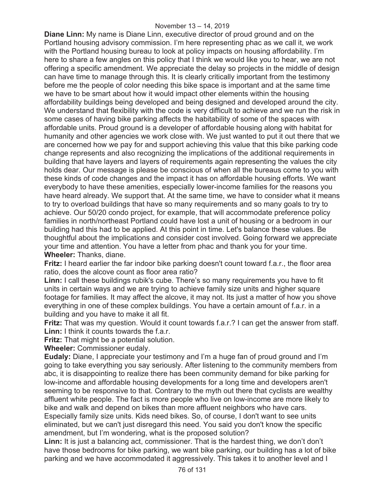**Diane Linn:** My name is Diane Linn, executive director of proud ground and on the Portland housing advisory commission. I'm here representing phac as we call it, we work with the Portland housing bureau to look at policy impacts on housing affordability. I'm here to share a few angles on this policy that I think we would like you to hear, we are not offering a specific amendment. We appreciate the delay so projects in the middle of design can have time to manage through this. It is clearly critically important from the testimony before me the people of color needing this bike space is important and at the same time we have to be smart about how it would impact other elements within the housing affordability buildings being developed and being designed and developed around the city. We understand that flexibility with the code is very difficult to achieve and we run the risk in some cases of having bike parking affects the habitability of some of the spaces with affordable units. Proud ground is a developer of affordable housing along with habitat for humanity and other agencies we work close with. We just wanted to put it out there that we are concerned how we pay for and support achieving this value that this bike parking code change represents and also recognizing the implications of the additional requirements in building that have layers and layers of requirements again representing the values the city holds dear. Our message is please be conscious of when all the bureaus come to you with these kinds of code changes and the impact it has on affordable housing efforts. We want everybody to have these amenities, especially lower-income families for the reasons you have heard already. We support that. At the same time, we have to consider what it means to try to overload buildings that have so many requirements and so many goals to try to achieve. Our 50/20 condo project, for example, that will accommodate preference policy families in north/northeast Portland could have lost a unit of housing or a bedroom in our building had this had to be applied. At this point in time. Let's balance these values. Be thoughtful about the implications and consider cost involved. Going forward we appreciate your time and attention. You have a letter from phac and thank you for your time. **Wheeler:** Thanks, diane.

**Fritz:** I heard earlier the far indoor bike parking doesn't count toward f.a.r., the floor area ratio, does the alcove count as floor area ratio?

**Linn:** I call these buildings rubik's cube. There's so many requirements you have to fit units in certain ways and we are trying to achieve family size units and higher square footage for families. It may affect the alcove, it may not. Its just a matter of how you shove everything in one of these complex buildings. You have a certain amount of f.a.r. in a building and you have to make it all fit.

**Fritz:** That was my question. Would it count towards f.a.r.? I can get the answer from staff. **Linn:** I think it counts towards the f.a.r.

**Fritz:** That might be a potential solution.

**Wheeler:** Commissioner eudaly.

**Eudaly:** Diane, I appreciate your testimony and I'm a huge fan of proud ground and I'm going to take everything you say seriously. After listening to the community members from abc, it is disappointing to realize there has been community demand for bike parking for low-income and affordable housing developments for a long time and developers aren't seeming to be responsive to that. Contrary to the myth out there that cyclists are wealthy affluent white people. The fact is more people who live on low-income are more likely to bike and walk and depend on bikes than more affluent neighbors who have cars. Especially family size units. Kids need bikes. So, of course, I don't want to see units eliminated, but we can't just disregard this need. You said you don't know the specific amendment, but I'm wondering, what is the proposed solution?

**Linn:** It is just a balancing act, commissioner. That is the hardest thing, we don't don't have those bedrooms for bike parking, we want bike parking, our building has a lot of bike parking and we have accommodated it aggressively. This takes it to another level and I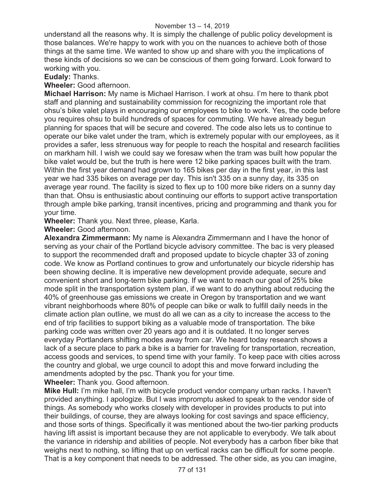understand all the reasons why. It is simply the challenge of public policy development is those balances. We're happy to work with you on the nuances to achieve both of those things at the same time. We wanted to show up and share with you the implications of these kinds of decisions so we can be conscious of them going forward. Look forward to working with you.

**Eudaly:** Thanks.

**Wheeler:** Good afternoon.

**Michael Harrison:** My name is Michael Harrison. I work at ohsu. I'm here to thank pbot staff and planning and sustainability commission for recognizing the important role that ohsu's bike valet plays in encouraging our employees to bike to work. Yes, the code before you requires ohsu to build hundreds of spaces for commuting. We have already begun planning for spaces that will be secure and covered. The code also lets us to continue to operate our bike valet under the tram, which is extremely popular with our employees, as it provides a safer, less strenuous way for people to reach the hospital and research facilities on markham hill. I wish we could say we foresaw when the tram was built how popular the bike valet would be, but the truth is here were 12 bike parking spaces built with the tram. Within the first year demand had grown to 165 bikes per day in the first year, in this last year we had 335 bikes on average per day. This isn't 335 on a sunny day, its 335 on average year round. The facility is sized to flex up to 100 more bike riders on a sunny day than that. Ohsu is enthusiastic about continuing our efforts to support active transportation through ample bike parking, transit incentives, pricing and programming and thank you for your time.

**Wheeler:** Thank you. Next three, please, Karla.

**Wheeler:** Good afternoon.

**Alexandra Zimmermann:** My name is Alexandra Zimmermann and I have the honor of serving as your chair of the Portland bicycle advisory committee. The bac is very pleased to support the recommended draft and proposed update to bicycle chapter 33 of zoning code. We know as Portland continues to grow and unfortunately our bicycle ridership has been showing decline. It is imperative new development provide adequate, secure and convenient short and long-term bike parking. If we want to reach our goal of 25% bike mode split in the transportation system plan, if we want to do anything about reducing the 40% of greenhouse gas emissions we create in Oregon by transportation and we want vibrant neighborhoods where 80% of people can bike or walk to fulfill daily needs in the climate action plan outline, we must do all we can as a city to increase the access to the end of trip facilities to support biking as a valuable mode of transportation. The bike parking code was written over 20 years ago and it is outdated. It no longer serves everyday Portlanders shifting modes away from car. We heard today research shows a lack of a secure place to park a bike is a barrier for traveling for transportation, recreation, access goods and services, to spend time with your family. To keep pace with cities across the country and global, we urge council to adopt this and move forward including the amendments adopted by the psc. Thank you for your time.

**Wheeler:** Thank you. Good afternoon.

**Mike Hull:** I'm mike hall, I'm with bicycle product vendor company urban racks. I haven't provided anything. I apologize. But I was impromptu asked to speak to the vendor side of things. As somebody who works closely with developer in provides products to put into their buildings, of course, they are always looking for cost savings and space efficiency, and those sorts of things. Specifically it was mentioned about the two-tier parking products having lift assist is important because they are not applicable to everybody. We talk about the variance in ridership and abilities of people. Not everybody has a carbon fiber bike that weighs next to nothing, so lifting that up on vertical racks can be difficult for some people. That is a key component that needs to be addressed. The other side, as you can imagine,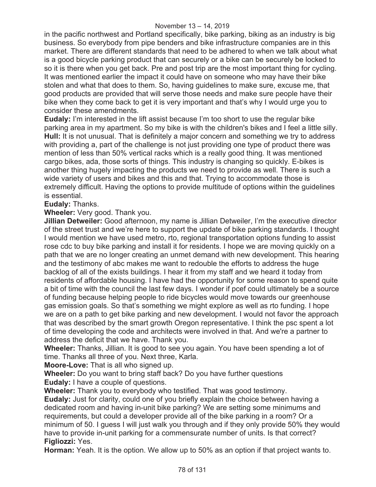in the pacific northwest and Portland specifically, bike parking, biking as an industry is big business. So everybody from pipe benders and bike infrastructure companies are in this market. There are different standards that need to be adhered to when we talk about what is a good bicycle parking product that can securely or a bike can be securely be locked to so it is there when you get back. Pre and post trip are the most important thing for cycling. It was mentioned earlier the impact it could have on someone who may have their bike stolen and what that does to them. So, having guidelines to make sure, excuse me, that good products are provided that will serve those needs and make sure people have their bike when they come back to get it is very important and that's why I would urge you to consider these amendments.

**Eudaly:** I'm interested in the lift assist because I'm too short to use the regular bike parking area in my apartment. So my bike is with the children's bikes and I feel a little silly. **Hull:** It is not unusual. That is definitely a major concern and something we try to address with providing a, part of the challenge is not just providing one type of product there was mention of less than 50% vertical racks which is a really good thing. It was mentioned cargo bikes, ada, those sorts of things. This industry is changing so quickly. E-bikes is another thing hugely impacting the products we need to provide as well. There is such a wide variety of users and bikes and this and that. Trying to accommodate those is extremely difficult. Having the options to provide multitude of options within the guidelines is essential.

# **Eudaly:** Thanks.

**Wheeler:** Very good. Thank you.

**Jillian Detweiler:** Good afternoon, my name is Jillian Detweiler, I'm the executive director of the street trust and we're here to support the update of bike parking standards. I thought I would mention we have used metro, rto, regional transportation options funding to assist rose cdc to buy bike parking and install it for residents. I hope we are moving quickly on a path that we are no longer creating an unmet demand with new development. This hearing and the testimony of abc makes me want to redouble the efforts to address the huge backlog of all of the exists buildings. I hear it from my staff and we heard it today from residents of affordable housing. I have had the opportunity for some reason to spend quite a bit of time with the council the last few days. I wonder if pcef could ultimately be a source of funding because helping people to ride bicycles would move towards our greenhouse gas emission goals. So that's something we might explore as well as rto funding. I hope we are on a path to get bike parking and new development. I would not favor the approach that was described by the smart growth Oregon representative. I think the psc spent a lot of time developing the code and architects were involved in that. And we're a partner to address the deficit that we have. Thank you.

**Wheeler:** Thanks, Jillian. It is good to see you again. You have been spending a lot of time. Thanks all three of you. Next three, Karla.

**Moore-Love:** That is all who signed up.

**Wheeler:** Do you want to bring staff back? Do you have further questions **Eudaly:** I have a couple of questions.

**Wheeler:** Thank you to everybody who testified. That was good testimony.

**Eudaly:** Just for clarity, could one of you briefly explain the choice between having a dedicated room and having in-unit bike parking? We are setting some minimums and requirements, but could a developer provide all of the bike parking in a room? Or a minimum of 50. I guess I will just walk you through and if they only provide 50% they would have to provide in-unit parking for a commensurate number of units. Is that correct? **Figliozzi:** Yes.

**Horman:** Yeah. It is the option. We allow up to 50% as an option if that project wants to.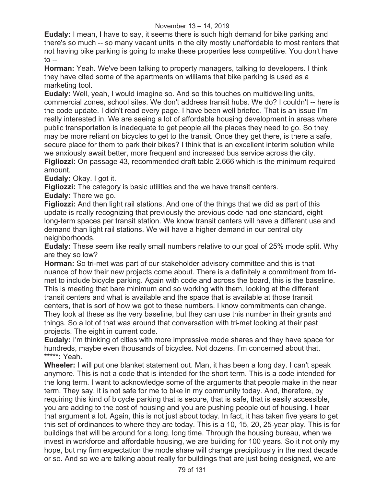#### November 13 – 14, 2019

**Eudaly:** I mean, I have to say, it seems there is such high demand for bike parking and there's so much -- so many vacant units in the city mostly unaffordable to most renters that not having bike parking is going to make these properties less competitive. You don't have  $to -$ 

**Horman:** Yeah. We've been talking to property managers, talking to developers. I think they have cited some of the apartments on williams that bike parking is used as a marketing tool.

**Eudaly:** Well, yeah, I would imagine so. And so this touches on multidwelling units, commercial zones, school sites. We don't address transit hubs. We do? I couldn't -- here is the code update. I didn't read every page. I have been well briefed. That is an issue I'm really interested in. We are seeing a lot of affordable housing development in areas where public transportation is inadequate to get people all the places they need to go. So they may be more reliant on bicycles to get to the transit. Once they get there, is there a safe, secure place for them to park their bikes? I think that is an excellent interim solution while we anxiously await better, more frequent and increased bus service across the city. **Figliozzi:** On passage 43, recommended draft table 2.666 which is the minimum required amount.

**Eudaly:** Okay. I got it.

**Figliozzi:** The category is basic utilities and the we have transit centers.

**Eudaly:** There we go.

**Figliozzi:** And then light rail stations. And one of the things that we did as part of this update is really recognizing that previously the previous code had one standard, eight long-term spaces per transit station. We know transit centers will have a different use and demand than light rail stations. We will have a higher demand in our central city neighborhoods.

**Eudaly:** These seem like really small numbers relative to our goal of 25% mode split. Why are they so low?

**Horman:** So tri-met was part of our stakeholder advisory committee and this is that nuance of how their new projects come about. There is a definitely a commitment from trimet to include bicycle parking. Again with code and across the board, this is the baseline. This is meeting that bare minimum and so working with them, looking at the different transit centers and what is available and the space that is available at those transit centers, that is sort of how we got to these numbers. I know commitments can change. They look at these as the very baseline, but they can use this number in their grants and things. So a lot of that was around that conversation with tri-met looking at their past projects. The eight in current code.

**Eudaly:** I'm thinking of cities with more impressive mode shares and they have space for hundreds, maybe even thousands of bicycles. Not dozens. I'm concerned about that. **\*\*\*\*\*:** Yeah.

**Wheeler:** I will put one blanket statement out. Man, it has been a long day. I can't speak anymore. This is not a code that is intended for the short term. This is a code intended for the long term. I want to acknowledge some of the arguments that people make in the near term. They say, it is not safe for me to bike in my community today. And, therefore, by requiring this kind of bicycle parking that is secure, that is safe, that is easily accessible, you are adding to the cost of housing and you are pushing people out of housing. I hear that argument a lot. Again, this is not just about today. In fact, it has taken five years to get this set of ordinances to where they are today. This is a 10, 15, 20, 25-year play. This is for buildings that will be around for a long, long time. Through the housing bureau, when we invest in workforce and affordable housing, we are building for 100 years. So it not only my hope, but my firm expectation the mode share will change precipitously in the next decade or so. And so we are talking about really for buildings that are just being designed, we are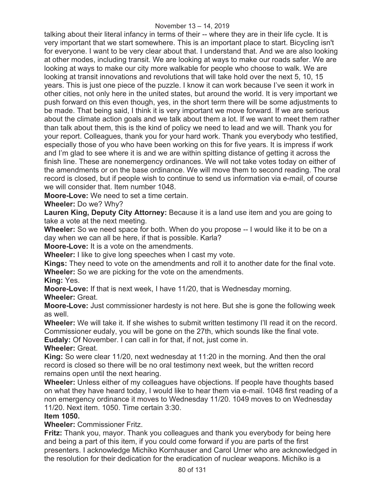talking about their literal infancy in terms of their -- where they are in their life cycle. It is very important that we start somewhere. This is an important place to start. Bicycling isn't for everyone. I want to be very clear about that. I understand that. And we are also looking at other modes, including transit. We are looking at ways to make our roads safer. We are looking at ways to make our city more walkable for people who choose to walk. We are looking at transit innovations and revolutions that will take hold over the next 5, 10, 15 years. This is just one piece of the puzzle. I know it can work because I've seen it work in other cities, not only here in the united states, but around the world. It is very important we push forward on this even though, yes, in the short term there will be some adjustments to be made. That being said, I think it is very important we move forward. If we are serious about the climate action goals and we talk about them a lot. If we want to meet them rather than talk about them, this is the kind of policy we need to lead and we will. Thank you for your report. Colleagues, thank you for your hard work. Thank you everybody who testified, especially those of you who have been working on this for five years. It is impress if work and I'm glad to see where it is and we are within spitting distance of getting it across the finish line. These are nonemergency ordinances. We will not take votes today on either of the amendments or on the base ordinance. We will move them to second reading. The oral record is closed, but if people wish to continue to send us information via e-mail, of course we will consider that. Item number 1048.

**Moore-Love:** We need to set a time certain.

**Wheeler:** Do we? Why?

**Lauren King, Deputy City Attorney:** Because it is a land use item and you are going to take a vote at the next meeting.

**Wheeler:** So we need space for both. When do you propose -- I would like it to be on a day when we can all be here, if that is possible. Karla?

**Moore-Love:** It is a vote on the amendments.

**Wheeler:** I like to give long speeches when I cast my vote.

**Kings:** They need to vote on the amendments and roll it to another date for the final vote. **Wheeler:** So we are picking for the vote on the amendments.

**King:** Yes.

**Moore-Love:** If that is next week, I have 11/20, that is Wednesday morning.

**Wheeler:** Great.

**Moore-Love:** Just commissioner hardesty is not here. But she is gone the following week as well.

**Wheeler:** We will take it. If she wishes to submit written testimony I'll read it on the record. Commissioner eudaly, you will be gone on the 27th, which sounds like the final vote.

**Eudaly:** Of November. I can call in for that, if not, just come in.

**Wheeler:** Great.

**King:** So were clear 11/20, next wednesday at 11:20 in the morning. And then the oral record is closed so there will be no oral testimony next week, but the written record remains open until the next hearing.

**Wheeler:** Unless either of my colleagues have objections. If people have thoughts based on what they have heard today, I would like to hear them via e-mail. 1048 first reading of a non emergency ordinance it moves to Wednesday 11/20. 1049 moves to on Wednesday 11/20. Next item. 1050. Time certain 3:30.

# **Item 1050.**

# **Wheeler:** Commissioner Fritz.

**Fritz:** Thank you, mayor. Thank you colleagues and thank you everybody for being here and being a part of this item, if you could come forward if you are parts of the first presenters. I acknowledge Michiko Kornhauser and Carol Urner who are acknowledged in the resolution for their dedication for the eradication of nuclear weapons. Michiko is a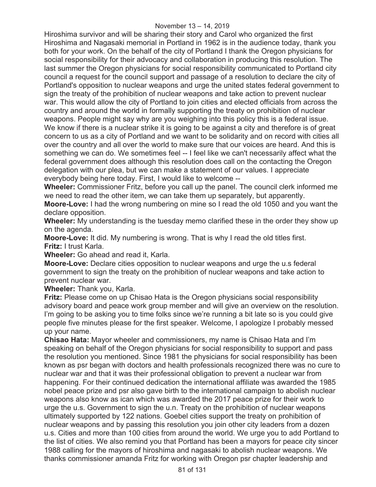Hiroshima survivor and will be sharing their story and Carol who organized the first Hiroshima and Nagasaki memorial in Portland in 1962 is in the audience today, thank you both for your work. On the behalf of the city of Portland I thank the Oregon physicians for social responsibility for their advocacy and collaboration in producing this resolution. The last summer the Oregon physicians for social responsibility communicated to Portland city council a request for the council support and passage of a resolution to declare the city of Portland's opposition to nuclear weapons and urge the united states federal government to sign the treaty of the prohibition of nuclear weapons and take action to prevent nuclear war. This would allow the city of Portland to join cities and elected officials from across the country and around the world in formally supporting the treaty on prohibition of nuclear weapons. People might say why are you weighing into this policy this is a federal issue. We know if there is a nuclear strike it is going to be against a city and therefore is of great concern to us as a city of Portland and we want to be solidarity and on record with cities all over the country and all over the world to make sure that our voices are heard. And this is something we can do. We sometimes feel -- I feel like we can't necessarily affect what the federal government does although this resolution does call on the contacting the Oregon delegation with our plea, but we can make a statement of our values. I appreciate everybody being here today. First, I would like to welcome --

**Wheeler:** Commissioner Fritz, before you call up the panel. The council clerk informed me we need to read the other item, we can take them up separately, but apparently.

**Moore-Love:** I had the wrong numbering on mine so I read the old 1050 and you want the declare opposition.

**Wheeler:** My understanding is the tuesday memo clarified these in the order they show up on the agenda.

**Moore-Love:** It did. My numbering is wrong. That is why I read the old titles first. **Fritz:** I trust Karla.

**Wheeler:** Go ahead and read it, Karla.

**Moore-Love:** Declare cities opposition to nuclear weapons and urge the u.s federal government to sign the treaty on the prohibition of nuclear weapons and take action to prevent nuclear war.

**Wheeler:** Thank you, Karla.

**Fritz:** Please come on up Chisao Hata is the Oregon physicians social responsibility advisory board and peace work group member and will give an overview on the resolution. I'm going to be asking you to time folks since we're running a bit late so is you could give people five minutes please for the first speaker. Welcome, I apologize I probably messed up your name.

**Chisao Hata:** Mayor wheeler and commissioners, my name is Chisao Hata and I'm speaking on behalf of the Oregon physicians for social responsibility to support and pass the resolution you mentioned. Since 1981 the physicians for social responsibility has been known as psr began with doctors and health professionals recognized there was no cure to nuclear war and that it was their professional obligation to prevent a nuclear war from happening. For their continued dedication the international affiliate was awarded the 1985 nobel peace prize and psr also gave birth to the international campaign to abolish nuclear weapons also know as ican which was awarded the 2017 peace prize for their work to urge the u.s. Government to sign the u.n. Treaty on the prohibition of nuclear weapons ultimately supported by 122 nations. Goebel cities support the treaty on prohibition of nuclear weapons and by passing this resolution you join other city leaders from a dozen u.s. Cities and more than 100 cities from around the world. We urge you to add Portland to the list of cities. We also remind you that Portland has been a mayors for peace city sincer 1988 calling for the mayors of hiroshima and nagasaki to abolish nuclear weapons. We thanks commissioner amanda Fritz for working with Oregon psr chapter leadership and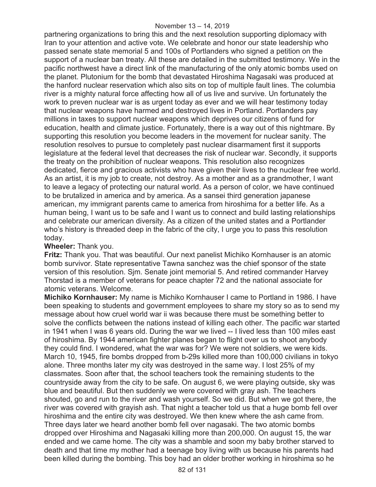partnering organizations to bring this and the next resolution supporting diplomacy with Iran to your attention and active vote. We celebrate and honor our state leadership who passed senate state memorial 5 and 100s of Portlanders who signed a petition on the support of a nuclear ban treaty. All these are detailed in the submitted testimony. We in the pacific northwest have a direct link of the manufacturing of the only atomic bombs used on the planet. Plutonium for the bomb that devastated Hiroshima Nagasaki was produced at the hanford nuclear reservation which also sits on top of multiple fault lines. The columbia river is a mighty natural force affecting how all of us live and survive. Un fortunately the work to preven nuclear war is as urgent today as ever and we will hear testimony today that nuclear weapons have harmed and destroyed lives in Portland. Portlanders pay millions in taxes to support nuclear weapons which deprives our citizens of fund for education, health and climate justice. Fortunately, there is a way out of this nightmare. By supporting this resolution you become leaders in the movement for nuclear sanity. The resolution resolves to pursue to completely past nuclear disarmament first it supports legislature at the federal level that decreases the risk of nuclear war. Secondly, it supports the treaty on the prohibition of nuclear weapons. This resolution also recognizes dedicated, fierce and gracious activists who have given their lives to the nuclear free world. As an artist, it is my job to create, not destroy. As a mother and as a grandmother, I want to leave a legacy of protecting our natural world. As a person of color, we have continued to be brutalized in america and by america. As a sansei third generation japanese american, my immigrant parents came to america from hiroshima for a better life. As a human being, I want us to be safe and I want us to connect and build lasting relationships and celebrate our american diversity. As a citizen of the united states and a Portlander who's history is threaded deep in the fabric of the city, I urge you to pass this resolution today.

# **Wheeler:** Thank you.

**Fritz:** Thank you. That was beautiful. Our next panelist Michiko Kornhauser is an atomic bomb survivor. State representative Tawna sanchez was the chief sponsor of the state version of this resolution. Sjm. Senate joint memorial 5. And retired commander Harvey Thorstad is a member of veterans for peace chapter 72 and the national associate for atomic veterans. Welcome.

**Michiko Kornhauser:** My name is Michiko Kornhauser I came to Portland in 1986. I have been speaking to students and government employees to share my story so as to send my message about how cruel world war ii was because there must be something better to solve the conflicts between the nations instead of killing each other. The pacific war started in 1941 when I was 6 years old. During the war we lived -- I lived less than 100 miles east of hiroshima. By 1944 american fighter planes began to flight over us to shoot anybody they could find. I wondered, what the war was for? We were not soldiers, we were kids. March 10, 1945, fire bombs dropped from b-29s killed more than 100,000 civilians in tokyo alone. Three months later my city was destroyed in the same way. I lost 25% of my classmates. Soon after that, the school teachers took the remaining students to the countryside away from the city to be safe. On august 6, we were playing outside, sky was blue and beautiful. But then suddenly we were covered with gray ash. The teachers shouted, go and run to the river and wash yourself. So we did. But when we got there, the river was covered with grayish ash. That night a teacher told us that a huge bomb fell over hiroshima and the entire city was destroyed. We then knew where the ash came from. Three days later we heard another bomb fell over nagasaki. The two atomic bombs dropped over Hiroshima and Nagasaki killing more than 200,000. On august 15, the war ended and we came home. The city was a shamble and soon my baby brother starved to death and that time my mother had a teenage boy living with us because his parents had been killed during the bombing. This boy had an older brother working in hiroshima so he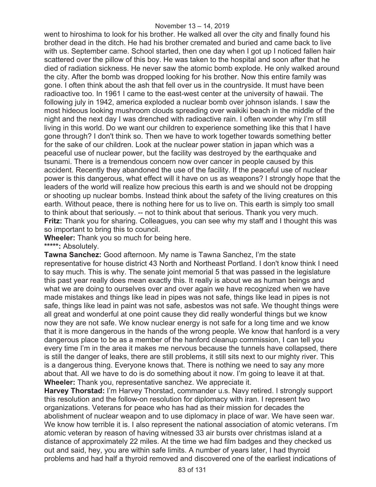went to hiroshima to look for his brother. He walked all over the city and finally found his brother dead in the ditch. He had his brother cremated and buried and came back to live with us. September came. School started, then one day when I got up I noticed fallen hair scattered over the pillow of this boy. He was taken to the hospital and soon after that he died of radiation sickness. He never saw the atomic bomb explode. He only walked around the city. After the bomb was dropped looking for his brother. Now this entire family was gone. I often think about the ash that fell over us in the countryside. It must have been radioactive too. In 1961 I came to the east-west center at the university of hawaii. The following july in 1942, america exploded a nuclear bomb over johnson islands. I saw the most hideous looking mushroom clouds spreading over waikiki beach in the middle of the night and the next day I was drenched with radioactive rain. I often wonder why I'm still living in this world. Do we want our children to experience something like this that I have gone through? I don't think so. Then we have to work together towards something better for the sake of our children. Look at the nuclear power station in japan which was a peaceful use of nuclear power, but the facility was destroyed by the earthquake and tsunami. There is a tremendous concern now over cancer in people caused by this accident. Recently they abandoned the use of the facility. If the peaceful use of nuclear power is this dangerous, what effect will it have on us as weapons? I strongly hope that the leaders of the world will realize how precious this earth is and we should not be dropping or shooting up nuclear bombs. Instead think about the safety of the living creatures on this earth. Without peace, there is nothing here for us to live on. This earth is simply too small to think about that seriously. -- not to think about that serious. Thank you very much. **Fritz:** Thank you for sharing. Colleagues, you can see why my staff and I thought this was so important to bring this to council.

**Wheeler:** Thank you so much for being here. **\*\*\*\*\*:** Absolutely.

**Tawna Sanchez:** Good afternoon. My name is Tawna Sanchez, I'm the state representative for house district 43 North and Northeast Portland. I don't know think I need to say much. This is why. The senate joint memorial 5 that was passed in the legislature this past year really does mean exactly this. It really is about we as human beings and what we are doing to ourselves over and over again we have recognized when we have made mistakes and things like lead in pipes was not safe, things like lead in pipes is not safe, things like lead in paint was not safe, asbestos was not safe. We thought things were all great and wonderful at one point cause they did really wonderful things but we know now they are not safe. We know nuclear energy is not safe for a long time and we know that it is more dangerous in the hands of the wrong people. We know that hanford is a very dangerous place to be as a member of the hanford cleanup commission, I can tell you every time I'm in the area it makes me nervous because the tunnels have collapsed, there is still the danger of leaks, there are still problems, it still sits next to our mighty river. This is a dangerous thing. Everyone knows that. There is nothing we need to say any more about that. All we have to do is do something about it now. I'm going to leave it at that. **Wheeler:** Thank you, representative sanchez. We appreciate it.

**Harvey Thorstad:** I'm Harvey Thorstad, commander u.s. Navy retired. I strongly support this resolution and the follow-on resolution for diplomacy with iran. I represent two organizations. Veterans for peace who has had as their mission for decades the abolishment of nuclear weapon and to use diplomacy in place of war. We have seen war. We know how terrible it is. I also represent the national association of atomic veterans. I'm atomic veteran by reason of having witnessed 33 air bursts over christmas island at a distance of approximately 22 miles. At the time we had film badges and they checked us out and said, hey, you are within safe limits. A number of years later, I had thyroid problems and had half a thyroid removed and discovered one of the earliest indications of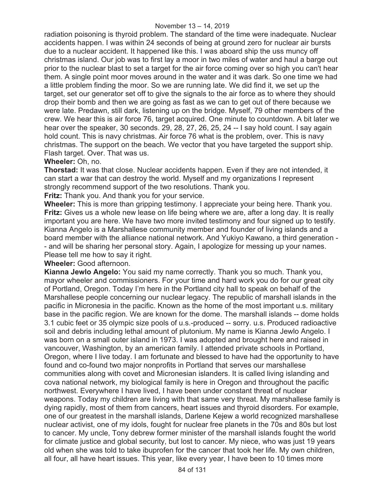radiation poisoning is thyroid problem. The standard of the time were inadequate. Nuclear accidents happen. I was within 24 seconds of being at ground zero for nuclear air bursts due to a nuclear accident. It happened like this. I was aboard ship the uss muncy off christmas island. Our job was to first lay a moor in two miles of water and haul a barge out prior to the nuclear blast to set a target for the air force coming over so high you can't hear them. A single point moor moves around in the water and it was dark. So one time we had a little problem finding the moor. So we are running late. We did find it, we set up the target, set our generator set off to give the signals to the air force as to where they should drop their bomb and then we are going as fast as we can to get out of there because we were late. Predawn, still dark, listening up on the bridge. Myself, 79 other members of the crew. We hear this is air force 76, target acquired. One minute to countdown. A bit later we hear over the speaker, 30 seconds. 29, 28, 27, 26, 25, 24 -- I say hold count. I say again hold count. This is navy christmas. Air force 76 what is the problem, over. This is navy christmas. The support on the beach. We vector that you have targeted the support ship. Flash target. Over. That was us.

#### **Wheeler:** Oh, no.

**Thorstad:** It was that close. Nuclear accidents happen. Even if they are not intended, it can start a war that can destroy the world. Myself and my organizations I represent strongly recommend support of the two resolutions. Thank you.

**Fritz:** Thank you. And thank you for your service.

**Wheeler:** This is more than gripping testimony. I appreciate your being here. Thank you. **Fritz:** Gives us a whole new lease on life being where we are, after a long day. It is really important you are here. We have two more invited testimony and four signed up to testify. Kianna Angelo is a Marshallese community member and founder of living islands and a board member with the alliance national network. And Yukiyo Kawano, a third generation - - and will be sharing her personal story. Again, I apologize for messing up your names. Please tell me how to say it right.

**Wheeler:** Good afternoon.

**Kianna Jewlo Angelo:** You said my name correctly. Thank you so much. Thank you, mayor wheeler and commissioners. For your time and hard work you do for our great city of Portland, Oregon. Today I'm here in the Portland city hall to speak on behalf of the Marshallese people concerning our nuclear legacy. The republic of marshall islands in the pacific in Micronesia in the pacific. Known as the home of the most important u.s. military base in the pacific region. We are known for the dome. The marshall islands -- dome holds 3.1 cubic feet or 35 olympic size pools of u.s.-produced -- sorry. u.s. Produced radioactive soil and debris including lethal amount of plutonium. My name is Kianna Jewlo Angelo. I was born on a small outer island in 1973. I was adopted and brought here and raised in vancouver, Washington, by an american family. I attended private schools in Portland, Oregon, where I live today. I am fortunate and blessed to have had the opportunity to have found and co-found two major nonprofits in Portland that serves our marshallese communities along with covet and Micronesian islanders. It is called living islanding and cova national network, my biological family is here in Oregon and throughout the pacific northwest. Everywhere I have lived, I have been under constant threat of nuclear weapons. Today my children are living with that same very threat. My marshallese family is dying rapidly, most of them from cancers, heart issues and thyroid disorders. For example, one of our greatest in the marshall islands, Darlene Kejew a world recognized marshallese nuclear activist, one of my idols, fought for nuclear free planets in the 70s and 80s but lost to cancer. My uncle, Tony debrew former minister of the marshall islands fought the world for climate justice and global security, but lost to cancer. My niece, who was just 19 years old when she was told to take ibuprofen for the cancer that took her life. My own children, all four, all have heart issues. This year, like every year, I have been to 10 times more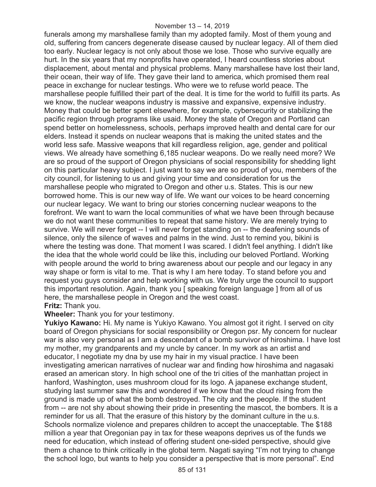funerals among my marshallese family than my adopted family. Most of them young and old, suffering from cancers degenerate disease caused by nuclear legacy. All of them died too early. Nuclear legacy is not only about those we lose. Those who survive equally are hurt. In the six years that my nonprofits have operated, I heard countless stories about displacement, about mental and physical problems. Many marshallese have lost their land, their ocean, their way of life. They gave their land to america, which promised them real peace in exchange for nuclear testings. Who were we to refuse world peace. The marshallese people fulfilled their part of the deal. It is time for the world to fulfill its parts. As we know, the nuclear weapons industry is massive and expansive, expensive industry. Money that could be better spent elsewhere, for example, cybersecurity or stabilizing the pacific region through programs like usaid. Money the state of Oregon and Portland can spend better on homelessness, schools, perhaps improved health and dental care for our elders. Instead it spends on nuclear weapons that is making the united states and the world less safe. Massive weapons that kill regardless religion, age, gender and political views. We already have something 6,185 nuclear weapons. Do we really need more? We are so proud of the support of Oregon physicians of social responsibility for shedding light on this particular heavy subject. I just want to say we are so proud of you, members of the city council, for listening to us and giving your time and consideration for us the marshallese people who migrated to Oregon and other u.s. States. This is our new borrowed home. This is our new way of life. We want our voices to be heard concerning our nuclear legacy. We want to bring our stories concerning nuclear weapons to the forefront. We want to warn the local communities of what we have been through because we do not want these communities to repeat that same history. We are merely trying to survive. We will never forget -- I will never forget standing on -- the deafening sounds of silence, only the silence of waves and palms in the wind. Just to remind you, bikini is where the testing was done. That moment I was scared. I didn't feel anything. I didn't like the idea that the whole world could be like this, including our beloved Portland. Working with people around the world to bring awareness about our people and our legacy in any way shape or form is vital to me. That is why I am here today. To stand before you and request you guys consider and help working with us. We truly urge the council to support this important resolution. Again, thank you [ speaking foreign language ] from all of us here, the marshallese people in Oregon and the west coast. **Fritz:** Thank you.

#### **Wheeler:** Thank you for your testimony.

**Yukiyo Kawano:** Hi. My name is Yukiyo Kawano. You almost got it right. I served on city board of Oregon physicians for social responsibility or Oregon psr. My concern for nuclear war is also very personal as I am a descendant of a bomb survivor of hiroshima. I have lost my mother, my grandparents and my uncle by cancer. In my work as an artist and educator, I negotiate my dna by use my hair in my visual practice. I have been investigating american narratives of nuclear war and finding how hiroshima and nagasaki erased an american story. In high school one of the tri cities of the manhattan project in hanford, Washington, uses mushroom cloud for its logo. A japanese exchange student, studying last summer saw this and wondered if we know that the cloud rising from the ground is made up of what the bomb destroyed. The city and the people. If the student from -- are not shy about showing their pride in presenting the mascot, the bombers. It is a reminder for us all. That the erasure of this history by the dominant culture in the u.s. Schools normalize violence and prepares children to accept the unacceptable. The \$188 million a year that Oregonian pay in tax for these weapons deprives us of the funds we need for education, which instead of offering student one-sided perspective, should give them a chance to think critically in the global term. Nagati saying "I'm not trying to change the school logo, but wants to help you consider a perspective that is more personal". End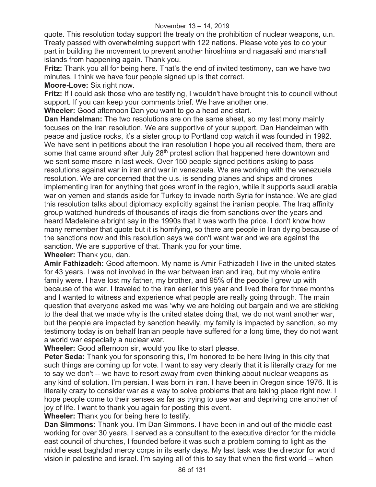quote. This resolution today support the treaty on the prohibition of nuclear weapons, u.n. Treaty passed with overwhelming support with 122 nations. Please vote yes to do your part in building the movement to prevent another hiroshima and nagasaki and marshall islands from happening again. Thank you.

**Fritz:** Thank you all for being here. That's the end of invited testimony, can we have two minutes, I think we have four people signed up is that correct.

**Moore-Love:** Six right now.

**Fritz:** If I could ask those who are testifying, I wouldn't have brought this to council without support. If you can keep your comments brief. We have another one.

**Wheeler:** Good afternoon Dan you want to go a head and start.

**Dan Handelman:** The two resolutions are on the same sheet, so my testimony mainly focuses on the Iran resolution. We are supportive of your support. Dan Handelman with peace and justice rocks, it's a sister group to Portland cop watch it was founded in 1992. We have sent in petitions about the iran resolution I hope you all received them, there are some that came around after July 28<sup>th</sup> protest action that happened here downtown and we sent some msore in last week. Over 150 people signed petitions asking to pass resolutions against war in iran and war in venezuela. We are working with the venezuela resolution. We are concerned that the u.s. is sending planes and ships and drones implementing Iran for anything that goes wronf in the region, while it supports saudi arabia war on yemen and stands aside for Turkey to invade north Syria for instance. We are glad this resolution talks about diplomacy explicitly against the iranian people. The Iraq affinity group watched hundreds of thousands of iraqis die from sanctions over the years and heard Madeleine albright say in the 1990s that it was worth the price. I don't know how many remember that quote but it is horrifying, so there are people in Iran dying because of the sanctions now and this resolution says we don't want war and we are against the sanction. We are supportive of that. Thank you for your time.

**Wheeler:** Thank you, dan.

**Amir Fathizadeh:** Good afternoon. My name is Amir Fathizadeh I live in the united states for 43 years. I was not involved in the war between iran and iraq, but my whole entire family were. I have lost my father, my brother, and 95% of the people I grew up with because of the war. I traveled to the iran earlier this year and lived there for three months and I wanted to witness and experience what people are really going through. The main question that everyone asked me was 'why we are holding out bargain and we are sticking to the deal that we made why is the united states doing that, we do not want another war, but the people are impacted by sanction heavily, my family is impacted by sanction, so my testimony today is on behalf Iranian people have suffered for a long time, they do not want a world war especially a nuclear war.

**Wheeler:** Good afternoon sir, would you like to start please.

**Peter Seda:** Thank you for sponsoring this, I'm honored to be here living in this city that such things are coming up for vote. I want to say very clearly that it is literally crazy for me to say we don't -- we have to resort away from even thinking about nuclear weapons as any kind of solution. I'm persian. I was born in iran. I have been in Oregon since 1976. It is literally crazy to consider war as a way to solve problems that are taking place right now. I hope people come to their senses as far as trying to use war and depriving one another of joy of life. I want to thank you again for posting this event.

**Wheeler:** Thank you for being here to testify.

**Dan Simmons:** Thank you. I'm Dan Simmons. I have been in and out of the middle east working for over 30 years, I served as a consultant to the executive director for the middle east council of churches, I founded before it was such a problem coming to light as the middle east baghdad mercy corps in its early days. My last task was the director for world vision in palestine and israel. I'm saying all of this to say that when the first world -- when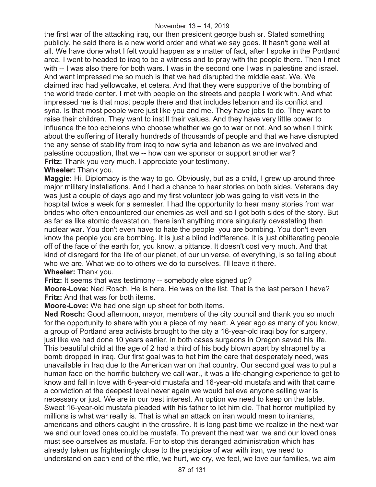the first war of the attacking iraq, our then president george bush sr. Stated something publicly, he said there is a new world order and what we say goes. It hasn't gone well at all. We have done what I felt would happen as a matter of fact, after I spoke in the Portland area, I went to headed to iraq to be a witness and to pray with the people there. Then I met with -- I was also there for both wars. I was in the second one I was in palestine and israel. And want impressed me so much is that we had disrupted the middle east. We. We claimed iraq had yellowcake, et cetera. And that they were supportive of the bombing of the world trade center. I met with people on the streets and people I work with. And what impressed me is that most people there and that includes lebanon and its conflict and syria. Is that most people were just like you and me. They have jobs to do. They want to raise their children. They want to instill their values. And they have very little power to influence the top echelons who choose whether we go to war or not. And so when I think about the suffering of literally hundreds of thousands of people and that we have disrupted the any sense of stability from iraq to now syria and lebanon as we are involved and palestine occupation, that we -- how can we sponsor or support another war? **Fritz:** Thank you very much. I appreciate your testimony.

**Wheeler:** Thank you.

**Maggie:** Hi. Diplomacy is the way to go. Obviously, but as a child, I grew up around three major military installations. And I had a chance to hear stories on both sides. Veterans day was just a couple of days ago and my first volunteer job was going to visit vets in the hospital twice a week for a semester. I had the opportunity to hear many stories from war brides who often encountered our enemies as well and so I got both sides of the story. But as far as like atomic devastation, there isn't anything more singularly devastating than nuclear war. You don't even have to hate the people you are bombing. You don't even know the people you are bombing. It is just a blind indifference. It is just obliterating people off of the face of the earth for, you know, a pittance. It doesn't cost very much. And that kind of disregard for the life of our planet, of our universe, of everything, is so telling about who we are. What we do to others we do to ourselves. I'll leave it there. **Wheeler:** Thank you.

**Fritz:** It seems that was testimony -- somebody else signed up?

**Moore-Love:** Ned Rosch. He is here. He was on the list. That is the last person I have? **Fritz:** And that was for both items.

**Moore-Love:** We had one sign up sheet for both items.

**Ned Rosch:** Good afternoon, mayor, members of the city council and thank you so much for the opportunity to share with you a piece of my heart. A year ago as many of you know, a group of Portland area activists brought to the city a 16-year-old iraqi boy for surgery, just like we had done 10 years earlier, in both cases surgeons in Oregon saved his life. This beautiful child at the age of 2 had a third of his body blown apart by shrapnel by a bomb dropped in iraq. Our first goal was to het him the care that desperately need, was unavailable in Iraq due to the American war on that country. Our second goal was to put a human face on the horrific butchery we call war., it was a life-changing experience to get to know and fall in love with 6-year-old mustafa and 16-year-old mustafa and with that came a conviction at the deepest level never again we would believe anyone selling war is necessary or just. We are in our best interest. An option we need to keep on the table. Sweet 16-year-old mustafa pleaded with his father to let him die. That horror multiplied by millions is what war really is. That is what an attack on iran would mean to iranians, americans and others caught in the crossfire. It is long past time we realize in the next war we and our loved ones could be mustafa. To prevent the next war, we and our loved ones must see ourselves as mustafa. For to stop this deranged administration which has already taken us frighteningly close to the precipice of war with iran, we need to understand on each end of the rifle, we hurt, we cry, we feel, we love our families, we aim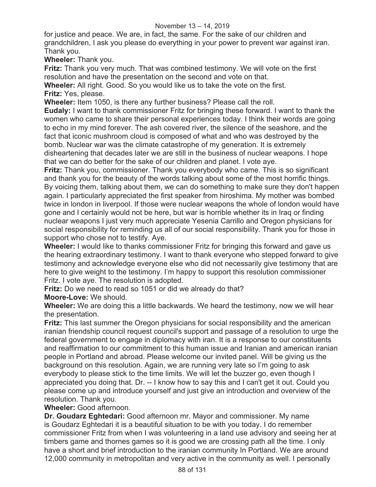#### November 13 – 14, 2019

for justice and peace. We are, in fact, the same. For the sake of our children and grandchildren, I ask you please do everything in your power to prevent war against iran. Thank you.

**Wheeler:** Thank you.

**Fritz:** Thank you very much. That was combined testimony. We will vote on the first resolution and have the presentation on the second and vote on that.

**Wheeler:** All right. Good. So you would like us to take the vote on the first. **Fritz:** Yes, please.

**Wheeler:** Item 1050, is there any further business? Please call the roll.

**Eudaly:** I want to thank commissioner Fritz for bringing these forward. I want to thank the women who came to share their personal experiences today. I think their words are going to echo in my mind forever. The ash covered river, the silence of the seashore, and the fact that iconic mushroom cloud is composed of what and who was destroyed by the bomb. Nuclear war was the climate catastrophe of my generation. It is extremely disheartening that decades later we are still in the business of nuclear weapons. I hope that we can do better for the sake of our children and planet. I vote aye.

**Fritz:** Thank you, commissioner. Thank you everybody who came. This is so significant and thank you for the beauty of the words talking about some of the most horrific things. By voicing them, talking about them, we can do something to make sure they don't happen again. I particularly appreciated the first speaker from hiroshima. My mother was bombed twice in london in liverpool. If those were nuclear weapons the whole of london would have gone and I certainly would not be here, but war is horrible whether its in Iraq or finding nuclear weapons I just very much appreciate Yesenia Carrillo and Oregon physicians for social responsibility for reminding us all of our social responsibility. Thank you for those in support who chose not to testify. Aye.

**Wheeler:** I would like to thanks commissioner Fritz for bringing this forward and gave us the hearing extraordinary testimony. I want to thank everyone who stepped forward to give testimony and acknowledge everyone else who did not necessarily give testimony that are here to give weight to the testimony. I'm happy to support this resolution commissioner Fritz. I vote aye. The resolution is adopted.

**Fritz:** Do we need to read so 1051 or did we already do that? **Moore-Love:** We should.

**Wheeler:** We are doing this a little backwards. We heard the testimony, now we will hear the presentation.

**Fritz:** This last summer the Oregon physicians for social responsibility and the american iranian friendship council request council's support and passage of a resolution to urge the federal government to engage in diplomacy with iran. It is a response to our constituents and reaffirmation to our commitment to this human issue and Iranian and american iranian people in Portland and abroad. Please welcome our invited panel. Will be giving us the background on this resolution. Again, we are running very late so I'm going to ask everybody to please stick to the time limits. We will let the buzzer go, even though I appreciated you doing that. Dr. -- I know how to say this and I can't get it out. Could you please come up and introduce yourself and just give an introduction and overview of the resolution. Thank you.

**Wheeler:** Good afternoon.

**Dr. Goudarz Eghtedari:** Good afternoon mr. Mayor and commissioner. My name is Goudarz Eghtedari it is a beautiful situation to be with you today. I do remember commissioner Fritz from when I was volunteering in a land use advisory and seeing her at timbers game and thornes games so it is good we are crossing path all the time. I only have a short and brief introduction to the iranian community In Portland. We are around 12,000 community in metropolitan and very active in the community as well. I personally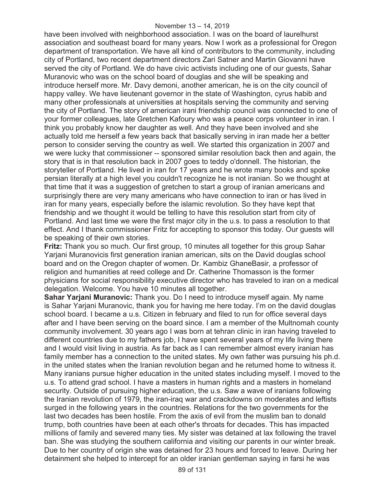have been involved with neighborhood association. I was on the board of laurelhurst association and southeast board for many years. Now I work as a professional for Oregon department of transportation. We have all kind of contributors to the community, including city of Portland, two recent department directors Zari Satner and Martin Giovanni have served the city of Portland. We do have civic activists including one of our guests, Sahar Muranovic who was on the school board of douglas and she will be speaking and introduce herself more. Mr. Davy demoni, another american, he is on the city council of happy valley. We have lieutenant governor in the state of Washington, cyrus habib and many other professionals at universities at hospitals serving the community and serving the city of Portland. The story of american irani friendship council was connected to one of your former colleagues, late Gretchen Kafoury who was a peace corps volunteer in iran. I think you probably know her daughter as well. And they have been involved and she actually told me herself a few years back that basically serving in iran made her a better person to consider serving the country as well. We started this organization in 2007 and we were lucky that commissioner -- sponsored similar resolution back then and again, the story that is in that resolution back in 2007 goes to teddy o'donnell. The historian, the storyteller of Portland. He lived in iran for 17 years and he wrote many books and spoke persian literally at a high level you couldn't recognize he is not iranian. So we thought at that time that it was a suggestion of gretchen to start a group of iranian americans and surprisingly there are very many americans who have connection to iran or has lived in iran for many years, especially before the islamic revolution. So they have kept that friendship and we thought it would be telling to have this resolution start from city of Portland. And last time we were the first major city in the u.s. to pass a resolution to that effect. And I thank commissioner Fritz for accepting to sponsor this today. Our guests will be speaking of their own stories.

**Fritz:** Thank you so much. Our first group, 10 minutes all together for this group Sahar Yarjani Muranovicis first generation iranian american, sits on the David douglas school board and on the Oregon chapter of women. Dr. Kambiz GhaneBasir, a professor of religion and humanities at reed college and Dr. Catherine Thomasson is the former physicians for social responsibility executive director who has traveled to iran on a medical delegation. Welcome. You have 10 minutes all together.

**Sahar Yarjani Muranovic:** Thank you. Do I need to introduce myself again. My name is Sahar Yarjani Muranovic, thank you for having me here today. I'm on the david douglas school board. I became a u.s. Citizen in february and filed to run for office several days after and I have been serving on the board since. I am a member of the Multnomah county community involvement. 30 years ago I was born at tehran clinic in iran having traveled to different countries due to my fathers job, I have spent several years of my life living there and I would visit living in austria. As far back as I can remember almost every iranian has family member has a connection to the united states. My own father was pursuing his ph.d. in the united states when the Iranian revolution began and he returned home to witness it. Many iranians pursue higher education in the united states including myself. I moved to the u.s. To attend grad school. I have a masters in human rights and a masters in homeland security. Outside of pursuing higher education, the u.s. Saw a wave of iranians following the Iranian revolution of 1979, the iran-iraq war and crackdowns on moderates and leftists surged in the following years in the countries. Relations for the two governments for the last two decades has been hostile. From the axis of evil from the muslim ban to donald trump, both countries have been at each other's throats for decades. This has impacted millions of family and severed many ties. My sister was detained at lax following the travel ban. She was studying the southern california and visiting our parents in our winter break. Due to her country of origin she was detained for 23 hours and forced to leave. During her detainment she helped to intercept for an older iranian gentleman saying in farsi he was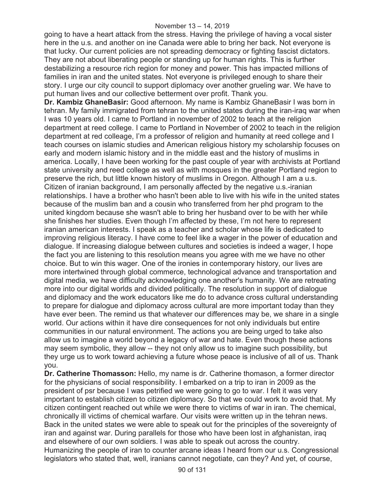#### November 13 – 14, 2019

going to have a heart attack from the stress. Having the privilege of having a vocal sister here in the u.s. and another on ine Canada were able to bring her back. Not everyone is that lucky. Our current policies are not spreading democracy or fighting fascist dictators. They are not about liberating people or standing up for human rights. This is further destabilizing a resource rich region for money and power. This has impacted millions of families in iran and the united states. Not everyone is privileged enough to share their story. I urge our city council to support diplomacy over another grueling war. We have to put human lives and our collective betterment over profit. Thank you.

**Dr. Kambiz GhaneBasir:** Good afternoon. My name is Kambiz GhaneBasir I was born in tehran. My family immigrated from tehran to the united states during the iran-iraq war when I was 10 years old. I came to Portland in november of 2002 to teach at the religion department at reed college. I came to Portland in November of 2002 to teach in the religion department at red colleage, I'm a professor of religion and humanity at reed college and I teach courses on islamic studies and American religious history my scholarship focuses on early and modern islamic history and in the middle east and the history of muslims in america. Locally, I have been working for the past couple of year with archivists at Portland state university and reed college as well as with mosques in the greater Portland region to preserve the rich, but little known history of muslims in Oregon. Although I am a u.s. Citizen of iranian background, I am personally affected by the negative u.s.-iranian relationships. I have a brother who hasn't been able to live with his wife in the united states because of the muslim ban and a cousin who transferred from her phd program to the united kingdom because she wasn't able to bring her husband over to be with her while she finishes her studies. Even though I'm affected by these, I'm not here to represent iranian american interests. I speak as a teacher and scholar whose life is dedicated to improving religious literacy. I have come to feel like a wager in the power of education and dialogue. If increasing dialogue between cultures and societies is indeed a wager, I hope the fact you are listening to this resolution means you agree with me we have no other choice. But to win this wager. One of the ironies in contemporary history, our lives are more intertwined through global commerce, technological advance and transportation and digital media, we have difficulty acknowledging one another's humanity. We are retreating more into our digital worlds and divided politically. The resolution in support of dialogue and diplomacy and the work educators like me do to advance cross cultural understanding to prepare for dialogue and diplomacy across cultural are more important today than they have ever been. The remind us that whatever our differences may be, we share in a single world. Our actions within it have dire consequences for not only individuals but entire communities in our natural environment. The actions you are being urged to take also allow us to imagine a world beyond a legacy of war and hate. Even though these actions may seem symbolic, they allow -- they not only allow us to imagine such possibility, but they urge us to work toward achieving a future whose peace is inclusive of all of us. Thank you.

**Dr. Catherine Thomasson:** Hello, my name is dr. Catherine thomason, a former director for the physicians of social responsibility. I embarked on a trip to iran in 2009 as the president of psr because I was petrified we were going to go to war. I felt it was very important to establish citizen to citizen diplomacy. So that we could work to avoid that. My citizen contingent reached out while we were there to victims of war in iran. The chemical, chronically ill victims of chemical warfare. Our visits were written up in the tehran news. Back in the united states we were able to speak out for the principles of the sovereignty of iran and against war. During parallels for those who have been lost in afghanistan, iraq and elsewhere of our own soldiers. I was able to speak out across the country. Humanizing the people of iran to counter arcane ideas I heard from our u.s. Congressional legislators who stated that, well, iranians cannot negotiate, can they? And yet, of course,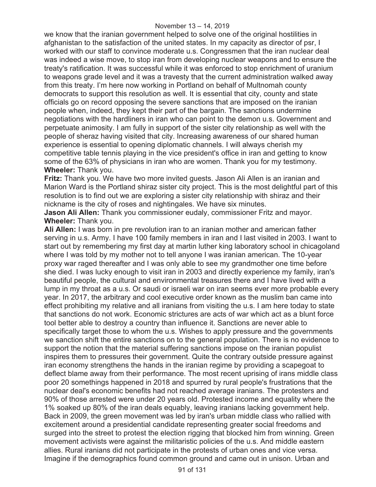we know that the iranian government helped to solve one of the original hostilities in afghanistan to the satisfaction of the united states. In my capacity as director of psr, I worked with our staff to convince moderate u.s. Congressmen that the iran nuclear deal was indeed a wise move, to stop iran from developing nuclear weapons and to ensure the treaty's ratification. It was successful while it was enforced to stop enrichment of uranium to weapons grade level and it was a travesty that the current administration walked away from this treaty. I'm here now working in Portland on behalf of Multnomah county democrats to support this resolution as well. It is essential that city, county and state officials go on record opposing the severe sanctions that are imposed on the iranian people when, indeed, they kept their part of the bargain. The sanctions undermine negotiations with the hardliners in iran who can point to the demon u.s. Government and perpetuate animosity. I am fully in support of the sister city relationship as well with the people of sheraz having visited that city. Increasing awareness of our shared human experience is essential to opening diplomatic channels. I will always cherish my competitive table tennis playing in the vice president's office in iran and getting to know some of the 63% of physicians in iran who are women. Thank you for my testimony. **Wheeler:** Thank you.

**Fritz:** Thank you. We have two more invited guests. Jason Ali Allen is an iranian and Marion Ward is the Portland shiraz sister city project. This is the most delightful part of this resolution is to find out we are exploring a sister city relationship with shiraz and their nickname is the city of roses and nightingales. We have six minutes.

**Jason Ali Allen:** Thank you commissioner eudaly, commissioner Fritz and mayor. **Wheeler:** Thank you.

**Ali Allen:** I was born in pre revolution iran to an iranian mother and american father serving in u.s. Army. I have 100 family members in iran and I last visited in 2003. I want to start out by remembering my first day at martin luther king laboratory school in chicagoland where I was told by my mother not to tell anyone I was iranian american. The 10-year proxy war raged thereafter and I was only able to see my grandmother one time before she died. I was lucky enough to visit iran in 2003 and directly experience my family, iran's beautiful people, the cultural and environmental treasures there and I have lived with a lump in my throat as a u.s. Or saudi or israeli war on iran seems ever more probable every year. In 2017, the arbitrary and cool executive order known as the muslim ban came into effect prohibiting my relative and all iranians from visiting the u.s. I am here today to state that sanctions do not work. Economic strictures are acts of war which act as a blunt force tool better able to destroy a country than influence it. Sanctions are never able to specifically target those to whom the u.s. Wishes to apply pressure and the governments we sanction shift the entire sanctions on to the general population. There is no evidence to support the notion that the material suffering sanctions impose on the iranian populist inspires them to pressures their government. Quite the contrary outside pressure against iran economy strengthens the hands in the iranian regime by providing a scapegoat to deflect blame away from their performance. The most recent uprising of irans middle class poor 20 somethings happened in 2018 and spurred by rural people's frustrations that the nuclear deal's economic benefits had not reached average iranians. The protesters and 90% of those arrested were under 20 years old. Protested income and equality where the 1% soaked up 80% of the iran deals equably, leaving iranians lacking government help. Back in 2009, the green movement was led by iran's urban middle class who rallied with excitement around a presidential candidate representing greater social freedoms and surged into the street to protest the election rigging that blocked him from winning. Green movement activists were against the militaristic policies of the u.s. And middle eastern allies. Rural iranians did not participate in the protests of urban ones and vice versa. Imagine if the demographics found common ground and came out in unison. Urban and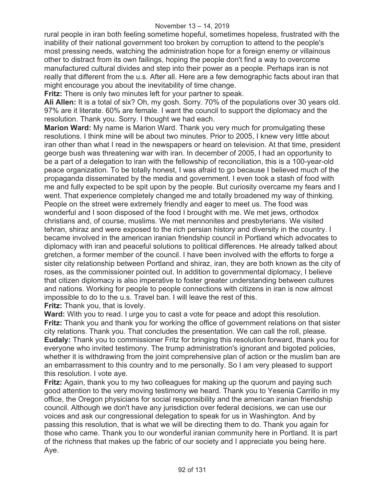rural people in iran both feeling sometime hopeful, sometimes hopeless, frustrated with the inability of their national government too broken by corruption to attend to the people's most pressing needs, watching the administration hope for a foreign enemy or villainous other to distract from its own failings, hoping the people don't find a way to overcome manufactured cultural divides and step into their power as a people. Perhaps iran is not really that different from the u.s. After all. Here are a few demographic facts about iran that might encourage you about the inevitability of time change.

**Fritz:** There is only two minutes left for your partner to speak.

**Ali Allen:** It is a total of six? Oh, my gosh. Sorry. 70% of the populations over 30 years old. 97% are it literate. 60% are female. I want the council to support the diplomacy and the resolution. Thank you. Sorry. I thought we had each.

**Marion Ward:** My name is Marion Ward. Thank you very much for promulgating these resolutions. I think mine will be about two minutes. Prior to 2005, I knew very little about iran other than what I read in the newspapers or heard on television. At that time, president george bush was threatening war with iran. In december of 2005, I had an opportunity to be a part of a delegation to iran with the fellowship of reconciliation, this is a 100-year-old peace organization. To be totally honest, I was afraid to go because I believed much of the propaganda disseminated by the media and government. I even took a stash of food with me and fully expected to be spit upon by the people. But curiosity overcame my fears and I went. That experience completely changed me and totally broadened my way of thinking. People on the street were extremely friendly and eager to meet us. The food was wonderful and I soon disposed of the food I brought with me. We met jews, orthodox christians and, of course, muslims. We met mennonites and presbyterians. We visited tehran, shiraz and were exposed to the rich persian history and diversity in the country. I became involved in the american iranian friendship council in Portland which advocates to diplomacy with iran and peaceful solutions to political differences. He already talked about gretchen, a former member of the council. I have been involved with the efforts to forge a sister city relationship between Portland and shiraz, iran, they are both known as the city of roses, as the commissioner pointed out. In addition to governmental diplomacy, I believe that citizen diplomacy is also imperative to foster greater understanding between cultures and nations. Working for people to people connections with citizens in iran is now almost impossible to do to the u.s. Travel ban. I will leave the rest of this. **Fritz:** Thank you, that is lovely.

**Ward:** With you to read. I urge you to cast a vote for peace and adopt this resolution. **Fritz:** Thank you and thank you for working the office of government relations on that sister city relations. Thank you. That concludes the presentation. We can call the roll, please. **Eudaly:** Thank you to commissioner Fritz for bringing this resolution forward, thank you for everyone who invited testimony. The trump administration's ignorant and bigoted policies, whether it is withdrawing from the joint comprehensive plan of action or the muslim ban are an embarrassment to this country and to me personally. So I am very pleased to support this resolution. I vote aye.

**Fritz:** Again, thank you to my two colleagues for making up the quorum and paying such good attention to the very moving testimony we heard. Thank you to Yesenia Carrillo in my office, the Oregon physicians for social responsibility and the american iranian friendship council. Although we don't have any jurisdiction over federal decisions, we can use our voices and ask our congressional delegation to speak for us in Washington. And by passing this resolution, that is what we will be directing them to do. Thank you again for those who came. Thank you to our wonderful iranian community here in Portland. It is part of the richness that makes up the fabric of our society and I appreciate you being here. Aye.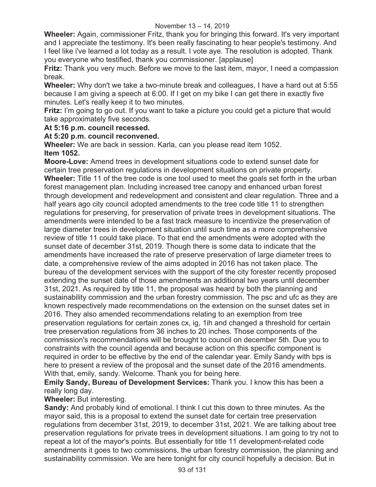**Wheeler:** Again, commissioner Fritz, thank you for bringing this forward. It's very important and I appreciate the testimony. It's been really fascinating to hear people's testimony. And I feel like i've learned a lot today as a result. I vote aye. The resolution is adopted. Thank you everyone who testified, thank you commissioner. [applause]

**Fritz:** Thank you very much. Before we move to the last item, mayor, I need a compassion break.

**Wheeler:** Why don't we take a two-minute break and colleagues, I have a hard out at 5:55 because I am giving a speech at 6:00. If I get on my bike I can get there in exactly five minutes. Let's really keep it to two minutes.

**Fritz:** I'm going to go out. If you want to take a picture you could get a picture that would take approximately five seconds.

# **At 5:16 p.m. council recessed.**

#### **At 5:20 p.m. council reconvened.**

**Wheeler:** We are back in session. Karla, can you please read item 1052. **Item 1052.**

**Moore-Love:** Amend trees in development situations code to extend sunset date for certain tree preservation regulations in development situations on private property. **Wheeler:** Title 11 of the tree code is one tool used to meet the goals set forth in the urban forest management plan. Including increased tree canopy and enhanced urban forest through development and redevelopment and consistent and clear regulation. Three and a half years ago city council adopted amendments to the tree code title 11 to strengthen regulations for preserving, for preservation of private trees in development situations. The amendments were intended to be a fast track measure to incentivize the preservation of large diameter trees in development situation until such time as a more comprehensive review of title 11 could take place. To that end the amendments were adopted with the sunset date of december 31st, 2019. Though there is some data to indicate that the amendments have increased the rate of preserve preservation of large diameter trees to date, a comprehensive review of the aims adopted in 2016 has not taken place. The bureau of the development services with the support of the city forester recently proposed extending the sunset date of those amendments an additional two years until december 31st, 2021. As required by title 11, the proposal was heard by both the planning and sustainability commission and the urban forestry commission. The psc and ufc as they are known respectively made recommendations on the extension on the sunset dates set in 2016. They also amended recommendations relating to an exemption from tree preservation regulations for certain zones cx, ig, 1ih and changed a threshold for certain tree preservation regulations from 36 inches to 20 inches. Those components of the commission's recommendations will be brought to council on december 5th. Due you to constraints with the council agenda and because action on this specific component is required in order to be effective by the end of the calendar year. Emily Sandy with bps is here to present a review of the proposal and the sunset date of the 2016 amendments. With that, emily, sandy. Welcome. Thank you for being here.

**Emily Sandy, Bureau of Development Services:** Thank you. I know this has been a really long day.

# **Wheeler:** But interesting.

**Sandy:** And probably kind of emotional. I think I cut this down to three minutes. As the mayor said, this is a proposal to extend the sunset date for certain tree preservation regulations from december 31st, 2019, to december 31st, 2021. We are talking about tree preservation regulations for private trees in development situations. I am going to try not to repeat a lot of the mayor's points. But essentially for title 11 development-related code amendments it goes to two commissions, the urban forestry commission, the planning and sustainability commission. We are here tonight for city council hopefully a decision. But in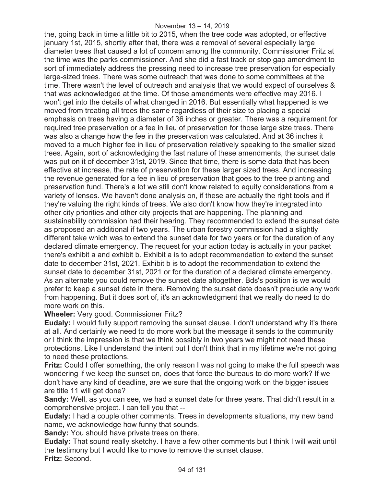the, going back in time a little bit to 2015, when the tree code was adopted, or effective january 1st, 2015, shortly after that, there was a removal of several especially large diameter trees that caused a lot of concern among the community. Commissioner Fritz at the time was the parks commissioner. And she did a fast track or stop gap amendment to sort of immediately address the pressing need to increase tree preservation for especially large-sized trees. There was some outreach that was done to some committees at the time. There wasn't the level of outreach and analysis that we would expect of ourselves & that was acknowledged at the time. Of those amendments were effective may 2016. I won't get into the details of what changed in 2016. But essentially what happened is we moved from treating all trees the same regardless of their size to placing a special emphasis on trees having a diameter of 36 inches or greater. There was a requirement for required tree preservation or a fee in lieu of preservation for those large size trees. There was also a change how the fee in the preservation was calculated. And at 36 inches it moved to a much higher fee in lieu of preservation relatively speaking to the smaller sized trees. Again, sort of acknowledging the fast nature of these amendments, the sunset date was put on it of december 31st, 2019. Since that time, there is some data that has been effective at increase, the rate of preservation for these larger sized trees. And increasing the revenue generated for a fee in lieu of preservation that goes to the tree planting and preservation fund. There's a lot we still don't know related to equity considerations from a variety of lenses. We haven't done analysis on, if these are actually the right tools and if they're valuing the right kinds of trees. We also don't know how they're integrated into other city priorities and other city projects that are happening. The planning and sustainability commission had their hearing. They recommended to extend the sunset date as proposed an additional if two years. The urban forestry commission had a slightly different take which was to extend the sunset date for two years or for the duration of any declared climate emergency. The request for your action today is actually in your packet there's exhibit a and exhibit b. Exhibit a is to adopt recommendation to extend the sunset date to december 31st, 2021. Exhibit b is to adopt the recommendation to extend the sunset date to december 31st, 2021 or for the duration of a declared climate emergency. As an alternate you could remove the sunset date altogether. Bds's position is we would prefer to keep a sunset date in there. Removing the sunset date doesn't preclude any work from happening. But it does sort of, it's an acknowledgment that we really do need to do more work on this.

# **Wheeler:** Very good. Commissioner Fritz?

**Eudaly:** I would fully support removing the sunset clause. I don't understand why it's there at all. And certainly we need to do more work but the message it sends to the community or I think the impression is that we think possibly in two years we might not need these protections. Like I understand the intent but I don't think that in my lifetime we're not going to need these protections.

**Fritz:** Could I offer something, the only reason I was not going to make the full speech was wondering if we keep the sunset on, does that force the bureaus to do more work? If we don't have any kind of deadline, are we sure that the ongoing work on the bigger issues are title 11 will get done?

**Sandy:** Well, as you can see, we had a sunset date for three years. That didn't result in a comprehensive project. I can tell you that --

**Eudaly:** I had a couple other comments. Trees in developments situations, my new band name, we acknowledge how funny that sounds.

**Sandy:** You should have private trees on there.

**Eudaly:** That sound really sketchy. I have a few other comments but I think I will wait until the testimony but I would like to move to remove the sunset clause. **Fritz:** Second.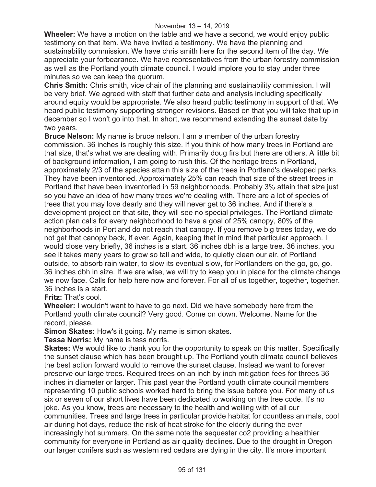**Wheeler:** We have a motion on the table and we have a second, we would enjoy public testimony on that item. We have invited a testimony. We have the planning and sustainability commission. We have chris smith here for the second item of the day. We appreciate your forbearance. We have representatives from the urban forestry commission as well as the Portland youth climate council. I would implore you to stay under three minutes so we can keep the quorum.

**Chris Smith:** Chris smith, vice chair of the planning and sustainability commission. I will be very brief. We agreed with staff that further data and analysis including specifically around equity would be appropriate. We also heard public testimony in support of that. We heard public testimony supporting stronger revisions. Based on that you will take that up in december so I won't go into that. In short, we recommend extending the sunset date by two years.

**Bruce Nelson:** My name is bruce nelson. I am a member of the urban forestry commission. 36 inches is roughly this size. If you think of how many trees in Portland are that size, that's what we are dealing with. Primarily doug firs but there are others. A little bit of background information, I am going to rush this. Of the heritage trees in Portland, approximately 2/3 of the species attain this size of the trees in Portland's developed parks. They have been inventoried. Approximately 25% can reach that size of the street trees in Portland that have been inventoried in 59 neighborhoods. Probably 3% attain that size just so you have an idea of how many trees we're dealing with. There are a lot of species of trees that you may love dearly and they will never get to 36 inches. And if there's a development project on that site, they will see no special privileges. The Portland climate action plan calls for every neighborhood to have a goal of 25% canopy, 80% of the neighborhoods in Portland do not reach that canopy. If you remove big trees today, we do not get that canopy back, if ever. Again, keeping that in mind that particular approach. I would close very briefly, 36 inches is a start. 36 inches dbh is a large tree. 36 inches, you see it takes many years to grow so tall and wide, to quietly clean our air, of Portland outside, to absorb rain water, to slow its eventual slow, for Portlanders on the go, go, go. 36 inches dbh in size. If we are wise, we will try to keep you in place for the climate change we now face. Calls for help here now and forever. For all of us together, together, together. 36 inches is a start.

**Fritz:** That's cool.

**Wheeler:** I wouldn't want to have to go next. Did we have somebody here from the Portland youth climate council? Very good. Come on down. Welcome. Name for the record, please.

**Simon Skates:** How's it going. My name is simon skates.

**Tessa Norris:** My name is tess norris.

**Skates:** We would like to thank you for the opportunity to speak on this matter. Specifically the sunset clause which has been brought up. The Portland youth climate council believes the best action forward would to remove the sunset clause. Instead we want to forever preserve our large trees. Required trees on an inch by inch mitigation fees for threes 36 inches in diameter or larger. This past year the Portland youth climate council members representing 10 public schools worked hard to bring the issue before you. For many of us six or seven of our short lives have been dedicated to working on the tree code. It's no joke. As you know, trees are necessary to the health and welling with of all our communities. Trees and large trees in particular provide habitat for countless animals, cool air during hot days, reduce the risk of heat stroke for the elderly during the ever increasingly hot summers. On the same note the sequester co2 providing a healthier community for everyone in Portland as air quality declines. Due to the drought in Oregon our larger conifers such as western red cedars are dying in the city. It's more important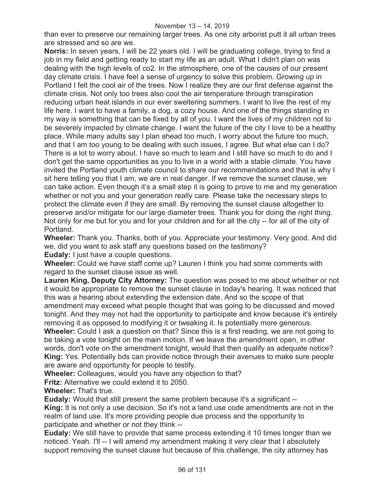than ever to preserve our remaining larger trees. As one city arborist putt it all urban trees are stressed and so are we.

**Norris:** In seven years, I will be 22 years old. I will be graduating college, trying to find a job in my field and getting ready to start my life as an adult. What I didn't plan on was dealing with the high levels of co2. In the atmosphere, one of the causes of our present day climate crisis. I have feel a sense of urgency to solve this problem. Growing up in Portland I felt the cool air of the trees. Now I realize they are our first defense against the climate crisis. Not only too trees also cool the air temperature through transpiration reducing urban heat islands in our ever sweltering summers. I want to live the rest of my life here. I want to have a family, a dog, a cozy house. And one of the things standing in my way is something that can be fixed by all of you. I want the lives of my children not to be severely impacted by climate change. I want the future of the city I love to be a healthy place. While many adults say I plan ahead too much, I worry about the future too much, and that I am too young to be dealing with such issues, I agree. But what else can I do? There is a lot to worry about. I have so much to learn and I still have so much to do and I don't get the same opportunities as you to live in a world with a stable climate. You have invited the Portland youth climate council to share our recommendations and that is why I sit here telling you that I am, we are in real danger. If we remove the sunset clause, we can take action. Even though it's a small step it is going to prove to me and my generation whether or not you and your generation really care. Please take the necessary steps to protect the climate even if they are small. By removing the sunset clause altogether to preserve and/or mitigate for our large diameter trees. Thank you for doing the right thing. Not only for me but for you and for your children and for all the city -- for all of the city of Portland.

**Wheeler:** Thank you. Thanks, both of you. Appreciate your testimony. Very good. And did we, did you want to ask staff any questions based on the testimony? **Eudaly:** I just have a couple questions.

**Wheeler:** Could we have staff come up? Lauren I think you had some comments with regard to the sunset clause issue as well.

**Lauren King, Deputy City Attorney:** The question was posed to me about whether or not it would be appropriate to remove the sunset clause in today's hearing. It was noticed that this was a hearing about extending the extension date. And so the scope of that amendment may exceed what people thought that was going to be discussed and moved tonight. And they may not had the opportunity to participate and know because it's entirely removing it as opposed to modifying it or tweaking it. Is potentially more generous. **Wheeler:** Could I ask a question on that? Since this is a first reading, we are not going to be taking a vote tonight on the main motion. If we leave the amendment open, in other words, don't vote on the amendment tonight, would that then qualify as adequate notice? **King:** Yes. Potentially bds can provide notice through their avenues to make sure people

are aware and opportunity for people to testify.

**Wheeler:** Colleagues, would you have any objection to that?

**Fritz:** Alternative we could extend it to 2050.

**Wheeler:** That's true.

**Eudaly:** Would that still present the same problem because it's a significant -- **King:** It is not only a use decision. So it's not a land use code amendments are not in the realm of land use. It's more providing people due process and the opportunity to participate and whether or not they think --

**Eudaly:** We still have to provide that same process extending it 10 times longer than we noticed. Yeah. I'll -- I will amend my amendment making it very clear that I absolutely support removing the sunset clause but because of this challenge, the city attorney has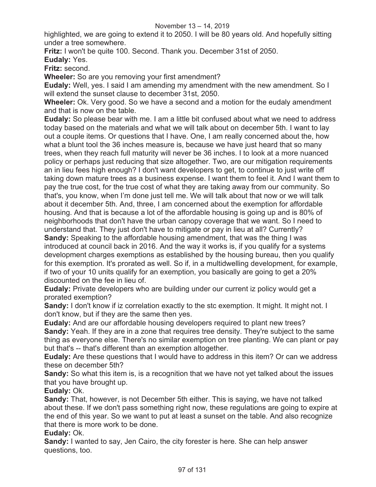highlighted, we are going to extend it to 2050. I will be 80 years old. And hopefully sitting under a tree somewhere.

**Fritz:** I won't be quite 100. Second. Thank you. December 31st of 2050.

**Eudaly:** Yes.

**Fritz:** second.

**Wheeler:** So are you removing your first amendment?

**Eudaly:** Well, yes. I said I am amending my amendment with the new amendment. So I will extend the sunset clause to december 31st, 2050.

**Wheeler:** Ok. Very good. So we have a second and a motion for the eudaly amendment and that is now on the table.

**Eudaly:** So please bear with me. I am a little bit confused about what we need to address today based on the materials and what we will talk about on december 5th. I want to lay out a couple items. Or questions that I have. One, I am really concerned about the, how what a blunt tool the 36 inches measure is, because we have just heard that so many trees, when they reach full maturity will never be 36 inches. I to look at a more nuanced policy or perhaps just reducing that size altogether. Two, are our mitigation requirements an in lieu fees high enough? I don't want developers to get, to continue to just write off taking down mature trees as a business expense. I want them to feel it. And I want them to pay the true cost, for the true cost of what they are taking away from our community. So that's, you know, when I'm done just tell me. We will talk about that now or we will talk about it december 5th. And, three, I am concerned about the exemption for affordable housing. And that is because a lot of the affordable housing is going up and is 80% of neighborhoods that don't have the urban canopy coverage that we want. So I need to understand that. They just don't have to mitigate or pay in lieu at all? Currently?

**Sandy:** Speaking to the affordable housing amendment, that was the thing I was introduced at council back in 2016. And the way it works is, if you qualify for a systems development charges exemptions as established by the housing bureau, then you qualify for this exemption. It's prorated as well. So if, in a multidwelling development, for example, if two of your 10 units qualify for an exemption, you basically are going to get a 20% discounted on the fee in lieu of.

**Eudaly:** Private developers who are building under our current iz policy would get a prorated exemption?

**Sandy:** I don't know if iz correlation exactly to the stc exemption. It might. It might not. I don't know, but if they are the same then yes.

**Eudaly:** And are our affordable housing developers required to plant new trees? **Sandy:** Yeah. If they are in a zone that requires tree density. They're subject to the same thing as everyone else. There's no similar exemption on tree planting. We can plant or pay but that's -- that's different than an exemption altogether.

**Eudaly:** Are these questions that I would have to address in this item? Or can we address these on december 5th?

**Sandy:** So what this item is, is a recognition that we have not yet talked about the issues that you have brought up.

**Eudaly:** Ok.

**Sandy:** That, however, is not December 5th either. This is saying, we have not talked about these. If we don't pass something right now, these regulations are going to expire at the end of this year. So we want to put at least a sunset on the table. And also recognize that there is more work to be done.

# **Eudaly:** Ok.

**Sandy:** I wanted to say, Jen Cairo, the city forester is here. She can help answer questions, too.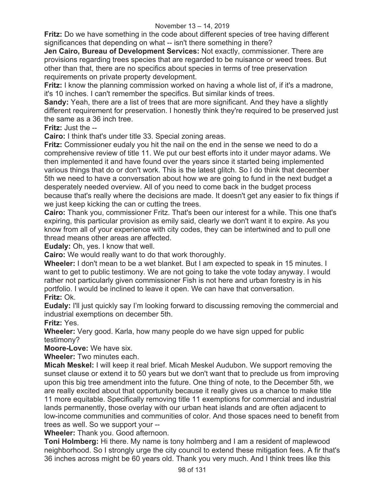**Fritz:** Do we have something in the code about different species of tree having different significances that depending on what -- isn't there something in there?

**Jen Cairo, Bureau of Development Services:** Not exactly, commissioner. There are provisions regarding trees species that are regarded to be nuisance or weed trees. But other than that, there are no specifics about species in terms of tree preservation requirements on private property development.

**Fritz:** I know the planning commission worked on having a whole list of, if it's a madrone, it's 10 inches. I can't remember the specifics. But similar kinds of trees.

**Sandy:** Yeah, there are a list of trees that are more significant. And they have a slightly different requirement for preservation. I honestly think they're required to be preserved just the same as a 36 inch tree.

**Fritz:** Just the --

**Cairo:** I think that's under title 33. Special zoning areas.

**Fritz:** Commissioner eudaly you hit the nail on the end in the sense we need to do a comprehensive review of title 11. We put our best efforts into it under mayor adams. We then implemented it and have found over the years since it started being implemented various things that do or don't work. This is the latest glitch. So I do think that december 5th we need to have a conversation about how we are going to fund in the next budget a desperately needed overview. All of you need to come back in the budget process because that's really where the decisions are made. It doesn't get any easier to fix things if we just keep kicking the can or cutting the trees.

**Cairo:** Thank you, commissioner Fritz. That's been our interest for a while. This one that's expiring, this particular provision as emily said, clearly we don't want it to expire. As you know from all of your experience with city codes, they can be intertwined and to pull one thread means other areas are affected.

**Eudaly:** Oh, yes. I know that well.

**Cairo:** We would really want to do that work thoroughly.

**Wheeler:** I don't mean to be a wet blanket. But I am expected to speak in 15 minutes. I want to get to public testimony. We are not going to take the vote today anyway. I would rather not particularly given commissioner Fish is not here and urban forestry is in his portfolio. I would be inclined to leave it open. We can have that conversation. **Fritz:** Ok.

**Eudaly:** I'll just quickly say I'm looking forward to discussing removing the commercial and industrial exemptions on december 5th.

**Fritz:** Yes.

**Wheeler:** Very good. Karla, how many people do we have sign upped for public testimony?

**Moore-Love:** We have six.

**Wheeler:** Two minutes each.

**Micah Meskel:** I will keep it real brief. Micah Meskel Audubon. We support removing the sunset clause or extend it to 50 years but we don't want that to preclude us from improving upon this big tree amendment into the future. One thing of note, to the December 5th, we are really excited about that opportunity because it really gives us a chance to make title 11 more equitable. Specifically removing title 11 exemptions for commercial and industrial lands permanently, those overlay with our urban heat islands and are often adjacent to low-income communities and communities of color. And those spaces need to benefit from trees as well. So we support your --

**Wheeler:** Thank you. Good afternoon.

**Toni Holmberg:** Hi there. My name is tony holmberg and I am a resident of maplewood neighborhood. So I strongly urge the city council to extend these mitigation fees. A fir that's 36 inches across might be 60 years old. Thank you very much. And I think trees like this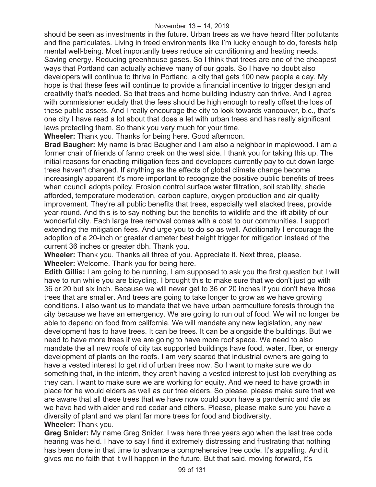should be seen as investments in the future. Urban trees as we have heard filter pollutants and fine particulates. Living in treed environments like I'm lucky enough to do, forests help mental well-being. Most importantly trees reduce air conditioning and heating needs. Saving energy. Reducing greenhouse gases. So I think that trees are one of the cheapest ways that Portland can actually achieve many of our goals. So I have no doubt also developers will continue to thrive in Portland, a city that gets 100 new people a day. My hope is that these fees will continue to provide a financial incentive to trigger design and creativity that's needed. So that trees and home building industry can thrive. And I agree with commissioner eudaly that the fees should be high enough to really offset the loss of these public assets. And I really encourage the city to look towards vancouver, b.c., that's one city I have read a lot about that does a let with urban trees and has really significant laws protecting them. So thank you very much for your time.

**Wheeler:** Thank you. Thanks for being here. Good afternoon.

**Brad Baugher:** My name is brad Baugher and I am also a neighbor in maplewood. I am a former chair of friends of fanno creek on the west side. I thank you for taking this up. The initial reasons for enacting mitigation fees and developers currently pay to cut down large trees haven't changed. If anything as the effects of global climate change become increasingly apparent it's more important to recognize the positive public benefits of trees when council adopts policy. Erosion control surface water filtration, soil stability, shade afforded, temperature moderation, carbon capture, oxygen production and air quality improvement. They're all public benefits that trees, especially well stacked trees, provide year-round. And this is to say nothing but the benefits to wildlife and the lift ability of our wonderful city. Each large tree removal comes with a cost to our communities. I support extending the mitigation fees. And urge you to do so as well. Additionally I encourage the adoption of a 20-inch or greater diameter best height trigger for mitigation instead of the current 36 inches or greater dbh. Thank you.

**Wheeler:** Thank you. Thanks all three of you. Appreciate it. Next three, please. **Wheeler:** Welcome. Thank you for being here.

**Edith Gillis:** I am going to be running, I am supposed to ask you the first question but I will have to run while you are bicycling. I brought this to make sure that we don't just go with 36 or 20 but six inch. Because we will never get to 36 or 20 inches if you don't have those trees that are smaller. And trees are going to take longer to grow as we have growing conditions. I also want us to mandate that we have urban permculture forests through the city because we have an emergency. We are going to run out of food. We will no longer be able to depend on food from california. We will mandate any new legislation, any new development has to have trees. It can be trees. It can be alongside the buildings. But we need to have more trees if we are going to have more roof space. We need to also mandate the all new roofs of city tax supported buildings have food, water, fiber, or energy development of plants on the roofs. I am very scared that industrial owners are going to have a vested interest to get rid of urban trees now. So I want to make sure we do something that, in the interim, they aren't having a vested interest to just lob everything as they can. I want to make sure we are working for equity. And we need to have growth in place for he would elders as well as our tree elders. So please, please make sure that we are aware that all these trees that we have now could soon have a pandemic and die as we have had with alder and red cedar and others. Please, please make sure you have a diversity of plant and we plant far more trees for food and biodiversity. **Wheeler:** Thank you.

**Greg Snider:** My name Greg Snider. I was here three years ago when the last tree code hearing was held. I have to say I find it extremely distressing and frustrating that nothing has been done in that time to advance a comprehensive tree code. It's appalling. And it gives me no faith that it will happen in the future. But that said, moving forward, it's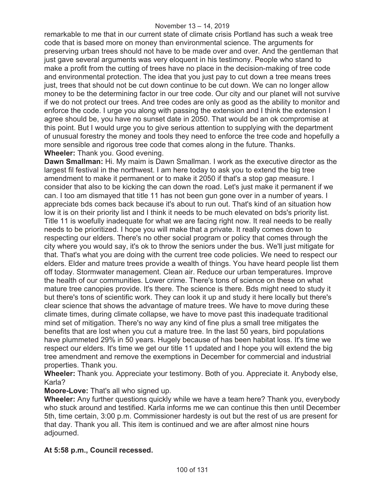remarkable to me that in our current state of climate crisis Portland has such a weak tree code that is based more on money than environmental science. The arguments for preserving urban trees should not have to be made over and over. And the gentleman that just gave several arguments was very eloquent in his testimony. People who stand to make a profit from the cutting of trees have no place in the decision-making of tree code and environmental protection. The idea that you just pay to cut down a tree means trees just, trees that should not be cut down continue to be cut down. We can no longer allow money to be the determining factor in our tree code. Our city and our planet will not survive if we do not protect our trees. And tree codes are only as good as the ability to monitor and enforce the code. I urge you along with passing the extension and I think the extension I agree should be, you have no sunset date in 2050. That would be an ok compromise at this point. But I would urge you to give serious attention to supplying with the department of unusual forestry the money and tools they need to enforce the tree code and hopefully a more sensible and rigorous tree code that comes along in the future. Thanks. **Wheeler:** Thank you. Good evening.

**Dawn Smallman:** Hi. My maim is Dawn Smallman. I work as the executive director as the largest fil festival in the northwest. I am here today to ask you to extend the big tree amendment to make it permanent or to make it 2050 if that's a stop gap measure. I consider that also to be kicking the can down the road. Let's just make it permanent if we can. I too am dismayed that title 11 has not been gun gone over in a number of years. I appreciate bds comes back because it's about to run out. That's kind of an situation how low it is on their priority list and I think it needs to be much elevated on bds's priority list. Title 11 is woefully inadequate for what we are facing right now. It real needs to be really needs to be prioritized. I hope you will make that a private. It really comes down to respecting our elders. There's no other social program or policy that comes through the city where you would say, it's ok to throw the seniors under the bus. We'll just mitigate for that. That's what you are doing with the current tree code policies. We need to respect our elders. Elder and mature trees provide a wealth of things. You have heard people list them off today. Stormwater management. Clean air. Reduce our urban temperatures. Improve the health of our communities. Lower crime. There's tons of science on these on what mature tree canopies provide. It's there. The science is there. Bds might need to study it but there's tons of scientific work. They can look it up and study it here locally but there's clear science that shows the advantage of mature trees. We have to move during these climate times, during climate collapse, we have to move past this inadequate traditional mind set of mitigation. There's no way any kind of fine plus a small tree mitigates the benefits that are lost when you cut a mature tree. In the last 50 years, bird populations have plummeted 29% in 50 years. Hugely because of has been habitat loss. It's time we respect our elders. It's time we get our title 11 updated and I hope you will extend the big tree amendment and remove the exemptions in December for commercial and industrial properties. Thank you.

**Wheeler:** Thank you. Appreciate your testimony. Both of you. Appreciate it. Anybody else, Karla?

**Moore-Love:** That's all who signed up.

**Wheeler:** Any further questions quickly while we have a team here? Thank you, everybody who stuck around and testified. Karla informs me we can continue this then until December 5th, time certain, 3:00 p.m. Commissioner hardesty is out but the rest of us are present for that day. Thank you all. This item is continued and we are after almost nine hours adjourned.

# **At 5:58 p.m., Council recessed.**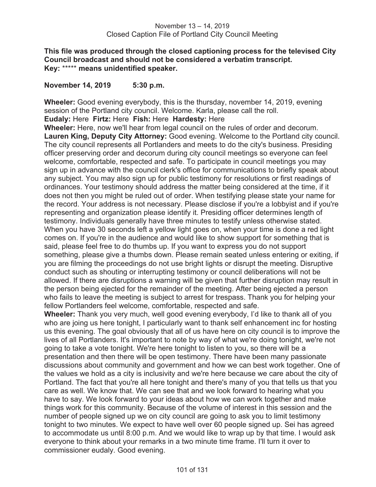**This file was produced through the closed captioning process for the televised City Council broadcast and should not be considered a verbatim transcript. Key:** \*\*\*\*\* **means unidentified speaker.** 

**November 14, 2019 5:30 p.m.** 

**Wheeler:** Good evening everybody, this is the thursday, november 14, 2019, evening session of the Portland city council. Welcome. Karla, please call the roll.

**Eudaly:** Here **Firtz:** Here **Fish:** Here **Hardesty:** Here

**Wheeler:** Here, now we'll hear from legal council on the rules of order and decorum. **Lauren King, Deputy City Attorney:** Good evening. Welcome to the Portland city council. The city council represents all Portlanders and meets to do the city's business. Presiding officer preserving order and decorum during city council meetings so everyone can feel welcome, comfortable, respected and safe. To participate in council meetings you may sign up in advance with the council clerk's office for communications to briefly speak about any subject. You may also sign up for public testimony for resolutions or first readings of ordinances. Your testimony should address the matter being considered at the time, if it does not then you might be ruled out of order. When testifying please state your name for the record. Your address is not necessary. Please disclose if you're a lobbyist and if you're representing and organization please identify it. Presiding officer determines length of testimony. Individuals generally have three minutes to testify unless otherwise stated. When you have 30 seconds left a yellow light goes on, when your time is done a red light comes on. If you're in the audience and would like to show support for something that is said, please feel free to do thumbs up. If you want to express you do not support something, please give a thumbs down. Please remain seated unless entering or exiting, if you are filming the proceedings do not use bright lights or disrupt the meeting. Disruptive conduct such as shouting or interrupting testimony or council deliberations will not be allowed. If there are disruptions a warning will be given that further disruption may result in the person being ejected for the remainder of the meeting. After being ejected a person who fails to leave the meeting is subject to arrest for trespass. Thank you for helping your fellow Portlanders feel welcome, comfortable, respected and safe.

**Wheeler:** Thank you very much, well good evening everybody, I'd like to thank all of you who are joing us here tonight, I particularly want to thank self enhancement inc for hosting us this evening. The goal obviously that all of us have here on city council is to improve the lives of all Portlanders. It's important to note by way of what we're doing tonight, we're not going to take a vote tonight. We're here tonight to listen to you, so there will be a presentation and then there will be open testimony. There have been many passionate discussions about community and government and how we can best work together. One of the values we hold as a city is inclusivity and we're here because we care about the city of Portland. The fact that you're all here tonight and there's many of you that tells us that you care as well. We know that. We can see that and we look forward to hearing what you have to say. We look forward to your ideas about how we can work together and make things work for this community. Because of the volume of interest in this session and the number of people signed up we on city council are going to ask you to limit testimony tonight to two minutes. We expect to have well over 60 people signed up. Sei has agreed to accommodate us until 8:00 p.m. And we would like to wrap up by that time. I would ask everyone to think about your remarks in a two minute time frame. I'll turn it over to commissioner eudaly. Good evening.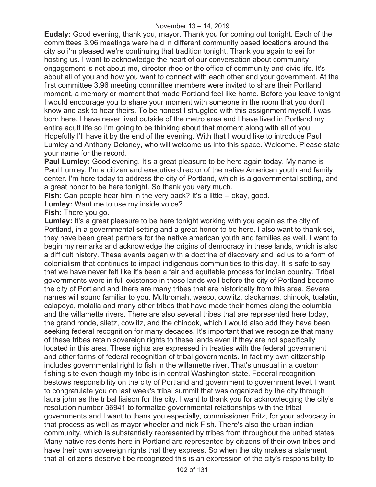**Eudaly:** Good evening, thank you, mayor. Thank you for coming out tonight. Each of the committees 3.96 meetings were held in different community based locations around the city so i'm pleased we're continuing that tradition tonight. Thank you again to sei for hosting us. I want to acknowledge the heart of our conversation about community engagement is not about me, director rhee or the office of community and civic life. It's about all of you and how you want to connect with each other and your government. At the first committee 3.96 meeting committee members were invited to share their Portland moment, a memory or moment that made Portland feel like home. Before you leave tonight I would encourage you to share your moment with someone in the room that you don't know and ask to hear theirs. To be honest I struggled with this assignment myself. I was born here. I have never lived outside of the metro area and I have lived in Portland my entire adult life so I'm going to be thinking about that moment along with all of you. Hopefully I'll have it by the end of the evening. With that I would like to introduce Paul Lumley and Anthony Deloney, who will welcome us into this space. Welcome. Please state your name for the record.

**Paul Lumley:** Good evening. It's a great pleasure to be here again today. My name is Paul Lumley, I'm a citizen and executive director of the native American youth and family center. I'm here today to address the city of Portland, which is a governmental setting, and a great honor to be here tonight. So thank you very much.

**Fish:** Can people hear him in the very back? It's a little -- okay, good.

**Lumley:** Want me to use my inside voice?

**Fish:** There you go.

**Lumley:** It's a great pleasure to be here tonight working with you again as the city of Portland, in a governmental setting and a great honor to be here. I also want to thank sei, they have been great partners for the native american youth and families as well. I want to begin my remarks and acknowledge the origins of democracy in these lands, which is also a difficult history. These events began with a doctrine of discovery and led us to a form of colonialism that continues to impact indigenous communities to this day. It is safe to say that we have never felt like it's been a fair and equitable process for indian country. Tribal governments were in full existence in these lands well before the city of Portland became the city of Portland and there are many tribes that are historically from this area. Several names will sound familiar to you. Multnomah, wasco, cowlitz, clackamas, chinook, tualatin, calapoya, molalla and many other tribes that have made their homes along the columbia and the willamette rivers. There are also several tribes that are represented here today, the grand ronde, siletz, cowlitz, and the chinook, which I would also add they have been seeking federal recognition for many decades. It's important that we recognize that many of these tribes retain sovereign rights to these lands even if they are not specifically located in this area. These rights are expressed in treaties with the federal government and other forms of federal recognition of tribal governments. In fact my own citizenship includes governmental right to fish in the willamette river. That's unusual in a custom fishing site even though my tribe is in central Washington state. Federal recognition bestows responsibility on the city of Portland and government to government level. I want to congratulate you on last week's tribal summit that was organized by the city through laura john as the tribal liaison for the city. I want to thank you for acknowledging the city's resolution number 36941 to formalize governmental relationships with the tribal governments and I want to thank you especially, commissioner Fritz, for your advocacy in that process as well as mayor wheeler and nick Fish. There's also the urban indian community, which is substantially represented by tribes from throughout the united states. Many native residents here in Portland are represented by citizens of their own tribes and have their own sovereign rights that they express. So when the city makes a statement that all citizens deserve t be recognized this is an expression of the city's responsibility to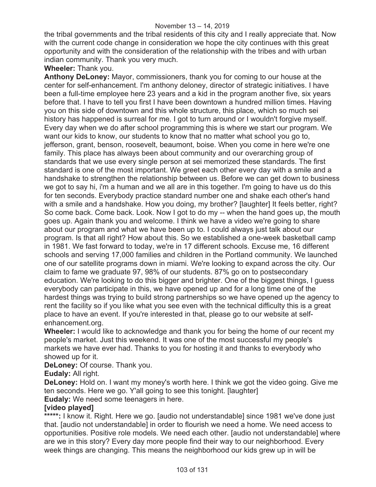the tribal governments and the tribal residents of this city and I really appreciate that. Now with the current code change in consideration we hope the city continues with this great opportunity and with the consideration of the relationship with the tribes and with urban indian community. Thank you very much.

# **Wheeler:** Thank you.

**Anthony DeLoney:** Mayor, commissioners, thank you for coming to our house at the center for self-enhancement. I'm anthony deloney, director of strategic initiatives. I have been a full-time employee here 23 years and a kid in the program another five, six years before that. I have to tell you first I have been downtown a hundred million times. Having you on this side of downtown and this whole structure, this place, which so much sei history has happened is surreal for me. I got to turn around or I wouldn't forgive myself. Every day when we do after school programming this is where we start our program. We want our kids to know, our students to know that no matter what school you go to, jefferson, grant, benson, roosevelt, beaumont, boise. When you come in here we're one family. This place has always been about community and our overarching group of standards that we use every single person at sei memorized these standards. The first standard is one of the most important. We greet each other every day with a smile and a handshake to strengthen the relationship between us. Before we can get down to business we got to say hi, i'm a human and we all are in this together. I'm going to have us do this for ten seconds. Everybody practice standard number one and shake each other's hand with a smile and a handshake. How you doing, my brother? [laughter] It feels better, right? So come back. Come back. Look. Now I got to do my -- when the hand goes up, the mouth goes up. Again thank you and welcome. I think we have a video we're going to share about our program and what we have been up to. I could always just talk about our program. Is that all right? How about this. So we established a one-week basketball camp in 1981. We fast forward to today, we're in 17 different schools. Excuse me, 16 different schools and serving 17,000 families and children in the Portland community. We launched one of our satellite programs down in miami. We're looking to expand across the city. Our claim to fame we graduate 97, 98% of our students. 87% go on to postsecondary education. We're looking to do this bigger and brighter. One of the biggest things, I guess everybody can participate in this, we have opened up and for a long time one of the hardest things was trying to build strong partnerships so we have opened up the agency to rent the facility so if you like what you see even with the technical difficulty this is a great place to have an event. If you're interested in that, please go to our website at selfenhancement.org.

**Wheeler:** I would like to acknowledge and thank you for being the home of our recent my people's market. Just this weekend. It was one of the most successful my people's markets we have ever had. Thanks to you for hosting it and thanks to everybody who showed up for it.

**DeLoney:** Of course. Thank you.

# **Eudaly:** All right.

**DeLoney:** Hold on. I want my money's worth here. I think we got the video going. Give me ten seconds. Here we go. Y'all going to see this tonight. [laughter]

**Eudaly:** We need some teenagers in here.

# **[video played]**

\*\*\*\*\*: I know it. Right. Here we go. [audio not understandable] since 1981 we've done just that. [audio not understandable] in order to flourish we need a home. We need access to opportunities. Positive role models. We need each other. [audio not understandable] where are we in this story? Every day more people find their way to our neighborhood. Every week things are changing. This means the neighborhood our kids grew up in will be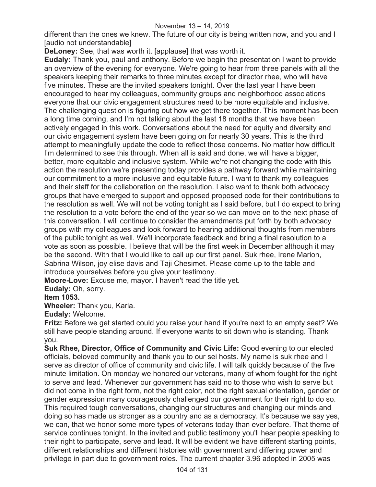#### November 13 – 14, 2019

different than the ones we knew. The future of our city is being written now, and you and I [audio not understandable]

**DeLoney:** See, that was worth it. [applause] that was worth it.

**Eudaly:** Thank you, paul and anthony. Before we begin the presentation I want to provide an overview of the evening for everyone. We're going to hear from three panels with all the speakers keeping their remarks to three minutes except for director rhee, who will have five minutes. These are the invited speakers tonight. Over the last year I have been encouraged to hear my colleagues, community groups and neighborhood associations everyone that our civic engagement structures need to be more equitable and inclusive. The challenging question is figuring out how we get there together. This moment has been a long time coming, and I'm not talking about the last 18 months that we have been actively engaged in this work. Conversations about the need for equity and diversity and our civic engagement system have been going on for nearly 30 years. This is the third attempt to meaningfully update the code to reflect those concerns. No matter how difficult I'm determined to see this through. When all is said and done, we will have a bigger, better, more equitable and inclusive system. While we're not changing the code with this action the resolution we're presenting today provides a pathway forward while maintaining our commitment to a more inclusive and equitable future. I want to thank my colleagues and their staff for the collaboration on the resolution. I also want to thank both advocacy groups that have emerged to support and opposed proposed code for their contributions to the resolution as well. We will not be voting tonight as I said before, but I do expect to bring the resolution to a vote before the end of the year so we can move on to the next phase of this conversation. I will continue to consider the amendments put forth by both advocacy groups with my colleagues and look forward to hearing additional thoughts from members of the public tonight as well. We'll incorporate feedback and bring a final resolution to a vote as soon as possible. I believe that will be the first week in December although it may be the second. With that I would like to call up our first panel. Suk rhee, Irene Marion, Sabrina Wilson, joy elise davis and Taji Chesimet. Please come up to the table and introduce yourselves before you give your testimony.

**Moore-Love:** Excuse me, mayor. I haven't read the title yet.

**Eudaly:** Oh, sorry.

**Item 1053.** 

**Wheeler:** Thank you, Karla.

**Eudaly:** Welcome.

**Fritz:** Before we get started could you raise your hand if you're next to an empty seat? We still have people standing around. If everyone wants to sit down who is standing. Thank you.

**Suk Rhee, Director, Office of Community and Civic Life:** Good evening to our elected officials, beloved community and thank you to our sei hosts. My name is suk rhee and I serve as director of office of community and civic life. I will talk quickly because of the five minute limitation. On monday we honored our veterans, many of whom fought for the right to serve and lead. Whenever our government has said no to those who wish to serve but did not come in the right form, not the right color, not the right sexual orientation, gender or gender expression many courageously challenged our government for their right to do so. This required tough conversations, changing our structures and changing our minds and doing so has made us stronger as a country and as a democracy. It's because we say yes, we can, that we honor some more types of veterans today than ever before. That theme of service continues tonight. In the invited and public testimony you'll hear people speaking to their right to participate, serve and lead. It will be evident we have different starting points, different relationships and different histories with government and differing power and privilege in part due to government roles. The current chapter 3.96 adopted in 2005 was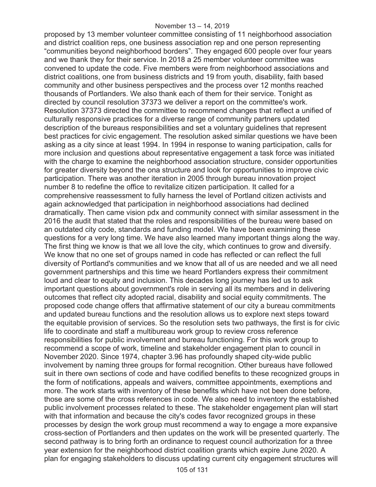proposed by 13 member volunteer committee consisting of 11 neighborhood association and district coalition reps, one business association rep and one person representing "communities beyond neighborhood borders". They engaged 600 people over four years and we thank they for their service. In 2018 a 25 member volunteer committee was convened to update the code. Five members were from neighborhood associations and district coalitions, one from business districts and 19 from youth, disability, faith based community and other business perspectives and the process over 12 months reached thousands of Portlanders. We also thank each of them for their service. Tonight as directed by council resolution 37373 we deliver a report on the committee's work. Resolution 37373 directed the committee to recommend changes that reflect a unified of culturally responsive practices for a diverse range of community partners updated description of the bureaus responsibilities and set a voluntary guidelines that represent best practices for civic engagement. The resolution asked similar questions we have been asking as a city since at least 1994. In 1994 in response to waning participation, calls for more inclusion and questions about representative engagement a task force was initiated with the charge to examine the neighborhood association structure, consider opportunities for greater diversity beyond the ona structure and look for opportunities to improve civic participation. There was another iteration in 2005 through bureau innovation project number 8 to redefine the office to revitalize citizen participation. It called for a comprehensive reassessment to fully harness the level of Portland citizen activists and again acknowledged that participation in neighborhood associations had declined dramatically. Then came vision pdx and community connect with similar assessment in the 2016 the audit that stated that the roles and responsibilities of the bureau were based on an outdated city code, standards and funding model. We have been examining these questions for a very long time. We have also learned many important things along the way. The first thing we know is that we all love the city, which continues to grow and diversify. We know that no one set of groups named in code has reflected or can reflect the full diversity of Portland's communities and we know that all of us are needed and we all need government partnerships and this time we heard Portlanders express their commitment loud and clear to equity and inclusion. This decades long journey has led us to ask important questions about government's role in serving all its members and in delivering outcomes that reflect city adopted racial, disability and social equity commitments. The proposed code change offers that affirmative statement of our city a bureau commitments and updated bureau functions and the resolution allows us to explore next steps toward the equitable provision of services. So the resolution sets two pathways, the first is for civic life to coordinate and staff a multibureau work group to review cross reference responsibilities for public involvement and bureau functioning. For this work group to recommend a scope of work, timeline and stakeholder engagement plan to council in November 2020. Since 1974, chapter 3.96 has profoundly shaped city-wide public involvement by naming three groups for formal recognition. Other bureaus have followed suit in there own sections of code and have codified benefits to these recognized groups in the form of notifications, appeals and waivers, committee appointments, exemptions and more. The work starts with inventory of these benefits which have not been done before, those are some of the cross references in code. We also need to inventory the established public involvement processes related to these. The stakeholder engagement plan will start with that information and because the city's codes favor recognized groups in these processes by design the work group must recommend a way to engage a more expansive cross-section of Portlanders and then updates on the work will be presented quarterly. The second pathway is to bring forth an ordinance to request council authorization for a three year extension for the neighborhood district coalition grants which expire June 2020. A plan for engaging stakeholders to discuss updating current city engagement structures will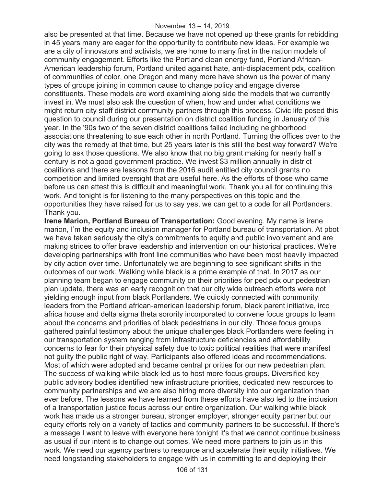also be presented at that time. Because we have not opened up these grants for rebidding in 45 years many are eager for the opportunity to contribute new ideas. For example we are a city of innovators and activists, we are home to many first in the nation models of community engagement. Efforts like the Portland clean energy fund, Portland African-American leadership forum, Portland united against hate, anti-displacement pdx, coalition of communities of color, one Oregon and many more have shown us the power of many types of groups joining in common cause to change policy and engage diverse constituents. These models are word examining along side the models that we currently invest in. We must also ask the question of when, how and under what conditions we might return city staff district community partners through this process. Civic life posed this question to council during our presentation on district coalition funding in January of this year. In the '90s two of the seven district coalitions failed including neighborhood associations threatening to sue each other in north Portland. Turning the offices over to the city was the remedy at that time, but 25 years later is this still the best way forward? We're going to ask those questions. We also know that no big grant making for nearly half a century is not a good government practice. We invest \$3 million annually in district coalitions and there are lessons from the 2016 audit entitled city council grants no competition and limited oversight that are useful here. As the efforts of those who came before us can attest this is difficult and meaningful work. Thank you all for continuing this work. And tonight is for listening to the many perspectives on this topic and the opportunities they have raised for us to say yes, we can get to a code for all Portlanders. Thank you.

**Irene Marion, Portland Bureau of Transportation:** Good evening. My name is irene marion, I'm the equity and inclusion manager for Portland bureau of transportation. At pbot we have taken seriously the city's commitments to equity and public involvement and are making strides to offer brave leadership and intervention on our historical practices. We're developing partnerships with front line communities who have been most heavily impacted by city action over time. Unfortunately we are beginning to see significant shifts in the outcomes of our work. Walking while black is a prime example of that. In 2017 as our planning team began to engage community on their priorities for ped pdx our pedestrian plan update, there was an early recognition that our city wide outreach efforts were not yielding enough input from black Portlanders. We quickly connected with community leaders from the Portland african-american leadership forum, black parent initiative, irco africa house and delta sigma theta sorority incorporated to convene focus groups to learn about the concerns and priorities of black pedestrians in our city. Those focus groups gathered painful testimony about the unique challenges black Portlanders were feeling in our transportation system ranging from infrastructure deficiencies and affordability concerns to fear for their physical safety due to toxic political realities that were manifest not guilty the public right of way. Participants also offered ideas and recommendations. Most of which were adopted and became central priorities for our new pedestrian plan. The success of walking while black led us to host more focus groups. Diversified key public advisory bodies identified new infrastructure priorities, dedicated new resources to community partnerships and we are also hiring more diversity into our organization than ever before. The lessons we have learned from these efforts have also led to the inclusion of a transportation justice focus across our entire organization. Our walking while black work has made us a stronger bureau, stronger employer, stronger equity partner but our equity efforts rely on a variety of tactics and community partners to be successful. If there's a message I want to leave with everyone here tonight it's that we cannot continue business as usual if our intent is to change out comes. We need more partners to join us in this work. We need our agency partners to resource and accelerate their equity initiatives. We need longstanding stakeholders to engage with us in committing to and deploying their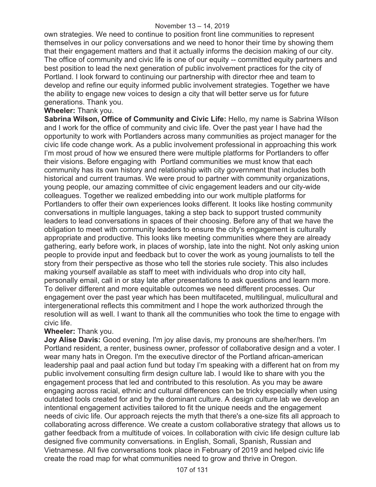own strategies. We need to continue to position front line communities to represent themselves in our policy conversations and we need to honor their time by showing them that their engagement matters and that it actually informs the decision making of our city. The office of community and civic life is one of our equity -- committed equity partners and best position to lead the next generation of public involvement practices for the city of Portland. I look forward to continuing our partnership with director rhee and team to develop and refine our equity informed public involvement strategies. Together we have the ability to engage new voices to design a city that will better serve us for future generations. Thank you.

# **Wheeler:** Thank you.

**Sabrina Wilson, Office of Community and Civic Life:** Hello, my name is Sabrina Wilson and I work for the office of community and civic life. Over the past year I have had the opportunity to work with Portlanders across many communities as project manager for the civic life code change work. As a public involvement professional in approaching this work I'm most proud of how we ensured there were multiple platforms for Portlanders to offer their visions. Before engaging with Portland communities we must know that each community has its own history and relationship with city government that includes both historical and current traumas. We were proud to partner with community organizations, young people, our amazing committee of civic engagement leaders and our city-wide colleagues. Together we realized embedding into our work multiple platforms for Portlanders to offer their own experiences looks different. It looks like hosting community conversations in multiple languages, taking a step back to support trusted community leaders to lead conversations in spaces of their choosing. Before any of that we have the obligation to meet with community leaders to ensure the city's engagement is culturally appropriate and productive. This looks like meeting communities where they are already gathering, early before work, in places of worship, late into the night. Not only asking union people to provide input and feedback but to cover the work as young journalists to tell the story from their perspective as those who tell the stories rule society. This also includes making yourself available as staff to meet with individuals who drop into city hall, personally email, call in or stay late after presentations to ask questions and learn more. To deliver different and more equitable outcomes we need different processes. Our engagement over the past year which has been multifaceted, multilingual, mulicultural and intergenerational reflects this commitment and I hope the work authorized through the resolution will as well. I want to thank all the communities who took the time to engage with civic life.

# **Wheeler:** Thank you.

**Joy Alise Davis:** Good evening. I'm joy alise davis, my pronouns are she/her/hers. I'm Portland resident, a renter, business owner, professor of collaborative design and a voter. I wear many hats in Oregon. I'm the executive director of the Portland african-american leadership paal and paal action fund but today I'm speaking with a different hat on from my public involvement consulting firm design culture lab. I would like to share with you the engagement process that led and contributed to this resolution. As you may be aware engaging across racial, ethnic and cultural differences can be tricky especially when using outdated tools created for and by the dominant culture. A design culture lab we develop an intentional engagement activities tailored to fit the unique needs and the engagement needs of civic life. Our approach rejects the myth that there's a one-size fits all approach to collaborating across difference. We create a custom collaborative strategy that allows us to gather feedback from a multitude of voices. In collaboration with civic life design culture lab designed five community conversations. in English, Somali, Spanish, Russian and Vietnamese. All five conversations took place in February of 2019 and helped civic life create the road map for what communities need to grow and thrive in Oregon.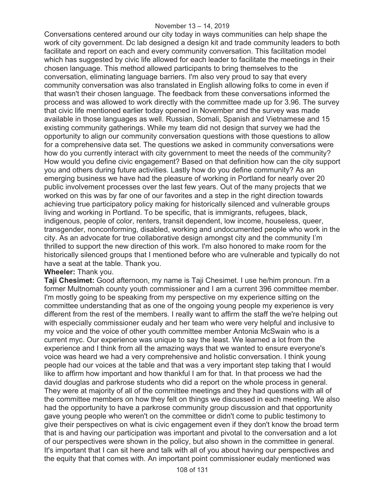Conversations centered around our city today in ways communities can help shape the work of city government. Dc lab designed a design kit and trade community leaders to both facilitate and report on each and every community conversation. This facilitation model which has suggested by civic life allowed for each leader to facilitate the meetings in their chosen language. This method allowed participants to bring themselves to the conversation, eliminating language barriers. I'm also very proud to say that every community conversation was also translated in English allowing folks to come in even if that wasn't their chosen language. The feedback from these conversations informed the process and was allowed to work directly with the committee made up for 3.96. The survey that civic life mentioned earlier today opened in November and the survey was made available in those languages as well. Russian, Somali, Spanish and Vietnamese and 15 existing community gatherings. While my team did not design that survey we had the opportunity to align our community conversation questions with those questions to allow for a comprehensive data set. The questions we asked in community conversations were how do you currently interact with city government to meet the needs of the community? How would you define civic engagement? Based on that definition how can the city support you and others during future activities. Lastly how do you define community? As an emerging business we have had the pleasure of working in Portland for nearly over 20 public involvement processes over the last few years. Out of the many projects that we worked on this was by far one of our favorites and a step in the right direction towards achieving true participatory policy making for historically silenced and vulnerable groups living and working in Portland. To be specific, that is immigrants, refugees, black, indigenous, people of color, renters, transit dependent, low income, houseless, queer, transgender, nonconforming, disabled, working and undocumented people who work in the city. As an advocate for true collaborative design amongst city and the community I'm thrilled to support the new direction of this work. I'm also honored to make room for the historically silenced groups that I mentioned before who are vulnerable and typically do not have a seat at the table. Thank you.

# **Wheeler:** Thank you.

**Taji Chesimet:** Good afternoon, my name is Taji Chesimet. I use he/him pronoun. I'm a former Multnomah county youth commissioner and I am a current 396 committee member. I'm mostly going to be speaking from my perspective on my experience sitting on the committee understanding that as one of the ongoing young people my experience is very different from the rest of the members. I really want to affirm the staff the we're helping out with especially commissioner eudaly and her team who were very helpful and inclusive to my voice and the voice of other youth committee member Antonia McSwain who is a current myc. Our experience was unique to say the least. We learned a lot from the experience and I think from all the amazing ways that we wanted to ensure everyone's voice was heard we had a very comprehensive and holistic conversation. I think young people had our voices at the table and that was a very important step taking that I would like to affirm how important and how thankful I am for that. In that process we had the david douglas and parkrose students who did a report on the whole process in general. They were at majority of all of the committee meetings and they had questions with all of the committee members on how they felt on things we discussed in each meeting. We also had the opportunity to have a parkrose community group discussion and that opportunity gave young people who weren't on the committee or didn't come to public testimony to give their perspectives on what is civic engagement even if they don't know the broad term that is and having our participation was important and pivotal to the conversation and a lot of our perspectives were shown in the policy, but also shown in the committee in general. It's important that I can sit here and talk with all of you about having our perspectives and the equity that that comes with. An important point commissioner eudaly mentioned was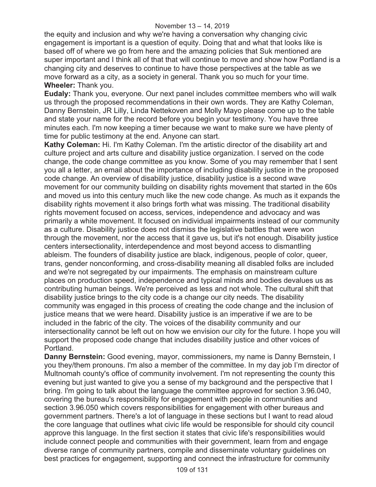the equity and inclusion and why we're having a conversation why changing civic engagement is important is a question of equity. Doing that and what that looks like is based off of where we go from here and the amazing policies that Suk mentioned are super important and I think all of that that will continue to move and show how Portland is a changing city and deserves to continue to have those perspectives at the table as we move forward as a city, as a society in general. Thank you so much for your time. **Wheeler:** Thank you.

**Eudaly:** Thank you, everyone. Our next panel includes committee members who will walk us through the proposed recommendations in their own words. They are Kathy Coleman, Danny Bernstein, JR Lilly, Linda Nettekoven and Molly Mayo please come up to the table and state your name for the record before you begin your testimony. You have three minutes each. I'm now keeping a timer because we want to make sure we have plenty of time for public testimony at the end. Anyone can start.

**Kathy Coleman:** Hi. I'm Kathy Coleman. I'm the artistic director of the disability art and culture project and arts culture and disability justice organization. I served on the code change, the code change committee as you know. Some of you may remember that I sent you all a letter, an email about the importance of including disability justice in the proposed code change. An overview of disability justice, disability justice is a second wave movement for our community building on disability rights movement that started in the 60s and moved us into this century much like the new code change. As much as it expands the disability rights movement it also brings forth what was missing. The traditional disability rights movement focused on access, services, independence and advocacy and was primarily a white movement. It focused on individual impairments instead of our community as a culture. Disability justice does not dismiss the legislative battles that were won through the movement, nor the access that it gave us, but it's not enough. Disability justice centers intersectionality, interdependence and most beyond access to dismantling ableism. The founders of disability justice are black, indigenous, people of color, queer, trans, gender nonconforming, and cross-disability meaning all disabled folks are included and we're not segregated by our impairments. The emphasis on mainstream culture places on production speed, independence and typical minds and bodies devalues us as contributing human beings. We're perceived as less and not whole. The cultural shift that disability justice brings to the city code is a change our city needs. The disability community was engaged in this process of creating the code change and the inclusion of justice means that we were heard. Disability justice is an imperative if we are to be included in the fabric of the city. The voices of the disability community and our intersectionality cannot be left out on how we envision our city for the future. I hope you will support the proposed code change that includes disability justice and other voices of Portland.

**Danny Bernstein:** Good evening, mayor, commissioners, my name is Danny Bernstein, I you they/them pronouns. I'm also a member of the committee. In my day job I'm director of Multnomah county's office of community involvement. I'm not representing the county this evening but just wanted to give you a sense of my background and the perspective that I bring. I'm going to talk about the language the committee approved for section 3.96.040, covering the bureau's responsibility for engagement with people in communities and section 3.96.050 which covers responsibilities for engagement with other bureaus and government partners. There's a lot of language in these sections but I want to read aloud the core language that outlines what civic life would be responsible for should city council approve this language. In the first section it states that civic life's responsibilities would include connect people and communities with their government, learn from and engage diverse range of community partners, compile and disseminate voluntary guidelines on best practices for engagement, supporting and connect the infrastructure for community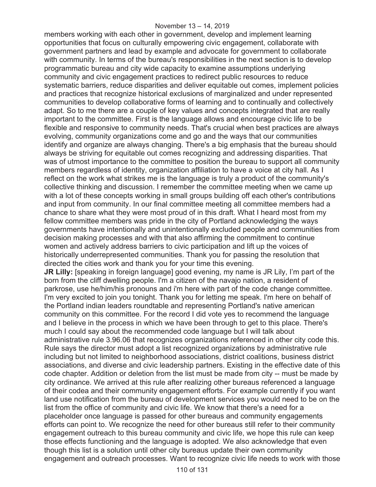members working with each other in government, develop and implement learning opportunities that focus on culturally empowering civic engagement, collaborate with government partners and lead by example and advocate for government to collaborate with community. In terms of the bureau's responsibilities in the next section is to develop programmatic bureau and city wide capacity to examine assumptions underlying community and civic engagement practices to redirect public resources to reduce systematic barriers, reduce disparities and deliver equitable out comes, implement policies and practices that recognize historical exclusions of marginalized and under represented communities to develop collaborative forms of learning and to continually and collectively adapt. So to me there are a couple of key values and concepts integrated that are really important to the committee. First is the language allows and encourage civic life to be flexible and responsive to community needs. That's crucial when best practices are always evolving, community organizations come and go and the ways that our communities identify and organize are always changing. There's a big emphasis that the bureau should always be striving for equitable out comes recognizing and addressing disparities. That was of utmost importance to the committee to position the bureau to support all community members regardless of identity, organization affiliation to have a voice at city hall. As I reflect on the work what strikes me is the language is truly a product of the community's collective thinking and discussion. I remember the committee meeting when we came up with a lot of these concepts working in small groups building off each other's contributions and input from community. In our final committee meeting all committee members had a chance to share what they were most proud of in this draft. What I heard most from my fellow committee members was pride in the city of Portland acknowledging the ways governments have intentionally and unintentionally excluded people and communities from decision making processes and with that also affirming the commitment to continue women and actively address barriers to civic participation and lift up the voices of historically underrepresented communities. Thank you for passing the resolution that directed the cities work and thank you for your time this evening. **JR Lilly:** [speaking in foreign language] good evening, my name is JR Lily, I'm part of the born from the cliff dwelling people. I'm a citizen of the navajo nation, a resident of parkrose, use he/him/his pronouns and i'm here with part of the code change committee. I'm very excited to join you tonight. Thank you for letting me speak. I'm here on behalf of the Portland indian leaders roundtable and representing Portland's native american

community on this committee. For the record I did vote yes to recommend the language and I believe in the process in which we have been through to get to this place. There's much I could say about the recommended code language but I will talk about administrative rule 3.96.06 that recognizes organizations referenced in other city code this. Rule says the director must adopt a list recognized organizations by administrative rule including but not limited to neighborhood associations, district coalitions, business district associations, and diverse and civic leadership partners. Existing in the effective date of this code chapter. Addition or deletion from the list must be made from city -- must be made by city ordinance. We arrived at this rule after realizing other bureaus referenced a language of their codea and their community engagement efforts. For example currently if you want land use notification from the bureau of development services you would need to be on the list from the office of community and civic life. We know that there's a need for a placeholder once language is passed for other bureaus and community engagements efforts can point to. We recognize the need for other bureaus still refer to their community engagement outreach to this bureau community and civic life, we hope this rule can keep those effects functioning and the language is adopted. We also acknowledge that even though this list is a solution until other city bureaus update their own community engagement and outreach processes. Want to recognize civic life needs to work with those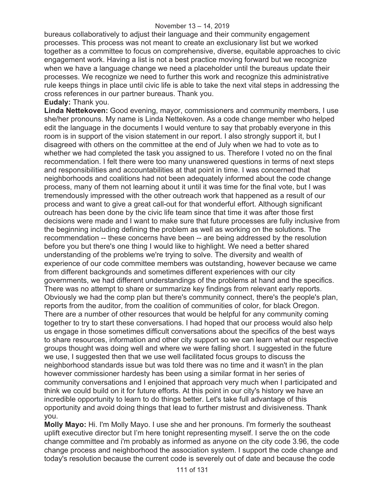bureaus collaboratively to adjust their language and their community engagement processes. This process was not meant to create an exclusionary list but we worked together as a committee to focus on comprehensive, diverse, equitable approaches to civic engagement work. Having a list is not a best practice moving forward but we recognize when we have a language change we need a placeholder until the bureaus update their processes. We recognize we need to further this work and recognize this administrative rule keeps things in place until civic life is able to take the next vital steps in addressing the cross references in our partner bureaus. Thank you.

### **Eudaly:** Thank you.

**Linda Nettekoven:** Good evening, mayor, commissioners and community members, I use she/her pronouns. My name is Linda Nettekoven. As a code change member who helped edit the language in the documents I would venture to say that probably everyone in this room is in support of the vision statement in our report. I also strongly support it, but I disagreed with others on the committee at the end of July when we had to vote as to whether we had completed the task you assigned to us. Therefore I voted no on the final recommendation. I felt there were too many unanswered questions in terms of next steps and responsibilities and accountabilities at that point in time. I was concerned that neighborhoods and coalitions had not been adequately informed about the code change process, many of them not learning about it until it was time for the final vote, but I was tremendously impressed with the other outreach work that happened as a result of our process and want to give a great call-out for that wonderful effort. Although significant outreach has been done by the civic life team since that time it was after those first decisions were made and I want to make sure that future processes are fully inclusive from the beginning including defining the problem as well as working on the solutions. The recommendation -- these concerns have been -- are being addressed by the resolution before you but there's one thing I would like to highlight. We need a better shared understanding of the problems we're trying to solve. The diversity and wealth of experience of our code committee members was outstanding, however because we came from different backgrounds and sometimes different experiences with our city governments, we had different understandings of the problems at hand and the specifics. There was no attempt to share or summarize key findings from relevant early reports. Obviously we had the comp plan but there's community connect, there's the people's plan, reports from the auditor, from the coalition of communities of color, for black Oregon. There are a number of other resources that would be helpful for any community coming together to try to start these conversations. I had hoped that our process would also help us engage in those sometimes difficult conversations about the specifics of the best ways to share resources, information and other city support so we can learn what our respective groups thought was doing well and where we were falling short. I suggested in the future we use, I suggested then that we use well facilitated focus groups to discuss the neighborhood standards issue but was told there was no time and it wasn't in the plan however commissioner hardesty has been using a similar format in her series of community conversations and I enjoined that approach very much when I participated and think we could build on it for future efforts. At this point in our city's history we have an incredible opportunity to learn to do things better. Let's take full advantage of this opportunity and avoid doing things that lead to further mistrust and divisiveness. Thank you.

**Molly Mayo:** Hi. I'm Molly Mayo. I use she and her pronouns. I'm formerly the southeast uplift executive director but I'm here tonight representing myself. I serve the on the code change committee and i'm probably as informed as anyone on the city code 3.96, the code change process and neighborhood the association system. I support the code change and today's resolution because the current code is severely out of date and because the code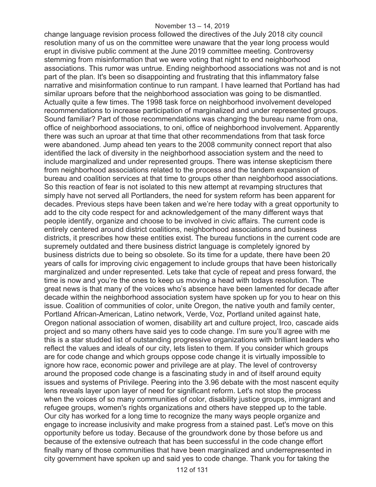change language revision process followed the directives of the July 2018 city council resolution many of us on the committee were unaware that the year long process would erupt in divisive public comment at the June 2019 committee meeting. Controversy stemming from misinformation that we were voting that night to end neighborhood associations. This rumor was untrue. Ending neighborhood associations was not and is not part of the plan. It's been so disappointing and frustrating that this inflammatory false narrative and misinformation continue to run rampant. I have learned that Portland has had similar uproars before that the neighborhood association was going to be dismantled. Actually quite a few times. The 1998 task force on neighborhood involvement developed recommendations to increase participation of marginalized and under represented groups. Sound familiar? Part of those recommendations was changing the bureau name from ona, office of neighborhood associations, to oni, office of neighborhood involvement. Apparently there was such an uproar at that time that other recommendations from that task force were abandoned. Jump ahead ten years to the 2008 community connect report that also identified the lack of diversity in the neighborhood association system and the need to include marginalized and under represented groups. There was intense skepticism there from neighborhood associations related to the process and the tandem expansion of bureau and coalition services at that time to groups other than neighborhood associations. So this reaction of fear is not isolated to this new attempt at revamping structures that simply have not served all Portlanders, the need for system reform has been apparent for decades. Previous steps have been taken and we're here today with a great opportunity to add to the city code respect for and acknowledgement of the many different ways that people identify, organize and choose to be involved in civic affairs. The current code is entirely centered around district coalitions, neighborhood associations and business districts, it prescribes how these entities exist. The bureau functions in the current code are supremely outdated and there business district language is completely ignored by business districts due to being so obsolete. So its time for a update, there have been 20 years of calls for improving civic engagement to include groups that have been historically marginalized and under represented. Lets take that cycle of repeat and press forward, the time is now and you're the ones to keep us moving a head with todays resolution. The great news is that many of the voices who's absence have been lamented for decade after decade within the neighborhood association system have spoken up for you to hear on this issue. Coalition of communities of color, unite Oregon, the native youth and family center, Portland African-American, Latino network, Verde, Voz, Portland united against hate, Oregon national association of women, disability art and culture project, Irco, cascade aids project and so many others have said yes to code change. I'm sure you'll agree with me this is a star studded list of outstanding progressive organizations with brilliant leaders who reflect the values and ideals of our city, lets listen to them. If you consider which groups are for code change and which groups oppose code change it is virtually impossible to ignore how race, economic power and privilege are at play. The level of controversy around the proposed code change is a fascinating study in and of itself around equity issues and systems of Privilege. Peering into the 3.96 debate with the most nascent equity lens reveals layer upon layer of need for significant reform. Let's not stop the process when the voices of so many communities of color, disability justice groups, immigrant and refugee groups, women's rights organizations and others have stepped up to the table. Our city has worked for a long time to recognize the many ways people organize and engage to increase inclusivity and make progress from a stained past. Let's move on this opportunity before us today. Because of the groundwork done by those before us and because of the extensive outreach that has been successful in the code change effort finally many of those communities that have been marginalized and underrepresented in city government have spoken up and said yes to code change. Thank you for taking the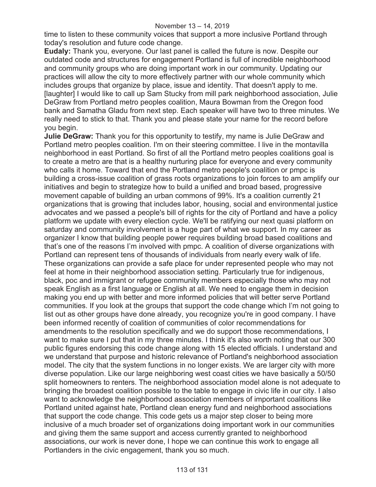time to listen to these community voices that support a more inclusive Portland through today's resolution and future code change.

**Eudaly:** Thank you, everyone. Our last panel is called the future is now. Despite our outdated code and structures for engagement Portland is full of incredible neighborhood and community groups who are doing important work in our community. Updating our practices will allow the city to more effectively partner with our whole community which includes groups that organize by place, issue and identity. That doesn't apply to me. [laughter] I would like to call up Sam Stucky from mill park neighborhood association, Julie DeGraw from Portland metro peoples coalition, Maura Bowman from the Oregon food bank and Samatha Gladu from next step. Each speaker will have two to three minutes. We really need to stick to that. Thank you and please state your name for the record before you begin.

**Julie DeGraw:** Thank you for this opportunity to testify, my name is Julie DeGraw and Portland metro peoples coalition. I'm on their steering committee. I live in the montavilla neighborhood in east Portland. So first of all the Portland metro peoples coalitions goal is to create a metro are that is a healthy nurturing place for everyone and every community who calls it home. Toward that end the Portland metro people's coalition or pmpc is building a cross-issue coalition of grass roots organizations to join forces to am amplify our initiatives and begin to strategize how to build a unified and broad based, progressive movement capable of building an urban commons of 99%. It's a coalition currently 21 organizations that is growing that includes labor, housing, social and environmental justice advocates and we passed a people's bill of rights for the city of Portland and have a policy platform we update with every election cycle. We'll be ratifying our next quasi platform on saturday and community involvement is a huge part of what we support. In my career as organizer I know that building people power requires building broad based coalitions and that's one of the reasons I'm involved with pmpc. A coalition of diverse organizations with Portland can represent tens of thousands of individuals from nearly every walk of life. These organizations can provide a safe place for under represented people who may not feel at home in their neighborhood association setting. Particularly true for indigenous, black, poc and immigrant or refugee community members especially those who may not speak English as a first language or English at all. We need to engage them in decision making you end up with better and more informed policies that will better serve Portland communities. If you look at the groups that support the code change which I'm not going to list out as other groups have done already, you recognize you're in good company. I have been informed recently of coalition of communities of color recommendations for amendments to the resolution specifically and we do support those recommendations, I want to make sure I put that in my three minutes. I think it's also worth noting that our 300 public figures endorsing this code change along with 15 elected officials. I understand and we understand that purpose and historic relevance of Portland's neighborhood association model. The city that the system functions in no longer exists. We are larger city with more diverse population. Like our large neighboring west coast cities we have basically a 50/50 split homeowners to renters. The neighborhood association model alone is not adequate to bringing the broadest coalition possible to the table to engage in civic life in our city. I also want to acknowledge the neighborhood association members of important coalitions like Portland united against hate, Portland clean energy fund and neighborhood associations that support the code change. This code gets us a major step closer to being more inclusive of a much broader set of organizations doing important work in our communities and giving them the same support and access currently granted to neighborhood associations, our work is never done, I hope we can continue this work to engage all Portlanders in the civic engagement, thank you so much.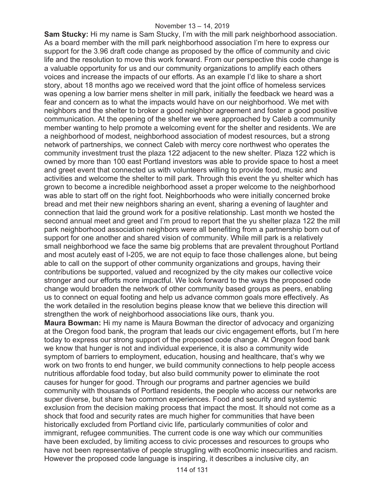**Sam Stucky:** Hi my name is Sam Stucky, I'm with the mill park neighborhood association. As a board member with the mill park neighborhood association I'm here to express our support for the 3.96 draft code change as proposed by the office of community and civic life and the resolution to move this work forward. From our perspective this code change is a valuable opportunity for us and our community organizations to amplify each others voices and increase the impacts of our efforts. As an example I'd like to share a short story, about 18 months ago we received word that the joint office of homeless services was opening a low barrier mens shelter in mill park, initially the feedback we heard was a fear and concern as to what the impacts would have on our neighborhood. We met with neighbors and the shelter to broker a good neighbor agreement and foster a good positive communication. At the opening of the shelter we were approached by Caleb a community member wanting to help promote a welcoming event for the shelter and residents. We are a neighborhood of modest, neighborhood association of modest resources, but a strong network of partnerships, we connect Caleb with mercy core northwest who operates the community investment trust the plaza 122 adjacent to the new shelter. Plaza 122 which is owned by more than 100 east Portland investors was able to provide space to host a meet and greet event that connected us with volunteers willing to provide food, music and activities and welcome the shelter to mill park. Through this event the yu shelter which has grown to become a incredible neighborhood asset a proper welcome to the neighborhood was able to start off on the right foot. Neighborhoods who were initially concerned broke bread and met their new neighbors sharing an event, sharing a evening of laughter and connection that laid the ground work for a positive relationship. Last month we hosted the second annual meet and greet and I'm proud to report that the yu shelter plaza 122 the mill park neighborhood association neighbors were all benefiting from a partnership born out of support for one another and shared vision of community. While mill park is a relatively small neighborhood we face the same big problems that are prevalent throughout Portland and most acutely east of I-205, we are not equip to face those challenges alone, but being able to call on the support of other community organizations and groups, having their contributions be supported, valued and recognized by the city makes our collective voice stronger and our efforts more impactful. We look forward to the ways the proposed code change would broaden the network of other community based groups as peers, enabling us to connect on equal footing and help us advance common goals more effectively. As the work detailed in the resolution begins please know that we believe this direction will strengthen the work of neighborhood associations like ours, thank you.

**Maura Bowman:** Hi my name is Maura Bowman the director of advocacy and organizing at the Oregon food bank, the program that leads our civic engagement efforts, but I'm here today to express our strong support of the proposed code change. At Oregon food bank we know that hunger is not and individual experience, it is also a community wide symptom of barriers to employment, education, housing and healthcare, that's why we work on two fronts to end hunger, we build community connections to help people access nutritious affordable food today, but also build community power to eliminate the root causes for hunger for good. Through our programs and partner agencies we build community with thousands of Portland residents, the people who access our networks are super diverse, but share two common experiences. Food and security and systemic exclusion from the decision making process that impact the most. It should not come as a shock that food and security rates are much higher for communities that have been historically excluded from Portland civic life, particularly communities of color and immigrant, refugee communities. The current code is one way which our communities have been excluded, by limiting access to civic processes and resources to groups who have not been representative of people struggling with eco0nomic insecurities and racism. However the proposed code language is inspiring, it describes a inclusive city, an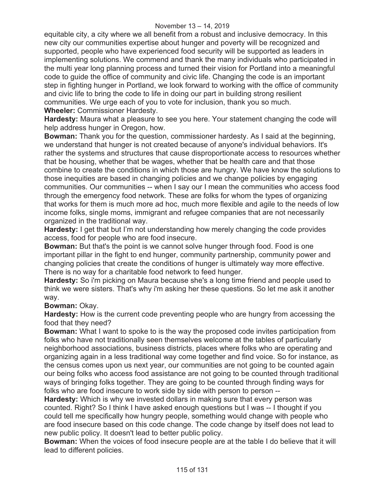#### November 13 – 14, 2019

equitable city, a city where we all benefit from a robust and inclusive democracy. In this new city our communities expertise about hunger and poverty will be recognized and supported, people who have experienced food security will be supported as leaders in implementing solutions. We commend and thank the many individuals who participated in the multi year long planning process and turned their vision for Portland into a meaningful code to guide the office of community and civic life. Changing the code is an important step in fighting hunger in Portland, we look forward to working with the office of community and civic life to bring the code to life in doing our part in building strong resilient communities. We urge each of you to vote for inclusion, thank you so much. **Wheeler:** Commissioner Hardesty.

**Hardesty:** Maura what a pleasure to see you here. Your statement changing the code will help address hunger in Oregon, how.

**Bowman:** Thank you for the question, commissioner hardesty. As I said at the beginning, we understand that hunger is not created because of anyone's individual behaviors. It's rather the systems and structures that cause disproportionate access to resources whether that be housing, whether that be wages, whether that be health care and that those combine to create the conditions in which those are hungry. We have know the solutions to those inequities are based in changing policies and we change policies by engaging communities. Our communities -- when I say our I mean the communities who access food through the emergency food network. These are folks for whom the types of organizing that works for them is much more ad hoc, much more flexible and agile to the needs of low income folks, single moms, immigrant and refugee companies that are not necessarily organized in the traditional way.

**Hardesty:** I get that but I'm not understanding how merely changing the code provides access, food for people who are food insecure.

**Bowman:** But that's the point is we cannot solve hunger through food. Food is one important pillar in the fight to end hunger, community partnership, community power and changing policies that create the conditions of hunger is ultimately way more effective. There is no way for a charitable food network to feed hunger.

**Hardesty:** So i'm picking on Maura because she's a long time friend and people used to think we were sisters. That's why i'm asking her these questions. So let me ask it another way.

#### **Bowman:** Okay.

**Hardesty:** How is the current code preventing people who are hungry from accessing the food that they need?

**Bowman:** What I want to spoke to is the way the proposed code invites participation from folks who have not traditionally seen themselves welcome at the tables of particularly neighborhood associations, business districts, places where folks who are operating and organizing again in a less traditional way come together and find voice. So for instance, as the census comes upon us next year, our communities are not going to be counted again our being folks who access food assistance are not going to be counted through traditional ways of bringing folks together. They are going to be counted through finding ways for folks who are food insecure to work side by side with person to person --

**Hardesty:** Which is why we invested dollars in making sure that every person was counted. Right? So I think I have asked enough questions but I was -- I thought if you could tell me specifically how hungry people, something would change with people who are food insecure based on this code change. The code change by itself does not lead to new public policy. It doesn't lead to better public policy.

**Bowman:** When the voices of food insecure people are at the table I do believe that it will lead to different policies.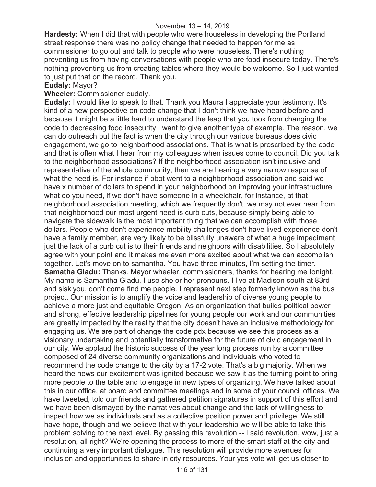**Hardesty:** When I did that with people who were houseless in developing the Portland street response there was no policy change that needed to happen for me as commissioner to go out and talk to people who were houseless. There's nothing preventing us from having conversations with people who are food insecure today. There's nothing preventing us from creating tables where they would be welcome. So I just wanted to just put that on the record. Thank you.

**Eudaly:** Mayor?

## **Wheeler:** Commissioner eudaly.

**Eudaly:** I would like to speak to that. Thank you Maura I appreciate your testimony. It's kind of a new perspective on code change that I don't think we have heard before and because it might be a little hard to understand the leap that you took from changing the code to decreasing food insecurity I want to give another type of example. The reason, we can do outreach but the fact is when the city through our various bureaus does civic engagement, we go to neighborhood associations. That is what is proscribed by the code and that is often what I hear from my colleagues when issues come to council. Did you talk to the neighborhood associations? If the neighborhood association isn't inclusive and representative of the whole community, then we are hearing a very narrow response of what the need is. For instance if pbot went to a neighborhood association and said we have x number of dollars to spend in your neighborhood on improving your infrastructure what do you need, if we don't have someone in a wheelchair, for instance, at that neighborhood association meeting, which we frequently don't, we may not ever hear from that neighborhood our most urgent need is curb cuts, because simply being able to navigate the sidewalk is the most important thing that we can accomplish with those dollars. People who don't experience mobility challenges don't have lived experience don't have a family member, are very likely to be blissfully unaware of what a huge impediment just the lack of a curb cut is to their friends and neighbors with disabilities. So I absolutely agree with your point and it makes me even more excited about what we can accomplish together. Let's move on to samantha. You have three minutes, I'm setting the timer. **Samatha Gladu:** Thanks. Mayor wheeler, commissioners, thanks for hearing me tonight. My name is Samantha Gladu, I use she or her pronouns. I live at Madison south at 83rd and siskiyou, don't come find me people. I represent next step formerly known as the bus project. Our mission is to amplify the voice and leadership of diverse young people to achieve a more just and equitable Oregon. As an organization that builds political power and strong, effective leadership pipelines for young people our work and our communities are greatly impacted by the reality that the city doesn't have an inclusive methodology for engaging us. We are part of change the code pdx because we see this process as a visionary undertaking and potentially transformative for the future of civic engagement in our city. We applaud the historic success of the year long process run by a committee composed of 24 diverse community organizations and individuals who voted to recommend the code change to the city by a 17-2 vote. That's a big majority. When we heard the news our excitement was ignited because we saw it as the turning point to bring more people to the table and to engage in new types of organizing. We have talked about this in our office, at board and committee meetings and in some of your council offices. We have tweeted, told our friends and gathered petition signatures in support of this effort and we have been dismayed by the narratives about change and the lack of willingness to inspect how we as individuals and as a collective position power and privilege. We still have hope, though and we believe that with your leadership we will be able to take this problem solving to the next level. By passing this revolution -- I said revolution, wow, just a resolution, all right? We're opening the process to more of the smart staff at the city and continuing a very important dialogue. This resolution will provide more avenues for inclusion and opportunities to share in city resources. Your yes vote will get us closer to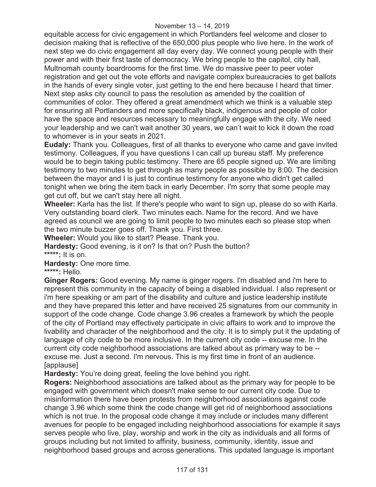equitable access for civic engagement in which Portlanders feel welcome and closer to decision making that is reflective of the 650,000 plus people who live here. In the work of next step we do civic engagement all day every day. We connect young people with their power and with their first taste of democracy. We bring people to the capitol, city hall, Multnomah county boardrooms for the first time. We do massive peer to peer voter registration and get out the vote efforts and navigate complex bureaucracies to get ballots in the hands of every single voter, just getting to the end here because I heard that timer. Next step asks city council to pass the resolution as amended by the coalition of communities of color. They offered a great amendment which we think is a valuable step for ensuring all Portlanders and more specifically black, indigenous and people of color have the space and resources necessary to meaningfully engage with the city. We need your leadership and we can't wait another 30 years, we can't wait to kick it down the road to whomever is in your seats in 2021.

**Eudaly:** Thank you. Colleagues, first of all thanks to everyone who came and gave invited testimony. Colleagues, if you have questions I can call up bureau staff. My preference would be to begin taking public testimony. There are 65 people signed up. We are limiting testimony to two minutes to get through as many people as possible by 8:00. The decision between the mayor and I is just to continue testimony for anyone who didn't get called tonight when we bring the item back in early December. I'm sorry that some people may get cut off, but we can't stay here all night.

**Wheeler:** Karla has the list. If there's people who want to sign up, please do so with Karla. Very outstanding board clerk. Two minutes each. Name for the record. And we have agreed as council we are going to limit people to two minutes each so please stop when the two minute buzzer goes off. Thank you. First three.

**Wheeler:** Would you like to start? Please. Thank you.

**Hardesty:** Good evening, is it on? Is that on? Push the button? **\*\*\*\*\*:** It is on.

**Hardesty:** One more time.

**\*\*\*\*\*:** Hello.

**Ginger Rogers:** Good evening. My name is ginger rogers. I'm disabled and i'm here to represent this community in the capacity of being a disabled individual. I also represent or i'm here speaking or am part of the disability and culture and justice leadership institute and they have prepared this letter and have received 25 signatures from our community in support of the code change. Code change 3.96 creates a framework by which the people of the city of Portland may effectively participate in civic affairs to work and to improve the livability and character of the neighborhood and the city. It is to simply put it the updating of language of city code to be more inclusive. In the current city code -- excuse me. In the current city code neighborhood associations are talked about as primary way to be - excuse me. Just a second. I'm nervous. This is my first time in front of an audience. [applause]

**Hardesty:** You're doing great, feeling the love behind you right.

**Rogers:** Neighborhood associations are talked about as the primary way for people to be engaged with government which doesn't make sense to our current city code. Due to misinformation there have been protests from neighborhood associations against code change 3.96 which some think the code change will get rid of neighborhood associations which is not true. In the proposal code change it may include or includes many different avenues for people to be engaged including neighborhood associations for example it says serves people who live, play, worship and work in the city as individuals and all forms of groups including but not limited to affinity, business, community, identity, issue and neighborhood based groups and across generations. This updated language is important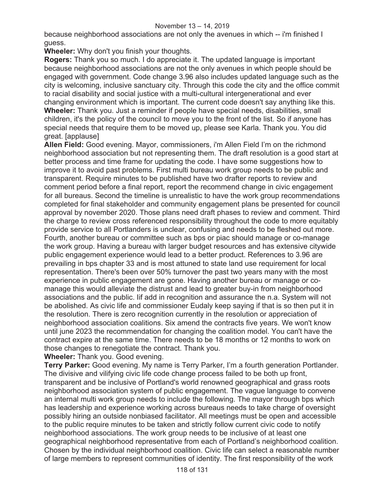because neighborhood associations are not only the avenues in which -- i'm finished I guess.

**Wheeler:** Why don't you finish your thoughts.

**Rogers:** Thank you so much. I do appreciate it. The updated language is important because neighborhood associations are not the only avenues in which people should be engaged with government. Code change 3.96 also includes updated language such as the city is welcoming, inclusive sanctuary city. Through this code the city and the office commit to racial disability and social justice with a multi-cultural intergenerational and ever changing environment which is important. The current code doesn't say anything like this. **Wheeler:** Thank you. Just a reminder if people have special needs, disabilities, small children, it's the policy of the council to move you to the front of the list. So if anyone has special needs that require them to be moved up, please see Karla. Thank you. You did great. [applause]

**Allen Field:** Good evening. Mayor, commissioners, i'm Allen Field I'm on the richmond neighborhood association but not representing them. The draft resolution is a good start at better process and time frame for updating the code. I have some suggestions how to improve it to avoid past problems. First multi bureau work group needs to be public and transparent. Require minutes to be published have two drafter reports to review and comment period before a final report, report the recommend change in civic engagement for all bureaus. Second the timeline is unrealistic to have the work group recommendations completed for final stakeholder and community engagement plans be presented for council approval by november 2020. Those plans need draft phases to review and comment. Third the charge to review cross referenced responsibility throughout the code to more equitably provide service to all Portlanders is unclear, confusing and needs to be fleshed out more. Fourth, another bureau or committee such as bps or piac should manage or co-manage the work group. Having a bureau with larger budget resources and has extensive citywide public engagement experience would lead to a better product. References to 3.96 are prevailing in bps chapter 33 and is most attuned to state land use requirement for local representation. There's been over 50% turnover the past two years many with the most experience in public engagement are gone. Having another bureau or manage or comanage this would alleviate the distrust and lead to greater buy-in from neighborhood associations and the public. Iif add in recognition and assurance the n.a. System will not be abolished. As civic life and commissioner Eudaly keep saying if that is so then put it in the resolution. There is zero recognition currently in the resolution or appreciation of neighborhood association coalitions. Six amend the contracts five years. We won't know until june 2023 the recommendation for changing the coalition model. You can't have the contract expire at the same time. There needs to be 18 months or 12 months to work on those changes to renegotiate the contract. Thank you.

**Wheeler:** Thank you. Good evening.

**Terry Parker:** Good evening. My name is Terry Parker, I'm a fourth generation Portlander. The divisive and vilifying civic life code change process failed to be both up front, transparent and be inclusive of Portland's world renowned geographical and grass roots neighborhood association system of public engagement. The vague language to convene an internal multi work group needs to include the following. The mayor through bps which has leadership and experience working across bureaus needs to take charge of oversight possibly hiring an outside nonbiased facilitator. All meetings must be open and accessible to the public require minutes to be taken and strictly follow current civic code to notify neighborhood associations. The work group needs to be inclusive of at least one geographical neighborhood representative from each of Portland's neighborhood coalition. Chosen by the individual neighborhood coalition. Civic life can select a reasonable number of large members to represent communities of identity. The first responsibility of the work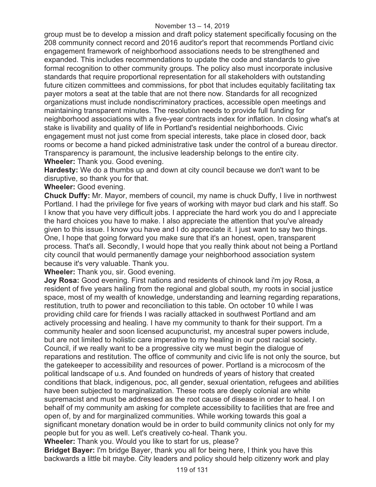group must be to develop a mission and draft policy statement specifically focusing on the 208 community connect record and 2016 auditor's report that recommends Portland civic engagement framework of neighborhood associations needs to be strengthened and expanded. This includes recommendations to update the code and standards to give formal recognition to other community groups. The policy also must incorporate inclusive standards that require proportional representation for all stakeholders with outstanding future citizen committees and commissions, for pbot that includes equitably facilitating tax payer motors a seat at the table that are not there now. Standards for all recognized organizations must include nondiscriminatory practices, accessible open meetings and maintaining transparent minutes. The resolution needs to provide full funding for neighborhood associations with a five-year contracts index for inflation. In closing what's at stake is livability and quality of life in Portland's residential neighborhoods. Civic engagement must not just come from special interests, take place in closed door, back rooms or become a hand picked administrative task under the control of a bureau director. Transparency is paramount, the inclusive leadership belongs to the entire city. **Wheeler:** Thank you. Good evening.

**Hardesty:** We do a thumbs up and down at city council because we don't want to be disruptive, so thank you for that.

## **Wheeler:** Good evening.

**Chuck Duffy:** Mr. Mayor, members of council, my name is chuck Duffy, I live in northwest Portland. I had the privilege for five years of working with mayor bud clark and his staff. So I know that you have very difficult jobs. I appreciate the hard work you do and I appreciate the hard choices you have to make. I also appreciate the attention that you've already given to this issue. I know you have and I do appreciate it. I just want to say two things. One, I hope that going forward you make sure that it's an honest, open, transparent process. That's all. Secondly, I would hope that you really think about not being a Portland city council that would permanently damage your neighborhood association system because it's very valuable. Thank you.

**Wheeler:** Thank you, sir. Good evening.

**Joy Rosa:** Good evening. First nations and residents of chinook land i'm joy Rosa, a resident of five years hailing from the regional and global south, my roots in social justice space, most of my wealth of knowledge, understanding and learning regarding reparations, restitution, truth to power and reconciliation to this table. On october 10 while I was providing child care for friends I was racially attacked in southwest Portland and am actively processing and healing. I have my community to thank for their support. I'm a community healer and soon licensed acupuncturist, my ancestral super powers include, but are not limited to holistic care imperative to my healing in our post racial society. Council, if we really want to be a progressive city we must begin the dialogue of reparations and restitution. The office of community and civic life is not only the source, but the gatekeeper to accessibility and resources of power. Portland is a microcosm of the political landscape of u.s. And founded on hundreds of years of history that created conditions that black, indigenous, poc, all gender, sexual orientation, refugees and abilities have been subjected to marginalization. These roots are deeply colonial are white supremacist and must be addressed as the root cause of disease in order to heal. I on behalf of my community am asking for complete accessibility to facilities that are free and open of, by and for marginalized communities. While working towards this goal a significant monetary donation would be in order to build community clinics not only for my people but for you as well. Let's creatively co-heal. Thank you.

**Wheeler:** Thank you. Would you like to start for us, please?

**Bridget Bayer:** I'm bridge Bayer, thank you all for being here, I think you have this backwards a little bit maybe. City leaders and policy should help citizenry work and play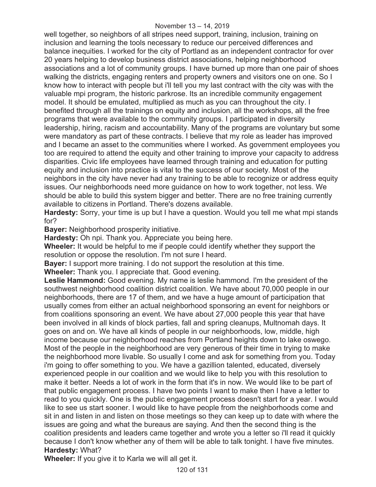well together, so neighbors of all stripes need support, training, inclusion, training on inclusion and learning the tools necessary to reduce our perceived differences and balance inequities. I worked for the city of Portland as an independent contractor for over 20 years helping to develop business district associations, helping neighborhood associations and a lot of community groups. I have burned up more than one pair of shoes walking the districts, engaging renters and property owners and visitors one on one. So I know how to interact with people but i'll tell you my last contract with the city was with the valuable mpi program, the historic parkrose. Its an incredible community engagement model. It should be emulated, multiplied as much as you can throughout the city. I benefited through all the trainings on equity and inclusion, all the workshops, all the free programs that were available to the community groups. I participated in diversity leadership, hiring, racism and accountability. Many of the programs are voluntary but some were mandatory as part of these contracts. I believe that my role as leader has improved and I became an asset to the communities where I worked. As government employees you too are required to attend the equity and other training to improve your capacity to address disparities. Civic life employees have learned through training and education for putting equity and inclusion into practice is vital to the success of our society. Most of the neighbors in the city have never had any training to be able to recognize or address equity issues. Our neighborhoods need more guidance on how to work together, not less. We should be able to build this system bigger and better. There are no free training currently available to citizens in Portland. There's dozens available.

**Hardesty:** Sorry, your time is up but I have a question. Would you tell me what mpi stands for?

**Bayer:** Neighborhood prosperity initiative.

**Hardesty:** Oh npi. Thank you. Appreciate you being here.

**Wheeler:** It would be helpful to me if people could identify whether they support the resolution or oppose the resolution. I'm not sure I heard.

**Bayer:** I support more training. I do not support the resolution at this time.

**Wheeler:** Thank you. I appreciate that. Good evening.

**Leslie Hammond:** Good evening. My name is leslie hammond. I'm the president of the southwest neighborhood coalition district coalition. We have about 70,000 people in our neighborhoods, there are 17 of them, and we have a huge amount of participation that usually comes from either an actual neighborhood sponsoring an event for neighbors or from coalitions sponsoring an event. We have about 27,000 people this year that have been involved in all kinds of block parties, fall and spring cleanups, Multnomah days. It goes on and on. We have all kinds of people in our neighborhoods, low, middle, high income because our neighborhood reaches from Portland heights down to lake oswego. Most of the people in the neighborhood are very generous of their time in trying to make the neighborhood more livable. So usually I come and ask for something from you. Today i'm going to offer something to you. We have a gazillion talented, educated, diversely experienced people in our coalition and we would like to help you with this resolution to make it better. Needs a lot of work in the form that it's in now. We would like to be part of that public engagement process. I have two points I want to make then I have a letter to read to you quickly. One is the public engagement process doesn't start for a year. I would like to see us start sooner. I would like to have people from the neighborhoods come and sit in and listen in and listen on those meetings so they can keep up to date with where the issues are going and what the bureaus are saying. And then the second thing is the coalition presidents and leaders came together and wrote you a letter so i'll read it quickly because I don't know whether any of them will be able to talk tonight. I have five minutes. **Hardesty:** What?

**Wheeler:** If you give it to Karla we will all get it.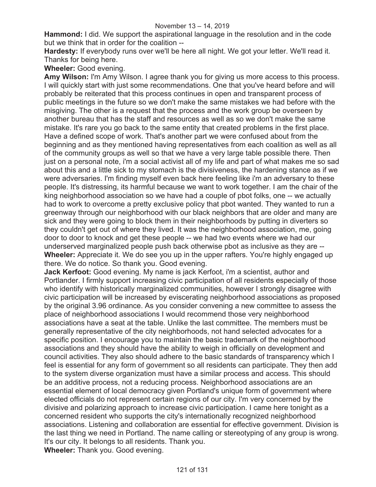**Hammond:** I did. We support the aspirational language in the resolution and in the code but we think that in order for the coalition --

**Hardesty:** If everybody runs over we'll be here all night. We got your letter. We'll read it. Thanks for being here.

**Wheeler:** Good evening.

**Amy Wilson:** I'm Amy Wilson. I agree thank you for giving us more access to this process. I will quickly start with just some recommendations. One that you've heard before and will probably be reiterated that this process continues in open and transparent process of public meetings in the future so we don't make the same mistakes we had before with the misgiving. The other is a request that the process and the work group be overseen by another bureau that has the staff and resources as well as so we don't make the same mistake. It's rare you go back to the same entity that created problems in the first place. Have a defined scope of work. That's another part we were confused about from the beginning and as they mentioned having representatives from each coalition as well as all of the community groups as well so that we have a very large table possible there. Then just on a personal note, i'm a social activist all of my life and part of what makes me so sad about this and a little sick to my stomach is the divisiveness, the hardening stance as if we were adversaries. I'm finding myself even back here feeling like i'm an adversary to these people. It's distressing, its harmful because we want to work together. I am the chair of the king neighborhood association so we have had a couple of pbot folks, one -- we actually had to work to overcome a pretty exclusive policy that pbot wanted. They wanted to run a greenway through our neighborhood with our black neighbors that are older and many are sick and they were going to block them in their neighborhoods by putting in diverters so they couldn't get out of where they lived. It was the neighborhood association, me, going door to door to knock and get these people -- we had two events where we had our underserved marginalized people push back otherwise pbot as inclusive as they are -- **Wheeler:** Appreciate it. We do see you up in the upper rafters. You're highly engaged up there. We do notice. So thank you. Good evening.

**Jack Kerfoot:** Good evening. My name is jack Kerfoot, i'm a scientist, author and Portlander. I firmly support increasing civic participation of all residents especially of those who identify with historically marginalized communities, however I strongly disagree with civic participation will be increased by eviscerating neighborhood associations as proposed by the original 3.96 ordinance. As you consider convening a new committee to assess the place of neighborhood associations I would recommend those very neighborhood associations have a seat at the table. Unlike the last committee. The members must be generally representative of the city neighborhoods, not hand selected advocates for a specific position. I encourage you to maintain the basic trademark of the neighborhood associations and they should have the ability to weigh in officially on development and council activities. They also should adhere to the basic standards of transparency which I feel is essential for any form of government so all residents can participate. They then add to the system diverse organization must have a similar process and access. This should be an additive process, not a reducing process. Neighborhood associations are an essential element of local democracy given Portland's unique form of government where elected officials do not represent certain regions of our city. I'm very concerned by the divisive and polarizing approach to increase civic participation. I came here tonight as a concerned resident who supports the city's internationally recognized neighborhood associations. Listening and collaboration are essential for effective government. Division is the last thing we need in Portland. The name calling or stereotyping of any group is wrong. It's our city. It belongs to all residents. Thank you. **Wheeler:** Thank you. Good evening.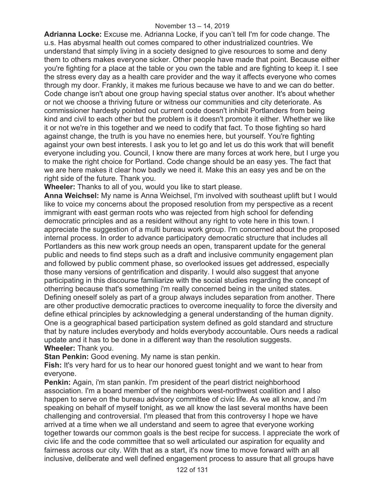**Adrianna Locke:** Excuse me. Adrianna Locke, if you can't tell I'm for code change. The u.s. Has abysmal health out comes compared to other industrialized countries. We understand that simply living in a society designed to give resources to some and deny them to others makes everyone sicker. Other people have made that point. Because either you're fighting for a place at the table or you own the table and are fighting to keep it. I see the stress every day as a health care provider and the way it affects everyone who comes through my door. Frankly, it makes me furious because we have to and we can do better. Code change isn't about one group having special status over another. It's about whether or not we choose a thriving future or witness our communities and city deteriorate. As commissioner hardesty pointed out current code doesn't inhibit Portlanders from being kind and civil to each other but the problem is it doesn't promote it either. Whether we like it or not we're in this together and we need to codify that fact. To those fighting so hard against change, the truth is you have no enemies here, but yourself. You're fighting against your own best interests. I ask you to let go and let us do this work that will benefit everyone including you. Council, I know there are many forces at work here, but I urge you to make the right choice for Portland. Code change should be an easy yes. The fact that we are here makes it clear how badly we need it. Make this an easy yes and be on the right side of the future. Thank you.

**Wheeler:** Thanks to all of you, would you like to start please.

**Anna Weichsel:** My name is Anna Weichsel, I'm involved with southeast uplift but I would like to voice my concerns about the proposed resolution from my perspective as a recent immigrant with east german roots who was rejected from high school for defending democratic principles and as a resident without any right to vote here in this town. I appreciate the suggestion of a multi bureau work group. I'm concerned about the proposed internal process. In order to advance participatory democratic structure that includes all Portlanders as this new work group needs an open, transparent update for the general public and needs to find steps such as a draft and inclusive community engagement plan and followed by public comment phase, so overlooked issues get addressed, especially those many versions of gentrification and disparity. I would also suggest that anyone participating in this discourse familiarize with the social studies regarding the concept of otherring because that's something i'm really concerned being in the united states. Defining oneself solely as part of a group always includes separation from another. There are other productive democratic practices to overcome inequality to force the diversity and define ethical principles by acknowledging a general understanding of the human dignity. One is a geographical based participation system defined as gold standard and structure that by nature includes everybody and holds everybody accountable. Ours needs a radical update and it has to be done in a different way than the resolution suggests. **Wheeler:** Thank you.

**Stan Penkin:** Good evening. My name is stan penkin.

**Fish:** It's very hard for us to hear our honored guest tonight and we want to hear from everyone.

**Penkin:** Again, i'm stan pankin. I'm president of the pearl district neighborhood association. I'm a board member of the neighbors west-northwest coalition and I also happen to serve on the bureau advisory committee of civic life. As we all know, and i'm speaking on behalf of myself tonight, as we all know the last several months have been challenging and controversial. I'm pleased that from this controversy I hope we have arrived at a time when we all understand and seem to agree that everyone working together towards our common goals is the best recipe for success. I appreciate the work of civic life and the code committee that so well articulated our aspiration for equality and fairness across our city. With that as a start, it's now time to move forward with an all inclusive, deliberate and well defined engagement process to assure that all groups have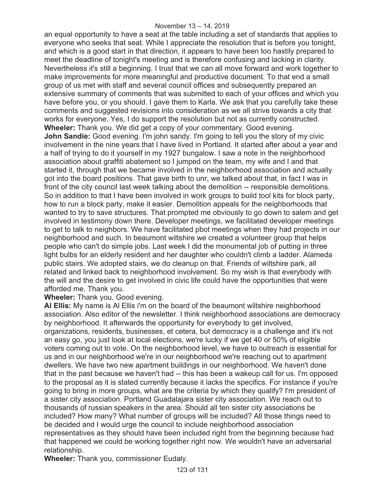an equal opportunity to have a seat at the table including a set of standards that applies to everyone who seeks that seat. While I appreciate the resolution that is before you tonight, and which is a good start in that direction, it appears to have been too hastily prepared to meet the deadline of tonight's meeting and is therefore confusing and lacking in clarity. Nevertheless it's still a beginning. I trust that we can all move forward and work together to make improvements for more meaningful and productive document. To that end a small group of us met with staff and several council offices and subsequently prepared an extensive summary of comments that was submitted to each of your offices and which you have before you, or you should. I gave them to Karla. We ask that you carefully take these comments and suggested revisions into consideration as we all strive towards a city that works for everyone. Yes, I do support the resolution but not as currently constructed. **Wheeler:** Thank you. We did get a copy of your commentary. Good evening. **John Sandie:** Good evening. I'm john sandy. I'm going to tell you the story of my civic involvement in the nine years that I have lived in Portland. It started after about a year and a half of trying to do it yourself in my 1927 bungalow. I saw a note in the neighborhood association about graffiti abatement so I jumped on the team, my wife and I and that started it, through that we became involved in the neighborhood association and actually got into the board positions. That gave birth to unr, we talked about that, in fact I was in front of the city council last week talking about the demolition -- responsible demolitions. So in addition to that I have been involved in work groups to build tool kits for block party, how to run a block party, make it easier. Demolition appeals for the neighborhoods that wanted to try to save structures. That prompted me obviously to go down to salem and get involved in testimony down there. Developer meetings, we facilitated developer meetings to get to talk to neighbors. We have facilitated pbot meetings when they had projects in our neighborhood and such. In beaumont wiltshire we created a volunteer group that helps people who can't do simple jobs. Last week I did the monumental job of putting in three light bulbs for an elderly resident and her daughter who couldn't climb a ladder. Alameda public stairs. We adopted stairs, we do cleanup on that. Friends of wiltshire park, all related and linked back to neighborhood involvement. So my wish is that everybody with the will and the desire to get involved in civic life could have the opportunities that were afforded me. Thank you.

**Wheeler:** Thank you. Good evening.

**Al Ellis:** My name is Al Ellis i'm on the board of the beaumont wiltshire neighborhood association. Also editor of the newsletter. I think neighborhood associations are democracy by neighborhood. It afterwards the opportunity for everybody to get involved, organizations, residents, businesses, et cetera, but democracy is a challenge and it's not an easy go, you just look at local elections, we're lucky if we get 40 or 50% of eligible voters coming out to vote. On the neighborhood level, we have to outreach is essential for us and in our neighborhood we're in our neighborhood we're reaching out to apartment dwellers. We have two new apartment buildings in our neighborhood. We haven't done that in the past because we haven't had -- this has been a wakeup call for us. I'm opposed to the proposal as it is stated currently because it lacks the specifics. For instance if you're going to bring in more groups, what are the criteria by which they qualify? I'm president of a sister city association. Portland Guadalajara sister city association. We reach out to thousands of russian speakers in the area. Should all ten sister city associations be included? How many? What number of groups will be included? All those things need to be decided and I would urge the council to include neighborhood association representatives as they should have been included right from the beginning because had that happened we could be working together right now. We wouldn't have an adversarial relationship.

**Wheeler:** Thank you, commissioner Eudaly.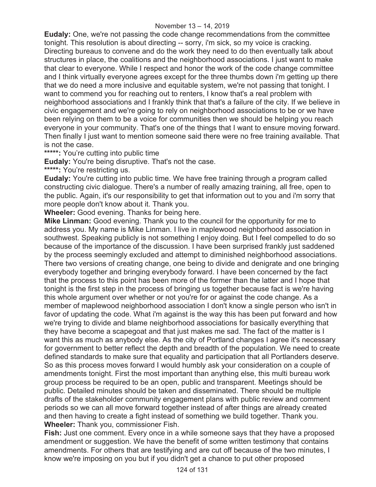**Eudaly:** One, we're not passing the code change recommendations from the committee tonight. This resolution is about directing -- sorry, i'm sick, so my voice is cracking. Directing bureaus to convene and do the work they need to do then eventually talk about structures in place, the coalitions and the neighborhood associations. I just want to make that clear to everyone. While I respect and honor the work of the code change committee and I think virtually everyone agrees except for the three thumbs down i'm getting up there that we do need a more inclusive and equitable system, we're not passing that tonight. I want to commend you for reaching out to renters, I know that's a real problem with neighborhood associations and I frankly think that that's a failure of the city. If we believe in civic engagement and we're going to rely on neighborhood associations to be or we have been relying on them to be a voice for communities then we should be helping you reach everyone in your community. That's one of the things that I want to ensure moving forward. Then finally I just want to mention someone said there were no free training available. That is not the case.

**\*\*\*\*\*:** You're cutting into public time

**Eudaly:** You're being disruptive. That's not the case.

**\*\*\*\*\*:** You're restricting us.

**Eudaly:** You're cutting into public time. We have free training through a program called constructing civic dialogue. There's a number of really amazing training, all free, open to the public. Again, it's our responsibility to get that information out to you and i'm sorry that more people don't know about it. Thank you.

**Wheeler:** Good evening. Thanks for being here.

**Mike Linman:** Good evening. Thank you to the council for the opportunity for me to address you. My name is Mike Linman. I live in maplewood neighborhood association in southwest. Speaking publicly is not something I enjoy doing. But I feel compelled to do so because of the importance of the discussion. I have been surprised frankly just saddened by the process seemingly excluded and attempt to diminished neighborhood associations. There two versions of creating change, one being to divide and denigrate and one bringing everybody together and bringing everybody forward. I have been concerned by the fact that the process to this point has been more of the former than the latter and I hope that tonight is the first step in the process of bringing us together because fact is we're having this whole argument over whether or not you're for or against the code change. As a member of maplewood neighborhood association I don't know a single person who isn't in favor of updating the code. What i'm against is the way this has been put forward and how we're trying to divide and blame neighborhood associations for basically everything that they have become a scapegoat and that just makes me sad. The fact of the matter is I want this as much as anybody else. As the city of Portland changes I agree it's necessary for government to better reflect the depth and breadth of the population. We need to create defined standards to make sure that equality and participation that all Portlanders deserve. So as this process moves forward I would humbly ask your consideration on a couple of amendments tonight. First the most important than anything else, this multi bureau work group process be required to be an open, public and transparent. Meetings should be public. Detailed minutes should be taken and disseminated. There should be multiple drafts of the stakeholder community engagement plans with public review and comment periods so we can all move forward together instead of after things are already created and then having to create a fight instead of something we build together. Thank you. **Wheeler:** Thank you, commissioner Fish.

**Fish:** Just one comment. Every once in a while someone says that they have a proposed amendment or suggestion. We have the benefit of some written testimony that contains amendments. For others that are testifying and are cut off because of the two minutes, I know we're imposing on you but if you didn't get a chance to put other proposed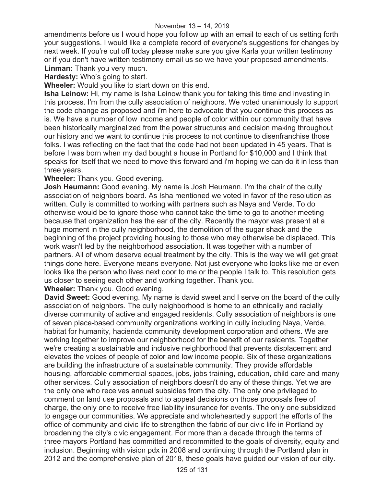amendments before us I would hope you follow up with an email to each of us setting forth your suggestions. I would like a complete record of everyone's suggestions for changes by next week. If you're cut off today please make sure you give Karla your written testimony or if you don't have written testimony email us so we have your proposed amendments. **Linman:** Thank you very much.

**Hardesty:** Who's going to start.

**Wheeler:** Would you like to start down on this end.

**Isha Leinow:** Hi, my name is Isha Leinow thank you for taking this time and investing in this process. I'm from the cully association of neighbors. We voted unanimously to support the code change as proposed and i'm here to advocate that you continue this process as is. We have a number of low income and people of color within our community that have been historically marginalized from the power structures and decision making throughout our history and we want to continue this process to not continue to disenfranchise those folks. I was reflecting on the fact that the code had not been updated in 45 years. That is before I was born when my dad bought a house in Portland for \$10,000 and I think that speaks for itself that we need to move this forward and i'm hoping we can do it in less than three years.

**Wheeler:** Thank you. Good evening.

**Josh Heumann:** Good evening. My name is Josh Heumann. I'm the chair of the cully association of neighbors board. As Isha mentioned we voted in favor of the resolution as written. Cully is committed to working with partners such as Naya and Verde. To do otherwise would be to ignore those who cannot take the time to go to another meeting because that organization has the ear of the city. Recently the mayor was present at a huge moment in the cully neighborhood, the demolition of the sugar shack and the beginning of the project providing housing to those who may otherwise be displaced. This work wasn't led by the neighborhood association. It was together with a number of partners. All of whom deserve equal treatment by the city. This is the way we will get great things done here. Everyone means everyone. Not just everyone who looks like me or even looks like the person who lives next door to me or the people I talk to. This resolution gets us closer to seeing each other and working together. Thank you.

**Wheeler:** Thank you. Good evening.

**David Sweet:** Good evening. My name is david sweet and I serve on the board of the cully association of neighbors. The cully neighborhood is home to an ethnically and racially diverse community of active and engaged residents. Cully association of neighbors is one of seven place-based community organizations working in cully including Naya, Verde, habitat for humanity, hacienda community development corporation and others. We are working together to improve our neighborhood for the benefit of our residents. Together we're creating a sustainable and inclusive neighborhood that prevents displacement and elevates the voices of people of color and low income people. Six of these organizations are building the infrastructure of a sustainable community. They provide affordable housing, affordable commercial spaces, jobs, jobs training, education, child care and many other services. Cully association of neighbors doesn't do any of these things. Yet we are the only one who receives annual subsidies from the city. The only one privileged to comment on land use proposals and to appeal decisions on those proposals free of charge, the only one to receive free liability insurance for events. The only one subsidized to engage our communities. We appreciate and wholeheartedly support the efforts of the office of community and civic life to strengthen the fabric of our civic life in Portland by broadening the city's civic engagement. For more than a decade through the terms of three mayors Portland has committed and recommitted to the goals of diversity, equity and inclusion. Beginning with vision pdx in 2008 and continuing through the Portland plan in 2012 and the comprehensive plan of 2018, these goals have guided our vision of our city.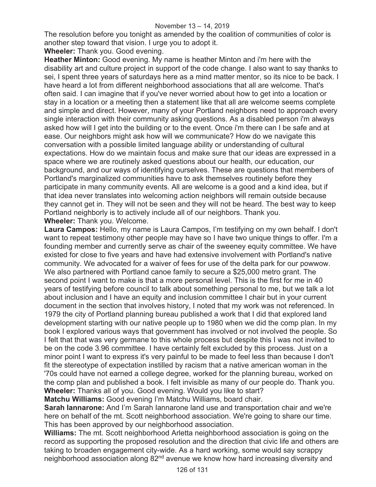The resolution before you tonight as amended by the coalition of communities of color is another step toward that vision. I urge you to adopt it.

**Wheeler:** Thank you. Good evening.

**Heather Minton:** Good evening. My name is heather Minton and i'm here with the disability art and culture project in support of the code change. I also want to say thanks to sei, I spent three years of saturdays here as a mind matter mentor, so its nice to be back. I have heard a lot from different neighborhood associations that all are welcome. That's often said. I can imagine that if you've never worried about how to get into a location or stay in a location or a meeting then a statement like that all are welcome seems complete and simple and direct. However, many of your Portland neighbors need to approach every single interaction with their community asking questions. As a disabled person i'm always asked how will I get into the building or to the event. Once i'm there can I be safe and at ease. Our neighbors might ask how will we communicate? How do we navigate this conversation with a possible limited language ability or understanding of cultural expectations. How do we maintain focus and make sure that our ideas are expressed in a space where we are routinely asked questions about our health, our education, our background, and our ways of identifying ourselves. These are questions that members of Portland's marginalized communities have to ask themselves routinely before they participate in many community events. All are welcome is a good and a kind idea, but if that idea never translates into welcoming action neighbors will remain outside because they cannot get in. They will not be seen and they will not be heard. The best way to keep Portland neighborly is to actively include all of our neighbors. Thank you. **Wheeler:** Thank you. Welcome.

**Laura Campos:** Hello, my name is Laura Campos, I'm testifying on my own behalf. I don't want to repeat testimony other people may have so I have two unique things to offer. I'm a founding member and currently serve as chair of the sweeney equity committee. We have existed for close to five years and have had extensive involvement with Portland's native community. We advocated for a waiver of fees for use of the delta park for our powwow. We also partnered with Portland canoe family to secure a \$25,000 metro grant. The second point I want to make is that a more personal level. This is the first for me in 40 years of testifying before council to talk about something personal to me, but we talk a lot about inclusion and I have an equity and inclusion committee I chair but in your current document in the section that involves history, I noted that my work was not referenced. In 1979 the city of Portland planning bureau published a work that I did that explored land development starting with our native people up to 1980 when we did the comp plan. In my book I explored various ways that government has involved or not involved the people. So I felt that that was very germane to this whole process but despite this I was not invited to be on the code 3.96 committee. I have certainly felt excluded by this process. Just on a minor point I want to express it's very painful to be made to feel less than because I don't fit the stereotype of expectation instilled by racism that a native american woman in the '70s could have not earned a college degree, worked for the planning bureau, worked on the comp plan and published a book. I felt invisible as many of our people do. Thank you. **Wheeler:** Thanks all of you. Good evening. Would you like to start?

**Matchu Williams:** Good evening I'm Matchu Williams, board chair.

**Sarah Iannarone:** And I'm Sarah Iannarone land use and transportation chair and we're here on behalf of the mt. Scott neighborhood association. We're going to share our time. This has been approved by our neighborhood association.

**Williams:** The mt. Scott neighborhood Arletta neighborhood association is going on the record as supporting the proposed resolution and the direction that civic life and others are taking to broaden engagement city-wide. As a hard working, some would say scrappy neighborhood association along 82<sup>nd</sup> avenue we know how hard increasing diversity and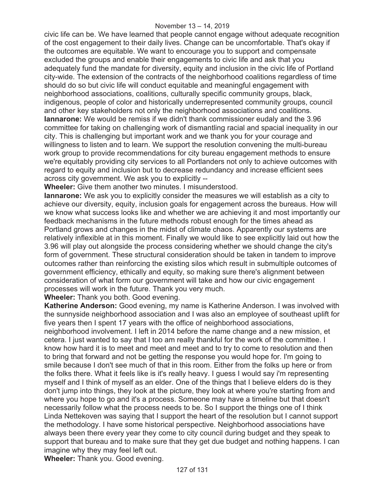civic life can be. We have learned that people cannot engage without adequate recognition of the cost engagement to their daily lives. Change can be uncomfortable. That's okay if the outcomes are equitable. We want to encourage you to support and compensate excluded the groups and enable their engagements to civic life and ask that you adequately fund the mandate for diversity, equity and inclusion in the civic life of Portland city-wide. The extension of the contracts of the neighborhood coalitions regardless of time should do so but civic life will conduct equitable and meaningful engagement with neighborhood associations, coalitions, culturally specific community groups, black, indigenous, people of color and historically underrepresented community groups, council and other key stakeholders not only the neighborhood associations and coalitions. **Iannarone:** We would be remiss if we didn't thank commissioner eudaly and the 3.96 committee for taking on challenging work of dismantling racial and spacial inequality in our city. This is challenging but important work and we thank you for your courage and willingness to listen and to learn. We support the resolution convening the multi-bureau work group to provide recommendations for city bureau engagement methods to ensure we're equitably providing city services to all Portlanders not only to achieve outcomes with regard to equity and inclusion but to decrease redundancy and increase efficient sees across city government. We ask you to explicitly --

**Wheeler:** Give them another two minutes. I misunderstood.

**Iannarone:** We ask you to explicitly consider the measures we will establish as a city to achieve our diversity, equity, inclusion goals for engagement across the bureaus. How will we know what success looks like and whether we are achieving it and most importantly our feedback mechanisms in the future methods robust enough for the times ahead as Portland grows and changes in the midst of climate chaos. Apparently our systems are relatively inflexible at in this moment. Finally we would like to see explicitly laid out how the 3.96 will play out alongside the process considering whether we should change the city's form of government. These structural consideration should be taken in tandem to improve outcomes rather than reinforcing the existing silos which result in submultiple outcomes of government efficiency, ethically and equity, so making sure there's alignment between consideration of what form our government will take and how our civic engagement processes will work in the future. Thank you very much.

**Wheeler:** Thank you both. Good evening.

**Katherine Anderson:** Good evening, my name is Katherine Anderson. I was involved with the sunnyside neighborhood association and I was also an employee of southeast uplift for five years then I spent 17 years with the office of neighborhood associations, neighborhood involvement. I left in 2014 before the name change and a new mission, et cetera. I just wanted to say that I too am really thankful for the work of the committee. I know how hard it is to meet and meet and meet and to try to come to resolution and then to bring that forward and not be getting the response you would hope for. I'm going to smile because I don't see much of that in this room. Either from the folks up here or from the folks there. What it feels like is it's really heavy. I guess I would say i'm representing myself and I think of myself as an elder. One of the things that I believe elders do is they don't jump into things, they look at the picture, they look at where you're starting from and where you hope to go and it's a process. Someone may have a timeline but that doesn't necessarily follow what the process needs to be. So I support the things one of I think Linda Nettekoven was saying that I support the heart of the resolution but I cannot support the methodology. I have some historical perspective. Neighborhood associations have always been there every year they come to city council during budget and they speak to support that bureau and to make sure that they get due budget and nothing happens. I can imagine why they may feel left out.

**Wheeler:** Thank you. Good evening.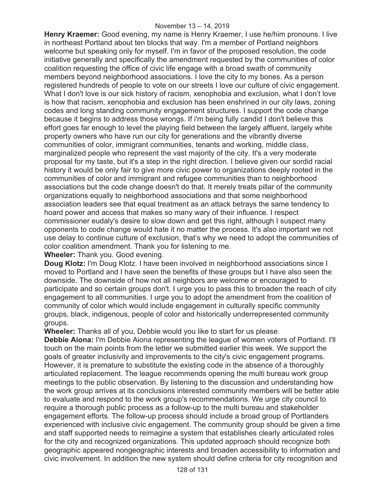**Henry Kraemer:** Good evening, my name is Henry Kraemer, I use he/him pronouns. I live in northeast Portland about ten blocks that way. I'm a member of Portland neighbors welcome but speaking only for myself. I'm in favor of the proposed resolution, the code initiative generally and specifically the amendment requested by the communities of color coalition requesting the office of civic life engage with a broad swath of community members beyond neighborhood associations. I love the city to my bones. As a person registered hundreds of people to vote on our streets I love our culture of civic engagement. What I don't love is our sick history of racism, xenophobia and exclusion, what I don't love is how that racism, xenophobia and exclusion has been enshrined in our city laws, zoning codes and long standing community engagement structures. I support the code change because it begins to address those wrongs. If i'm being fully candid I don't believe this effort goes far enough to level the playing field between the largely affluent, largely white property owners who have run our city for generations and the vibrantly diverse communities of color, immigrant communities, tenants and working, middle class, marginalized people who represent the vast majority of the city. It's a very moderate proposal for my taste, but it's a step in the right direction. I believe given our sordid racial history it would be only fair to give more civic power to organizations deeply rooted in the communities of color and immigrant and refugee communities than to neighborhood associations but the code change doesn't do that. It merely treats pillar of the community organizations equally to neighborhood associations and that some neighborhood association leaders see that equal treatment as an attack betrays the same tendency to hoard power and access that makes so many wary of their influence. I respect commissioner eudaly's desire to slow down and get this right, although I suspect many opponents to code change would hate it no matter the process. It's also important we not use delay to continue culture of exclusion, that's why we need to adopt the communities of color coalition amendment. Thank you for listening to me.

**Wheeler:** Thank you. Good evening.

**Doug Klotz:** I'm Doug Klotz. I have been involved in neighborhood associations since I moved to Portland and I have seen the benefits of these groups but I have also seen the downside. The downside of how not all neighbors are welcome or encouraged to participate and so certain groups don't. I urge you to pass this to broaden the reach of city engagement to all communities. I urge you to adopt the amendment from the coalition of community of color which would include engagement in culturally specific community groups, black, indigenous, people of color and historically underrepresented community groups.

**Wheeler:** Thanks all of you, Debbie would you like to start for us please.

**Debbie Aiona:** I'm Debbie Aiona representing the league of women voters of Portland. I'll touch on the main points from the letter we submitted earlier this week. We support the goals of greater inclusivity and improvements to the city's civic engagement programs. However, it is premature to substitute the existing code in the absence of a thoroughly articulated replacement. The league recommends opening the multi bureau work group meetings to the public observation. By listening to the discussion and understanding how the work group arrives at its conclusions interested community members will be better able to evaluate and respond to the work group's recommendations. We urge city council to require a thorough public process as a follow-up to the multi bureau and stakeholder engagement efforts. The follow-up process should include a broad group of Portlanders experienced with inclusive civic engagement. The community group should be given a time and staff supported needs to reimagine a system that establishes clearly articulated roles for the city and recognized organizations. This updated approach should recognize both geographic appeared nongeographic interests and broaden accessibility to information and civic involvement. In addition the new system should define criteria for city recognition and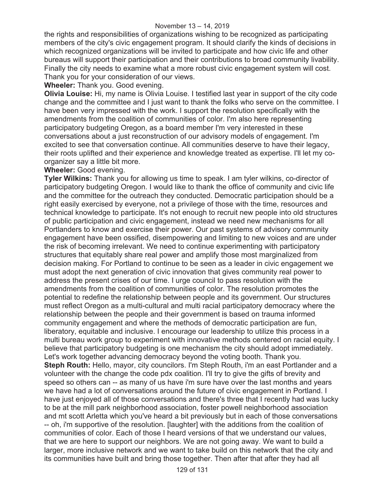the rights and responsibilities of organizations wishing to be recognized as participating members of the city's civic engagement program. It should clarify the kinds of decisions in which recognized organizations will be invited to participate and how civic life and other bureaus will support their participation and their contributions to broad community livability. Finally the city needs to examine what a more robust civic engagement system will cost. Thank you for your consideration of our views.

**Wheeler:** Thank you. Good evening.

**Olivia Louise:** Hi, my name is Olivia Louise. I testified last year in support of the city code change and the committee and I just want to thank the folks who serve on the committee. I have been very impressed with the work. I support the resolution specifically with the amendments from the coalition of communities of color. I'm also here representing participatory budgeting Oregon, as a board member I'm very interested in these conversations about a just reconstruction of our advisory models of engagement. I'm excited to see that conversation continue. All communities deserve to have their legacy, their roots uplifted and their experience and knowledge treated as expertise. I'll let my coorganizer say a little bit more.

**Wheeler:** Good evening.

**Tyler Wilkins:** Thank you for allowing us time to speak. I am tyler wilkins, co-director of participatory budgeting Oregon. I would like to thank the office of community and civic life and the committee for the outreach they conducted. Democratic participation should be a right easily exercised by everyone, not a privilege of those with the time, resources and technical knowledge to participate. It's not enough to recruit new people into old structures of public participation and civic engagement, instead we need new mechanisms for all Portlanders to know and exercise their power. Our past systems of advisory community engagement have been ossified, disempowering and limiting to new voices and are under the risk of becoming irrelevant. We need to continue experimenting with participatory structures that equitably share real power and amplify those most marginalized from decision making. For Portland to continue to be seen as a leader in civic engagement we must adopt the next generation of civic innovation that gives community real power to address the present crises of our time. I urge council to pass resolution with the amendments from the coalition of communities of color. The resolution promotes the potential to redefine the relationship between people and its government. Our structures must reflect Oregon as a multi-cultural and multi racial participatory democracy where the relationship between the people and their government is based on trauma informed community engagement and where the methods of democratic participation are fun, liberatory, equitable and inclusive. I encourage our leadership to utilize this process in a multi bureau work group to experiment with innovative methods centered on racial equity. I believe that participatory budgeting is one mechanism the city should adopt immediately. Let's work together advancing democracy beyond the voting booth. Thank you. **Steph Routh:** Hello, mayor, city councilors. I'm Steph Routh, i'm an east Portlander and a volunteer with the change the code pdx coalition. I'll try to give the gifts of brevity and speed so others can -- as many of us have i'm sure have over the last months and years we have had a lot of conversations around the future of civic engagement in Portland. I have just enjoyed all of those conversations and there's three that I recently had was lucky to be at the mill park neighborhood association, foster powell neighborhood association and mt scott Arletta which you've heard a bit previously but in each of those conversations -- oh, i'm supportive of the resolution. [laughter] with the additions from the coalition of communities of color. Each of those I heard versions of that we understand our values, that we are here to support our neighbors. We are not going away. We want to build a larger, more inclusive network and we want to take build on this network that the city and its communities have built and bring those together. Then after that after they had all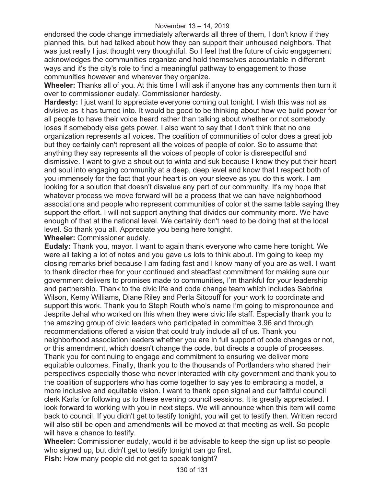endorsed the code change immediately afterwards all three of them, I don't know if they planned this, but had talked about how they can support their unhoused neighbors. That was just really I just thought very thoughtful. So I feel that the future of civic engagement acknowledges the communities organize and hold themselves accountable in different ways and it's the city's role to find a meaningful pathway to engagement to those communities however and wherever they organize.

**Wheeler:** Thanks all of you. At this time I will ask if anyone has any comments then turn it over to commissioner eudaly. Commissioner hardesty.

**Hardesty:** I just want to appreciate everyone coming out tonight. I wish this was not as divisive as it has turned into. It would be good to be thinking about how we build power for all people to have their voice heard rather than talking about whether or not somebody loses if somebody else gets power. I also want to say that I don't think that no one organization represents all voices. The coalition of communities of color does a great job but they certainly can't represent all the voices of people of color. So to assume that anything they say represents all the voices of people of color is disrespectful and dismissive. I want to give a shout out to winta and suk because I know they put their heart and soul into engaging community at a deep, deep level and know that I respect both of you immensely for the fact that your heart is on your sleeve as you do this work. I am looking for a solution that doesn't disvalue any part of our community. It's my hope that whatever process we move forward will be a process that we can have neighborhood associations and people who represent communities of color at the same table saying they support the effort. I will not support anything that divides our community more. We have enough of that at the national level. We certainly don't need to be doing that at the local level. So thank you all. Appreciate you being here tonight.

**Wheeler:** Commissioner eudaly.

**Eudaly:** Thank you, mayor. I want to again thank everyone who came here tonight. We were all taking a lot of notes and you gave us lots to think about. I'm going to keep my closing remarks brief because I am fading fast and I know many of you are as well. I want to thank director rhee for your continued and steadfast commitment for making sure our government delivers to promises made to communities, I'm thankful for your leadership and partnership. Thank to the civic life and code change team which includes Sabrina Wilson, Kemy Williams, Diane Riley and Perla Sitcouff for your work to coordinate and support this work. Thank you to Steph Routh who's name I'm going to mispronounce and Jesprite Jehal who worked on this when they were civic life staff. Especially thank you to the amazing group of civic leaders who participated in committee 3.96 and through recommendations offered a vision that could truly include all of us. Thank you neighborhood association leaders whether you are in full support of code changes or not, or this amendment, which doesn't change the code, but directs a couple of processes. Thank you for continuing to engage and commitment to ensuring we deliver more equitable outcomes. Finally, thank you to the thousands of Portlanders who shared their perspectives especially those who never interacted with city government and thank you to the coalition of supporters who has come together to say yes to embracing a model, a more inclusive and equitable vision. I want to thank open signal and our faithful council clerk Karla for following us to these evening council sessions. It is greatly appreciated. I look forward to working with you in next steps. We will announce when this item will come back to council. If you didn't get to testify tonight, you will get to testify then. Written record will also still be open and amendments will be moved at that meeting as well. So people will have a chance to testify.

**Wheeler:** Commissioner eudaly, would it be advisable to keep the sign up list so people who signed up, but didn't get to testify tonight can go first.

**Fish:** How many people did not get to speak tonight?